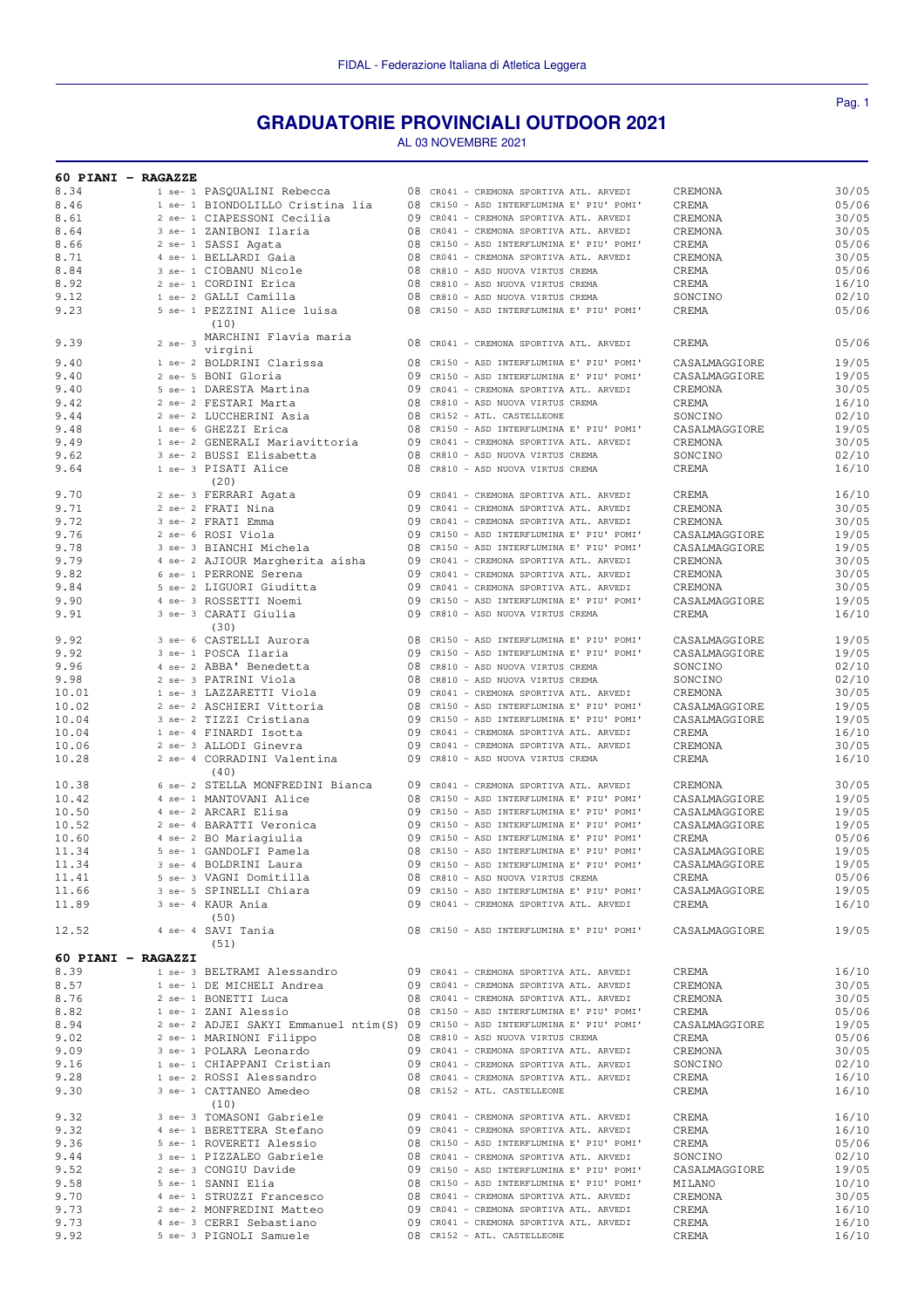## **GRADUATORIE PROVINCIALI OUTDOOR 2021**

AL 03 NOVEMBRE 2021

| 60 PIANI - RAGAZZE |             |                                  |    |                                                                                |               |       |
|--------------------|-------------|----------------------------------|----|--------------------------------------------------------------------------------|---------------|-------|
| 8.34               |             | 1 se- 1 PASQUALINI Rebecca       |    | 08 CR041 - CREMONA SPORTIVA ATL. ARVEDI                                        | CREMONA       | 30/05 |
| 8.46               |             | 1 se- 1 BIONDOLILLO Cristina lia |    | 08 CR150 - ASD INTERFLUMINA E' PIU' POMI'                                      | CREMA         | 05/06 |
| 8.61               |             | 2 se- 1 CIAPESSONI Cecilia       |    | 09 CR041 - CREMONA SPORTIVA ATL. ARVEDI                                        | CREMONA       | 30/05 |
|                    |             |                                  |    |                                                                                |               |       |
| 8.64               |             | 3 se- 1 ZANIBONI Ilaria          |    | 08 CR041 - CREMONA SPORTIVA ATL. ARVEDI                                        | CREMONA       | 30/05 |
| 8.66               |             | 2 se- 1 SASSI Agata              |    | 08 CR150 - ASD INTERFLUMINA E' PIU' POMI'                                      | CREMA         | 05/06 |
| 8.71               |             | 4 se- 1 BELLARDI Gaia            |    | 08 CR041 - CREMONA SPORTIVA ATL. ARVEDI                                        | CREMONA       | 30/05 |
| 8.84               |             | 3 se- 1 CIOBANU Nicole           |    | 08 CR810 - ASD NUOVA VIRTUS CREMA                                              | CREMA         | 05/06 |
|                    |             |                                  |    |                                                                                |               |       |
| 8.92               |             | 2 se- 1 CORDINI Erica            | 08 | CR810 - ASD NUOVA VIRTUS CREMA                                                 | CREMA         | 16/10 |
| 9.12               |             | 1 se- 2 GALLI Camilla            |    | 08 CR810 - ASD NUOVA VIRTUS CREMA                                              | SONCINO       | 02/10 |
| 9.23               |             | 5 se- 1 PEZZINI Alice luisa      |    | 08 CR150 - ASD INTERFLUMINA E' PIU' POMI'                                      | CREMA         | 05/06 |
|                    |             | (10)                             |    |                                                                                |               |       |
|                    |             |                                  |    |                                                                                |               |       |
| 9.39               | $2$ se- $3$ | MARCHINI Flavia maria            |    | 08 CR041 - CREMONA SPORTIVA ATL. ARVEDI                                        | CREMA         | 05/06 |
|                    |             | virgini                          |    |                                                                                |               |       |
| 9.40               |             | 1 se- 2 BOLDRINI Clarissa        |    | 08 CR150 - ASD INTERFLUMINA E' PIU' POMI'                                      | CASALMAGGIORE | 19/05 |
| 9.40               |             | 2 se- 5 BONI Gloria              |    | 09 CR150 - ASD INTERFLUMINA E' PIU' POMI'                                      | CASALMAGGIORE | 19/05 |
|                    |             |                                  |    |                                                                                |               |       |
| 9.40               |             | 5 se- 1 DARESTA Martina          |    | 09 CR041 - CREMONA SPORTIVA ATL. ARVEDI                                        | CREMONA       | 30/05 |
| 9.42               |             | 2 se- 2 FESTARI Marta            |    | 08 CR810 - ASD NUOVA VIRTUS CREMA                                              | CREMA         | 16/10 |
| 9.44               |             | 2 se- 2 LUCCHERINI Asia          |    | 08 CR152 - ATL. CASTELLEONE                                                    | SONCINO       | 02/10 |
| 9.48               |             | 1 se- 6 GHEZZI Erica             |    | 08 CR150 - ASD INTERFLUMINA E' PIU' POMI'                                      | CASALMAGGIORE | 19/05 |
|                    |             |                                  |    |                                                                                |               |       |
| 9.49               |             | 1 se- 2 GENERALI Mariavittoria   |    | 09 CR041 - CREMONA SPORTIVA ATL. ARVEDI                                        | CREMONA       | 30/05 |
| 9.62               |             | 3 se- 2 BUSSI Elisabetta         |    | 08 CR810 - ASD NUOVA VIRTUS CREMA                                              | SONCINO       | 02/10 |
| 9.64               |             | 1 se- 3 PISATI Alice             |    | 08 CR810 - ASD NUOVA VIRTUS CREMA                                              | CREMA         | 16/10 |
|                    |             | (20)                             |    |                                                                                |               |       |
|                    |             |                                  |    | 09 CR041 - CREMONA SPORTIVA ATL. ARVEDI                                        |               |       |
| 9.70               |             | 2 se- 3 FERRARI Agata            |    |                                                                                | CREMA         | 16/10 |
| 9.71               |             | 2 se- 2 FRATI Nina               |    | 09 CR041 - CREMONA SPORTIVA ATL. ARVEDI                                        | CREMONA       | 30/05 |
| 9.72               |             | 3 se- 2 FRATT Emma               |    | 09 CR041 - CREMONA SPORTIVA ATL. ARVEDI                                        | CREMONA       | 30/05 |
| 9.76               |             | 2 se- 6 ROSI Viola               |    | 09 CR150 - ASD INTERFLUMINA E' PIU' POMI'                                      | CASALMAGGIORE | 19/05 |
|                    |             |                                  |    |                                                                                |               |       |
| 9.78               |             | 3 se- 3 BIANCHI Michela          |    | 08 CR150 - ASD INTERFLUMINA E' PIU' POMI'                                      | CASALMAGGIORE | 19/05 |
| 9.79               |             | 4 se- 2 AJIOUR Margherita aisha  |    | 09 CR041 - CREMONA SPORTIVA ATL. ARVEDI                                        | CREMONA       | 30/05 |
| 9.82               |             | 6 se- 1 PERRONE Serena           |    | 09 CR041 - CREMONA SPORTIVA ATL. ARVEDI                                        | CREMONA       | 30/05 |
| 9.84               |             | 5 se- 2 LIGUORI Giuditta         |    | 09 CR041 - CREMONA SPORTIVA ATL. ARVEDI                                        | CREMONA       | 30/05 |
|                    |             |                                  |    |                                                                                |               |       |
| 9.90               |             | 4 se- 3 ROSSETTI Noemi           |    | 09 CR150 - ASD INTERFLUMINA E' PIU' POMI'                                      | CASALMAGGIORE | 19/05 |
| 9.91               |             | 3 se- 3 CARATI Giulia            |    | 09 CR810 - ASD NUOVA VIRTUS CREMA                                              | CREMA         | 16/10 |
|                    |             | (30)                             |    |                                                                                |               |       |
| 9.92               |             | 3 se- 6 CASTELLI Aurora          |    | 08 CR150 - ASD INTERFLUMINA E' PIU' POMI'                                      | CASALMAGGIORE | 19/05 |
|                    |             |                                  |    |                                                                                |               |       |
| 9.92               |             | 3 se- 1 POSCA Ilaria             |    | 09 CR150 - ASD INTERFLUMINA E' PIU' POMI'                                      | CASALMAGGIORE | 19/05 |
| 9.96               |             | 4 se- 2 ABBA' Benedetta          |    | 08 CR810 - ASD NUOVA VIRTUS CREMA                                              | SONCINO       | 02/10 |
| 9.98               |             | 2 se- 3 PATRINI Viola            |    | 08 CR810 - ASD NUOVA VIRTUS CREMA                                              | SONCINO       | 02/10 |
| 10.01              |             | 1 se- 3 LAZZARETTI Viola         |    | 09 CR041 - CREMONA SPORTIVA ATL. ARVEDI                                        |               |       |
|                    |             |                                  |    |                                                                                | CREMONA       | 30/05 |
| 10.02              |             | 2 se- 2 ASCHIERI Vittoria        |    | 08 CR150 - ASD INTERFLUMINA E' PIU' POMI'                                      | CASALMAGGIORE | 19/05 |
| 10.04              |             | 3 se- 2 TIZZI Cristiana          |    | 09 CR150 - ASD INTERFLUMINA E' PIU' POMI'                                      | CASALMAGGIORE | 19/05 |
| 10.04              |             | 1 se- 4 FINARDI Isotta           |    | 09 CR041 - CREMONA SPORTIVA ATL. ARVEDI                                        | CREMA         | 16/10 |
|                    |             |                                  |    |                                                                                |               |       |
| 10.06              |             | 2 se- 3 ALLODI Ginevra           |    | 09 CR041 - CREMONA SPORTIVA ATL. ARVEDI                                        | CREMONA       | 30/05 |
| 10.28              |             | 2 se- 4 CORRADINI Valentina      |    | 09 CR810 - ASD NUOVA VIRTUS CREMA                                              | CREMA         | 16/10 |
|                    |             | (40)                             |    |                                                                                |               |       |
| 10.38              |             | 6 se- 2 STELLA MONFREDINI Bianca |    | 09 CR041 - CREMONA SPORTIVA ATL. ARVEDI                                        | CREMONA       | 30/05 |
|                    |             |                                  |    |                                                                                |               |       |
| 10.42              |             | 4 se- 1 MANTOVANI Alice          |    | 08 CR150 - ASD INTERFLUMINA E' PIU' POMI'                                      | CASALMAGGIORE | 19/05 |
| 10.50              |             | 4 se- 2 ARCARI Elisa             |    | 09 CR150 - ASD INTERFLUMINA E' PIU' POMI'                                      | CASALMAGGIORE | 19/05 |
| 10.52              |             | 2 se- 4 BARATTI Veronica         |    | 09 CR150 - ASD INTERFLUMINA E' PIU' POMI'                                      | CASALMAGGIORE | 19/05 |
| 10.60              |             | 4 se- 2 BO Mariagiulia           |    | 09 CR150 - ASD INTERFLUMINA E' PIU' POMI'                                      | CREMA         | 05/06 |
|                    |             |                                  |    | 08 CR150 - ASD INTERFLUMINA E' PIU' POMI'                                      | CASALMAGGIORE |       |
| 11.34              |             | 5 se- 1 GANDOLFI Pamela          |    |                                                                                |               | 19/05 |
| 11.34              |             | 3 se- 4 BOLDRINI Laura           |    | 09 CR150 - ASD INTERFLUMINA E' PIU' POMI'                                      | CASALMAGGIORE | 19/05 |
| 11.41              |             | 5 se- 3 VAGNI Domitilla          |    | 08 CR810 - ASD NUOVA VIRTUS CREMA                                              | CREMA         | 05/06 |
| 11.66              |             | 3 se- 5 SPINELLI Chiara          |    | 09 CR150 - ASD INTERFLUMINA E' PIU' POMI'                                      | CASALMAGGIORE | 19/05 |
|                    |             |                                  |    |                                                                                |               |       |
| 11.89              |             | 3 se- 4 KAUR Ania                |    | 09 CR041 - CREMONA SPORTIVA ATL. ARVEDI                                        | CREMA         | 16/10 |
|                    |             | (50)                             |    |                                                                                |               |       |
| 12.52              |             | 4 se- 4 SAVI Tania               |    | 08 CR150 - ASD INTERFLUMINA E' PIU' POMI'                                      | CASALMAGGIORE | 19/05 |
|                    |             | (51)                             |    |                                                                                |               |       |
|                    |             |                                  |    |                                                                                |               |       |
| 60 PIANI - RAGAZZI |             |                                  |    |                                                                                |               |       |
| 8.39               |             | 1 se- 3 BELTRAMI Alessandro      |    | 09 CR041 - CREMONA SPORTIVA ATL. ARVEDI                                        | CREMA         | 16/10 |
| 8.57               |             | 1 se- 1 DE MICHELI Andrea        |    | 09 CR041 - CREMONA SPORTIVA ATL. ARVEDI                                        | CREMONA       | 30/05 |
| 8.76               |             | 2 se- 1 BONETTI Luca             |    | 08 CR041 - CREMONA SPORTIVA ATL. ARVEDI                                        | CREMONA       | 30/05 |
|                    |             |                                  |    |                                                                                |               |       |
| 8.82               |             | 1 se- 1 ZANI Alessio             |    | 08 CR150 - ASD INTERFLUMINA E' PIU' POMI'                                      | CREMA         | 05/06 |
| 8.94               |             |                                  |    | 2 se- 2 ADJEI SAKYI Emmanuel ntim(S) 09 CR150 - ASD INTERFLUMINA E' PIU' POMI' | CASALMAGGIORE | 19/05 |
| 9.02               |             | 2 se- 1 MARINONI Filippo         |    | 08 CR810 - ASD NUOVA VIRTUS CREMA                                              | CREMA         | 05/06 |
| 9.09               |             | 3 se- 1 POLARA Leonardo          |    | 09 CR041 - CREMONA SPORTIVA ATL. ARVEDI                                        | CREMONA       | 30/05 |
|                    |             |                                  |    |                                                                                |               |       |
| 9.16               |             | 1 se- 1 CHIAPPANI Cristian       |    | 09 CR041 - CREMONA SPORTIVA ATL. ARVEDI                                        | SONCINO       | 02/10 |
| 9.28               |             | 1 se- 2 ROSSI Alessandro         |    | 08 CR041 - CREMONA SPORTIVA ATL. ARVEDI                                        | CREMA         | 16/10 |
| 9.30               |             | 3 se- 1 CATTANEO Amedeo          |    | 08 CR152 - ATL. CASTELLEONE                                                    | CREMA         | 16/10 |
|                    |             | (10)                             |    |                                                                                |               |       |
|                    |             |                                  |    |                                                                                |               |       |
| 9.32               |             | 3 se- 3 TOMASONI Gabriele        |    | 09 CR041 - CREMONA SPORTIVA ATL. ARVEDI                                        | CREMA         | 16/10 |
| 9.32               |             | 4 se- 1 BERETTERA Stefano        |    | 09 CR041 - CREMONA SPORTIVA ATL. ARVEDI                                        | CREMA         | 16/10 |
| 9.36               |             | 5 se- 1 ROVERETI Alessio         |    | 08 CR150 - ASD INTERFLUMINA E' PIU' POMI'                                      | CREMA         | 05/06 |
| 9.44               |             | 3 se- 1 PIZZALEO Gabriele        |    | 08 CR041 - CREMONA SPORTIVA ATL. ARVEDI                                        | SONCINO       | 02/10 |
|                    |             |                                  |    |                                                                                |               |       |
| 9.52               |             | 2 se- 3 CONGIU Davide            |    | 09 CR150 - ASD INTERFLUMINA E' PIU' POMI'                                      | CASALMAGGIORE | 19/05 |
| 9.58               |             | 5 se- 1 SANNI Elia               |    | 08 CR150 - ASD INTERFLUMINA E' PIU' POMI'                                      | MILANO        | 10/10 |
| 9.70               |             | 4 se- 1 STRUZZI Francesco        |    | 08 CR041 - CREMONA SPORTIVA ATL. ARVEDI                                        | CREMONA       | 30/05 |
| 9.73               |             | 2 se- 2 MONFREDINI Matteo        |    | 09 CR041 - CREMONA SPORTIVA ATL. ARVEDI                                        | CREMA         | 16/10 |
|                    |             |                                  |    |                                                                                |               |       |
| 9.73               |             | 4 se- 3 CERRI Sebastiano         |    | 09 CR041 - CREMONA SPORTIVA ATL. ARVEDI                                        | CREMA         | 16/10 |
| 9.92               |             | 5 se- 3 PIGNOLI Samuele          |    | 08 CR152 - ATL. CASTELLEONE                                                    | CREMA         | 16/10 |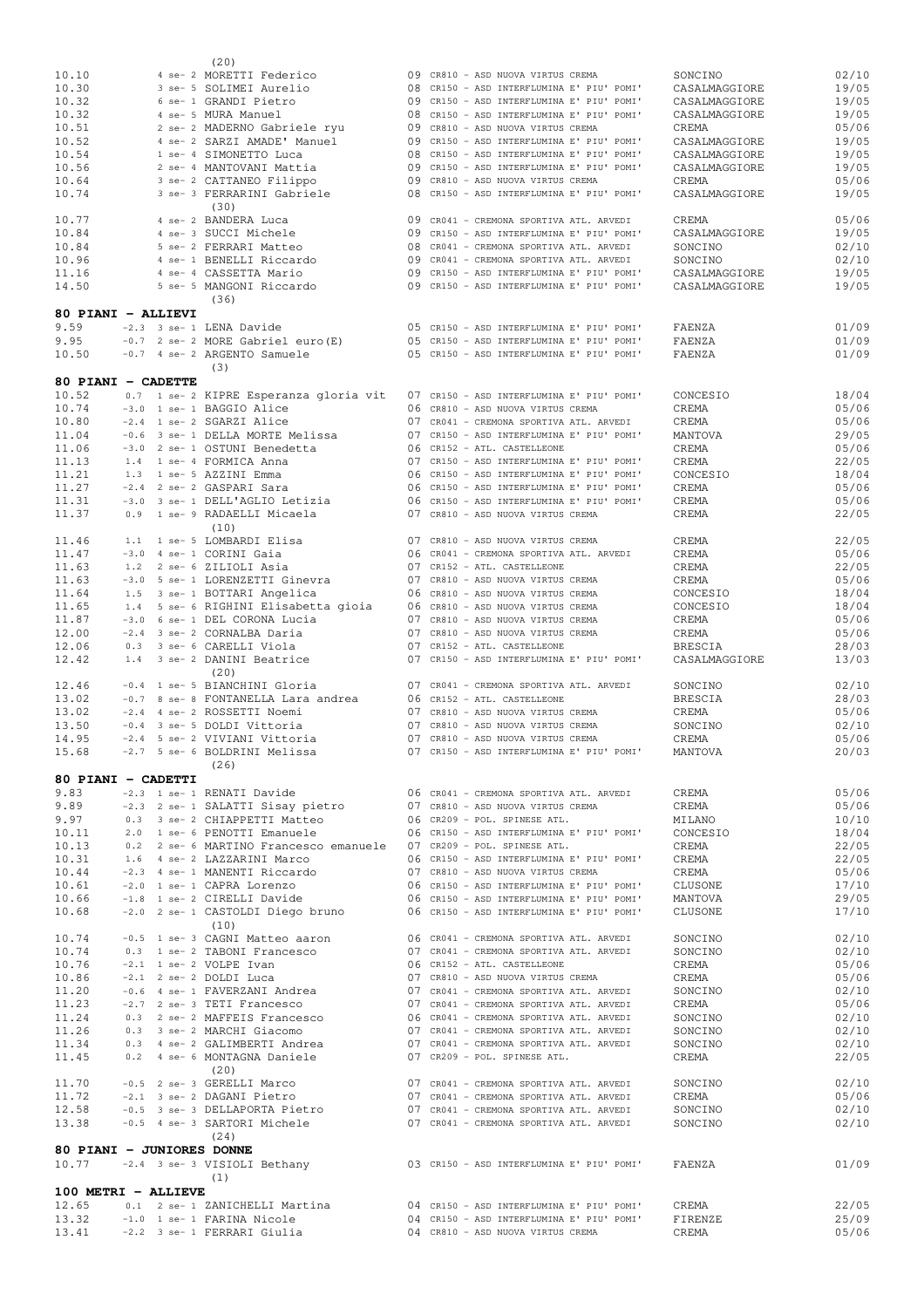|                           |  | (20)                                                                                               |                                                                                      |                                |                |
|---------------------------|--|----------------------------------------------------------------------------------------------------|--------------------------------------------------------------------------------------|--------------------------------|----------------|
| 10.10                     |  | 4 se- 2 MORETTI Federico                                                                           | 09 CR810 - ASD NUOVA VIRTUS CREMA                                                    | SONCINO                        | 02/10          |
| 10.30                     |  | 3 se- 5 SOLIMEI Aurelio                                                                            | 08 CR150 - ASD INTERFLUMINA E' PIU' POMI'                                            | CASALMAGGIORE                  | 19/05          |
| 10.32                     |  | 6 se- 1 GRANDI Pietro                                                                              | 09 CR150 - ASD INTERFLUMINA E' PIU' POMI'                                            | CASALMAGGIORE                  | 19/05          |
| 10.32                     |  | 4 se- 5 MURA Manuel                                                                                | 08 CR150 - ASD INTERFLUMINA E' PIU' POMI'                                            | CASALMAGGIORE                  | 19/05          |
| 10.51                     |  | 2 se- 2 MADERNO Gabriele ryu                                                                       | 09 CR810 - ASD NUOVA VIRTUS CREMA                                                    | CREMA                          | 05/06          |
| 10.52                     |  | 4 se- 2 SARZI AMADE' Manuel                                                                        | 09 CR150 - ASD INTERFLUMINA E' PIU' POMI'                                            | CASALMAGGIORE                  | 19/05          |
| 10.54                     |  | 1 se- 4 SIMONETTO Luca                                                                             | 08 CR150 - ASD INTERFLUMINA E' PIU' POMI'                                            | CASALMAGGIORE                  | 19/05          |
| 10.56                     |  | 2 se- 4 MANTOVANI Mattia                                                                           | 09 CR150 - ASD INTERFLUMINA E' PIU' POMI'                                            | CASALMAGGIORE                  | 19/05          |
| 10.64                     |  | 3 se- 2 CATTANEO Filippo                                                                           | 09 CR810 - ASD NUOVA VIRTUS CREMA                                                    | CREMA                          | 05/06          |
| 10.74                     |  | 3 se- 3 FERRARINI Gabriele                                                                         | 08 CR150 - ASD INTERFLUMINA E' PIU' POMI'                                            | CASALMAGGIORE                  | 19/05          |
|                           |  | (30)                                                                                               |                                                                                      |                                |                |
| 10.77                     |  | 4 se- 2 BANDERA Luca                                                                               | 09 CR041 - CREMONA SPORTIVA ATL. ARVEDI                                              | CREMA                          | 05/06          |
| 10.84                     |  | 4 se- 3 SUCCI Michele                                                                              | 09 CR150 - ASD INTERFLUMINA E' PIU' POMI'                                            | CASALMAGGIORE                  | 19/05          |
| 10.84                     |  | 5 se- 2 FERRARI Matteo<br>4 se- 1 BENELLI Riccardo                                                 | 08 CR041 - CREMONA SPORTIVA ATL. ARVEDI                                              | SONCINO                        | 02/10          |
| 10.96<br>11.16            |  | 4 se- 4 CASSETTA Mario                                                                             | 09 CR041 - CREMONA SPORTIVA ATL. ARVEDI<br>09 CR150 - ASD INTERFLUMINA E' PIU' POMI' | SONCINO                        | 02/10<br>19/05 |
| 14.50                     |  | 5 se- 5 MANGONI Riccardo                                                                           | 09 CR150 - ASD INTERFLUMINA E' PIU' POMI'                                            | CASALMAGGIORE<br>CASALMAGGIORE | 19/05          |
|                           |  | (36)                                                                                               |                                                                                      |                                |                |
| 80 PIANI - ALLIEVI        |  |                                                                                                    |                                                                                      |                                |                |
| 9.59                      |  | -2.3 3 se- 1 LENA Davide                                                                           | 05 CR150 - ASD INTERFLUMINA E' PIU' POMI'                                            | FAENZA                         | 01/09          |
| 9.95                      |  | $-0.7$ 2 se- 2 MORE Gabriel euro (E)                                                               | 05 CR150 - ASD INTERFLUMINA E' PIU' POMI'                                            | FAENZA                         | 01/09          |
| 10.50                     |  | -0.7 4 se- 2 ARGENTO Samuele                                                                       | 05 CR150 - ASD INTERFLUMINA E' PIU' POMI'                                            | FAENZA                         | 01/09          |
|                           |  | (3)                                                                                                |                                                                                      |                                |                |
| 80 PIANI - CADETTE        |  |                                                                                                    |                                                                                      |                                |                |
| 10.52                     |  | 0.7 1 se- 2 KIPRE Esperanza gloria vit                                                             | 07 CR150 - ASD INTERFLUMINA E' PIU' POMI'                                            | CONCESIO                       | 18/04          |
| 10.74                     |  | -3.0 1 se- 1 BAGGIO Alice                                                                          | 06 CR810 - ASD NUOVA VIRTUS CREMA                                                    | CREMA                          | 05/06          |
| 10.80                     |  | -2.4 1 se- 2 SGARZI Alice                                                                          | 07 CR041 - CREMONA SPORTIVA ATL. ARVEDI                                              | CREMA                          | 05/06          |
| 11.04                     |  | -0.6 3 se- 1 DELLA MORTE Melissa                                                                   | 07 CR150 - ASD INTERFLUMINA E' PIU' POMI'                                            | MANTOVA                        | 29/05          |
| 11.06                     |  | -3.0 2 se- 1 OSTUNI Benedetta                                                                      | 06 CR152 - ATL. CASTELLEONE                                                          | CREMA                          | 05/06          |
| 11.13                     |  | 1.4 1 se- 4 FORMICA Anna                                                                           | 07 CR150 - ASD INTERFLUMINA E' PIU' POMI'                                            | CREMA                          | 22/05          |
| 11.21                     |  | 1.3 1 se- 5 AZZINI Emma                                                                            | 06 CR150 - ASD INTERFLUMINA E' PIU' POMI'                                            | CONCESIO                       | 18/04          |
| 11.27                     |  | -2.4 2 se- 2 GASPARI Sara                                                                          | 06 CR150 - ASD INTERFLUMINA E' PIU' POMI'                                            | CREMA                          | 05/06          |
| 11.31                     |  | -3.0 3 se- 1 DELL'AGLIO Letizia                                                                    | 06 CR150 - ASD INTERFLUMINA E' PIU' POMI'                                            | CREMA                          | 05/06          |
| 11.37                     |  | 0.9 1 se- 9 RADAELLI Micaela                                                                       | 07 CR810 - ASD NUOVA VIRTUS CREMA                                                    | CREMA                          | 22/05          |
|                           |  | (10)                                                                                               |                                                                                      |                                |                |
| 11.46                     |  | 1.1 1 se- 5 LOMBARDI Elisa                                                                         | 07 CR810 - ASD NUOVA VIRTUS CREMA                                                    | CREMA                          | 22/05          |
| 11.47                     |  | -3.0 4 se- 1 CORINI Gaia                                                                           | 06 CR041 - CREMONA SPORTIVA ATL. ARVEDI                                              | CREMA                          | 05/06          |
| 11.63                     |  | 1.2 2 se- 6 ZILIOLI Asia                                                                           | 07 CR152 - ATL. CASTELLEONE                                                          | CREMA                          | 22/05          |
| 11.63                     |  | -3.0 5 se- 1 LORENZETTI Ginevra                                                                    | 07 CR810 - ASD NUOVA VIRTUS CREMA                                                    | CREMA                          | 05/06          |
| 11.64                     |  | 1.5 3 se- 1 BOTTARI Angelica                                                                       | 06 CR810 - ASD NUOVA VIRTUS CREMA                                                    | CONCESIO                       | 18/04          |
| 11.65                     |  | 1.4 5 se- 6 RIGHINI Elisabetta gioia                                                               | 06 CR810 - ASD NUOVA VIRTUS CREMA                                                    | CONCESIO                       | 18/04          |
| 11.87                     |  | -3.0 6 se- 1 DEL CORONA Lucia                                                                      | 07 CR810 - ASD NUOVA VIRTUS CREMA                                                    | CREMA                          | 05/06          |
| 12.00                     |  | -2.4 3 se- 2 CORNALBA Daria                                                                        | 07 CR810 - ASD NUOVA VIRTUS CREMA                                                    | CREMA                          | 05/06          |
| 12.06                     |  | 0.3 3 se- 6 CARELLI Viola                                                                          | 07 CR152 - ATL. CASTELLEONE                                                          | <b>BRESCIA</b>                 | 28/03          |
|                           |  |                                                                                                    |                                                                                      |                                |                |
| 12.42                     |  | 1.4 3 se- 2 DANINI Beatrice                                                                        | 07 CR150 - ASD INTERFLUMINA E' PIU' POMI'                                            | CASALMAGGIORE                  | 13/03          |
|                           |  | (20)                                                                                               |                                                                                      |                                |                |
| 12.46                     |  | -0.4 1 se- 5 BIANCHINI Gloria                                                                      | 07 CR041 - CREMONA SPORTIVA ATL. ARVEDI                                              | SONCINO                        | 02/10          |
| 13.02                     |  | -0.7 8 se- 8 FONTANELLA Lara andrea                                                                | 06 CR152 - ATL. CASTELLEONE                                                          | <b>BRESCIA</b>                 | 28/03          |
| 13.02                     |  | -2.4 4 se- 2 ROSSETTI Noemi                                                                        | 07 CR810 - ASD NUOVA VIRTUS CREMA                                                    | CREMA                          | 05/06          |
| 13.50                     |  | -0.4 3 se- 5 DOLDI Vittoria                                                                        | 07 CR810 - ASD NUOVA VIRTUS CREMA                                                    | SONCINO                        | 02/10          |
| 14.95                     |  | -2.4 5 se- 2 VIVIANI Vittoria                                                                      | 07 CR810 - ASD NUOVA VIRTUS CREMA                                                    | CREMA                          | 05/06          |
| 15.68                     |  | -2.7 5 se- 6 BOLDRINI Melissa                                                                      | 07 CR150 - ASD INTERFLUMINA E' PIU' POMI'                                            | MANTOVA                        | 20/03          |
|                           |  | (26)                                                                                               |                                                                                      |                                |                |
| 80 PIANI - CADETTI        |  |                                                                                                    |                                                                                      |                                |                |
| 9.83                      |  | -2.3 1 se- 1 RENATI Davide                                                                         | 06 CR041 - CREMONA SPORTIVA ATL. ARVEDI                                              | CREMA                          | 05/06          |
| 9.89                      |  | -2.3 2 se- 1 SALATTI Sisay pietro 607 CR810 - ASD NUOVA VIRTUS CREMA                               |                                                                                      | CREMA                          | 05/06          |
| 9.97                      |  | 0.3 3 se- 2 CHIAPPETTI Matteo                                                                      | 06 CR209 - POL. SPINESE ATL.<br>06 CR150 - ASD INTERFLUMINA E' PIU' POMI'            | MILANO<br>CONCESIO             | 10/10          |
| 10.11<br>10.13            |  | 2.0 1 se- 6 PENOTTI Emanuele                                                                       |                                                                                      | CREMA                          | 18/04          |
| 10.31                     |  | 0.2 2 se- 6 MARTINO Francesco emanuele 07 CR209 - POL. SPINESE ATL.<br>1.6 4 se- 2 LAZZARINI Marco | 06 CR150 - ASD INTERFLUMINA E' PIU' POMI'                                            | CREMA                          | 22/05<br>22/05 |
| 10.44                     |  |                                                                                                    | 07 CR810 - ASD NUOVA VIRTUS CREMA                                                    | CREMA                          | 05/06          |
| 10.61                     |  | -2.3 4 se- 1 MANENTI Riccardo<br>-2.0 1 se- 1 CAPRA Lorenzo                                        | 06 CR150 - ASD INTERFLUMINA E' PIU' POMI'                                            | CLUSONE                        | 17/10          |
| 10.66                     |  | -1.8 1 se- 2 CIRELLI Davide                                                                        | 06 CR150 - ASD INTERFLUMINA E' PIU' POMI'                                            | MANTOVA                        | 29/05          |
| 10.68                     |  | $-2.0$ 2 se- 1 CASTOLDI Diego bruno $06$ CR150 - ASD INTERFLUMINA E' PIU' POMI'                    |                                                                                      | CLUSONE                        | 17/10          |
|                           |  | (10)                                                                                               |                                                                                      |                                |                |
| 10.74                     |  | -0.5 1 se- 3 CAGNI Matteo aaron 06 CR041 - CREMONA SPORTIVA ATL. ARVEDI                            |                                                                                      | SONCINO                        | 02/10          |
| 10.74                     |  | 0.3 1 se- 2 TABONI Francesco                                                                       | 07 CR041 - CREMONA SPORTIVA ATL. ARVEDI                                              | SONCINO                        | 02/10          |
| 10.76                     |  | $-2.1$ 1 se- 2 VOLPE Ivan                                                                          | 06 CR152 - ATL. CASTELLEONE                                                          | CREMA                          | 05/06          |
| 10.86                     |  | -2.1 2 se- 2 DOLDI Luca                                                                            | 07 CR810 - ASD NUOVA VIRTUS CREMA                                                    | CREMA                          | 05/06          |
| 11.20                     |  | -0.6 4 se- 1 FAVERZANI Andrea                                                                      | 07 CR041 - CREMONA SPORTIVA ATL. ARVEDI                                              | SONCINO                        | 02/10          |
| 11.23                     |  | -2.7 2 se- 3 TETI Francesco                                                                        | 07 CR041 - CREMONA SPORTIVA ATL. ARVEDI                                              | CREMA                          | 05/06          |
| 11.24                     |  |                                                                                                    | 06 CR041 - CREMONA SPORTIVA ATL. ARVEDI                                              | SONCINO                        | 02/10          |
| 11.26                     |  | $-2.7$ z se- 3 initial concession.<br>0.3 2 se- 2 MAFFEIS Francesco                                | 07 CR041 - CREMONA SPORTIVA ATL. ARVEDI                                              | SONCINO                        | 02/10          |
| 11.34                     |  | 0.3 4 se- 2 GALIMBERTI Andrea                                                                      | 07 CR041 - CREMONA SPORTIVA ATL. ARVEDI                                              | SONCINO                        | 02/10          |
| 11.45                     |  | 0.2 4 se- 6 MONTAGNA Daniele                                                                       | 07 CR209 - POL. SPINESE ATL.                                                         | CREMA                          | 22/05          |
|                           |  | (20)                                                                                               |                                                                                      |                                |                |
| 11.70                     |  | -0.5 2 se- 3 GERELLI Marco                                                                         | 07 CR041 - CREMONA SPORTIVA ATL. ARVEDI                                              | SONCINO                        | 02/10          |
| 11.72                     |  | $-2.1$ 3 se- 2 DAGANI Pietro                                                                       | 07 CR041 - CREMONA SPORTIVA ATL. ARVEDI                                              | CREMA                          | 05/06          |
| 12.58                     |  | -0.5 3 se- 3 DELLAPORTA Pietro                                                                     | 07 CR041 - CREMONA SPORTIVA ATL. ARVEDI                                              | SONCINO                        | 02/10          |
| 13.38                     |  | -0.5 4 se- 3 SARTORI Michele                                                                       | 07 CR041 - CREMONA SPORTIVA ATL. ARVEDI                                              | SONCINO                        | 02/10          |
|                           |  | (24)                                                                                               |                                                                                      |                                |                |
| 80 PIANI - JUNIORES DONNE |  |                                                                                                    |                                                                                      |                                |                |
| 10.77                     |  | -2.4 3 se- 3 VISIOLI Bethany 03 CR150 - ASD INTERFLUMINA E' PIU' POMI'                             |                                                                                      | FAENZA                         | 01/09          |
|                           |  | (1)                                                                                                |                                                                                      |                                |                |
| 100 METRI - ALLIEVE       |  |                                                                                                    |                                                                                      |                                |                |
| 12.65                     |  | 0.1 2 se- 1 ZANICHELLI Martina                                                                     | 04 CR150 - ASD INTERFLUMINA E' PIU' POMI'                                            | CREMA                          | 22/05          |
| 13.32<br>13.41            |  | -1.0 1 se- 1 FARINA Nicole<br>-2.2 3 se- 1 FERRARI Giulia                                          | 04 CR150 - ASD INTERFLUMINA E' PIU' POMI'<br>04 CR810 - ASD NUOVA VIRTUS CREMA       | FIRENZE<br>CREMA               | 25/09<br>05/06 |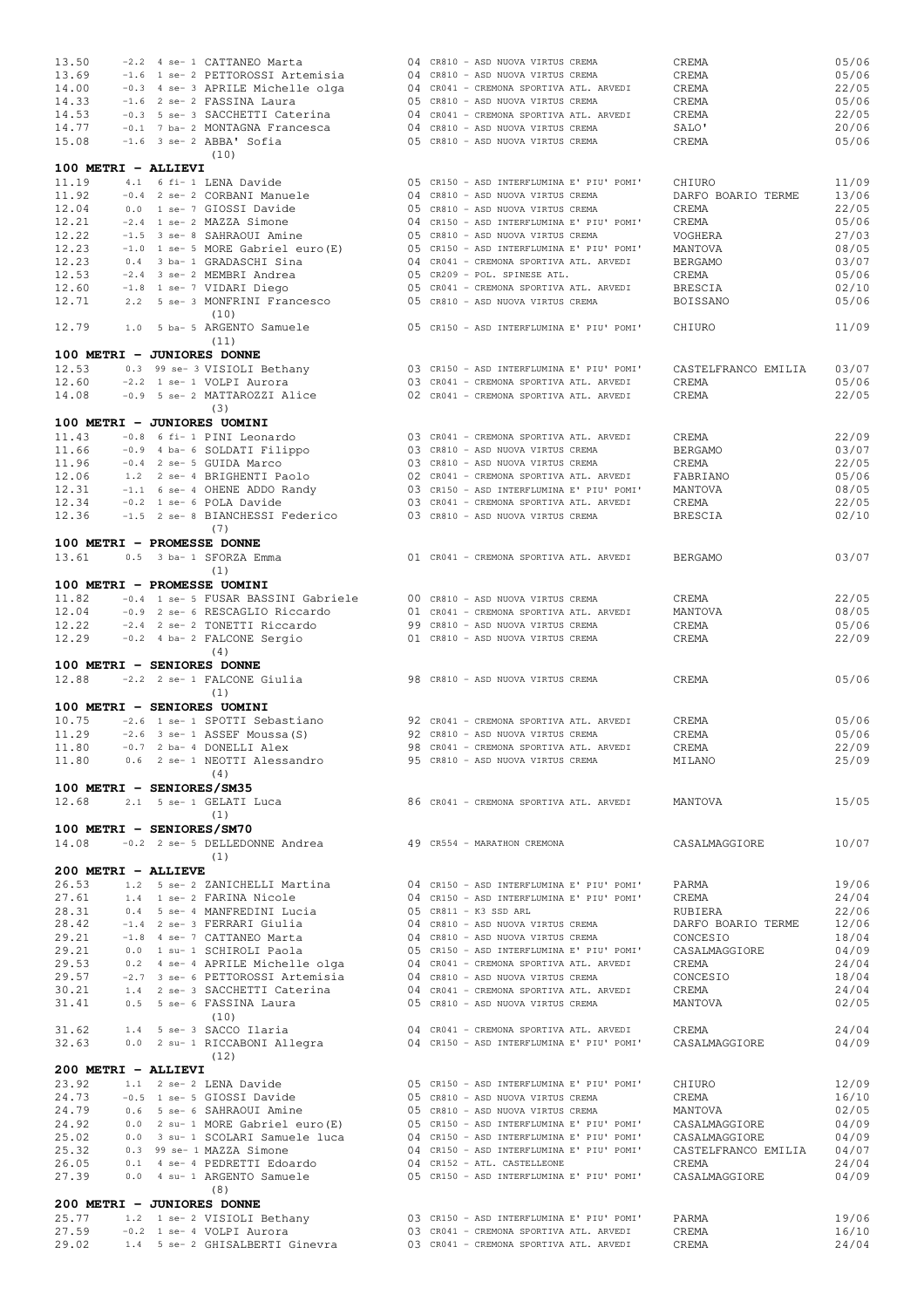| 13.50                        |  | -2.2 4 se- 1 CATTANEO Marta                                                                                                                                                                                                                                                                                            |  | 04 CR810 - ASD NUOVA VIRTUS CREMA                                                  | CREMA               | 05/06          |
|------------------------------|--|------------------------------------------------------------------------------------------------------------------------------------------------------------------------------------------------------------------------------------------------------------------------------------------------------------------------|--|------------------------------------------------------------------------------------|---------------------|----------------|
| 13.69                        |  | -1.6 1 se- 2 PETTOROSSI Artemisia                                                                                                                                                                                                                                                                                      |  | 04 CR810 - ASD NUOVA VIRTUS CREMA                                                  | CREMA               | 05/06          |
| 14.00                        |  | -0.3 4 se- 3 APRILE Michelle olga                                                                                                                                                                                                                                                                                      |  | 04 CR041 - CREMONA SPORTIVA ATL. ARVEDI                                            | CREMA               | 22/05          |
| 14.33                        |  | -1.6 2 se- 2 FASSINA Laura                                                                                                                                                                                                                                                                                             |  | 05 CR810 - ASD NUOVA VIRTUS CREMA                                                  | CREMA               | 05/06          |
| 14.53                        |  | -0.3 5 se- 3 SACCHETTI Caterina                                                                                                                                                                                                                                                                                        |  | 04 CR041 - CREMONA SPORTIVA ATL. ARVEDI                                            | CREMA               | 22/05          |
| 14.77                        |  | -0.1 7 ba- 2 MONTAGNA Francesca                                                                                                                                                                                                                                                                                        |  | 04 CR810 - ASD NUOVA VIRTUS CREMA                                                  | SALO'               | 20/06          |
| 15.08                        |  | $-1.6$ 3 se- 2 $ABBA'$ Sofia<br>(10)                                                                                                                                                                                                                                                                                   |  | 05 CR810 - ASD NUOVA VIRTUS CREMA                                                  | CREMA               | 05/06          |
| 100 METRI - ALLIEVI          |  |                                                                                                                                                                                                                                                                                                                        |  |                                                                                    |                     |                |
| 11.19                        |  | 4.1 6 fi- 1 LENA Davide                                                                                                                                                                                                                                                                                                |  | 05 CR150 - ASD INTERFLUMINA E' PIU' POMI'                                          | CHIURO              | 11/09          |
| 11.92                        |  | -0.4 2 se- 2 CORBANI Manuele                                                                                                                                                                                                                                                                                           |  | 04 CR810 - ASD NUOVA VIRTUS CREMA                                                  | DARFO BOARIO TERME  | 13/06          |
| 12.04                        |  | 0.0 1 se- 7 GIOSSI Davide                                                                                                                                                                                                                                                                                              |  | 05 CR810 - ASD NUOVA VIRTUS CREMA                                                  | CREMA               | 22/05          |
| 12.21                        |  | -2.4 1 se- 2 MAZZA Simone                                                                                                                                                                                                                                                                                              |  | 04 CR150 - ASD INTERFLUMINA E' PIU' POMI'                                          | CREMA               | 05/06          |
| 12.22                        |  | -1.5 3 se- 8 SAHRAOUI Amine                                                                                                                                                                                                                                                                                            |  | 05 CR810 - ASD NUOVA VIRTUS CREMA                                                  | VOGHERA             | 27/03          |
| 12.23                        |  | $-1.0$ 1 se- 5 MORE Gabriel euro (E)                                                                                                                                                                                                                                                                                   |  | 05 CR150 - ASD INTERFLUMINA E' PIU' POMI'                                          | MANTOVA             | 08/05          |
| 12.23                        |  | 0.4 3 ba- 1 GRADASCHI Sina                                                                                                                                                                                                                                                                                             |  | 04 CR041 - CREMONA SPORTIVA ATL. ARVEDI                                            | BERGAMO             | 03/07          |
| 12.53                        |  | -2.4 3 se- 2 MEMBRI Andrea                                                                                                                                                                                                                                                                                             |  | 05 CR209 - POL. SPINESE ATL.                                                       | CREMA               | 05/06          |
| 12.60                        |  | -1.8 1 se- 7 VIDARI Diego                                                                                                                                                                                                                                                                                              |  | 05 CR041 - CREMONA SPORTIVA ATL. ARVEDI                                            | BRESCIA             | 02/10          |
| 12.71                        |  | 2.2 5 se- 3 MONFRINI Francesco                                                                                                                                                                                                                                                                                         |  | 05 CR810 - ASD NUOVA VIRTUS CREMA                                                  | BOISSANO            | 05/06          |
|                              |  | (10)                                                                                                                                                                                                                                                                                                                   |  |                                                                                    |                     |                |
| 12.79                        |  | 1.0 5 ba- 5 ARGENTO Samuele<br>(11)                                                                                                                                                                                                                                                                                    |  | 05 CR150 - ASD INTERFLUMINA E' PIU' POMI'                                          | CHIURO              | 11/09          |
|                              |  | 100 METRI - JUNIORES DONNE                                                                                                                                                                                                                                                                                             |  |                                                                                    |                     |                |
| 12.53                        |  | 0.3 99 se- 3 VISIOLI Bethany                                                                                                                                                                                                                                                                                           |  | 03 CR150 - ASD INTERFLUMINA E' PIU' POMI'                                          | CASTELFRANCO EMILIA | 03/07          |
| 12.60                        |  | -2.2 1 se- 1 VOLPI Aurora                                                                                                                                                                                                                                                                                              |  | 03 CR041 - CREMONA SPORTIVA ATL. ARVEDI                                            | CREMA               | 05/06          |
| 14.08                        |  | -0.9 5 se- 2 MATTAROZZI Alice                                                                                                                                                                                                                                                                                          |  | 02 CR041 - CREMONA SPORTIVA ATL. ARVEDI                                            | CREMA               | 22/05          |
|                              |  | (3)                                                                                                                                                                                                                                                                                                                    |  |                                                                                    |                     |                |
|                              |  | 100 METRI - JUNIORES UOMINI                                                                                                                                                                                                                                                                                            |  |                                                                                    |                     |                |
| 11.43                        |  | -0.8 6 fi- 1 PINI Leonardo                                                                                                                                                                                                                                                                                             |  | 03 CR041 - CREMONA SPORTIVA ATL. ARVEDI                                            | CREMA               | 22/09          |
| 11.66                        |  | -0.9 4 ba- 6 SOLDATI Filippo                                                                                                                                                                                                                                                                                           |  | 03 CR810 - ASD NUOVA VIRTUS CREMA                                                  | <b>BERGAMO</b>      | 03/07          |
| 11.96                        |  | -0.4 2 se- 5 GUIDA Marco                                                                                                                                                                                                                                                                                               |  | 03 CR810 - ASD NUOVA VIRTUS CREMA                                                  | CREMA               | 22/05          |
| 12.06                        |  | 1.2 2 se- 4 BRIGHENTI Paolo                                                                                                                                                                                                                                                                                            |  | 02 CR041 - CREMONA SPORTIVA ATL. ARVEDI                                            | FABRIANO            | 05/06          |
| 12.31                        |  | $-1.1$ 6 se- 4 OHENE ADDO Randy                                                                                                                                                                                                                                                                                        |  | 03 CR150 - ASD INTERFLUMINA E' PIU' POMI'                                          | MANTOVA             | 08/05          |
| 12.34                        |  | $-0.2$ 1 se- 6 POLA Davide                                                                                                                                                                                                                                                                                             |  | 03 CR041 - CREMONA SPORTIVA ATL. ARVEDI                                            | CREMA               | 22/05          |
| 12.36                        |  | -1.5 2 se- 8 BIANCHESSI Federico                                                                                                                                                                                                                                                                                       |  | 03 CR810 - ASD NUOVA VIRTUS CREMA                                                  | BRESCIA             | 02/10          |
|                              |  | (7)                                                                                                                                                                                                                                                                                                                    |  |                                                                                    |                     |                |
| 13.61                        |  | 100 METRI - PROMESSE DONNE<br>0.5 3 ba- 1 SFORZA Emma                                                                                                                                                                                                                                                                  |  | 01 CR041 - CREMONA SPORTIVA ATL. ARVEDI                                            | BERGAMO             | 03/07          |
|                              |  | (1)                                                                                                                                                                                                                                                                                                                    |  |                                                                                    |                     |                |
|                              |  | 100 METRI - PROMESSE UOMINI                                                                                                                                                                                                                                                                                            |  |                                                                                    |                     |                |
| 11.82                        |  | -0.4 1 se- 5 FUSAR BASSINI Gabriele                                                                                                                                                                                                                                                                                    |  | 00 CR810 - ASD NUOVA VIRTUS CREMA                                                  | CREMA               | 22/05          |
| 12.04                        |  | -0.9 2 se- 6 RESCAGLIO Riccardo                                                                                                                                                                                                                                                                                        |  | 01 CR041 - CREMONA SPORTIVA ATL. ARVEDI                                            | MANTOVA             | 08/05          |
| 12.22                        |  | -2.4 2 se- 2 TONETTI Riccardo                                                                                                                                                                                                                                                                                          |  | 99 CR810 - ASD NUOVA VIRTUS CREMA                                                  | CREMA               | 05/06          |
| 12.29                        |  | -0.2 4 ba- 2 FALCONE Sergio                                                                                                                                                                                                                                                                                            |  | 01 CR810 - ASD NUOVA VIRTUS CREMA                                                  | CREMA               | 22/09          |
|                              |  | (4)                                                                                                                                                                                                                                                                                                                    |  |                                                                                    |                     |                |
|                              |  |                                                                                                                                                                                                                                                                                                                        |  |                                                                                    |                     |                |
|                              |  | 100 METRI - SENIORES DONNE                                                                                                                                                                                                                                                                                             |  |                                                                                    |                     |                |
| 12.88                        |  | -2.2 2 se- 1 FALCONE Giulia                                                                                                                                                                                                                                                                                            |  | 98 CR810 - ASD NUOVA VIRTUS CREMA                                                  | CREMA               | 05/06          |
|                              |  | (1)                                                                                                                                                                                                                                                                                                                    |  |                                                                                    |                     |                |
|                              |  | 100 METRI - SENIORES UOMINI                                                                                                                                                                                                                                                                                            |  |                                                                                    |                     |                |
| 10.75                        |  | -2.6 1 se- 1 SPOTTI Sebastiano                                                                                                                                                                                                                                                                                         |  | 92 CR041 - CREMONA SPORTIVA ATL. ARVEDI                                            | CREMA               | 05/06          |
| 11.29                        |  | $-2.6$ 3 se-1 ASSEF Moussa (S)                                                                                                                                                                                                                                                                                         |  | 92 CR810 - ASD NUOVA VIRTUS CREMA                                                  | CREMA               | 05/06          |
| 11.80                        |  | -0.7 2 ba- 4 DONELLI Alex                                                                                                                                                                                                                                                                                              |  | 98 CR041 - CREMONA SPORTIVA ATL. ARVEDI                                            | CREMA               | 22/09          |
| 11.80                        |  | 0.6 2 se- 1 NEOTTI Alessandro 95 CR810 - ASD NUOVA VIRTUS CREMA                                                                                                                                                                                                                                                        |  |                                                                                    | MILANO              | 25/09          |
|                              |  | (4)                                                                                                                                                                                                                                                                                                                    |  |                                                                                    |                     |                |
| 100 METRI - SENIORES/SM35    |  |                                                                                                                                                                                                                                                                                                                        |  |                                                                                    |                     |                |
| 12.68                        |  | 2.1 5 se- 1 GELATI Luca 66 CR041 - CREMONA SPORTIVA ATL. ARVEDI MANTOVA                                                                                                                                                                                                                                                |  |                                                                                    |                     | 15/05          |
|                              |  | (1)                                                                                                                                                                                                                                                                                                                    |  |                                                                                    |                     |                |
| 100 METRI - SENIORES/SM70    |  |                                                                                                                                                                                                                                                                                                                        |  |                                                                                    |                     |                |
| 14.08                        |  | -0.2 2 se- 5 DELLEDONNE Andrea 49 CR554 - MARATHON CREMONA                                                                                                                                                                                                                                                             |  |                                                                                    | CASALMAGGIORE       | 10/07          |
|                              |  | (1)                                                                                                                                                                                                                                                                                                                    |  |                                                                                    |                     |                |
| 200 METRI - ALLIEVE<br>26.53 |  |                                                                                                                                                                                                                                                                                                                        |  | 04 CR150 - ASD INTERFLUMINA E' PIU' POMI'                                          | PARMA               | 19/06          |
| 27.61                        |  | 1.2 5 se- 2 ZANICHELLI Martina                                                                                                                                                                                                                                                                                         |  | 04 CR150 - ASD INTERFLUMINA E' PIU' POMI'                                          | CREMA               | 24/04          |
| 28.31                        |  | 1.4 1 se- 2 FARINA Nicole                                                                                                                                                                                                                                                                                              |  |                                                                                    | RUBIERA             | 22/06          |
| 28.42                        |  |                                                                                                                                                                                                                                                                                                                        |  |                                                                                    | DARFO BOARIO TERME  | 12/06          |
| 29.21                        |  |                                                                                                                                                                                                                                                                                                                        |  |                                                                                    | CONCESIO            | 18/04          |
| 29.21                        |  |                                                                                                                                                                                                                                                                                                                        |  |                                                                                    | CASALMAGGIORE       | 04/09          |
| 29.53                        |  |                                                                                                                                                                                                                                                                                                                        |  |                                                                                    | CREMA               | 24/04          |
| 29.57                        |  | 0.4 5 se- 4 MANFREDINI Lucia<br>-1.4 2 se- 3 FERRARI Giulia<br>-1.8 4 se- 7 CATTANEO Marta<br>0.0 1 su- 1 SCHIROLI Paola<br>0.2 4 se- 4 APRTLE Michelle olga<br>0.2 4 se- 4 APRTLE Michelle olga<br>0.2 4 se- 4 APRTLE Michelle olga<br>0.4<br>$-2.7$ 3 se- 6 PETTOROSSI Artemisia $04$ CR810 - ASD NUOVA VIRTUS CREMA |  |                                                                                    | CONCESIO            | 18/04          |
| 30.21                        |  | 1.4 2 se- 3 SACCHETTI Caterina                                                                                                                                                                                                                                                                                         |  | 04 CR041 - CREMONA SPORTIVA ATL. ARVEDI                                            | CREMA               | 24/04          |
| 31.41                        |  | 0.5 5 se- 6 FASSINA Laura                                                                                                                                                                                                                                                                                              |  | 05 CR810 - ASD NUOVA VIRTUS CREMA                                                  | MANTOVA             | 02/05          |
|                              |  | (10)                                                                                                                                                                                                                                                                                                                   |  |                                                                                    |                     |                |
|                              |  | 31.62 1.4 5 se- 3 SACCO Ilaria 604 094 CR041 - CREMONA SPORTIVA ATL. ARVEDI                                                                                                                                                                                                                                            |  |                                                                                    | <b>CREMA</b>        | 24/04          |
| 32.63                        |  | 0.0 2 su- 1 RICCABONI Allegra                                                                                                                                                                                                                                                                                          |  | 04 CR150 - ASD INTERFLUMINA E' PIU' POMI'                                          | CASALMAGGIORE       | 04/09          |
|                              |  | (12)                                                                                                                                                                                                                                                                                                                   |  |                                                                                    |                     |                |
| 200 METRI - ALLIEVI<br>23.92 |  |                                                                                                                                                                                                                                                                                                                        |  |                                                                                    | CHIURO              | 12/09          |
| 24.73                        |  |                                                                                                                                                                                                                                                                                                                        |  |                                                                                    | CREMA               | 16/10          |
| 24.79                        |  |                                                                                                                                                                                                                                                                                                                        |  |                                                                                    | MANTOVA             |                |
| 24.92                        |  |                                                                                                                                                                                                                                                                                                                        |  |                                                                                    | CASALMAGGIORE       | 02/05<br>04/09 |
| 25.02                        |  | 0.5 1 se 5 GIOSOI DAVIACHER (B) 0.6 Se-6 SAHRAOUI Amine<br>0.6 5 se-6 SAHRAOUI Amine 0.0 2 su-1 MORE Gabriel euro(E) 0.5 CR810 - ASD NUOVA VIRTUS CREMA                                                                                                                                                                |  |                                                                                    | CASALMAGGIORE       | 04/09          |
| 25.32                        |  | 0.0 3 su- 1 SCOLARI Samuele luca 04 CR150 - ASD INTERFLUMINA E' PIU' POMI'<br>0.3 99 se- 1 MAZZA Simone                                                                                                                                                                                                                |  | 04 CR150 - ASD INTERFLUMINA E' PIU' POMI'                                          | CASTELFRANCO EMILIA | 04/07          |
| 26.05                        |  | 0.1 4 se- 4 PEDRETTI Edoardo                                                                                                                                                                                                                                                                                           |  | 04 CR152 - ATL. CASTELLEONE                                                        | CREMA               | 24/04          |
| 27.39                        |  | 0.0 4 su- 1 ARGENTO Samuele 05 CR150 - ASD INTERFLUMINA E' PIU' POMI'                                                                                                                                                                                                                                                  |  |                                                                                    | CASALMAGGIORE       | 04/09          |
|                              |  | (8)                                                                                                                                                                                                                                                                                                                    |  |                                                                                    |                     |                |
|                              |  | 200 METRI - JUNIORES DONNE                                                                                                                                                                                                                                                                                             |  |                                                                                    |                     |                |
| 25.77                        |  | 1.2 1 se- 2 VISIOLI Bethany 03 CR150 - ASD INTERFLUMINA E' PIU' POMI'                                                                                                                                                                                                                                                  |  |                                                                                    | PARMA               | 19/06          |
| 27.59<br>29.02               |  | -0.2 1 se- 4 VOLPI Aurora<br>1.4 5 se- 2 GHISALBERTI Ginevra                                                                                                                                                                                                                                                           |  | 03 CR041 - CREMONA SPORTIVA ATL. ARVEDI<br>03 CR041 - CREMONA SPORTIVA ATL. ARVEDI | CREMA<br>CREMA      | 16/10<br>24/04 |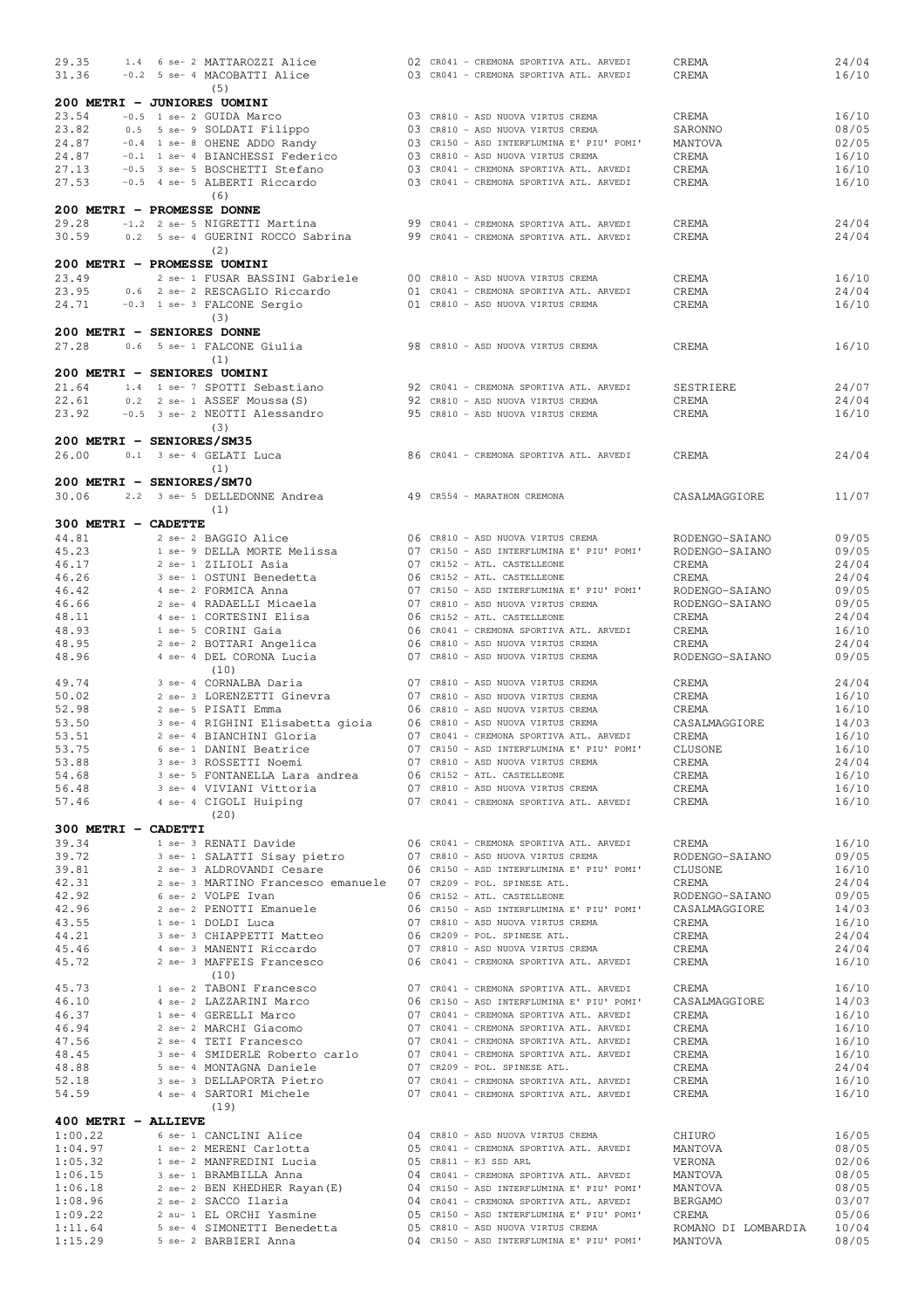| 29.35                       | 1.4 6 se- 2 MATTAROZZI Alice                                           |  | 02 CR041 - CREMONA SPORTIVA ATL. ARVEDI       | CREMA               | 24/04 |
|-----------------------------|------------------------------------------------------------------------|--|-----------------------------------------------|---------------------|-------|
| 31.36                       | -0.2 5 se- 4 MACOBATTI Alice                                           |  | 03 CR041 - CREMONA SPORTIVA ATL. ARVEDI       | CREMA               | 16/10 |
|                             | (5)                                                                    |  |                                               |                     |       |
|                             |                                                                        |  |                                               |                     |       |
| 200 METRI - JUNIORES UOMINI |                                                                        |  |                                               |                     |       |
| 23.54                       | -0.5 1 se- 2 GUIDA Marco                                               |  | 03 CR810 - ASD NUOVA VIRTUS CREMA             | CREMA               | 16/10 |
| 23.82                       | 0.5 5 se- 9 SOLDATI Filippo                                            |  | 03 CR810 - ASD NUOVA VIRTUS CREMA             | SARONNO             | 08/05 |
| 24.87                       | -0.4 1 se- 8 OHENE ADDO Randy                                          |  | 03 CR150 - ASD INTERFLUMINA E' PIU' POMI'     | MANTOVA             | 02/05 |
| 24.87                       | -0.1 1 se- 4 BIANCHESSI Federico                                       |  | 03 CR810 - ASD NUOVA VIRTUS CREMA             | CREMA               | 16/10 |
| 27.13                       | -0.5 3 se- 5 BOSCHETTI Stefano                                         |  | 03 CR041 - CREMONA SPORTIVA ATL. ARVEDI       | CREMA               | 16/10 |
| 27.53                       | -0.5 4 se- 5 ALBERTI Riccardo                                          |  | 03 CR041 - CREMONA SPORTIVA ATL. ARVEDI       | CREMA               | 16/10 |
|                             | (6)                                                                    |  |                                               |                     |       |
| 200 METRI - PROMESSE DONNE  |                                                                        |  |                                               |                     |       |
|                             |                                                                        |  |                                               |                     |       |
| 29.28                       | -1.2 2 se- 5 NIGRETTI Martina                                          |  | 99 CR041 - CREMONA SPORTIVA ATL. ARVEDI       | CREMA               | 24/04 |
| 30.59                       | 0.2 5 se- 4 GUERINI ROCCO Sabrina                                      |  | 99 CR041 - CREMONA SPORTIVA ATL. ARVEDI       | CREMA               | 24/04 |
|                             | (2)                                                                    |  |                                               |                     |       |
| 200 METRI - PROMESSE UOMINI |                                                                        |  |                                               |                     |       |
| 23.49                       | 2 se- 1 FUSAR BASSINI Gabriele                                         |  | 00 CR810 - ASD NUOVA VIRTUS CREMA             | CREMA               | 16/10 |
| 23.95                       | 0.6 2 se- 2 RESCAGLIO Riccardo                                         |  | 01 CR041 - CREMONA SPORTIVA ATL. ARVEDI       | CREMA               | 24/04 |
| 24.71                       | -0.3 1 se- 3 FALCONE Sergio                                            |  | 01 CR810 - ASD NUOVA VIRTUS CREMA             | CREMA               | 16/10 |
|                             | (3)                                                                    |  |                                               |                     |       |
| 200 METRI - SENIORES DONNE  |                                                                        |  |                                               |                     |       |
| 27.28                       |                                                                        |  |                                               |                     |       |
|                             | 0.6 5 se- 1 FALCONE Giulia                                             |  | 98 CR810 - ASD NUOVA VIRTUS CREMA             | CREMA               | 16/10 |
|                             | (1)                                                                    |  |                                               |                     |       |
| 200 METRI - SENIORES UOMINI |                                                                        |  |                                               |                     |       |
| 21.64                       | 1.4 1 se- 7 SPOTTI Sebastiano                                          |  | 92 CR041 - CREMONA SPORTIVA ATL. ARVEDI       | SESTRIERE           | 24/07 |
| 22.61                       | 0.2 2 se- 1 ASSEF Moussa (S)                                           |  | 92 CR810 - ASD NUOVA VIRTUS CREMA             | CREMA               | 24/04 |
| 23.92                       | -0.5 3 se- 2 NEOTTI Alessandro                                         |  | 95 CR810 - ASD NUOVA VIRTUS CREMA             | CREMA               | 16/10 |
|                             | (3)                                                                    |  |                                               |                     |       |
| 200 METRI - SENIORES/SM35   |                                                                        |  |                                               |                     |       |
|                             |                                                                        |  |                                               |                     |       |
| 26.00                       | 0.1 3 se- 4 GELATI Luca                                                |  | 86 CR041 - CREMONA SPORTIVA ATL. ARVEDI       | CREMA               | 24/04 |
|                             | (1)                                                                    |  |                                               |                     |       |
| 200 METRI - SENIORES/SM70   |                                                                        |  |                                               |                     |       |
| 30.06                       | 2.2 3 se- 5 DELLEDONNE Andrea                                          |  | 49 CR554 - MARATHON CREMONA                   | CASALMAGGIORE       | 11/07 |
|                             | (1)                                                                    |  |                                               |                     |       |
| 300 METRI - CADETTE         |                                                                        |  |                                               |                     |       |
| 44.81                       | 2 se- 2 BAGGIO Alice                                                   |  | 06 CR810 - ASD NUOVA VIRTUS CREMA             | RODENGO-SAIANO      | 09/05 |
| 45.23                       | 1 se- 9 DELLA MORTE Melissa                                            |  | 07 CR150 - ASD INTERFLUMINA E' PIU' POMI'     |                     | 09/05 |
|                             |                                                                        |  |                                               | RODENGO-SAIANO      |       |
| 46.17                       | 2 se- 1 ZILIOLI Asia                                                   |  | 07 CR152 - ATL. CASTELLEONE                   | CREMA               | 24/04 |
| 46.26                       | 3 se- 1 OSTUNI Benedetta                                               |  | 06 CR152 - ATL. CASTELLEONE                   | CREMA               | 24/04 |
| 46.42                       | 4 se- 2 FORMICA Anna                                                   |  | 07 CR150 - ASD INTERFLUMINA E' PIU' POMI'     | RODENGO-SAIANO      | 09/05 |
| 46.66                       | 2 se- 4 RADAELLI Micaela                                               |  | 07 CR810 - ASD NUOVA VIRTUS CREMA             | RODENGO-SAIANO      | 09/05 |
| 48.11                       | 4 se- 1 CORTESINI Elisa                                                |  | 06 CR152 - ATL. CASTELLEONE                   | CREMA               | 24/04 |
| 48.93                       | 1 se- 5 CORINI Gaia                                                    |  | 06 CR041 - CREMONA SPORTIVA ATL. ARVEDI       | CREMA               | 16/10 |
| 48.95                       | 2 se- 2 BOTTARI Angelica                                               |  | 06 CR810 - ASD NUOVA VIRTUS CREMA             | CREMA               | 24/04 |
| 48.96                       | 4 se- 4 DEL CORONA Lucia                                               |  | 07 CR810 - ASD NUOVA VIRTUS CREMA             | RODENGO-SAIANO      | 09/05 |
|                             | (10)                                                                   |  |                                               |                     |       |
| 49.74                       | 3 se- 4 CORNALBA Daria                                                 |  | 07 CR810 - ASD NUOVA VIRTUS CREMA             | CREMA               | 24/04 |
| 50.02                       | 2 se- 3 LORENZETTI Ginevra                                             |  | 07 CR810 - ASD NUOVA VIRTUS CREMA             | CREMA               | 16/10 |
| 52.98                       | 2 se- 5 PISATI Emma                                                    |  | 06 CR810 - ASD NUOVA VIRTUS CREMA             | CREMA               | 16/10 |
|                             |                                                                        |  |                                               |                     |       |
| 53.50                       | 3 se- 4 RIGHINI Elisabetta gioia                                       |  | 06 CR810 - ASD NUOVA VIRTUS CREMA             | CASALMAGGIORE       | 14/03 |
| 53.51                       | 2 se- 4 BIANCHINI Gloria                                               |  | 07 CR041 - CREMONA SPORTIVA ATL. ARVEDI       | CREMA               | 16/10 |
| 53.75                       | 6 se- 1 DANINI Beatrice                                                |  | 07 CR150 - ASD INTERFLUMINA E' PIU' POMI'     | CLUSONE             | 16/10 |
| 53.88                       | 3 se- 3 ROSSETTI Noemi                                                 |  | 07 CR810 - ASD NUOVA VIRTUS CREMA             | CREMA               | 24/04 |
| 54.68                       | 3 se- 5 FONTANELLA Lara andrea 06 CR152 - ATL. CASTELLEONE             |  |                                               | CREMA               | 16/10 |
| 56.48                       | 3 se- 4 VIVIANI Vittoria                                               |  | 07 CR810 - ASD NUOVA VIRTUS CREMA             | CREMA               | 16/10 |
| 57.46                       | 4 se- 4 CIGOLI Huiping                                                 |  | 07 CR041 - CREMONA SPORTIVA ATL. ARVEDI CREMA |                     | 16/10 |
|                             | (20)                                                                   |  |                                               |                     |       |
| 300 METRI - CADETTI         |                                                                        |  |                                               |                     |       |
| 39.34                       | 1 se- 3 RENATI Davide                                                  |  | 06 CR041 - CREMONA SPORTIVA ATL. ARVEDI       | CREMA               | 16/10 |
| 39.72                       |                                                                        |  | 07 CR810 - ASD NUOVA VIRTUS CREMA             |                     |       |
|                             | 3 se- 1 SALATTI Sisay pietro<br>2 se- 3 ALDROVANDI Cesare              |  | 06 CR150 - ASD INTERFLUMINA E' PIU' POMI'     | RODENGO-SAIANO      | 09/05 |
| 39.81                       |                                                                        |  |                                               | CLUSONE             | 16/10 |
| 42.31                       | 2 se- 3 MARTINO Francesco emanuele 07 CR209 - POL. SPINESE ATL.        |  |                                               | CREMA               | 24/04 |
| 42.92                       | 6 se- 2 VOLPE Ivan                                                     |  | 06 CR152 - ATL. CASTELLEONE                   | RODENGO-SAIANO      | 09/05 |
| 42.96                       | 2 se- 2 PENOTTI Emanuele                                               |  | 06 CR150 - ASD INTERFLUMINA E' PIU' POMI'     | CASALMAGGIORE       | 14/03 |
| 43.55                       | 1 se- 1 DOLDI Luca                                                     |  | 07 CR810 - ASD NUOVA VIRTUS CREMA             | CREMA               | 16/10 |
| 44.21                       | 3 se- 3 CHIAPPETTI Matteo                                              |  | 06 CR209 - POL. SPINESE ATL.                  | CREMA               | 24/04 |
| 45.46                       | 4 se- 3 MANENTI Riccardo                                               |  | 07 CR810 - ASD NUOVA VIRTUS CREMA             | CREMA               | 24/04 |
| 45.72                       | 2 se- 3 MAFFEIS Francesco                                              |  | 06 CR041 - CREMONA SPORTIVA ATL. ARVEDI       | CREMA               | 16/10 |
|                             | (10)                                                                   |  |                                               |                     |       |
| 45.73                       | 1 se- 2 TABONI Francesco                                               |  | 07 CR041 - CREMONA SPORTIVA ATL. ARVEDI       | CREMA               | 16/10 |
| 46.10                       | 4 se- 2 LAZZARINI Marco                                                |  | 06 CR150 - ASD INTERFLUMINA E' PIU' POMI'     | CASALMAGGIORE       | 14/03 |
| 46.37                       | 1 se- 4 GERELLI Marco                                                  |  | 07 CR041 - CREMONA SPORTIVA ATL. ARVEDI       | CREMA               | 16/10 |
| 46.94                       | 2 se- 2 MARCHI Giacomo                                                 |  | 07 CR041 - CREMONA SPORTIVA ATL. ARVEDI       | CREMA               | 16/10 |
| 47.56                       | 2 se- 4 TETI Francesco                                                 |  | 07 CR041 - CREMONA SPORTIVA ATL. ARVEDI       | CREMA               | 16/10 |
| 48.45                       | 3 se- 4 SMIDERLE Roberto carlo 07 CR041 - CREMONA SPORTIVA ATL. ARVEDI |  |                                               |                     |       |
|                             |                                                                        |  |                                               | CREMA               | 16/10 |
| 48.88                       | 5 se- 4 MONTAGNA Daniele                                               |  | 07 CR209 - POL. SPINESE ATL.                  | CREMA               | 24/04 |
| 52.18                       | 3 se- 3 DELLAPORTA Pietro                                              |  | 07 CR041 - CREMONA SPORTIVA ATL. ARVEDI       | CREMA               | 16/10 |
| 54.59                       | 4 se- 4 SARTORI Michele                                                |  | 07 CR041 - CREMONA SPORTIVA ATL. ARVEDI       | CREMA               | 16/10 |
|                             | (19)                                                                   |  |                                               |                     |       |
| 400 METRI - ALLIEVE         |                                                                        |  |                                               |                     |       |
| 1:00.22                     | 6 se- 1 CANCLINI Alice                                                 |  | 04 CR810 - ASD NUOVA VIRTUS CREMA             | CHIURO              | 16/05 |
| 1:04.97                     | 1 se- 2 MERENI Carlotta                                                |  | 05 CR041 - CREMONA SPORTIVA ATL. ARVEDI       | MANTOVA             | 08/05 |
| 1:05.32                     | 1 se- 2 MANFREDINI Lucia                                               |  | 05 CR811 - K3 SSD ARL                         | VERONA              | 02/06 |
| 1:06.15                     | 3 se- 1 BRAMBILLA Anna                                                 |  | 04 CR041 - CREMONA SPORTIVA ATL. ARVEDI       | MANTOVA             | 08/05 |
|                             |                                                                        |  |                                               |                     |       |
| 1:06.18                     | 2 se- 2 BEN KHEDHER Rayan (E)                                          |  | 04 CR150 - ASD INTERFLUMINA E' PIU' POMI'     | MANTOVA             | 08/05 |
| 1:08.96                     | 2 se- 2 SACCO Ilaria                                                   |  | 04 CR041 - CREMONA SPORTIVA ATL. ARVEDI       | BERGAMO             | 03/07 |
| 1:09.22                     | 2 su- 1 EL ORCHI Yasmine                                               |  | 05 CR150 - ASD INTERFLUMINA E' PIU' POMI'     | CREMA               | 05/06 |
| 1:11.64                     | 5 se- 4 SIMONETTI Benedetta                                            |  | 05 CR810 - ASD NUOVA VIRTUS CREMA             | ROMANO DI LOMBARDIA | 10/04 |
| 1:15.29                     | 5 se- 2 BARBIERI Anna                                                  |  | 04 CR150 - ASD INTERFLUMINA E' PIU' POMI'     | MANTOVA             | 08/05 |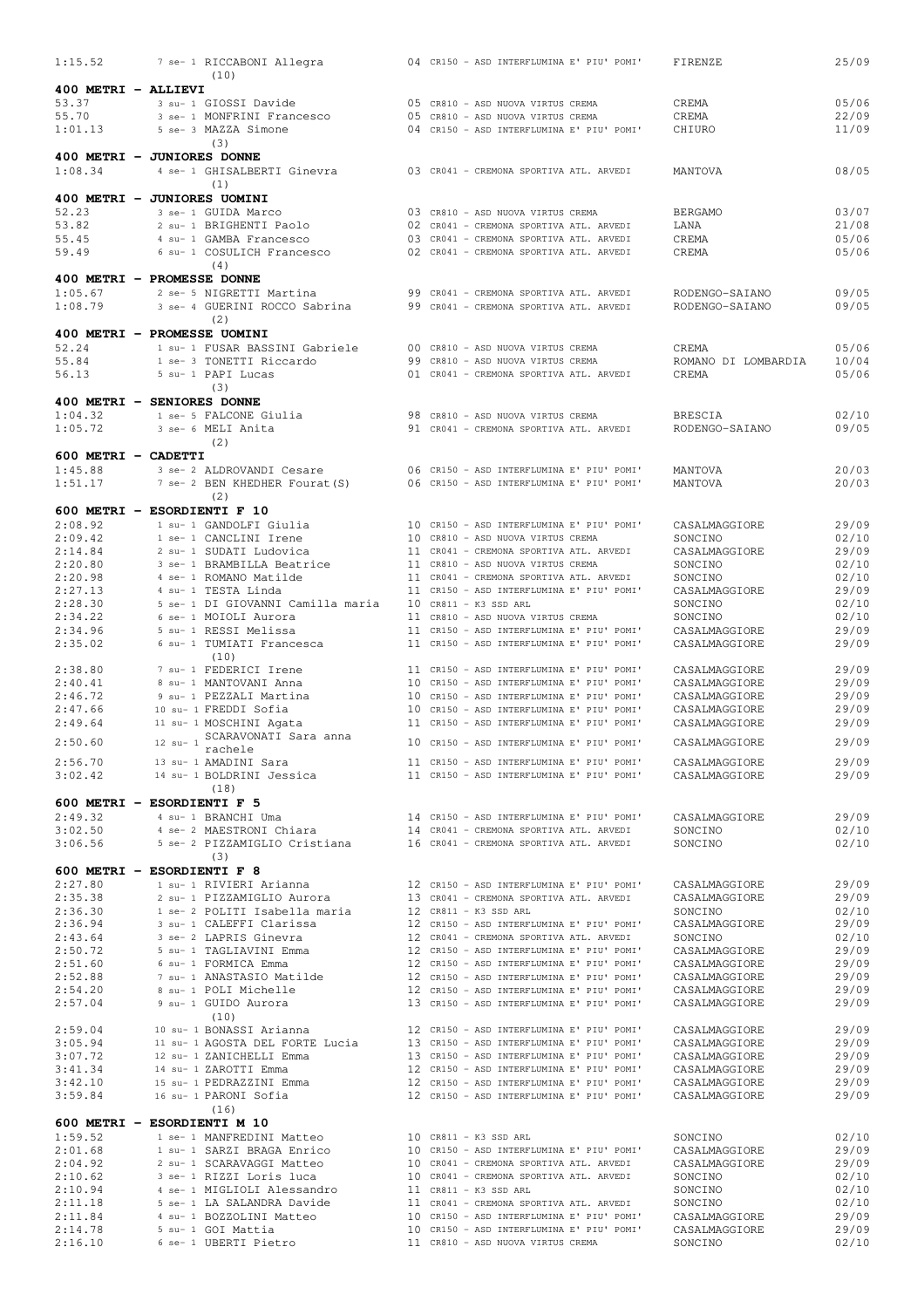| 1:15.52             | 7 se- 1 RICCABONI Allegra<br>(10)                           | 04 CR150 - ASD INTERFLUMINA E' PIU' POMI'<br>FIRENZE                                                                     | 25/09          |
|---------------------|-------------------------------------------------------------|--------------------------------------------------------------------------------------------------------------------------|----------------|
| 400 METRI - ALLIEVI |                                                             |                                                                                                                          |                |
| 53.37               | 3 su- 1 GIOSSI Davide                                       | 05 CR810 - ASD NUOVA VIRTUS CREMA<br>CREMA                                                                               | 05/06          |
| 55.70               | 3 se- 1 MONFRINI Francesco                                  | 05 CR810 - ASD NUOVA VIRTUS CREMA<br>CREMA                                                                               | 22/09          |
| 1:01.13             | 5 se- 3 MAZZA Simone<br>(3)                                 | CHIURO<br>04 CR150 - ASD INTERFLUMINA E' PIU' POMI'                                                                      | 11/09          |
|                     | 400 METRI - JUNIORES DONNE                                  |                                                                                                                          |                |
| 1:08.34             | 4 se- 1 GHISALBERTI Ginevra                                 | 03 CR041 - CREMONA SPORTIVA ATL. ARVEDI<br>MANTOVA                                                                       | 08/05          |
|                     | (1)<br>400 METRI - JUNIORES UOMINI                          |                                                                                                                          |                |
| 52.23               | 3 se- 1 GUIDA Marco                                         | 03 CR810 - ASD NUOVA VIRTUS CREMA<br><b>BERGAMO</b>                                                                      | 03/07          |
| 53.82               | 2 su- 1 BRIGHENTI Paolo                                     | 02 CR041 - CREMONA SPORTIVA ATL. ARVEDI<br>LANA                                                                          | 21/08          |
| 55.45               | 4 su- 1 GAMBA Francesco                                     | CREMA<br>03 CR041 - CREMONA SPORTIVA ATL. ARVEDI                                                                         | 05/06          |
| 59.49               | 6 su- 1 COSULICH Francesco                                  | 02 CR041 - CREMONA SPORTIVA ATL. ARVEDI<br>CREMA                                                                         | 05/06          |
|                     | (4)<br>400 METRI - PROMESSE DONNE                           |                                                                                                                          |                |
| 1:05.67             | 2 se- 5 NIGRETTI Martina                                    | 99 CR041 - CREMONA SPORTIVA ATL. ARVEDI<br>RODENGO-SAIANO                                                                | 09/05          |
| 1:08.79             | 3 se- 4 GUERINI ROCCO Sabrina                               | 99 CR041 - CREMONA SPORTIVA ATL. ARVEDI<br>RODENGO-SAIANO                                                                | 09/05          |
|                     | (2)                                                         |                                                                                                                          |                |
|                     | 400 METRI - PROMESSE UOMINI                                 |                                                                                                                          |                |
| 52.24<br>55.84      | 1 su- 1 FUSAR BASSINI Gabriele<br>1 se- 3 TONETTI Riccardo  | 00 CR810 - ASD NUOVA VIRTUS CREMA<br>CREMA<br>99 CR810 - ASD NUOVA VIRTUS CREMA<br>ROMANO DI LOMBARDIA                   | 05/06<br>10/04 |
| 56.13               | 5 su- 1 PAPI Lucas                                          | 01 CR041 - CREMONA SPORTIVA ATL. ARVEDI<br>CREMA                                                                         | 05/06          |
|                     | (3)                                                         |                                                                                                                          |                |
|                     | 400 METRI - SENIORES DONNE                                  |                                                                                                                          |                |
| 1:04.32             | 1 se- 5 FALCONE Giulia                                      | 98 CR810 - ASD NUOVA VIRTUS CREMA<br><b>BRESCIA</b>                                                                      | 02/10          |
| 1:05.72             | 3 se- 6 MELI Anita<br>(2)                                   | 91 CR041 - CREMONA SPORTIVA ATL. ARVEDI<br>RODENGO-SAIANO                                                                | 09/05          |
| 600 METRI - CADETTI |                                                             |                                                                                                                          |                |
| 1:45.88             | 3 se- 2 ALDROVANDI Cesare                                   | 06 CR150 - ASD INTERFLUMINA E' PIU' POMI'<br>MANTOVA                                                                     | 20/03          |
| 1:51.17             | 7 se- 2 BEN KHEDHER Fourat (S)                              | 06 CR150 - ASD INTERFLUMINA E' PIU' POMI'<br>MANTOVA                                                                     | 20/03          |
|                     | (2)                                                         |                                                                                                                          |                |
| 2:08.92             | 600 METRI - ESORDIENTI F 10<br>1 su- 1 GANDOLFI Giulia      |                                                                                                                          | 29/09          |
| 2:09.42             | 1 se- 1 CANCLINI Irene                                      | 10 CR150 - ASD INTERFLUMINA E' PIU' POMI'<br>CASALMAGGIORE<br>SONCINO<br>10 CR810 - ASD NUOVA VIRTUS CREMA               | 02/10          |
| 2:14.84             | 2 su- 1 SUDATI Ludovica                                     | 11 CR041 - CREMONA SPORTIVA ATL. ARVEDI<br>CASALMAGGIORE                                                                 | 29/09          |
| 2:20.80             | 3 se- 1 BRAMBILLA Beatrice                                  | 11 CR810 - ASD NUOVA VIRTUS CREMA<br>SONCINO                                                                             | 02/10          |
| 2:20.98             | 4 se- 1 ROMANO Matilde                                      | 11 CR041 - CREMONA SPORTIVA ATL. ARVEDI<br>SONCINO                                                                       | 02/10          |
| 2:27.13<br>2:28.30  | 4 su- 1 TESTA Linda<br>5 se- 1 DI GIOVANNI Camilla maria    | 11 CR150 - ASD INTERFLUMINA E' PIU' POMI'<br>CASALMAGGIORE<br>$10$ CR811 - K3 SSD ARL<br>SONCINO                         | 29/09<br>02/10 |
| 2:34.22             | 6 se- 1 MOIOLI Aurora                                       | 11 CR810 - ASD NUOVA VIRTUS CREMA<br>SONCINO                                                                             | 02/10          |
| 2:34.96             | 5 su- 1 RESSI Melissa                                       | 11 CR150 - ASD INTERFLUMINA E' PIU' POMI'<br>CASALMAGGIORE                                                               | 29/09          |
| 2:35.02             | 6 su- 1 TUMIATI Francesca                                   | 11 CR150 - ASD INTERFLUMINA E' PIU' POMI'<br>CASALMAGGIORE                                                               | 29/09          |
|                     | (10)                                                        |                                                                                                                          |                |
| 2:38.80<br>2:40.41  | 7 su- 1 FEDERICI Irene<br>8 su- 1 MANTOVANI Anna            | CASALMAGGIORE<br>11 CR150 - ASD INTERFLUMINA E' PIU' POMI'<br>10 CR150 - ASD INTERFLUMINA E' PIU' POMI'<br>CASALMAGGIORE | 29/09<br>29/09 |
| 2:46.72             | 9 su- 1 PEZZALI Martina                                     | 10 CR150 - ASD INTERFLUMINA E' PIU' POMI'<br>CASALMAGGIORE                                                               | 29/09          |
| 2:47.66             | 10 su- 1 FREDDI Sofia                                       | 10 CR150 - ASD INTERFLUMINA E' PIU' POMI'<br>CASALMAGGIORE                                                               | 29/09          |
| 2:49.64             | 11 su- 1 MOSCHINI Agata                                     | 11 CR150 - ASD INTERFLUMINA E' PIU' POMI'<br>CASALMAGGIORE                                                               | 29/09          |
| 2:50.60             | 12 su- 1 SCARAVONATI Sara anna                              | 10 CR150 - ASD INTERFLUMINA E' PIU' POMI'<br>CASALMAGGIORE                                                               | 29/09          |
| 2:56.70             | rachele<br>13 su- 1 AMADINI Sara                            | 11 CR150 - ASD INTERFLUMINA E' PIU' POMI'<br>CASALMAGGIORE                                                               | 29/09          |
| 3:02.42             | 14 su- 1 BOLDRINI Jessica                                   | 11 CR150 - ASD INTERFLUMINA E' PIU' POMI'<br>CASALMAGGIORE                                                               | 29/09          |
|                     | (18)                                                        |                                                                                                                          |                |
|                     | 600 METRI - ESORDIENTI F 5                                  |                                                                                                                          |                |
| 2:49.32<br>3:02.50  | 4 su- 1 BRANCHI Uma<br>4 se- 2 MAESTRONI Chiara             | 14 CR150 - ASD INTERFLUMINA E' PIU' POMI'<br>CASALMAGGIORE<br>14 CR041 - CREMONA SPORTIVA ATL. ARVEDI<br>SONCINO         | 29/09<br>02/10 |
| 3:06.56             | 5 se- 2 PIZZAMIGLIO Cristiana                               | 16 CR041 - CREMONA SPORTIVA ATL. ARVEDI<br>SONCINO                                                                       | 02/10          |
|                     | (3)                                                         |                                                                                                                          |                |
|                     | 600 METRI - ESORDIENTI F 8                                  |                                                                                                                          |                |
| 2:27.80             | 1 su- 1 RIVIERI Arianna                                     | 12 CR150 - ASD INTERFLUMINA E' PIU' POMI'<br>CASALMAGGIORE                                                               | 29/09          |
| 2:35.38<br>2:36.30  | 2 su- 1 PIZZAMIGLIO Aurora<br>1 se- 2 POLITI Isabella maria | 13 CR041 - CREMONA SPORTIVA ATL. ARVEDI<br>CASALMAGGIORE<br>12 CR811 - K3 SSD ARL<br>SONCINO                             | 29/09<br>02/10 |
| 2:36.94             | 3 su- 1 CALEFFI Clarissa                                    | 12 CR150 - ASD INTERFLUMINA E' PIU' POMI'<br>CASALMAGGIORE                                                               | 29/09          |
| 2:43.64             | 3 se- 2 LAPRIS Ginevra                                      | 12 CR041 - CREMONA SPORTIVA ATL. ARVEDI<br>SONCINO                                                                       | 02/10          |
| 2:50.72             | 5 su- 1 TAGLIAVINI Emma                                     | 12 CR150 - ASD INTERFLUMINA E' PIU' POMI'<br>CASALMAGGIORE                                                               | 29/09          |
| 2:51.60<br>2:52.88  | 6 su- 1 FORMICA Emma<br>7 su- 1 ANASTASIO Matilde           | 12 CR150 - ASD INTERFLUMINA E' PIU' POMI'<br>CASALMAGGIORE<br>12 CR150 - ASD INTERFLUMINA E' PIU' POMI'<br>CASALMAGGIORE | 29/09<br>29/09 |
| 2:54.20             | 8 su- 1 POLI Michelle                                       | 12 CR150 - ASD INTERFLUMINA E' PIU' POMI'<br>CASALMAGGIORE                                                               | 29/09          |
| 2:57.04             | 9 su- 1 GUIDO Aurora                                        | 13 CR150 - ASD INTERFLUMINA E' PIU' POMI'<br>CASALMAGGIORE                                                               | 29/09          |
|                     | (10)                                                        |                                                                                                                          |                |
| 2:59.04             | 10 su- 1 BONASSI Arianna                                    | 12 CR150 - ASD INTERFLUMINA E' PIU' POMI'<br>CASALMAGGIORE                                                               | 29/09          |
| 3:05.94<br>3:07.72  | 11 su- 1 AGOSTA DEL FORTE Lucia<br>12 su- 1 ZANICHELLI Emma | 13 CR150 - ASD INTERFLUMINA E' PIU' POMI'<br>CASALMAGGIORE<br>13 CR150 - ASD INTERFLUMINA E' PIU' POMI'<br>CASALMAGGIORE | 29/09<br>29/09 |
| 3:41.34             | 14 su- 1 ZAROTTI Emma                                       | 12 CR150 - ASD INTERFLUMINA E' PIU' POMI'<br>CASALMAGGIORE                                                               | 29/09          |
| 3:42.10             | 15 su- 1 PEDRAZZINI Emma                                    | 12 CR150 - ASD INTERFLUMINA E' PIU' POMI'<br>CASALMAGGIORE                                                               | 29/09          |
| 3:59.84             | 16 su- 1 PARONI Sofia                                       | 12 CR150 - ASD INTERFLUMINA E' PIU' POMI'<br>CASALMAGGIORE                                                               | 29/09          |
|                     | (16)<br>600 METRI - ESORDIENTI M 10                         |                                                                                                                          |                |
| 1:59.52             | 1 se- 1 MANFREDINI Matteo                                   | 10 CR811 - K3 SSD ARL<br>SONCINO                                                                                         | 02/10          |
| 2:01.68             | 1 su- 1 SARZI BRAGA Enrico                                  | 10 CR150 - ASD INTERFLUMINA E' PIU' POMI'<br>CASALMAGGIORE                                                               | 29/09          |
| 2:04.92             | 2 su- 1 SCARAVAGGI Matteo                                   | 10 CR041 - CREMONA SPORTIVA ATL. ARVEDI<br>CASALMAGGIORE                                                                 | 29/09          |
| 2:10.62             | 3 se- 1 RIZZI Loris luca                                    | 10 CR041 - CREMONA SPORTIVA ATL. ARVEDI<br>SONCINO                                                                       | 02/10          |
| 2:10.94<br>2:11.18  | 4 se- 1 MIGLIOLI Alessandro<br>5 se- 1 LA SALANDRA Davide   | 11 CR811 - K3 SSD ARL<br>SONCINO<br>11 CR041 - CREMONA SPORTIVA ATL. ARVEDI<br>SONCINO                                   | 02/10<br>02/10 |
| 2:11.84             | 4 su- 1 BOZZOLINI Matteo                                    | 10 CR150 - ASD INTERFLUMINA E' PIU' POMI'<br>CASALMAGGIORE                                                               | 29/09          |
| 2:14.78             | 5 su- 1 GOI Mattia                                          | 10 CR150 - ASD INTERFLUMINA E' PIU' POMI'<br>CASALMAGGIORE                                                               | 29/09          |
| 2:16.10             | 6 se- 1 UBERTI Pietro                                       | 11 CR810 - ASD NUOVA VIRTUS CREMA<br>SONCINO                                                                             | 02/10          |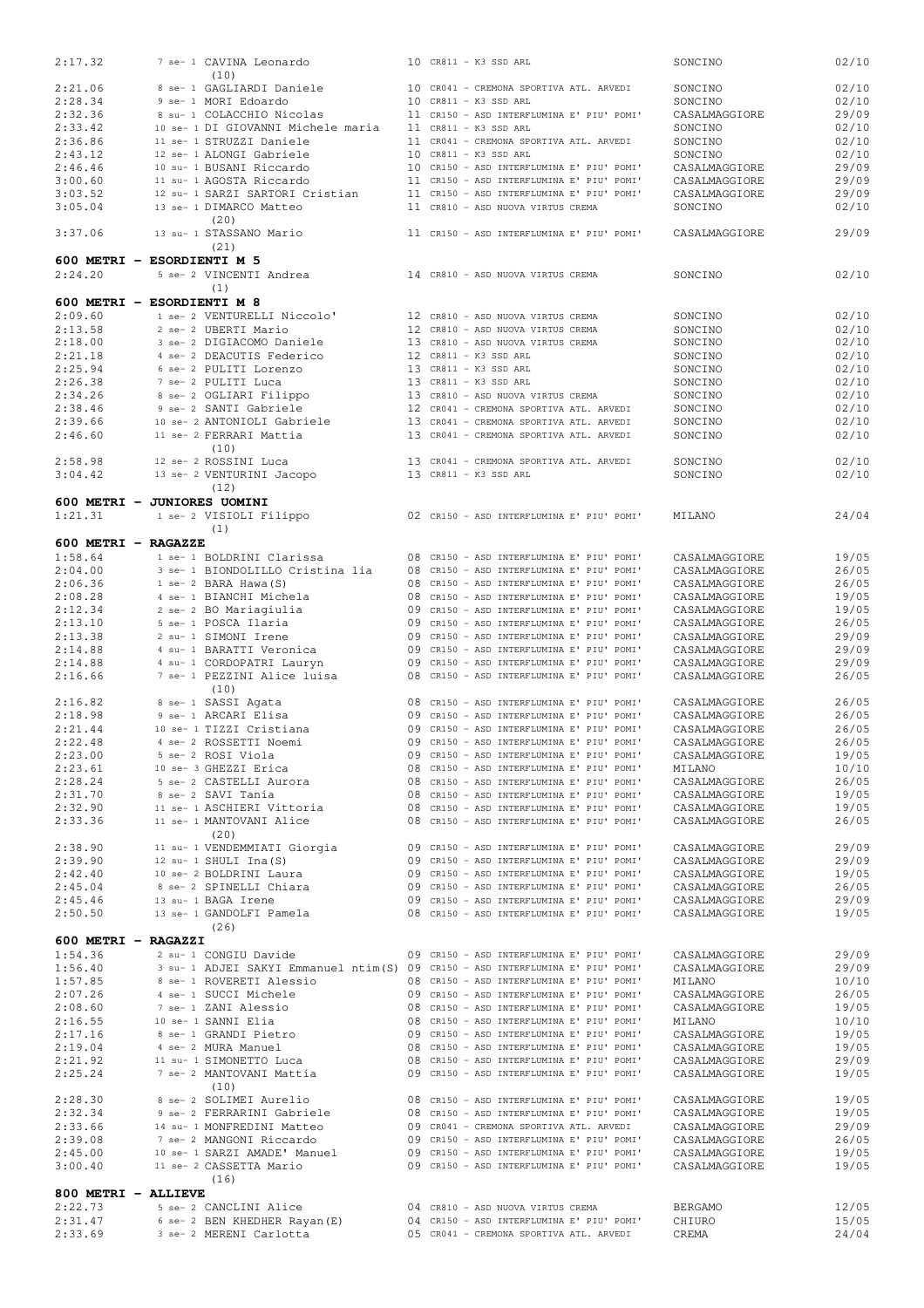| 2:17.32             | 7 se- 1 CAVINA Leonardo                                                        |  | 10 CR811 - K3 SSD ARL                                                                  | SONCINO                        | 02/10          |
|---------------------|--------------------------------------------------------------------------------|--|----------------------------------------------------------------------------------------|--------------------------------|----------------|
| 2:21.06             | (10)<br>8 se- 1 GAGLIARDI Daniele                                              |  | 10 CR041 - CREMONA SPORTIVA ATL. ARVEDI                                                |                                | 02/10          |
|                     | 9 se- 1 MORI Edoardo                                                           |  | 10 CR811 - K3 SSD ARL                                                                  | SONCINO<br>SONCINO             |                |
| 2:28.34<br>2:32.36  | 8 su- 1 COLACCHIO Nicolas                                                      |  | 11 CR150 - ASD INTERFLUMINA E' PIU' POMI'                                              |                                | 02/10          |
|                     |                                                                                |  |                                                                                        | CASALMAGGIORE                  | 29/09          |
| 2:33.42<br>2:36.86  | 10 se- 1 DI GIOVANNI Michele maria<br>11 se- 1 STRUZZI Daniele                 |  | 11 CR811 - K3 SSD ARL<br>11 CR041 - CREMONA SPORTIVA ATL. ARVEDI                       | SONCINO                        | 02/10          |
| 2:43.12             | 12 se- 1 ALONGI Gabriele                                                       |  | 10 CR811 - K3 SSD ARL                                                                  | SONCINO<br>SONCINO             | 02/10<br>02/10 |
|                     |                                                                                |  | 10 CR150 - ASD INTERFLUMINA E' PIU' POMI'                                              |                                |                |
| 2:46.46             | 10 su- 1 BUSANI Riccardo                                                       |  | 11 CR150 - ASD INTERFLUMINA E' PIU' POMI'                                              | CASALMAGGIORE                  | 29/09          |
| 3:00.60<br>3:03.52  | 11 su- 1 AGOSTA Riccardo<br>12 su- 1 SARZI SARTORI Cristian                    |  | 11 CR150 - ASD INTERFLUMINA E' PIU' POMI'                                              | CASALMAGGIORE                  | 29/09          |
| 3:05.04             |                                                                                |  | 11 CR810 - ASD NUOVA VIRTUS CREMA                                                      | CASALMAGGIORE                  | 29/09<br>02/10 |
|                     | 13 se- 1 DIMARCO Matteo<br>(20)                                                |  |                                                                                        | SONCINO                        |                |
| 3:37.06             | 13 su- 1 STASSANO Mario                                                        |  | 11 CR150 - ASD INTERFLUMINA E' PIU' POMI'                                              | CASALMAGGIORE                  | 29/09          |
|                     | (21)                                                                           |  |                                                                                        |                                |                |
|                     | 600 METRI - ESORDIENTI M 5                                                     |  |                                                                                        |                                |                |
| 2:24.20             | 5 se- 2 VINCENTI Andrea                                                        |  | 14 CR810 - ASD NUOVA VIRTUS CREMA                                                      | SONCINO                        | 02/10          |
|                     | (1)                                                                            |  |                                                                                        |                                |                |
|                     | 600 METRI - ESORDIENTI M 8                                                     |  |                                                                                        |                                |                |
| 2:09.60             | 1 se- 2 VENTURELLI Niccolo'                                                    |  | 12 CR810 - ASD NUOVA VIRTUS CREMA                                                      | SONCINO                        | 02/10          |
| 2:13.58             | 2 se- 2 UBERTI Mario                                                           |  | 12 CR810 - ASD NUOVA VIRTUS CREMA                                                      | SONCINO                        | 02/10          |
| 2:18.00             | 3 se- 2 DIGIACOMO Daniele                                                      |  | 13 CR810 - ASD NUOVA VIRTUS CREMA                                                      | SONCINO                        | 02/10          |
| 2:21.18             | 4 se- 2 DEACUTIS Federico                                                      |  | 12 CR811 - K3 SSD ARL                                                                  | SONCINO                        | 02/10          |
| 2:25.94             | 6 se- 2 PULITI Lorenzo                                                         |  | 13 CR811 - K3 SSD ARL                                                                  | SONCINO                        | 02/10          |
| 2:26.38             | 7 se- 2 PULITI Luca                                                            |  | 13 CR811 - K3 SSD ARL                                                                  | SONCINO                        | 02/10          |
| 2:34.26             | 8 se- 2 OGLIARI Filippo                                                        |  | 13 CR810 - ASD NUOVA VIRTUS CREMA                                                      | SONCINO                        | 02/10          |
| 2:38.46             | 9 se- 2 SANTI Gabriele                                                         |  | 12 CR041 - CREMONA SPORTIVA ATL. ARVEDI                                                | SONCINO                        | 02/10          |
| 2:39.66             | 10 se- 2 ANTONIOLI Gabriele                                                    |  | 13 CR041 - CREMONA SPORTIVA ATL. ARVEDI                                                | SONCINO                        | 02/10          |
| 2:46.60             | 11 se- 2 FERRARI Mattia                                                        |  | 13 CR041 - CREMONA SPORTIVA ATL. ARVEDI                                                | SONCINO                        | 02/10          |
|                     | (10)                                                                           |  |                                                                                        |                                |                |
| 2:58.98             | 12 se- 2 ROSSINI Luca                                                          |  | 13 CR041 - CREMONA SPORTIVA ATL. ARVEDI                                                | SONCINO                        | 02/10          |
| 3:04.42             | 13 se- 2 VENTURINI Jacopo                                                      |  | 13 CR811 - K3 SSD ARL                                                                  | SONCINO                        | 02/10          |
|                     | (12)                                                                           |  |                                                                                        |                                |                |
|                     | 600 METRI - JUNIORES UOMINI                                                    |  |                                                                                        |                                |                |
| 1:21.31             | 1 se- 2 VISIOLI Filippo                                                        |  | 02 CR150 - ASD INTERFLUMINA E' PIU' POMI'                                              | MILANO                         | 24/04          |
|                     | (1)                                                                            |  |                                                                                        |                                |                |
| 600 METRI - RAGAZZE |                                                                                |  |                                                                                        |                                |                |
| 1:58.64             | 1 se- 1 BOLDRINI Clarissa                                                      |  | 08 CR150 - ASD INTERFLUMINA E' PIU' POMI'                                              | CASALMAGGIORE                  | 19/05          |
| 2:04.00             | 3 se- 1 BIONDOLILLO Cristina lia                                               |  | 08 CR150 - ASD INTERFLUMINA E' PIU' POMI'                                              | CASALMAGGIORE                  | 26/05          |
| 2:06.36             | 1 se- 2 BARA Hawa (S)                                                          |  | 08 CR150 - ASD INTERFLUMINA E' PIU' POMI'                                              | CASALMAGGIORE                  | 26/05          |
| 2:08.28             | 4 se- 1 BIANCHI Michela                                                        |  | 08 CR150 - ASD INTERFLUMINA E' PIU' POMI'                                              | CASALMAGGIORE                  | 19/05          |
| 2:12.34             | 2 se- 2 BO Mariagiulia                                                         |  | 09 CR150 - ASD INTERFLUMINA E' PIU' POMI'                                              | CASALMAGGIORE                  | 19/05          |
| 2:13.10             | 5 se- 1 POSCA Ilaria                                                           |  | 09 CR150 - ASD INTERFLUMINA E' PIU' POMI'                                              | CASALMAGGIORE                  | 26/05          |
| 2:13.38             | 2 su- 1 SIMONI Irene                                                           |  | 09 CR150 - ASD INTERFLUMINA E' PIU' POMI'                                              | CASALMAGGIORE                  | 29/09          |
| 2:14.88             | 4 su- 1 BARATTI Veronica                                                       |  | 09 CR150 - ASD INTERFLUMINA E' PIU' POMI'                                              | CASALMAGGIORE                  | 29/09          |
| 2:14.88             | 4 su- 1 CORDOPATRI Lauryn                                                      |  | 09 CR150 - ASD INTERFLUMINA E' PIU' POMI'                                              | CASALMAGGIORE                  | 29/09          |
| 2:16.66             | 7 se- 1 PEZZINI Alice luisa                                                    |  | 08 CR150 - ASD INTERFLUMINA E' PIU' POMI'                                              | CASALMAGGIORE                  | 26/05          |
|                     | (10)                                                                           |  |                                                                                        |                                |                |
| 2:16.82             | 8 se- 1 SASSI Agata                                                            |  | 08 CR150 - ASD INTERFLUMINA E' PIU' POMI'                                              | CASALMAGGIORE                  | 26/05          |
| 2:18.98             | 9 se- 1 ARCARI Elisa                                                           |  | 09 CR150 - ASD INTERFLUMINA E' PIU' POMI'                                              | CASALMAGGIORE                  | 26/05          |
| 2:21.44             | 10 se- 1 TIZZI Cristiana                                                       |  | 09 CR150 - ASD INTERFLUMINA E' PIU' POMI'                                              | CASALMAGGIORE                  | 26/05          |
| 2:22.48             | 4 se- 2 ROSSETTI Noemi                                                         |  | 09 CR150 - ASD INTERFLUMINA E' PIU' POMI'                                              | CASALMAGGIORE                  | 26/05          |
| 2:23.00             | 5 se- 2 ROSI Viola<br>10 se- 3 GHEZZI Erica                                    |  | 09 CR150 - ASD INTERFLUMINA E' PIU' POMI'                                              | CASALMAGGIORE                  | 19/05          |
| 2:23.61<br>2:28.24  |                                                                                |  | 08 CR150 - ASD INTERFLUMINA E' PIU' POMI'<br>08 CR150 - ASD INTERFLUMINA E' PIU' POMI' | MILANO                         | 10/10          |
| 2:31.70             | 5 se- 2 CASTELLI Aurora<br>8 se- 2 SAVI Tania                                  |  | 08 CR150 - ASD INTERFLUMINA E' PIU' POMI'                                              | CASALMAGGIORE<br>CASALMAGGIORE | 26/05<br>19/05 |
| 2:32.90             | 11 se- 1 ASCHIERI Vittoria                                                     |  | 08 CR150 - ASD INTERFLUMINA E' PIU' POMI'                                              | CASALMAGGIORE                  | 19/05          |
| 2:33.36             | 11 se- 1 MANTOVANI Alice                                                       |  | 08 CR150 - ASD INTERFLUMINA E' PIU' POMI'                                              | CASALMAGGIORE                  | 26/05          |
|                     | (20)                                                                           |  |                                                                                        |                                |                |
| 2:38.90             | 11 su- 1 VENDEMMIATI Giorgia                                                   |  | 09 CR150 - ASD INTERFLUMINA E' PIU' POMI'                                              | CASALMAGGIORE                  | 29/09          |
| 2:39.90             | 12 su- 1 SHULI $Ina(S)$                                                        |  | 09 CR150 - ASD INTERFLUMINA E' PIU' POMI'                                              | CASALMAGGIORE                  | 29/09          |
| 2:42.40             | 10 se- 2 BOLDRINI Laura                                                        |  | 09 CR150 - ASD INTERFLUMINA E' PIU' POMI'                                              | CASALMAGGIORE                  | 19/05          |
| 2:45.04             | 8 se- 2 SPINELLI Chiara                                                        |  | 09 CR150 - ASD INTERFLUMINA E' PIU' POMI'                                              | CASALMAGGIORE                  | 26/05          |
| 2:45.46             | 13 su- 1 BAGA Irene                                                            |  | 09 CR150 - ASD INTERFLUMINA E' PIU' POMI'                                              | CASALMAGGIORE                  | 29/09          |
| 2:50.50             | 13 se- 1 GANDOLFI Pamela                                                       |  | 08 CR150 - ASD INTERFLUMINA E' PIU' POMI'                                              | CASALMAGGIORE                  | 19/05          |
|                     | (26)                                                                           |  |                                                                                        |                                |                |
| 600 METRI - RAGAZZI |                                                                                |  |                                                                                        |                                |                |
| 1:54.36             | 2 su- 1 CONGIU Davide                                                          |  | 09 CR150 - ASD INTERFLUMINA E' PIU' POMI'                                              | CASALMAGGIORE                  | 29/09          |
| 1:56.40             | 3 su- 1 ADJEI SAKYI Emmanuel ntim(S) 09 CR150 - ASD INTERFLUMINA E' PIU' POMI' |  |                                                                                        | CASALMAGGIORE                  | 29/09          |
| 1:57.85             | 8 se- 1 ROVERETI Alessio                                                       |  | 08 CR150 - ASD INTERFLUMINA E' PIU' POMI'                                              | MILANO                         | 10/10          |
| 2:07.26             | 4 se- 1 SUCCI Michele                                                          |  | 09 CR150 - ASD INTERFLUMINA E' PIU' POMI'                                              | CASALMAGGIORE                  | 26/05          |
| 2:08.60             | 7 se- 1 ZANI Alessio                                                           |  | 08 CR150 - ASD INTERFLUMINA E' PIU' POMI'                                              | CASALMAGGIORE                  | 19/05          |
| 2:16.55             | 10 se- 1 SANNI Elia                                                            |  | 08 CR150 - ASD INTERFLUMINA E' PIU' POMI'                                              | MILANO                         | 10/10          |
| 2:17.16             | 8 se- 1 GRANDI Pietro                                                          |  | 09 CR150 - ASD INTERFLUMINA E' PIU' POMI'                                              | CASALMAGGIORE                  | 19/05          |
| 2:19.04             | 4 se- 2 MURA Manuel                                                            |  | 08 CR150 - ASD INTERFLUMINA E' PIU' POMI'                                              | CASALMAGGIORE                  | 19/05          |
| 2:21.92             | 11 su- 1 SIMONETTO Luca                                                        |  | 08 CR150 - ASD INTERFLUMINA E' PIU' POMI'                                              | CASALMAGGIORE                  | 29/09          |
| 2:25.24             | 7 se- 2 MANTOVANI Mattia                                                       |  | 09 CR150 - ASD INTERFLUMINA E' PIU' POMI'                                              | CASALMAGGIORE                  | 19/05          |
|                     | (10)                                                                           |  |                                                                                        |                                |                |
| 2:28.30             | 8 se- 2 SOLIMEI Aurelio                                                        |  | 08 CR150 - ASD INTERFLUMINA E' PIU' POMI'                                              | CASALMAGGIORE                  | 19/05          |
| 2:32.34             | 9 se- 2 FERRARINI Gabriele                                                     |  | 08 CR150 - ASD INTERFLUMINA E' PIU' POMI'                                              | CASALMAGGIORE                  | 19/05          |
| 2:33.66             | 14 su- 1 MONFREDINI Matteo                                                     |  | 09 CR041 - CREMONA SPORTIVA ATL. ARVEDI                                                | CASALMAGGIORE                  | 29/09          |
| 2:39.08             | 7 se- 2 MANGONI Riccardo                                                       |  | 09 CR150 - ASD INTERFLUMINA E' PIU' POMI'                                              | CASALMAGGIORE                  | 26/05          |
| 2:45.00             | 10 se- 1 SARZI AMADE' Manuel                                                   |  | 09 CR150 - ASD INTERFLUMINA E' PIU' POMI'                                              | CASALMAGGIORE                  | 19/05          |
| 3:00.40             | 11 se- 2 CASSETTA Mario                                                        |  | 09 CR150 - ASD INTERFLUMINA E' PIU' POMI'                                              | CASALMAGGIORE                  | 19/05          |
|                     |                                                                                |  |                                                                                        |                                |                |
|                     | (16)                                                                           |  |                                                                                        |                                |                |
| 800 METRI - ALLIEVE |                                                                                |  |                                                                                        |                                |                |
| 2:22.73             | 5 se- 2 CANCLINI Alice                                                         |  | 04 CR810 - ASD NUOVA VIRTUS CREMA                                                      | BERGAMO                        | 12/05          |
| 2:31.47<br>2:33.69  | 6 se- 2 BEN KHEDHER Rayan (E)<br>3 se- 2 MERENI Carlotta                       |  | 04 CR150 - ASD INTERFLUMINA E' PIU' POMI'<br>05 CR041 - CREMONA SPORTIVA ATL. ARVEDI   | CHIURO<br>CREMA                | 15/05<br>24/04 |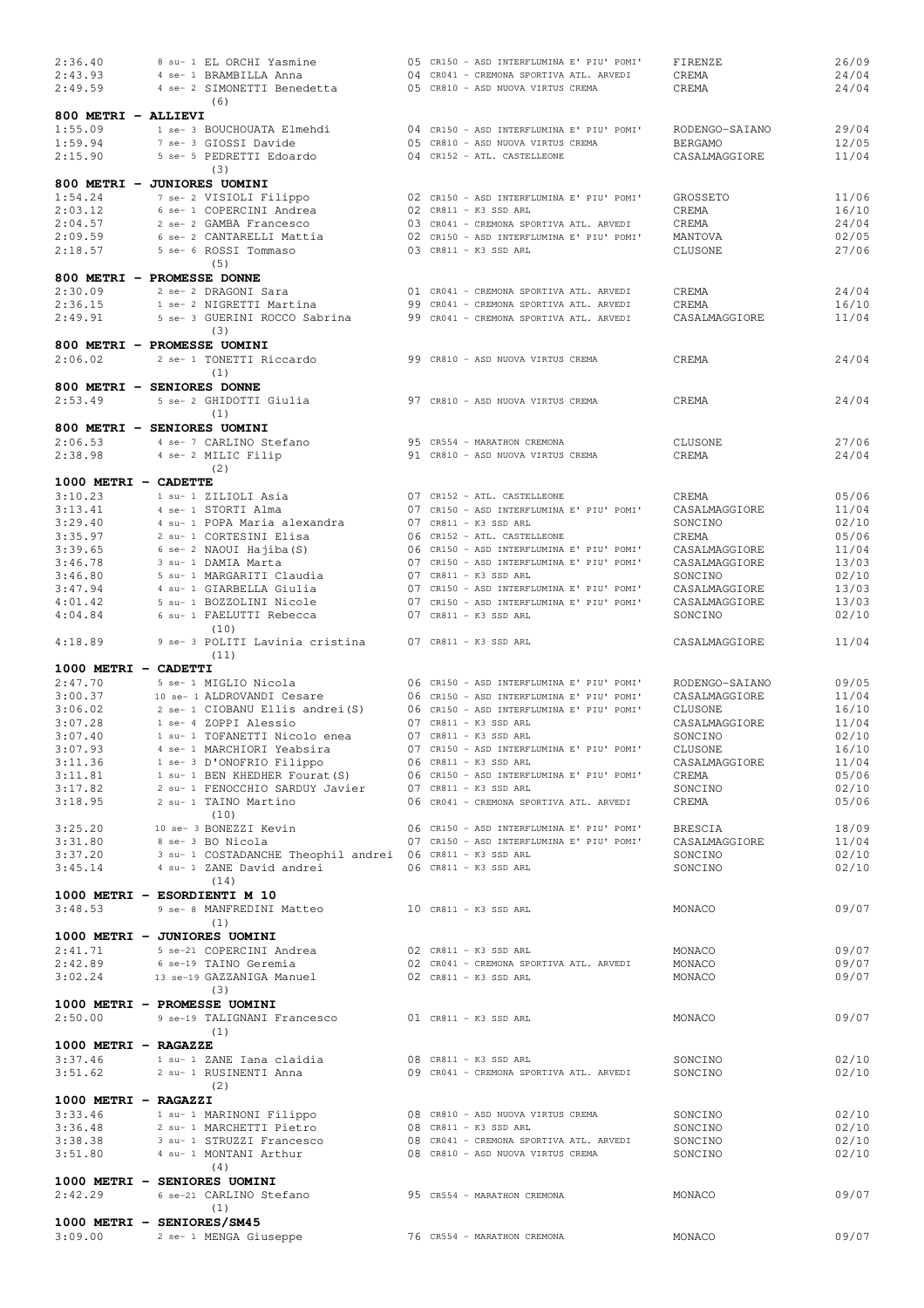| 2:36.40              | 8 su- 1 EL ORCHI Yasmine                                       | 05 CR150 - ASD INTERFLUMINA E' PIU' POMI'                                            | FIRENZE          | 26/09          |
|----------------------|----------------------------------------------------------------|--------------------------------------------------------------------------------------|------------------|----------------|
| 2:43.93              | 4 se- 1 BRAMBILLA Anna                                         | 04 CR041 - CREMONA SPORTIVA ATL. ARVEDI                                              | CREMA            | 24/04          |
| 2:49.59              | 4 se- 2 SIMONETTI Benedetta                                    | 05 CR810 - ASD NUOVA VIRTUS CREMA                                                    | CREMA            | 24/04          |
|                      | (6)                                                            |                                                                                      |                  |                |
| 800 METRI - ALLIEVI  |                                                                |                                                                                      |                  |                |
| 1:55.09              | 1 se- 3 BOUCHOUATA Elmehdi                                     | 04 CR150 - ASD INTERFLUMINA E' PIU' POMI'                                            | RODENGO-SAIANO   | 29/04          |
| 1:59.94              | 7 se- 3 GIOSSI Davide                                          | 05 CR810 - ASD NUOVA VIRTUS CREMA                                                    | <b>BERGAMO</b>   | 12/05          |
| 2:15.90              | 5 se- 5 PEDRETTI Edoardo                                       | 04 CR152 - ATL. CASTELLEONE                                                          | CASALMAGGIORE    | 11/04          |
|                      | (3)                                                            |                                                                                      |                  |                |
|                      | 800 METRI - JUNIORES UOMINI                                    |                                                                                      |                  |                |
| 1:54.24              | 7 se- 2 VISIOLI Filippo                                        | 02 CR150 - ASD INTERFLUMINA E' PIU' POMI'                                            | GROSSETO         | 11/06          |
| 2:03.12              | 6 se- 1 COPERCINI Andrea                                       | 02 CR811 - K3 SSD ARL                                                                | CREMA            | 16/10          |
|                      |                                                                |                                                                                      |                  |                |
| 2:04.57<br>2:09.59   | 2 se- 2 GAMBA Francesco                                        | 03 CR041 - CREMONA SPORTIVA ATL. ARVEDI<br>02 CR150 - ASD INTERFLUMINA E' PIU' POMI' | CREMA<br>MANTOVA | 24/04<br>02/05 |
|                      | 6 se- 2 CANTARELLI Mattia                                      |                                                                                      |                  |                |
| 2:18.57              | 5 se- 6 ROSSI Tommaso                                          | 03 CR811 - K3 SSD ARL                                                                | CLUSONE          | 27/06          |
|                      | (5)                                                            |                                                                                      |                  |                |
|                      | 800 METRI - PROMESSE DONNE                                     |                                                                                      |                  |                |
| 2:30.09              | 2 se- 2 DRAGONI Sara                                           | 01 CR041 - CREMONA SPORTIVA ATL. ARVEDI                                              | CREMA            | 24/04          |
| 2:36.15              | 1 se- 2 NIGRETTI Martina                                       | 99 CR041 - CREMONA SPORTIVA ATL. ARVEDI                                              | CREMA            | 16/10          |
| 2:49.91              | 5 se- 3 GUERINI ROCCO Sabrina                                  | 99 CR041 - CREMONA SPORTIVA ATL. ARVEDI                                              | CASALMAGGIORE    | 11/04          |
|                      | (3)                                                            |                                                                                      |                  |                |
|                      | 800 METRI - PROMESSE UOMINI                                    |                                                                                      |                  |                |
| 2:06.02              | 2 se- 1 TONETTI Riccardo                                       | 99 CR810 - ASD NUOVA VIRTUS CREMA                                                    | CREMA            | 24/04          |
|                      | (1)                                                            |                                                                                      |                  |                |
|                      | 800 METRI - SENIORES DONNE                                     |                                                                                      |                  |                |
| 2:53.49              | 5 se- 2 GHIDOTTI Giulia                                        | 97 CR810 - ASD NUOVA VIRTUS CREMA                                                    | CREMA            | 24/04          |
|                      | (1)                                                            |                                                                                      |                  |                |
|                      | 800 METRI - SENIORES UOMINI                                    |                                                                                      |                  |                |
| 2:06.53              | 4 se- 7 CARLINO Stefano                                        | 95 CR554 - MARATHON CREMONA                                                          | CLUSONE          | 27/06          |
|                      |                                                                |                                                                                      |                  | 24/04          |
| 2:38.98              | 4 se- 2 MILIC Filip<br>(2)                                     | 91 CR810 - ASD NUOVA VIRTUS CREMA                                                    | CREMA            |                |
|                      |                                                                |                                                                                      |                  |                |
| 1000 METRI - CADETTE |                                                                |                                                                                      |                  |                |
| 3:10.23              | 1 su- 1 ZILIOLI Asia                                           | 07 CR152 - ATL. CASTELLEONE                                                          | CREMA            | 05/06          |
| 3:13.41              | 4 se- 1 STORTI Alma                                            | 07 CR150 - ASD INTERFLUMINA E' PIU' POMI'                                            | CASALMAGGIORE    | 11/04          |
| 3:29.40              | 4 su- 1 POPA Maria alexandra                                   | $07$ CR811 - K3 SSD ARL                                                              | SONCINO          | 02/10          |
| 3:35.97              | 2 su- 1 CORTESINI Elisa                                        | 06 CR152 - ATL. CASTELLEONE                                                          | CREMA            | 05/06          |
| 3:39.65              | 6 se- 2 NAOUI Hajiba (S)                                       | 06 CR150 - ASD INTERFLUMINA E' PIU' POMI'                                            | CASALMAGGIORE    | 11/04          |
| 3:46.78              | 3 su- 1 DAMIA Marta                                            | 07 CR150 - ASD INTERFLUMINA E' PIU' POMI'                                            | CASALMAGGIORE    | 13/03          |
| 3:46.80              | 5 su- 1 MARGARITI Claudia                                      | 07 CR811 - K3 SSD ARL                                                                | SONCINO          | 02/10          |
| 3:47.94              | 4 su- 1 GIARBELLA Giulia                                       | 07 CR150 - ASD INTERFLUMINA E' PIU' POMI'                                            | CASALMAGGIORE    | 13/03          |
| 4:01.42              | 5 su- 1 BOZZOLINI Nicole                                       | 07 CR150 - ASD INTERFLUMINA E' PIU' POMI'                                            | CASALMAGGIORE    | 13/03          |
| 4:04.84              | 6 su- 1 FAELUTTI Rebecca                                       | 07 CR811 - K3 SSD ARL                                                                | SONCINO          | 02/10          |
|                      | (10)                                                           |                                                                                      |                  |                |
| 4:18.89              | 9 se- 3 POLITI Lavinia cristina                                | $07$ CR811 - K3 SSD ARL                                                              | CASALMAGGIORE    | 11/04          |
|                      | (11)                                                           |                                                                                      |                  |                |
|                      |                                                                |                                                                                      |                  |                |
| 1000 METRI - CADETTI |                                                                |                                                                                      |                  |                |
| 2:47.70              | 5 se- 1 MIGLIO Nicola                                          | 06 CR150 - ASD INTERFLUMINA E' PIU' POMI'                                            | RODENGO-SAIANO   | 09/05          |
| 3:00.37              | 10 se- 1 ALDROVANDI Cesare                                     | 06 CR150 - ASD INTERFLUMINA E' PIU' POMI'                                            | CASALMAGGIORE    | 11/04          |
| 3:06.02              | 2 se- 1 CIOBANU Ellis andrei (S)                               | 06 CR150 - ASD INTERFLUMINA E' PIU' POMI'                                            | CLUSONE          | 16/10          |
| 3:07.28              | 1 se- 4 ZOPPI Alessio                                          | 07 CR811 - K3 SSD ARL                                                                | CASALMAGGIORE    | 11/04          |
| 3:07.40              | 1 su- 1 TOFANETTI Nicolo enea                                  | 07 CR811 - K3 SSD ARL                                                                | SONCINO          | 02/10          |
| 3:07.93              | 4 se- 1 MARCHIORI Yeabsira                                     | 07 CR150 - ASD INTERFLUMINA E' PIU' POMI'                                            | CLUSONE          | 16/10          |
| 3:11.36              | 1 se- 3 D'ONOFRIO Filippo                                      | 06 CR811 - K3 SSD ARL                                                                | CASALMAGGIORE    | 11/04          |
| 3:11.81              | 1 su- 1 BEN KHEDHER Fourat (S)                                 | 06 CR150 - ASD INTERFLUMINA E' PIU' POMI'                                            | CREMA            | 05/06          |
| 3:17.82              | 2 su- 1 FENOCCHIO SARDUY Javier                                | $07$ CR811 - K3 SSD ARL                                                              | SONCINO          | 02/10          |
| 3:18.95              | 2 su- 1 TAINO Martino                                          | 06 CR041 - CREMONA SPORTIVA ATL. ARVEDI                                              | CREMA            | 05/06          |
|                      | (10)                                                           |                                                                                      |                  |                |
| 3:25.20              | 10 se- 3 BONEZZI Kevin                                         | 06 CR150 - ASD INTERFLUMINA E' PIU' POMI'                                            | BRESCIA          | 18/09          |
| 3:31.80              | 8 se- 3 BO Nicola                                              | 07 CR150 - ASD INTERFLUMINA E' PIU' POMI'                                            | CASALMAGGIORE    | 11/04          |
| 3:37.20              | 3 su- 1 COSTADANCHE Theophil andrei 06 CR811 - K3 SSD ARL      |                                                                                      | SONCINO          | 02/10          |
| 3:45.14              | 4 su- 1 ZANE David andrei                                      | 06 CR811 - K3 SSD ARL                                                                | SONCINO          | 02/10          |
|                      | (14)                                                           |                                                                                      |                  |                |
|                      |                                                                |                                                                                      |                  |                |
|                      | 1000 METRI - ESORDIENTI M 10                                   |                                                                                      |                  |                |
| 3:48.53              | 9 se- 8 MANFREDINI Matteo                                      | 10 CR811 - K3 SSD ARL                                                                | MONACO           | 09/07          |
|                      | (1)                                                            |                                                                                      |                  |                |
|                      | 1000 METRI - JUNIORES UOMINI                                   |                                                                                      |                  |                |
| 2:41.71              | 5 se-21 COPERCINI Andrea                                       | 02 CR811 - K3 SSD ARL                                                                | MONACO           | 09/07          |
| 2:42.89              | 6 se-19 TAINO Geremia                                          | 02 CR041 - CREMONA SPORTIVA ATL. ARVEDI                                              | MONACO           | 09/07          |
| 3:02.24              | 13 se-19 GAZZANIGA Manuel                                      | 02 CR811 - K3 SSD ARL                                                                | MONACO           | 09/07          |
|                      | (3)                                                            |                                                                                      |                  |                |
|                      | 1000 METRI - PROMESSE UOMINI                                   |                                                                                      |                  |                |
| 2:50.00              |                                                                |                                                                                      |                  |                |
|                      | 9 se-19 TALIGNANI Francesco                                    | 01 CR811 - K3 SSD ARL                                                                | MONACO           | 09/07          |
|                      | (1)                                                            |                                                                                      |                  |                |
| 1000 METRI - RAGAZZE |                                                                |                                                                                      |                  |                |
| 3:37.46              | 1 su- 1 ZANE Iana claidia                                      | 08 CR811 - K3 SSD ARL                                                                | SONCINO          | 02/10          |
| 3:51.62              | 2 su- 1 RUSINENTI Anna                                         | 09 CR041 - CREMONA SPORTIVA ATL. ARVEDI                                              | SONCINO          | 02/10          |
|                      | (2)                                                            |                                                                                      |                  |                |
| 1000 METRI - RAGAZZI |                                                                |                                                                                      |                  |                |
| 3:33.46              | 1 su- 1 MARINONI Filippo 608 08 CR810 - ASD NUOVA VIRTUS CREMA |                                                                                      | SONCINO          | 02/10          |
| 3:36.48              | 2 su- 1 MARCHETTI Pietro                                       | 08 CR811 - K3 SSD ARL                                                                | SONCINO          | 02/10          |
| 3:38.38              | 3 su- 1 STRUZZI Francesco                                      | 08 CR041 - CREMONA SPORTIVA ATL. ARVEDI                                              | SONCINO          | 02/10          |
| 3:51.80              | 4 su- 1 MONTANI Arthur                                         | 08 CR810 - ASD NUOVA VIRTUS CREMA                                                    | SONCINO          | 02/10          |
|                      |                                                                |                                                                                      |                  |                |
|                      | (4)                                                            |                                                                                      |                  |                |
|                      | 1000 METRI - SENIORES UOMINI                                   |                                                                                      |                  |                |
| 2:42.29              | 6 se-21 CARLINO Stefano                                        | 95 CR554 - MARATHON CREMONA                                                          | MONACO           | 09/07          |
|                      | (1)                                                            |                                                                                      |                  |                |
|                      | 1000 METRI - SENIORES/SM45                                     |                                                                                      |                  |                |
| 3:09.00              | 2 se- 1 MENGA Giuseppe                                         | 76 CR554 - MARATHON CREMONA                                                          | MONACO           | 09/07          |
|                      |                                                                |                                                                                      |                  |                |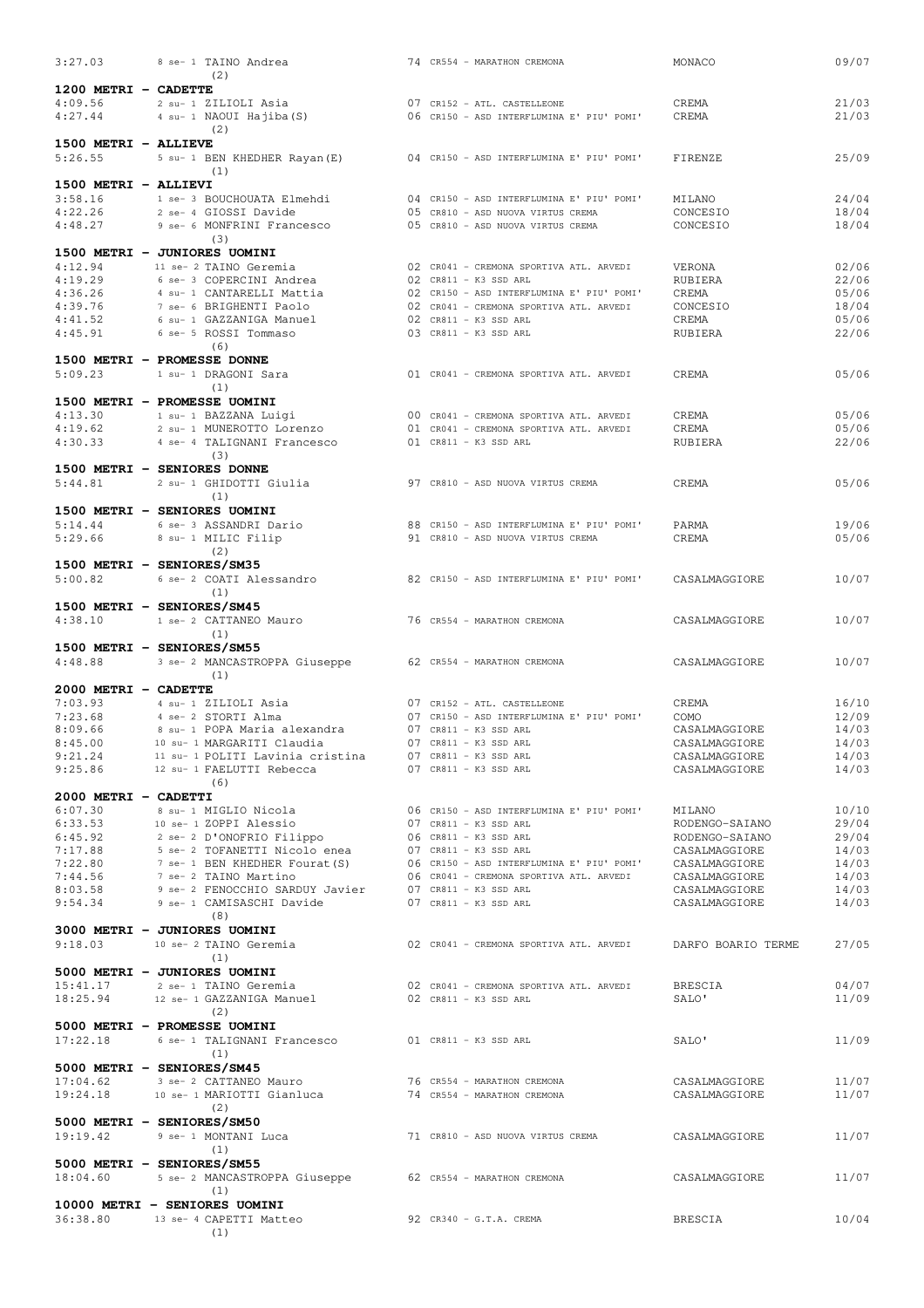| 3:27.03                         | 8 se- 1 TAINO Andrea                                         |  | 74 CR554 - MARATHON CREMONA                                                                                                                                                                                                      | MONACO                                                     | 09/07                   |
|---------------------------------|--------------------------------------------------------------|--|----------------------------------------------------------------------------------------------------------------------------------------------------------------------------------------------------------------------------------|------------------------------------------------------------|-------------------------|
| 1200 METRI - CADETTE            | (2)                                                          |  |                                                                                                                                                                                                                                  |                                                            |                         |
| 4:09.56                         | 2 su- 1 ZILIOLI Asia                                         |  | 07 CR152 - ATL. CASTELLEONE                                                                                                                                                                                                      | CREMA                                                      | 21/03                   |
| 4:27.44                         | 4 su- 1 NAOUI Hajiba (S)                                     |  | 06 CR150 - ASD INTERFLUMINA E' PIU' POMI'                                                                                                                                                                                        | CREMA                                                      | 21/03                   |
|                                 | (2)                                                          |  |                                                                                                                                                                                                                                  |                                                            |                         |
| 1500 METRI - ALLIEVE<br>5:26.55 |                                                              |  | 04 CR150 - ASD INTERFLUMINA E' PIU' POMI'                                                                                                                                                                                        |                                                            | 25/09                   |
|                                 | 5 su- 1 BEN KHEDHER Rayan (E)<br>(1)                         |  |                                                                                                                                                                                                                                  | FIRENZE                                                    |                         |
| 1500 METRI - ALLIEVI            |                                                              |  |                                                                                                                                                                                                                                  |                                                            |                         |
| 3:58.16                         | 1 se- 3 BOUCHOUATA Elmehdi                                   |  | 04 CR150 - ASD INTERFLUMINA E' PIU' POMI'                                                                                                                                                                                        | MILANO                                                     | 24/04                   |
| 4:22.26                         | 2 se- 4 GIOSSI Davide                                        |  | 05 CR810 - ASD NUOVA VIRTUS CREMA                                                                                                                                                                                                | CONCESIO                                                   | 18/04                   |
| 4:48.27                         | 9 se- 6 MONFRINI Francesco<br>(3)                            |  | 05 CR810 - ASD NUOVA VIRTUS CREMA                                                                                                                                                                                                | CONCESIO                                                   | 18/04                   |
| 1500 METRI - JUNIORES UOMINI    |                                                              |  |                                                                                                                                                                                                                                  |                                                            |                         |
| 4:12.94                         | 11 se- 2 TAINO Geremia                                       |  | 02 CR041 - CREMONA SPORTIVA ATL. ARVEDI                                                                                                                                                                                          | VERONA                                                     | 02/06                   |
| 4:19.29                         | 6 se- 3 COPERCINI Andrea                                     |  | 02 CR811 - K3 SSD ARL                                                                                                                                                                                                            | RUBIERA                                                    | 22/06                   |
| 4:36.26<br>4:39.76              | 4 su- 1 CANTARELLI Mattia<br>7 se- 6 BRIGHENTI Paolo         |  | 02 CR150 - ASD INTERFLUMINA E' PIU' POMI'<br>02 CR041 - CREMONA SPORTIVA ATL. ARVEDI                                                                                                                                             | CREMA<br>CONCESIO                                          | 05/06<br>18/04          |
| 4:41.52                         | 6 su- 1 GAZZANIGA Manuel                                     |  | 02 CR811 - K3 SSD ARL                                                                                                                                                                                                            | CREMA                                                      | 05/06                   |
| 4:45.91                         | 6 se- 5 ROSSI Tommaso                                        |  | 03 CR811 - K3 SSD ARL                                                                                                                                                                                                            | RUBIERA                                                    | 22/06                   |
|                                 | (6)                                                          |  |                                                                                                                                                                                                                                  |                                                            |                         |
| 1500 METRI - PROMESSE DONNE     |                                                              |  |                                                                                                                                                                                                                                  |                                                            |                         |
| 5:09.23                         | 1 su- 1 DRAGONI Sara<br>(1)                                  |  | 01 CR041 - CREMONA SPORTIVA ATL. ARVEDI                                                                                                                                                                                          | CREMA                                                      | 05/06                   |
| 1500 METRI - PROMESSE UOMINI    |                                                              |  |                                                                                                                                                                                                                                  |                                                            |                         |
| 4:13.30                         | 1 su- 1 BAZZANA Luigi                                        |  | 00 CR041 - CREMONA SPORTIVA ATL. ARVEDI                                                                                                                                                                                          | CREMA                                                      | 05/06                   |
| 4:19.62                         | 2 su- 1 MUNEROTTO Lorenzo                                    |  | 01 CR041 - CREMONA SPORTIVA ATL. ARVEDI                                                                                                                                                                                          | CREMA                                                      | 05/06                   |
| 4:30.33                         | 4 se- 4 TALIGNANI Francesco                                  |  | $01$ CR811 - K3 SSD ARL                                                                                                                                                                                                          | RUBIERA                                                    | 22/06                   |
| 1500 METRI - SENIORES DONNE     | (3)                                                          |  |                                                                                                                                                                                                                                  |                                                            |                         |
| 5:44.81                         | 2 su- 1 GHIDOTTI Giulia                                      |  | 97 CR810 - ASD NUOVA VIRTUS CREMA                                                                                                                                                                                                | CREMA                                                      | 05/06                   |
|                                 | (1)                                                          |  |                                                                                                                                                                                                                                  |                                                            |                         |
| 1500 METRI - SENIORES UOMINI    |                                                              |  |                                                                                                                                                                                                                                  |                                                            |                         |
| 5:14.44                         | 6 se- 3 ASSANDRI Dario                                       |  | 88 CR150 - ASD INTERFLUMINA E' PIU' POMI'                                                                                                                                                                                        | PARMA                                                      | 19/06                   |
| 5:29.66                         | 8 su- 1 MILIC Filip<br>(2)                                   |  | 91 CR810 - ASD NUOVA VIRTUS CREMA                                                                                                                                                                                                | CREMA                                                      | 05/06                   |
| 1500 METRI - SENIORES/SM35      |                                                              |  |                                                                                                                                                                                                                                  |                                                            |                         |
| 5:00.82                         | 6 se- 2 COATI Alessandro                                     |  | 82 CR150 - ASD INTERFLUMINA E' PIU' POMI'                                                                                                                                                                                        | CASALMAGGIORE                                              | 10/07                   |
|                                 | (1)                                                          |  |                                                                                                                                                                                                                                  |                                                            |                         |
| 1500 METRI - SENIORES/SM45      |                                                              |  |                                                                                                                                                                                                                                  |                                                            |                         |
| 4:38.10                         | 1 se- 2 CATTANEO Mauro<br>(1)                                |  | 76 CR554 - MARATHON CREMONA                                                                                                                                                                                                      | CASALMAGGIORE                                              | 10/07                   |
| 1500 METRI - SENIORES/SM55      |                                                              |  |                                                                                                                                                                                                                                  |                                                            |                         |
| 4:48.88                         | 3 se- 2 MANCASTROPPA Giuseppe                                |  | 62 CR554 - MARATHON CREMONA                                                                                                                                                                                                      | CASALMAGGIORE                                              | 10/07                   |
|                                 | (1)                                                          |  |                                                                                                                                                                                                                                  |                                                            |                         |
| 2000 METRI - CADETTE<br>7:03.93 | 4 su- 1 ZILIOLI Asia                                         |  |                                                                                                                                                                                                                                  | CREMA                                                      |                         |
| 7:23.68                         | 4 se- 2 STORTI Alma                                          |  | 07 CR152 - ATL. CASTELLEONE<br>07 CR150 - ASD INTERFLUMINA E' PIU' POMI'                                                                                                                                                         | COMO                                                       | 16/10<br>12/09          |
| 8:09.66                         | 8 su- 1 POPA Maria alexandra                                 |  | $07$ CR811 - K3 SSD ARL                                                                                                                                                                                                          | CASALMAGGIORE                                              | 14/03                   |
| 8:45.00                         | 10 su- 1 MARGARITI Claudia                                   |  | $07$ CR811 - K3 SSD ARL                                                                                                                                                                                                          | CASALMAGGIORE                                              | 14/03                   |
| 9:21.24                         | 11 su- 1 POLITI Lavinia cristina 07 CR811 - K3 SSD ARL       |  |                                                                                                                                                                                                                                  | CASALMAGGIORE                                              | 14/03                   |
| 9:25.86                         | 12 su- 1 FAELUTTI Rebecca<br>(6)                             |  | 07 CR811 - K3 SSD ARL                                                                                                                                                                                                            | CASALMAGGIORE                                              | 14/03                   |
| 2000 METRI - CADETTI            |                                                              |  |                                                                                                                                                                                                                                  |                                                            |                         |
|                                 |                                                              |  |                                                                                                                                                                                                                                  |                                                            |                         |
|                                 |                                                              |  |                                                                                                                                                                                                                                  |                                                            | 10/10                   |
|                                 |                                                              |  | 06 CR150 - ASD INTERFLUMINA E' PIU' POMI'<br>07 CR811 - K3 SSD ARL                                                                                                                                                               |                                                            |                         |
|                                 |                                                              |  |                                                                                                                                                                                                                                  |                                                            | 29/04                   |
|                                 |                                                              |  |                                                                                                                                                                                                                                  |                                                            | 14/03                   |
|                                 |                                                              |  |                                                                                                                                                                                                                                  |                                                            | 14/03                   |
|                                 |                                                              |  |                                                                                                                                                                                                                                  |                                                            | 14/03                   |
|                                 | 9:54.34 9 se- 1 CAMISASCHI Davide 07 CR811 - K3 SSD ARL      |  | CONTROLLER SULLA CONTROLLER SULLAR SULLAR SULLAR SULLAR SULLAR SULLAR SULLAR SULLAR SULLAR SULLAR SULLAR SULLA<br>CONTROLLER SULLAR SULLAR SULLAR SULLAR SULLAR SULLAR SULLAR SULLAR SULLAR SULLAR SULLAR SULLAR SULLAR SULLAR S | CASALMAGGIORE                                              | 14/03                   |
|                                 | (8)                                                          |  |                                                                                                                                                                                                                                  |                                                            |                         |
| 3000 METRI - JUNIORES UOMINI    | 9:18.03 10 se- 2 TAINO Geremia                               |  |                                                                                                                                                                                                                                  |                                                            | 27/05                   |
|                                 | (1)                                                          |  |                                                                                                                                                                                                                                  | 02 CR041 - CREMONA SPORTIVA ATL. ARVEDI DARFO BOARIO TERME |                         |
|                                 | 5000 METRI - JUNIORES UOMINI                                 |  |                                                                                                                                                                                                                                  |                                                            |                         |
| 15:41.17                        | 2 se- 1 TAINO Geremia                                        |  | 02 CR041 - CREMONA SPORTIVA ATL. ARVEDI                                                                                                                                                                                          | BRESCIA                                                    | 04/07                   |
|                                 | 18:25.94 12 se- 1 GAZZANIGA Manuel 02 CR811 - K3 SSD ARL     |  |                                                                                                                                                                                                                                  | SALO'                                                      | 11/09                   |
|                                 | (2)                                                          |  |                                                                                                                                                                                                                                  |                                                            |                         |
| 5000 METRI - PROMESSE UOMINI    | $17:22.18$ 6 se- 1 TALIGNANI Francesco 01 CR811 - K3 SSD ARL |  |                                                                                                                                                                                                                                  | SALO'                                                      | 29/04<br>14/03<br>11/09 |
|                                 | (1)                                                          |  |                                                                                                                                                                                                                                  |                                                            |                         |
| 5000 METRI - SENIORES/SM45      |                                                              |  |                                                                                                                                                                                                                                  |                                                            |                         |
| 17:04.62                        | 3 se- 2 CATTANEO Mauro                                       |  | 76 CR554 - MARATHON CREMONA                                                                                                                                                                                                      | CASALMAGGIORE                                              | 11/07                   |
| 19:24.18                        | 10 se- 1 MARIOTTI Gianluca<br>(2)                            |  | 74 CR554 - MARATHON CREMONA                                                                                                                                                                                                      | CASALMAGGIORE                                              | 11/07                   |
| 5000 METRI - SENIORES/SM50      |                                                              |  |                                                                                                                                                                                                                                  |                                                            |                         |
| 19:19.42                        | 9 se- 1 MONTANI Luca                                         |  | 71 CR810 - ASD NUOVA VIRTUS CREMA                                                                                                                                                                                                | CASALMAGGIORE                                              | 11/07                   |
|                                 | (1)                                                          |  |                                                                                                                                                                                                                                  |                                                            |                         |
| 5000 METRI - SENIORES/SM55      |                                                              |  |                                                                                                                                                                                                                                  |                                                            |                         |
| 18:04.60                        | 5 se- 2 MANCASTROPPA Giuseppe 62 CR554 - MARATHON CREMONA    |  |                                                                                                                                                                                                                                  | CASALMAGGIORE                                              | 11/07                   |
|                                 | (1)<br>10000 METRI - SENIORES UOMINI                         |  |                                                                                                                                                                                                                                  |                                                            |                         |
|                                 | 36:38.80 13 se- 4 CAPETTI Matteo<br>(1)                      |  | $92$ CR340 - G.T.A. CREMA                                                                                                                                                                                                        | <b>BRESCIA</b>                                             | 10/04                   |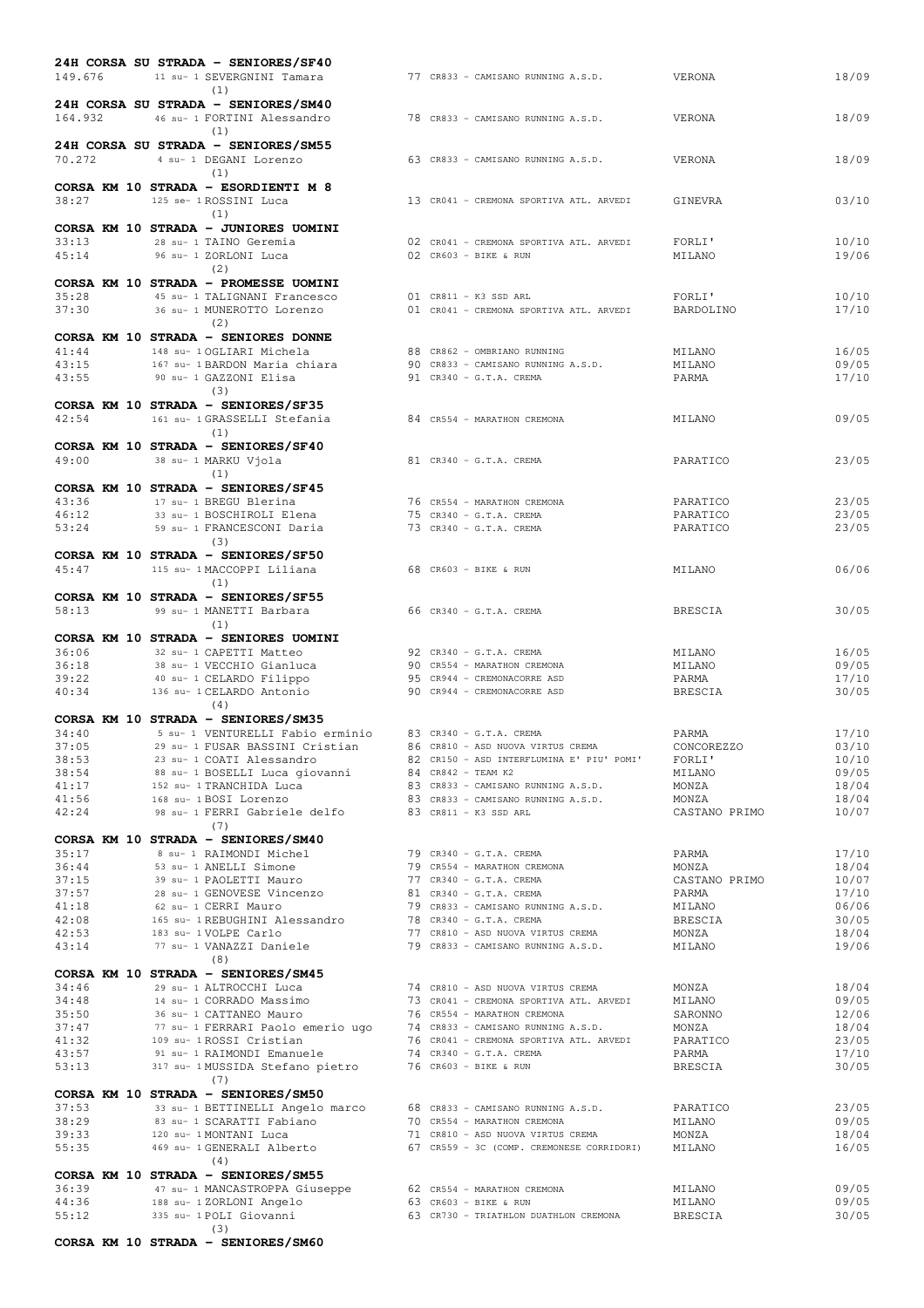|                |  | 24H CORSA SU STRADA - SENIORES/SF40                                                                       |  |                                                                                                                                                                                                                                        |                        |                |
|----------------|--|-----------------------------------------------------------------------------------------------------------|--|----------------------------------------------------------------------------------------------------------------------------------------------------------------------------------------------------------------------------------------|------------------------|----------------|
| 149.676        |  | 11 su- 1 SEVERGNINI Tamara<br>(1)                                                                         |  | 77 CR833 - CAMISANO RUNNING A.S.D.                                                                                                                                                                                                     | VERONA                 | 18/09          |
| 164.932        |  | 24H CORSA SU STRADA - SENIORES/SM40<br>46 su- 1 FORTINI Alessandro<br>(1)                                 |  | 78 CR833 - CAMISANO RUNNING A.S.D.                                                                                                                                                                                                     | VERONA                 | 18/09          |
| 70.272         |  | 24H CORSA SU STRADA - SENIORES/SM55<br>4 su- 1 DEGANI Lorenzo<br>(1)                                      |  | 63 CR833 - CAMISANO RUNNING A.S.D.                                                                                                                                                                                                     | VERONA                 | 18/09          |
| 38:27          |  | CORSA KM 10 STRADA - ESORDIENTI M 8<br>125 se- 1 ROSSINI Luca<br>(1)                                      |  | 13 CR041 - CREMONA SPORTIVA ATL. ARVEDI                                                                                                                                                                                                | GINEVRA                | 03/10          |
| 33:13<br>45:14 |  | CORSA KM 10 STRADA - JUNIORES UOMINI<br>28 su- 1 TAINO Geremia<br>96 su- 1 ZORLONI Luca<br>(2)            |  | 02 CR041 - CREMONA SPORTIVA ATL. ARVEDI<br>$02$ CR603 - BIKE & RUN                                                                                                                                                                     | FORLI'<br>MILANO       | 10/10<br>19/06 |
|                |  | CORSA KM 10 STRADA - PROMESSE UOMINI                                                                      |  |                                                                                                                                                                                                                                        |                        |                |
| 35:28<br>37:30 |  | 45 su- 1 TALIGNANI Francesco<br>36 su- 1 MUNEROTTO Lorenzo                                                |  | 01 CR811 - K3 SSD ARL<br>01 CR041 - CREMONA SPORTIVA ATL. ARVEDI                                                                                                                                                                       | FORLI'<br>BARDOLINO    | 10/10<br>17/10 |
|                |  | (2)                                                                                                       |  |                                                                                                                                                                                                                                        |                        |                |
| 41:44          |  | CORSA KM 10 STRADA - SENIORES DONNE<br>148 su- 1 OGLIARI Michela                                          |  | 88 CR862 - OMBRIANO RUNNING                                                                                                                                                                                                            | MILANO                 | 16/05          |
| 43:15          |  | 167 su- 1 BARDON Maria chiara                                                                             |  | 90 CR833 - CAMISANO RUNNING A.S.D.                                                                                                                                                                                                     | MILANO                 | 09/05          |
| 43:55          |  | 90 su- 1 GAZZONI Elisa<br>(3)                                                                             |  | 91 CR340 - G.T.A. CREMA                                                                                                                                                                                                                | PARMA                  | 17/10          |
| 42:54          |  | CORSA KM 10 STRADA - SENIORES/SF35<br>161 su- 1 GRASSELLI Stefania<br>(1)                                 |  | 84 CR554 - MARATHON CREMONA                                                                                                                                                                                                            | MILANO                 | 09/05          |
|                |  | CORSA KM 10 STRADA - SENIORES/SF40                                                                        |  |                                                                                                                                                                                                                                        |                        |                |
| 49:00          |  | 38 su- 1 MARKU Vjola<br>(1)                                                                               |  | $81$ CR340 - G.T.A. CREMA                                                                                                                                                                                                              | PARATICO               | 23/05          |
|                |  | CORSA KM 10 STRADA - SENIORES/SF45                                                                        |  |                                                                                                                                                                                                                                        |                        |                |
| 43:36<br>46:12 |  | 17 su- 1 BREGU Blerina                                                                                    |  | 76 CR554 - MARATHON CREMONA<br>75 CR340 - G.T.A. CREMA                                                                                                                                                                                 | PARATICO               | 23/05          |
| 53:24          |  | 33 su- 1 BOSCHIROLI Elena<br>59 su- 1 FRANCESCONI Daria                                                   |  | 73 CR340 - G.T.A. CREMA                                                                                                                                                                                                                | PARATICO<br>PARATICO   | 23/05<br>23/05 |
|                |  | (3)                                                                                                       |  |                                                                                                                                                                                                                                        |                        |                |
| 45:47          |  | CORSA KM 10 STRADA - SENIORES/SF50<br>115 su- 1 MACCOPPI Liliana<br>(1)                                   |  | 68 CR603 - BIKE & RUN                                                                                                                                                                                                                  | MILANO                 | 06/06          |
|                |  | CORSA KM 10 STRADA - SENIORES/SF55                                                                        |  |                                                                                                                                                                                                                                        |                        |                |
| 58:13          |  | 99 su- 1 MANETTI Barbara<br>(1)                                                                           |  | 66 CR340 - G.T.A. CREMA                                                                                                                                                                                                                | BRESCIA                | 30/05          |
|                |  | CORSA KM 10 STRADA - SENIORES UOMINI                                                                      |  |                                                                                                                                                                                                                                        |                        |                |
| 36:06          |  | 32 su- 1 CAPETTI Matteo                                                                                   |  | 92 CR340 - G.T.A. CREMA                                                                                                                                                                                                                | MILANO                 | 16/05          |
| 36:18<br>39:22 |  | 38 su- 1 VECCHIO Gianluca<br>40 su- 1 CELARDO Filippo                                                     |  | 90 CR554 - MARATHON CREMONA<br>95 CR944 - CREMONACORRE ASD                                                                                                                                                                             | MILANO<br>PARMA        | 09/05<br>17/10 |
| 40:34          |  | 136 su- 1 CELARDO Antonio                                                                                 |  | 90 CR944 - CREMONACORRE ASD                                                                                                                                                                                                            | BRESCIA                | 30/05          |
|                |  | (4)                                                                                                       |  |                                                                                                                                                                                                                                        |                        |                |
| 34:40          |  | CORSA KM 10 STRADA - SENIORES/SM35<br>5 su- 1 VENTURELLI Fabio erminio                                    |  | 83 CR340 - G.T.A. CREMA                                                                                                                                                                                                                | PARMA                  | 17/10          |
| 37:05          |  | 29 su- 1 FUSAR BASSINI Cristian 36 CR810 - ASD NUOVA VIRTUS CREMA                                         |  |                                                                                                                                                                                                                                        | CONCOREZZO             | 03/10          |
| 38:53          |  | 23 su- 1 COATI Alessandro                                                                                 |  | 82 CR150 - ASD INTERFLUMINA E' PIU' POMI'                                                                                                                                                                                              | FORLI'                 | 10/10          |
| 38:54<br>41:17 |  | 88 su- 1 BOSELLI Luca giovanni<br>152 su- 1 TRANCHIDA Luca                                                |  |                                                                                                                                                                                                                                        | MILANO<br>MONZA        | 09/05<br>18/04 |
| 41:56          |  | 168 su- 1 BOSI Lorenzo                                                                                    |  | 84 CR842 - TEAM K2<br>83 CR833 - CAMISANO RUNNING A.S.D.<br>83 CR833 - CAMISANO RUNNING A.S.D.                                                                                                                                         | MONZA                  | 18/04          |
| 42:24          |  | 98 su- 1 FERRI Gabriele delfo 83 CR811 - K3 SSD ARL                                                       |  |                                                                                                                                                                                                                                        | CASTANO PRIMO          | 10/07          |
|                |  | (7)<br>CORSA KM 10 STRADA - SENIORES/SM40                                                                 |  |                                                                                                                                                                                                                                        |                        |                |
| 35:17          |  | 8 su- 1 RAIMONDI Michel                                                                                   |  |                                                                                                                                                                                                                                        | PARMA                  | 17/10          |
| 36:44          |  | 53 su- 1 ANELLI Simone                                                                                    |  |                                                                                                                                                                                                                                        | MONZA                  | 18/04          |
| 37:15<br>37:57 |  | 39 su- 1 PAOLETTI Mauro<br>28 su- 1 GENOVESE Vincenzo                                                     |  | 79 CR340 - G.T.A. CREMA<br>79 CR554 - MARATHON CREMONA<br>77 CR340 - G.T.A. CREMA<br>81 CR340 - G.T.A. CREMA<br>79 CR833 - CAMISANO RUNNING A.S.D.                                                                                     | CASTANO PRIMO<br>PARMA | 10/07<br>17/10 |
| 41:18          |  | 62 su- 1 CERRI Mauro                                                                                      |  |                                                                                                                                                                                                                                        | MILANO                 | 06/06          |
| 42:08          |  | 165 su- 1 REBUGHINI Alessandro 78 CR340 - G.T.A. CREMA                                                    |  |                                                                                                                                                                                                                                        | BRESCIA                | 30/05          |
| 42:53<br>43:14 |  | 183 su- 1 VOLPE Carlo<br>77 su- 1 VANAZZI Daniele                                                         |  | 77 CR810 - ASD NUOVA VIRTUS CREMA<br>79 CR833 - CAMISANO RUNNING A.S.D. MILANO                                                                                                                                                         | MONZA                  | 18/04<br>19/06 |
|                |  | (8)                                                                                                       |  |                                                                                                                                                                                                                                        |                        |                |
|                |  | CORSA KM 10 STRADA - SENIORES/SM45                                                                        |  | 74 CR810 - ASD NUOVA VIRTUS CREMA                                                                                                                                                                                                      |                        |                |
| 34:46<br>34:48 |  | 29 su- 1 ALTROCCHI Luca                                                                                   |  |                                                                                                                                                                                                                                        | MONZA                  | 18/04<br>09/05 |
| 35:50          |  |                                                                                                           |  |                                                                                                                                                                                                                                        |                        | 12/06          |
| 37:47          |  |                                                                                                           |  | 29 su- 1 ALIROUCHI LUGA<br>14 su- 1 CORRADO Massimo<br>36 su- 1 CATTANEO Mauro 76 cR554 - MARATHON CREMONA SARONO SARONNO<br>77 su- 1 FERRARI Paolo emerio ugo 74 cR833 - CAMISANO RUNNING A.S.D. MONZA<br>109 su- 1 ROSSI Cristian 76 |                        | 18/04          |
| 41:32<br>43:57 |  | 109 su- 1 ROSSI Cristian<br>109 su- 1 ROSSI Cristian<br>91 su- 1 RAIMONDI Emanuele                        |  | 74 CR340 - G.T.A. CREMA                                                                                                                                                                                                                | PARMA                  | 23/05<br>17/10 |
| 53:13          |  | 317 su- 1 MUSSIDA Stefano pietro                                                                          |  | 76 CR603 - BIKE & RUN                                                                                                                                                                                                                  | BRESCIA                | 30/05          |
|                |  | (7)                                                                                                       |  |                                                                                                                                                                                                                                        |                        |                |
| 37:53          |  | CORSA KM 10 STRADA - SENIORES/SM50<br>33 su- 1 BETTINELLI Angelo marco 68 CR833 - CAMISANO RUNNING A.S.D. |  |                                                                                                                                                                                                                                        | PARATICO               | 23/05          |
| 38:29          |  | 83 su- 1 SCARATTI Fabiano                                                                                 |  |                                                                                                                                                                                                                                        | MILANO                 | 09/05          |
| 39:33          |  | 120 su- 1 MONTANI Luca                                                                                    |  | 70 CR554 - MARATHON CREMONA<br>71 CR810 - ASD NUOVA VIRTUS CREMA                                                                                                                                                                       | MONZA                  | 18/04          |
| 55:35          |  | 469 su- 1 GENERALI Alberto<br>(4)                                                                         |  | 67 CR559 - 3C (COMP. CREMONESE CORRIDORI) MILANO                                                                                                                                                                                       |                        | 16/05          |
|                |  | CORSA KM 10 STRADA - SENIORES/SM55                                                                        |  |                                                                                                                                                                                                                                        |                        |                |
| 36:39          |  | 47 su- 1 MANCASTROPPA Giuseppe 62 CR554 - MARATHON CREMONA                                                |  |                                                                                                                                                                                                                                        | MILANO                 | 09/05          |
| 44:36<br>55:12 |  | 188 su- 1 ZORLONI Angelo<br>335 su- 1 POLI Giovanni                                                       |  | 63 CR603 - BIKE & RUN<br>63 CR730 - TRIATHLON DUATHLON CREMONA                                                                                                                                                                         | MILANO<br>BRESCIA      | 09/05<br>30/05 |
|                |  | (3)                                                                                                       |  |                                                                                                                                                                                                                                        |                        |                |
|                |  | CORSA KM 10 STRADA - SENIORES/SM60                                                                        |  |                                                                                                                                                                                                                                        |                        |                |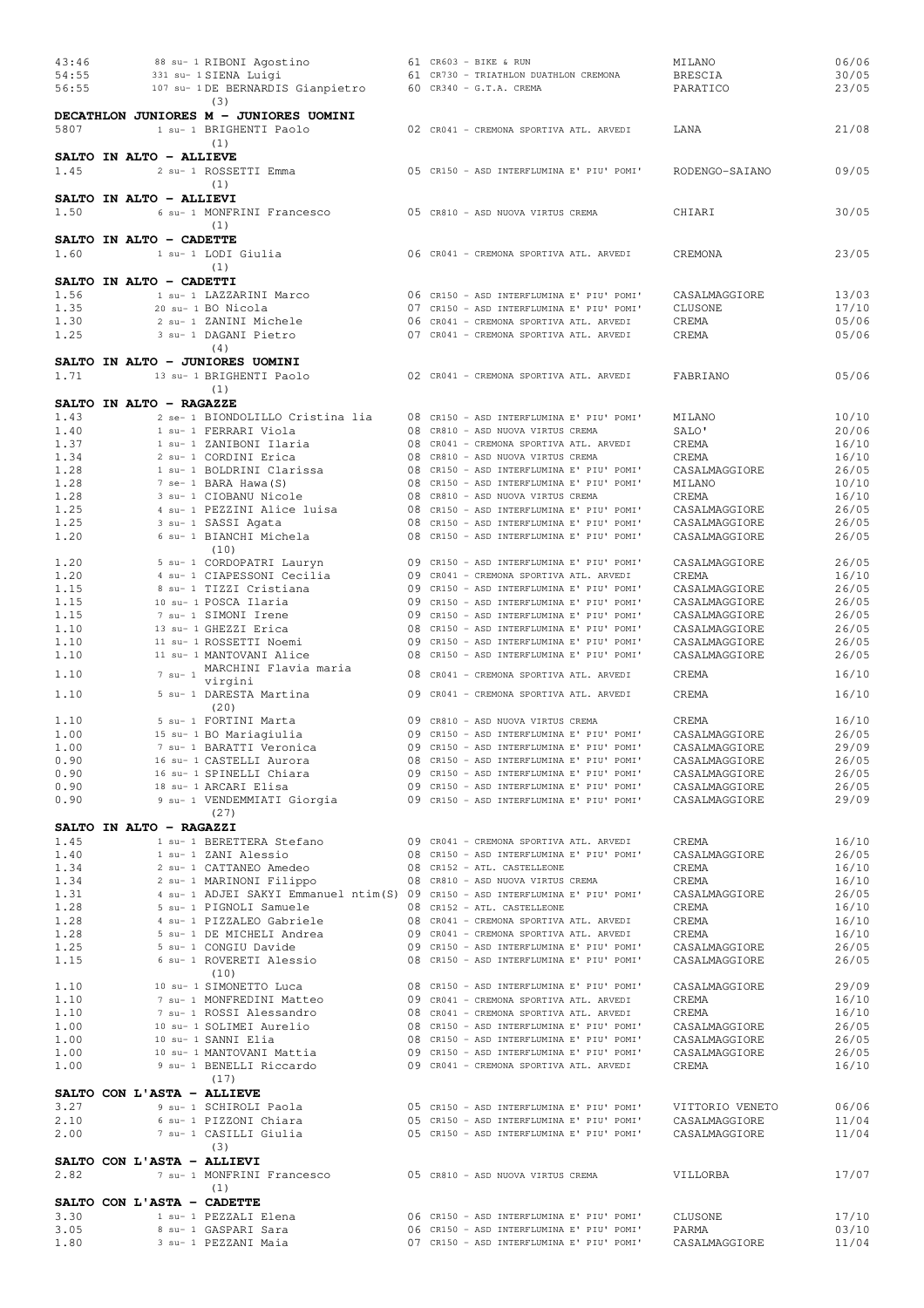| 43:46                   |  |           | 88 su- 1 RIBONI Agostino                                                       |  | 61 CR603 - BIKE & RUN                     | MILANO          | 06/06 |
|-------------------------|--|-----------|--------------------------------------------------------------------------------|--|-------------------------------------------|-----------------|-------|
| 54:55                   |  |           | 331 su- 1 SIENA Luigi                                                          |  | 61 CR730 - TRIATHLON DUATHLON CREMONA     | <b>BRESCIA</b>  | 30/05 |
| 56:55                   |  |           | 107 su- 1 DE BERNARDIS Gianpietro                                              |  | 60 CR340 - G.T.A. CREMA                   | PARATICO        | 23/05 |
|                         |  |           | (3)                                                                            |  |                                           |                 |       |
|                         |  |           | DECATHLON JUNIORES M - JUNIORES UOMINI                                         |  |                                           |                 |       |
| 5807                    |  |           | 1 su- 1 BRIGHENTI Paolo                                                        |  | 02 CR041 - CREMONA SPORTIVA ATL. ARVEDI   | LANA            | 21/08 |
|                         |  |           | (1)                                                                            |  |                                           |                 |       |
| SALTO IN ALTO - ALLIEVE |  |           |                                                                                |  |                                           |                 |       |
| 1.45                    |  |           | 2 su- 1 ROSSETTI Emma                                                          |  | 05 CR150 - ASD INTERFLUMINA E' PIU' POMI' | RODENGO-SAIANO  | 09/05 |
|                         |  |           | (1)                                                                            |  |                                           |                 |       |
| SALTO IN ALTO - ALLIEVI |  |           |                                                                                |  |                                           |                 |       |
|                         |  |           |                                                                                |  |                                           |                 |       |
| 1.50                    |  |           | 6 su- 1 MONFRINI Francesco                                                     |  | 05 CR810 - ASD NUOVA VIRTUS CREMA         | CHIARI          | 30/05 |
|                         |  |           | (1)                                                                            |  |                                           |                 |       |
| SALTO IN ALTO - CADETTE |  |           |                                                                                |  |                                           |                 |       |
| 1.60                    |  |           | 1 su- 1 LODI Giulia                                                            |  | 06 CR041 - CREMONA SPORTIVA ATL. ARVEDI   | CREMONA         | 23/05 |
|                         |  |           | (1)                                                                            |  |                                           |                 |       |
| SALTO IN ALTO - CADETTI |  |           |                                                                                |  |                                           |                 |       |
| 1.56                    |  |           | 1 su- 1 LAZZARINI Marco                                                        |  | 06 CR150 - ASD INTERFLUMINA E' PIU' POMI' | CASALMAGGIORE   | 13/03 |
| 1.35                    |  |           | 20 su- 1 BO Nicola                                                             |  | 07 CR150 - ASD INTERFLUMINA E' PIU' POMI' | CLUSONE         | 17/10 |
| 1.30                    |  |           | 2 su- 1 ZANINI Michele                                                         |  | 06 CR041 - CREMONA SPORTIVA ATL. ARVEDI   | CREMA           | 05/06 |
| 1.25                    |  |           | 3 su- 1 DAGANI Pietro                                                          |  | 07 CR041 - CREMONA SPORTIVA ATL. ARVEDI   | CREMA           | 05/06 |
|                         |  |           | (4)                                                                            |  |                                           |                 |       |
|                         |  |           | SALTO IN ALTO - JUNIORES UOMINI                                                |  |                                           |                 |       |
| 1.71                    |  |           | 13 su- 1 BRIGHENTI Paolo                                                       |  | 02 CR041 - CREMONA SPORTIVA ATL. ARVEDI   | FABRIANO        | 05/06 |
|                         |  |           | (1)                                                                            |  |                                           |                 |       |
| SALTO IN ALTO - RAGAZZE |  |           |                                                                                |  |                                           |                 |       |
| 1.43                    |  |           | 2 se- 1 BIONDOLILLO Cristina lia                                               |  | 08 CR150 - ASD INTERFLUMINA E' PIU' POMI' | MILANO          | 10/10 |
| 1.40                    |  |           | 1 su- 1 FERRARI Viola                                                          |  |                                           |                 | 20/06 |
|                         |  |           |                                                                                |  | 08 CR810 - ASD NUOVA VIRTUS CREMA         | SALO'           |       |
| 1.37                    |  |           | 1 su- 1 ZANIBONI Ilaria                                                        |  | 08 CR041 - CREMONA SPORTIVA ATL. ARVEDI   | CREMA           | 16/10 |
| 1.34                    |  |           | 2 su- 1 CORDINI Erica                                                          |  | 08 CR810 - ASD NUOVA VIRTUS CREMA         | CREMA           | 16/10 |
| 1.28                    |  |           | 1 su- 1 BOLDRINI Clarissa                                                      |  | 08 CR150 - ASD INTERFLUMINA E' PIU' POMI' | CASALMAGGIORE   | 26/05 |
| 1.28                    |  |           | 7 se- 1 BARA Hawa (S)                                                          |  | 08 CR150 - ASD INTERFLUMINA E' PIU' POMI' | MILANO          | 10/10 |
| 1.28                    |  |           | 3 su- 1 CIOBANU Nicole                                                         |  | 08 CR810 - ASD NUOVA VIRTUS CREMA         | CREMA           | 16/10 |
| 1.25                    |  |           | 4 su- 1 PEZZINI Alice luisa                                                    |  | 08 CR150 - ASD INTERFLUMINA E' PIU' POMI' | CASALMAGGIORE   | 26/05 |
| 1.25                    |  |           | 3 su- 1 SASSI Agata                                                            |  | 08 CR150 - ASD INTERFLUMINA E' PIU' POMI' | CASALMAGGIORE   | 26/05 |
| 1.20                    |  |           | 6 su- 1 BIANCHI Michela                                                        |  | 08 CR150 - ASD INTERFLUMINA E' PIU' POMI' | CASALMAGGIORE   | 26/05 |
|                         |  |           | (10)                                                                           |  |                                           |                 |       |
| 1.20                    |  |           | 5 su- 1 CORDOPATRI Lauryn                                                      |  | 09 CR150 - ASD INTERFLUMINA E' PIU' POMI' | CASALMAGGIORE   | 26/05 |
| 1.20                    |  |           | 4 su- 1 CIAPESSONI Cecilia                                                     |  | 09 CR041 - CREMONA SPORTIVA ATL. ARVEDI   | CREMA           | 16/10 |
| 1.15                    |  |           | 8 su- 1 TIZZI Cristiana                                                        |  | 09 CR150 - ASD INTERFLUMINA E' PIU' POMI' | CASALMAGGIORE   | 26/05 |
| 1.15                    |  |           | 10 su- 1 POSCA Ilaria                                                          |  | 09 CR150 - ASD INTERFLUMINA E' PIU' POMI' | CASALMAGGIORE   | 26/05 |
| 1.15                    |  |           | 7 su- 1 SIMONI Irene                                                           |  | 09 CR150 - ASD INTERFLUMINA E' PIU' POMI' |                 |       |
|                         |  |           |                                                                                |  |                                           | CASALMAGGIORE   | 26/05 |
| 1.10                    |  |           | 13 su- 1 GHEZZI Erica                                                          |  | 08 CR150 - ASD INTERFLUMINA E' PIU' POMI' | CASALMAGGIORE   | 26/05 |
| 1.10                    |  |           | 11 su- 1 ROSSETTI Noemi                                                        |  | 09 CR150 - ASD INTERFLUMINA E' PIU' POMI' | CASALMAGGIORE   | 26/05 |
| 1.10                    |  |           | 11 su- 1 MANTOVANI Alice                                                       |  | 08 CR150 - ASD INTERFLUMINA E' PIU' POMI' | CASALMAGGIORE   | 26/05 |
| 1.10                    |  | $7$ su- 1 | MARCHINI Flavia maria                                                          |  | 08 CR041 - CREMONA SPORTIVA ATL. ARVEDI   | CREMA           | 16/10 |
|                         |  |           | virgini                                                                        |  |                                           |                 |       |
| 1.10                    |  |           | 5 su- 1 DARESTA Martina                                                        |  | 09 CR041 - CREMONA SPORTIVA ATL. ARVEDI   | CREMA           | 16/10 |
|                         |  |           | (20)                                                                           |  |                                           |                 |       |
| 1.10                    |  |           | 5 su- 1 FORTINI Marta                                                          |  | 09 CR810 - ASD NUOVA VIRTUS CREMA         | CREMA           | 16/10 |
| 1.00                    |  |           | 15 su- 1 BO Mariagiulia                                                        |  | 09 CR150 - ASD INTERFLUMINA E' PIU' POMI' | CASALMAGGIORE   | 26/05 |
| 1.00                    |  |           | 7 su- 1 BARATTI Veronica                                                       |  | 09 CR150 - ASD INTERFLUMINA E' PIU' POMI' | CASALMAGGIORE   | 29/09 |
| 0.90                    |  |           | 16 su- 1 CASTELLI Aurora                                                       |  | 08 CR150 - ASD INTERFLUMINA E' PIU' POMI' | CASALMAGGIORE   | 26/05 |
| 0.90                    |  |           | 16 su- 1 SPINELLI Chiara                                                       |  | 09 CR150 - ASD INTERFLUMINA E' PIU' POMI' | CASALMAGGIORE   | 26/05 |
| 0.90                    |  |           | 18 su- 1 ARCARI Elisa                                                          |  | 09 CR150 - ASD INTERFLUMINA E' PIU' POMI' | CASALMAGGIORE   | 26/05 |
| 0.90                    |  |           | 9 su- 1 VENDEMMIATI Giorgia                                                    |  | 09 CR150 - ASD INTERFLUMINA E' PIU' POMI' | CASALMAGGIORE   | 29/09 |
|                         |  |           | (27)                                                                           |  |                                           |                 |       |
| SALTO IN ALTO - RAGAZZI |  |           |                                                                                |  |                                           |                 |       |
|                         |  |           |                                                                                |  |                                           |                 |       |
| 1.45                    |  |           | 1 su- 1 BERETTERA Stefano                                                      |  | 09 CR041 - CREMONA SPORTIVA ATL. ARVEDI   | CREMA           | 16/10 |
| 1.40                    |  |           | 1 su- 1 ZANI Alessio                                                           |  | 08 CR150 - ASD INTERFLUMINA E' PIU' POMI' | CASALMAGGIORE   | 26/05 |
| 1.34                    |  |           | 2 su- 1 CATTANEO Amedeo                                                        |  | 08 CR152 - ATL. CASTELLEONE               | CREMA           | 16/10 |
| 1.34                    |  |           | 2 su- 1 MARINONI Filippo                                                       |  | 08 CR810 - ASD NUOVA VIRTUS CREMA         | CREMA           | 16/10 |
| 1.31                    |  |           | 4 su- 1 ADJEI SAKYI Emmanuel ntim(S) 09 CR150 - ASD INTERFLUMINA E' PIU' POMI' |  |                                           | CASALMAGGIORE   | 26/05 |
| 1.28                    |  |           | 5 su- 1 PIGNOLI Samuele                                                        |  | 08 CR152 - ATL. CASTELLEONE               | CREMA           | 16/10 |
| 1.28                    |  |           | 4 su- 1 PIZZALEO Gabriele                                                      |  | 08 CR041 - CREMONA SPORTIVA ATL. ARVEDI   | CREMA           | 16/10 |
| 1.28                    |  |           | 5 su- 1 DE MICHELI Andrea                                                      |  | 09 CR041 - CREMONA SPORTIVA ATL. ARVEDI   | CREMA           | 16/10 |
| 1.25                    |  |           | 5 su- 1 CONGIU Davide                                                          |  | 09 CR150 - ASD INTERFLUMINA E' PIU' POMI' | CASALMAGGIORE   | 26/05 |
| 1.15                    |  |           | 6 su- 1 ROVERETI Alessio                                                       |  | 08 CR150 - ASD INTERFLUMINA E' PIU' POMI' | CASALMAGGIORE   | 26/05 |
|                         |  |           | (10)                                                                           |  |                                           |                 |       |
| 1.10                    |  |           | 10 su- 1 SIMONETTO Luca                                                        |  | 08 CR150 - ASD INTERFLUMINA E' PIU' POMI' | CASALMAGGIORE   | 29/09 |
| 1.10                    |  |           | 7 su- 1 MONFREDINI Matteo                                                      |  | 09 CR041 - CREMONA SPORTIVA ATL. ARVEDI   | CREMA           | 16/10 |
| 1.10                    |  |           | 7 su- 1 ROSSI Alessandro                                                       |  | 08 CR041 - CREMONA SPORTIVA ATL. ARVEDI   | CREMA           | 16/10 |
| 1.00                    |  |           | 10 su- 1 SOLIMEI Aurelio                                                       |  | 08 CR150 - ASD INTERFLUMINA E' PIU' POMI' | CASALMAGGIORE   | 26/05 |
| 1.00                    |  |           | 10 su- 1 SANNI Elia                                                            |  | 08 CR150 - ASD INTERFLUMINA E' PIU' POMI' | CASALMAGGIORE   | 26/05 |
|                         |  |           |                                                                                |  |                                           |                 |       |
| 1.00                    |  |           | 10 su- 1 MANTOVANI Mattia                                                      |  | 09 CR150 - ASD INTERFLUMINA E' PIU' POMI' | CASALMAGGIORE   | 26/05 |
| 1.00                    |  |           | 9 su- 1 BENELLI Riccardo                                                       |  | 09 CR041 - CREMONA SPORTIVA ATL. ARVEDI   | CREMA           | 16/10 |
|                         |  |           | (17)                                                                           |  |                                           |                 |       |
|                         |  |           | SALTO CON L'ASTA - ALLIEVE                                                     |  |                                           |                 |       |
| 3.27                    |  |           | 9 su- 1 SCHIROLI Paola                                                         |  | 05 CR150 - ASD INTERFLUMINA E' PIU' POMI' | VITTORIO VENETO | 06/06 |
| 2.10                    |  |           | 6 su- 1 PIZZONI Chiara                                                         |  | 05 CR150 - ASD INTERFLUMINA E' PIU' POMI' | CASALMAGGIORE   | 11/04 |
| 2.00                    |  |           | 7 su- 1 CASILLI Giulia                                                         |  | 05 CR150 - ASD INTERFLUMINA E' PIU' POMI' | CASALMAGGIORE   | 11/04 |
|                         |  |           | (3)                                                                            |  |                                           |                 |       |
|                         |  |           | SALTO CON L'ASTA - ALLIEVI                                                     |  |                                           |                 |       |
| 2.82                    |  |           | 7 su- 1 MONFRINI Francesco                                                     |  | 05 CR810 - ASD NUOVA VIRTUS CREMA         | VILLORBA        | 17/07 |
|                         |  |           |                                                                                |  |                                           |                 |       |
|                         |  |           | (1)                                                                            |  |                                           |                 |       |
|                         |  |           | SALTO CON L'ASTA - CADETTE                                                     |  |                                           |                 |       |
| 3.30                    |  |           | 1 su- 1 PEZZALI Elena                                                          |  | 06 CR150 - ASD INTERFLUMINA E' PIU' POMI' | CLUSONE         | 17/10 |
| 3.05                    |  |           | 8 su- 1 GASPARI Sara                                                           |  | 06 CR150 - ASD INTERFLUMINA E' PIU' POMI' | PARMA           | 03/10 |
| 1.80                    |  |           | 3 su- 1 PEZZANI Maia                                                           |  | 07 CR150 - ASD INTERFLUMINA E' PIU' POMI' | CASALMAGGIORE   | 11/04 |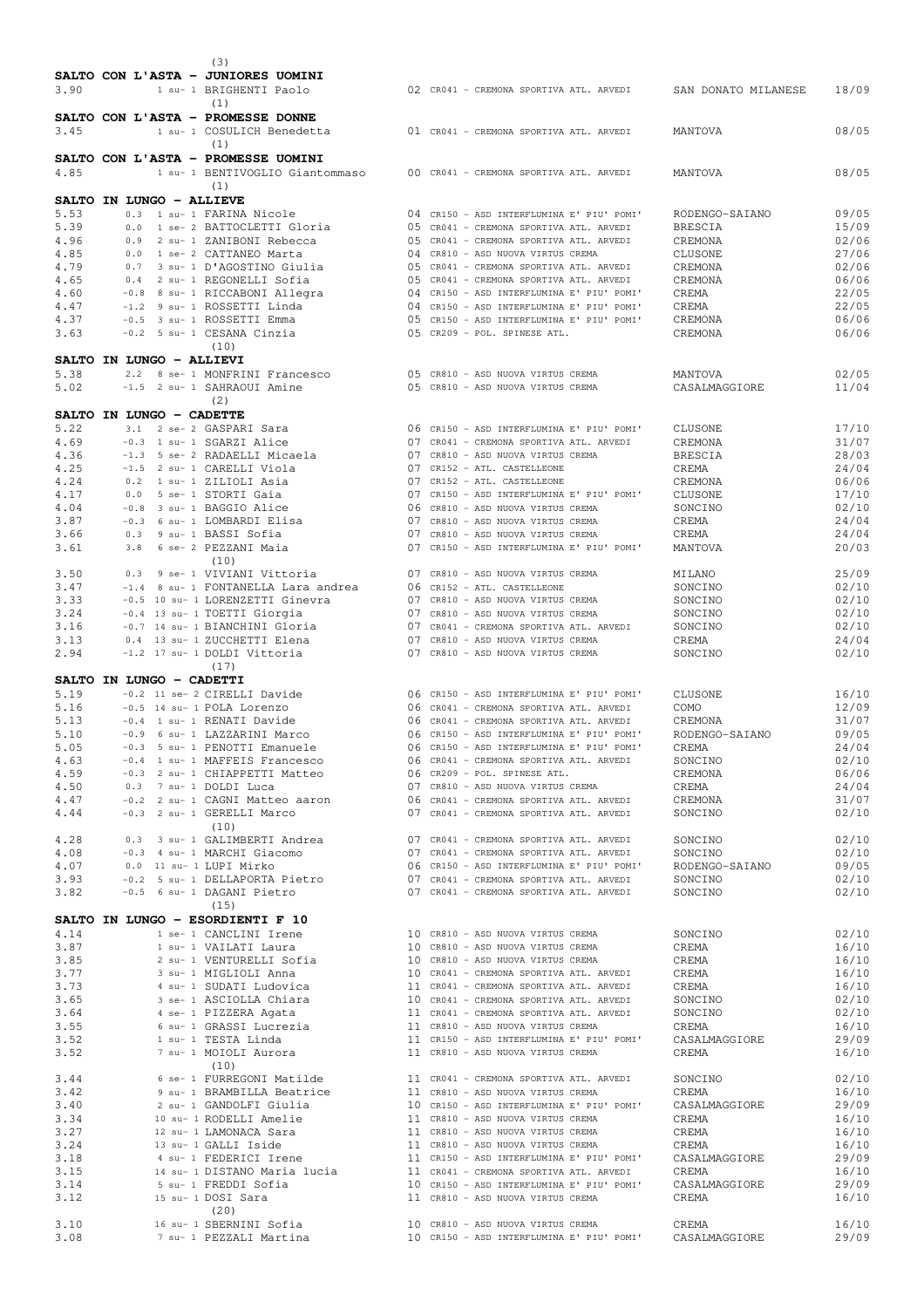|              |                          |  | (3)                                                              |  |                                                                                                                                                            |                           |                         |
|--------------|--------------------------|--|------------------------------------------------------------------|--|------------------------------------------------------------------------------------------------------------------------------------------------------------|---------------------------|-------------------------|
|              |                          |  | SALTO CON L'ASTA - JUNIORES UOMINI                               |  |                                                                                                                                                            |                           |                         |
| 3.90         |                          |  | 1 su- 1 BRIGHENTI Paolo                                          |  | 02 CR041 - CREMONA SPORTIVA ATL. ARVEDI                                                                                                                    | SAN DONATO MILANESE       | 18/09                   |
|              |                          |  | (1)                                                              |  |                                                                                                                                                            |                           |                         |
|              |                          |  | SALTO CON L'ASTA - PROMESSE DONNE                                |  |                                                                                                                                                            |                           | 08/05                   |
| 3.45         |                          |  | 1 su- 1 COSULICH Benedetta<br>(1)                                |  | 01 CR041 - CREMONA SPORTIVA ATL. ARVEDI                                                                                                                    | MANTOVA                   |                         |
|              |                          |  | SALTO CON L'ASTA - PROMESSE UOMINI                               |  |                                                                                                                                                            |                           |                         |
| 4.85         |                          |  | 1 su- 1 BENTIVOGLIO Giantommaso                                  |  | 00 CR041 - CREMONA SPORTIVA ATL. ARVEDI                                                                                                                    | MANTOVA                   | 08/05                   |
|              |                          |  | (1)                                                              |  |                                                                                                                                                            |                           |                         |
|              | SALTO IN LUNGO - ALLIEVE |  |                                                                  |  |                                                                                                                                                            |                           |                         |
| 5.53         |                          |  | 0.3 1 su- 1 FARINA Nicole                                        |  | 04 CR150 - ASD INTERFLUMINA E' PIU' POMI'                                                                                                                  | RODENGO-SAIANO            | 09/05                   |
| 5.39<br>4.96 |                          |  | 0.0 1 se- 2 BATTOCLETTI Gloria<br>0.9 2 su- 1 ZANIBONI Rebecca   |  | 05 CR041 - CREMONA SPORTIVA ATL. ARVEDI<br>05 CR041 - CREMONA SPORTIVA ATL. ARVEDI                                                                         | <b>BRESCIA</b><br>CREMONA | 15/09<br>02/06          |
| 4.85         |                          |  | 0.0 1 se- 2 CATTANEO Marta                                       |  | 04 CR810 - ASD NUOVA VIRTUS CREMA                                                                                                                          | CLUSONE                   | 27/06                   |
| 4.79         |                          |  | 0.7 3 su- 1 D'AGOSTINO Giulia                                    |  | 05 CR041 - CREMONA SPORTIVA ATL. ARVEDI                                                                                                                    | <b>CREMONA</b>            | 02/06                   |
| 4.65         |                          |  | 0.4 2 su- 1 REGONELLI Sofia                                      |  | 05 CR041 - CREMONA SPORTIVA ATL. ARVEDI                                                                                                                    | CREMONA                   | 06/06                   |
| 4.60         |                          |  | -0.8 8 su- 1 RICCABONI Allegra                                   |  | 04 CR150 - ASD INTERFLUMINA E' PIU' POMI'                                                                                                                  | CREMA                     | 22/05                   |
| 4.47         |                          |  | -1.2 9 su- 1 ROSSETTI Linda<br>-0.5 3 su- 1 ROSSETTI Emma        |  | 04 CR150 - ASD INTERFLUMINA E' PIU' POMI'                                                                                                                  | CREMA                     | 22/05                   |
| 4.37<br>3.63 |                          |  | -0.2 5 su- 1 CESANA Cinzia                                       |  | 05 CR150 - ASD INTERFLUMINA E' PIU' POMI'<br>05 CR209 - POL. SPINESE ATL.                                                                                  | CREMONA<br>CREMONA        | 06/06<br>06/06          |
|              |                          |  | (10)                                                             |  |                                                                                                                                                            |                           |                         |
|              | SALTO IN LUNGO - ALLIEVI |  |                                                                  |  |                                                                                                                                                            |                           |                         |
| 5.38         |                          |  | 2.2 8 se- 1 MONFRINI Francesco                                   |  | 05 CR810 - ASD NUOVA VIRTUS CREMA                                                                                                                          | MANTOVA                   | 02/05                   |
| 5.02         |                          |  | -1.5 2 su- 1 SAHRAOUI Amine                                      |  | 05 CR810 - ASD NUOVA VIRTUS CREMA                                                                                                                          | CASALMAGGIORE             | 11/04                   |
|              |                          |  | (2)                                                              |  |                                                                                                                                                            |                           |                         |
| 5.22         | SALTO IN LUNGO - CADETTE |  |                                                                  |  | 06 CR150 - ASD INTERFLUMINA E' PIU' POMI'                                                                                                                  |                           |                         |
| 4.69         |                          |  | 3.1 2 se- 2 GASPARI Sara<br>-0.3 1 su- 1 SGARZI Alice            |  | 07 CR041 - CREMONA SPORTIVA ATL. ARVEDI                                                                                                                    | CLUSONE<br>CREMONA        | 17/10<br>31/07          |
| 4.36         |                          |  | -1.3 5 se- 2 RADAELLI Micaela                                    |  | 07 CR810 - ASD NUOVA VIRTUS CREMA                                                                                                                          | <b>BRESCIA</b>            | 28/03                   |
| 4.25         |                          |  | -1.5 2 su- 1 CARELLI Viola                                       |  | 07 CR152 - ATL. CASTELLEONE                                                                                                                                | CREMA                     | 24/04                   |
| 4.24         |                          |  | 0.2 1 su- 1 ZILIOLI Asia                                         |  | 07 CR152 - ATL. CASTELLEONE                                                                                                                                | CREMONA                   | 06/06                   |
| 4.17         |                          |  | 0.0 5 se- 1 STORTI Gaia                                          |  | 07 CR150 - ASD INTERFLUMINA E' PIU' POMI'                                                                                                                  | CLUSONE                   | 17/10                   |
| 4.04<br>3.87 |                          |  | -0.8 3 su- 1 BAGGIO Alice<br>-0.3 6 su- 1 LOMBARDI Elisa         |  | 06 CR810 - ASD NUOVA VIRTUS CREMA<br>07 CR810 - ASD NUOVA VIRTUS CREMA                                                                                     | SONCINO<br>CREMA          | 02/10<br>24/04          |
| 3.66         |                          |  | 0.3 9 su- 1 BASSI Sofia                                          |  | 07 CR810 - ASD NUOVA VIRTUS CREMA                                                                                                                          | CREMA                     | 24/04                   |
| 3.61         |                          |  | 3.8 6 se- 2 PEZZANI Maia                                         |  | 07 CR150 - ASD INTERFLUMINA E' PIU' POMI'                                                                                                                  | MANTOVA                   | 20/03                   |
|              |                          |  | (10)                                                             |  |                                                                                                                                                            |                           |                         |
| 3.50         |                          |  | 0.3 9 se- 1 VIVIANI Vittoria                                     |  | 07 CR810 - ASD NUOVA VIRTUS CREMA                                                                                                                          | MILANO                    | 25/09                   |
| 3.47         |                          |  | -1.4 8 su- 1 FONTANELLA Lara andrea                              |  | 06 CR152 - ATL. CASTELLEONE                                                                                                                                | SONCINO                   | 02/10                   |
| 3.33<br>3.24 |                          |  | -0.5 10 su- 1 LORENZETTI Ginevra<br>-0.4 13 su- 1 TOETTI Giorgia |  | 07 CR810 - ASD NUOVA VIRTUS CREMA<br>07 CR810 - ASD NUOVA VIRTUS CREMA                                                                                     | SONCINO<br>SONCINO        | 02/10<br>02/10          |
| 3.16         |                          |  | -0.7 14 su- 1 BIANCHINI Gloria                                   |  | 07 CR041 - CREMONA SPORTIVA ATL. ARVEDI                                                                                                                    | SONCINO                   | 02/10                   |
| 3.13         |                          |  | 0.4 13 su- 1 ZUCCHETTI Elena                                     |  | 07 CR810 - ASD NUOVA VIRTUS CREMA                                                                                                                          | CREMA                     | 24/04                   |
| 2.94         |                          |  | -1.2 17 su- 1 DOLDI Vittoria                                     |  | 07 CR810 - ASD NUOVA VIRTUS CREMA                                                                                                                          | SONCINO                   | 02/10                   |
|              |                          |  | (17)                                                             |  |                                                                                                                                                            |                           |                         |
|              | SALTO IN LUNGO - CADETTI |  |                                                                  |  |                                                                                                                                                            |                           |                         |
| 5.19         |                          |  | -0.2 11 se- 2 CIRELLI Davide                                     |  | 06 CR150 - ASD INTERFLUMINA E' PIU' POMI'                                                                                                                  | CLUSONE                   | 16/10                   |
|              |                          |  |                                                                  |  |                                                                                                                                                            |                           |                         |
| 5.16         |                          |  | -0.5 14 su- 1 POLA Lorenzo                                       |  | 06 CR041 - CREMONA SPORTIVA ATL. ARVEDI                                                                                                                    | COMO                      | 12/09                   |
| 5.13         |                          |  | -0.4 1 su- 1 RENATI Davide<br>-0.9 6 su- 1 LAZZARINI Marco       |  | 06 CR041 - CREMONA SPORTIVA ATL. ARVEDI<br>06 CR150 - ASD INTERFLUMINA E' PIU' POMI'                                                                       | CREMONA                   | 31/07<br>09/05          |
| 5.10<br>5.05 |                          |  | -0.3 5 su- 1 PENOTTI Emanuele                                    |  | 06 CR150 - ASD INTERFLUMINA E' PIU' POMI'                                                                                                                  | RODENGO-SAIANO<br>CREMA   | 24/04                   |
| 4.63         |                          |  | -0.4 1 su- 1 MAFFEIS Francesco                                   |  | 06 CR041 - CREMONA SPORTIVA ATL. ARVEDI                                                                                                                    | SONCINO                   | 02/10                   |
| 4.59         |                          |  | -0.3 2 su- 1 CHIAPPETTI Matteo                                   |  | 06 CR209 - POL. SPINESE ATL.                                                                                                                               | CREMONA                   | 06/06                   |
| 4.50         |                          |  | 0.3 7 su- 1 DOLDI Luca                                           |  | 07 CR810 - ASD NUOVA VIRTUS CREMA                                                                                                                          | CREMA                     | 24/04                   |
| 4.47         |                          |  | -0.2 2 su- 1 CAGNI Matteo aaron<br>-0.3 2 su- 1 GERELLI Marco    |  | 07 CR610 - ASD NOOVA VIRIOS CREMA<br>06 CR041 - CREMONA SPORTIVA ATL. ARVEDI<br>07 CR041 - CREMONA SPORTIVA ATL. ARVEDI                                    | CREMONA                   | 31/07                   |
| 4.44         |                          |  | (10)                                                             |  |                                                                                                                                                            | SONCINO                   | 02/10                   |
| 4.28         |                          |  | 0.3 3 su- 1 GALIMBERTI Andrea                                    |  | 07 CR041 - CREMONA SPORTIVA ATL. ARVEDI                                                                                                                    | SONCINO                   | 02/10                   |
| 4.08         |                          |  | -0.3 4 su- 1 MARCHI Giacomo                                      |  |                                                                                                                                                            | SONCINO                   | 02/10                   |
| 4.07         |                          |  | 0.0 11 su- 1 LUPI Mirko                                          |  | 07 CR041 - CREMONA SPORTIVA ATL. ARVEDI<br>06 CR150 - ASD INTERFLUMINA E' PIU' POMI'                                                                       | RODENGO-SAIANO            | 09/05                   |
| 3.93         |                          |  | -0.2 5 su- 1 DELLAPORTA Pietro                                   |  | 07 CR041 - CREMONA SPORTIVA ATL. ARVEDI<br>07 CR041 - CREMONA SPORTIVA ATL. ARVEDI                                                                         | SONCINO                   | 02/10                   |
| 3.82         |                          |  | -0.5 6 su- 1 DAGANI Pietro                                       |  | 07 CR041 - CREMONA SPORTIVA ATL. ARVEDI                                                                                                                    | SONCINO                   | 02/10                   |
|              |                          |  | (15)<br>SALTO IN LUNGO - ESORDIENTI F 10                         |  |                                                                                                                                                            |                           |                         |
| 4.14         |                          |  | 1 se- 1 CANCLINI Irene                                           |  | 10 CR810 - ASD NUOVA VIRTUS CREMA                                                                                                                          | SONCINO                   |                         |
| 3.87         |                          |  | 1 su- 1 VAILATI Laura                                            |  | 10 CR810 - ASD NUOVA VIRTUS CREMA                                                                                                                          | CREMA                     | 16/10                   |
| 3.85         |                          |  | 2 su- 1 VENTURELLI Sofia                                         |  | 10 CR810 - ASD NUOVA VIRTUS CREMA                                                                                                                          | CREMA                     | 16/10                   |
| 3.77         |                          |  | 3 su- 1 MIGLIOLI Anna                                            |  | 10 CR041 - CREMONA SPORTIVA ATL. ARVEDI                                                                                                                    | CREMA                     | 16/10                   |
| 3.73         |                          |  | 4 su- 1 SUDATI Ludovica                                          |  | 11 CR041 - CREMONA SPORTIVA ATL. ARVEDI                                                                                                                    | CREMA                     | 16/10                   |
| 3.65<br>3.64 |                          |  | 3 se- 1 ASCIOLLA Chiara<br>4 se- 1 PIZZERA Agata                 |  | 10 CR041 - CREMONA SPORTIVA ATL. ARVEDI<br>11 CR041 - CREMONA SPORTIVA ATL. ARVEDI                                                                         | SONCINO<br>SONCINO        | 02/10<br>02/10<br>02/10 |
| 3.55         |                          |  |                                                                  |  | 11 CR810 - ASD NUOVA VIRTUS CREMA                                                                                                                          | CREMA                     | 16/10                   |
| 3.52         |                          |  | 6 su- 1 GRASSI Lucrezia<br>1 su- 1 TESTA Linda                   |  | 11 CR150 - ASD INTERFLUMINA E' PIU' POMI'                                                                                                                  | CASALMAGGIORE             | 29/09                   |
| 3.52         |                          |  | 7 su- 1 MOIOLI Aurora                                            |  | 11 CR810 - ASD NUOVA VIRTUS CREMA                                                                                                                          | CREMA                     | 16/10                   |
|              |                          |  | (10)                                                             |  |                                                                                                                                                            |                           |                         |
| 3.44<br>3.42 |                          |  |                                                                  |  | 6 se- 1 FURREGONI Matilde 11 CR041 - CREMONA SPORTIVA ATL. ARVEDI<br>11 CR810 - ASD NUOVA VIRTUS CREMA                                                     | SONCINO<br>CREMA          | 02/10<br>16/10          |
| 3.40         |                          |  | 9 su- 1 BRAMBILLA Beatrice<br>2 su- 1 GANDOLFI Giulia            |  | 10 CR150 - ASD INTERFLUMINA E' PIU' POMI'                                                                                                                  | CASALMAGGIORE             | 29/09                   |
| 3.34         |                          |  | 10 su- 1 RODELLI Amelie                                          |  | 11 CR810 - ASD NUOVA VIRTUS CREMA                                                                                                                          | CREMA                     | 16/10                   |
| 3.27         |                          |  | 12 su- 1 LAMONACA Sara                                           |  | 11 CR810 - ASD NUOVA VIRTUS CREMA                                                                                                                          | CREMA                     | 16/10                   |
| 3.24         |                          |  | 13 su- 1 GALLI Iside                                             |  |                                                                                                                                                            | CREMA                     | 16/10                   |
| 3.18         |                          |  | 4 su- 1 FEDERICI Irene                                           |  | 11 CR810 - ASD NUOVA VIRTUS CREMA<br>11 CR810 - ASD NUOVA VIRTUS CREMA<br>11 CR150 - ASD INTERFLUMINA E' PIU'<br>11 CR150 - ASD INTERFLUMINA E' PIU' POMI' | CASALMAGGIORE             | 29/09                   |
| 3.15<br>3.14 |                          |  | 5 su- 1 FREDDI Sofia                                             |  | 14 su- 1 DISTANO Maria lucia 11 CRO41 - CREMONA SPORTIVA ATL. ARVEDI<br>10 CR150 - ASD INTERFLUMINA E' PIU' POMI'                                          | CREMA<br>CASALMAGGIORE    | 16/10<br>29/09          |
| 3.12         |                          |  | 15 su- 1 DOSI Sara                                               |  | 11 CR810 - ASD NUOVA VIRTUS CREMA                                                                                                                          | CREMA                     | 16/10                   |
|              |                          |  | (20)                                                             |  |                                                                                                                                                            |                           |                         |
| 3.10<br>3.08 |                          |  | 16 su- 1 SBERNINI Sofia                                          |  |                                                                                                                                                            |                           | 16/10<br>29/09          |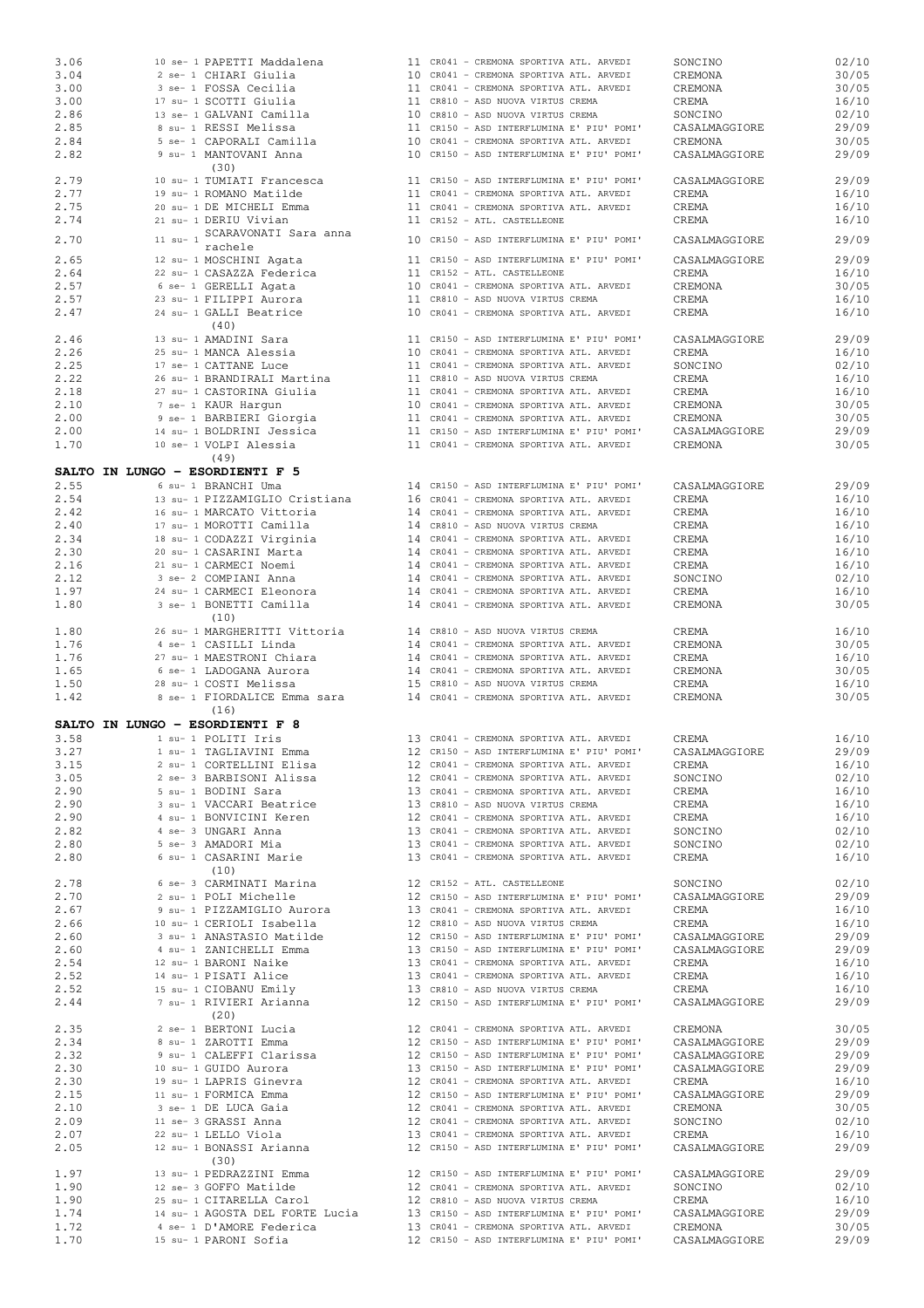|      | 10 se- 1 PAPETTI Maddalena      |  | 11 CR041 - CREMONA SPORTIVA ATL. ARVEDI   | SONCINO       | 02/10                   |
|------|---------------------------------|--|-------------------------------------------|---------------|-------------------------|
| 3.04 | 2 se- 1 CHIARI Giulia           |  | 10 CR041 - CREMONA SPORTIVA ATL. ARVEDI   | CREMONA       | 30/05                   |
| 3.00 | 3 se- 1 FOSSA Cecilia           |  | 11 CR041 - CREMONA SPORTIVA ATL. ARVEDI   | CREMONA       | 30/05                   |
| 3.00 | 17 su- 1 SCOTTI Giulia          |  | 11 CR810 - ASD NUOVA VIRTUS CREMA         | CREMA         | 16/10                   |
| 2.86 | 13 se- 1 GALVANI Camilla        |  | 10 CR810 - ASD NUOVA VIRTUS CREMA         | SONCINO       | 02/10                   |
| 2.85 | 8 su- 1 RESSI Melissa           |  | 11 CR150 - ASD INTERFLUMINA E' PIU' POMI' | CASALMAGGIORE | 29/09                   |
|      |                                 |  |                                           |               |                         |
| 2.84 | 5 se- 1 CAPORALI Camilla        |  | 10 CR041 - CREMONA SPORTIVA ATL. ARVEDI   | CREMONA       | 30/05                   |
| 2.82 | 9 su- 1 MANTOVANI Anna          |  | 10 CR150 - ASD INTERFLUMINA E' PIU' POMI' | CASALMAGGIORE | 29/09                   |
|      | (30)                            |  |                                           |               |                         |
| 2.79 | 10 su- 1 TUMIATI Francesca      |  | 11 CR150 - ASD INTERFLUMINA E' PIU' POMI' | CASALMAGGIORE | 29/09                   |
| 2.77 | 19 su- 1 ROMANO Matilde         |  | 11 CR041 - CREMONA SPORTIVA ATL. ARVEDI   | CREMA         | 16/10                   |
| 2.75 | 20 su- 1 DE MICHELI Emma        |  | 11 CR041 - CREMONA SPORTIVA ATL. ARVEDI   | CREMA         | 16/10                   |
| 2.74 | 21 su- 1 DERIU Vivian           |  | 11 CR152 - ATL. CASTELLEONE               | CREMA         | 16/10                   |
|      | 11 su-1 SCARAVONATI Sara anna   |  |                                           |               |                         |
| 2.70 | rachele                         |  | 10 CR150 - ASD INTERFLUMINA E' PIU' POMI' | CASALMAGGIORE | 29/09                   |
| 2.65 | 12 su- 1 MOSCHINI Agata         |  | 11 CR150 - ASD INTERFLUMINA E' PIU' POMI' | CASALMAGGIORE | 29/09                   |
|      |                                 |  | 11 CR152 - ATL. CASTELLEONE               |               |                         |
| 2.64 | 22 su- 1 CASAZZA Federica       |  |                                           | CREMA         | 16/10                   |
| 2.57 | 6 se- 1 GERELLI Agata           |  | 10 CR041 - CREMONA SPORTIVA ATL. ARVEDI   | CREMONA       | 30/05                   |
| 2.57 | 23 su- 1 FILIPPI Aurora         |  | 11 CR810 - ASD NUOVA VIRTUS CREMA         | CREMA         | 16/10                   |
| 2.47 | 24 su- 1 GALLI Beatrice         |  | 10 CR041 - CREMONA SPORTIVA ATL. ARVEDI   | CREMA         | 16/10                   |
|      | (40)                            |  |                                           |               |                         |
| 2.46 | 13 su- 1 AMADINI Sara           |  | 11 CR150 - ASD INTERFLUMINA E' PIU' POMI' | CASALMAGGIORE | 29/09                   |
| 2.26 | 25 su- 1 MANCA Alessia          |  | 10 CR041 - CREMONA SPORTIVA ATL. ARVEDI   | CREMA         | 16/10                   |
| 2.25 | 17 se- 1 CATTANE Luce           |  | 11 CR041 - CREMONA SPORTIVA ATL. ARVEDI   | SONCINO       | 02/10                   |
| 2.22 | 26 su- 1 BRANDIRALI Martina     |  | 11 CR810 - ASD NUOVA VIRTUS CREMA         | CREMA         | 16/10                   |
|      |                                 |  |                                           |               |                         |
| 2.18 | 27 su- 1 CASTORINA Giulia       |  | 11 CR041 - CREMONA SPORTIVA ATL. ARVEDI   | CREMA         | 16/10                   |
| 2.10 | 7 se- 1 KAUR Harqun             |  | 10 CR041 - CREMONA SPORTIVA ATL. ARVEDI   | CREMONA       | 30/05                   |
| 2.00 | 9 se- 1 BARBIERI Giorgia        |  | 11 CR041 - CREMONA SPORTIVA ATL. ARVEDI   | CREMONA       | 30/05                   |
| 2.00 | 14 su- 1 BOLDRINI Jessica       |  | 11 CR150 - ASD INTERFLUMINA E' PIU' POMI' | CASALMAGGIORE | 29/09                   |
| 1.70 | 10 se- 1 VOLPI Alessia          |  | 11 CR041 - CREMONA SPORTIVA ATL. ARVEDI   | CREMONA       | 30/05                   |
|      | (49)                            |  |                                           |               |                         |
|      |                                 |  |                                           |               |                         |
|      | SALTO IN LUNGO - ESORDIENTI F 5 |  |                                           |               |                         |
| 2.55 | 6 su- 1 BRANCHI Uma             |  | 14 CR150 - ASD INTERFLUMINA E' PIU' POMI' | CASALMAGGIORE | 29/09                   |
| 2.54 | 13 su- 1 PIZZAMIGLIO Cristiana  |  | 16 CR041 - CREMONA SPORTIVA ATL. ARVEDI   | CREMA         | 16/10                   |
| 2.42 | 16 su- 1 MARCATO Vittoria       |  | 14 CR041 - CREMONA SPORTIVA ATL. ARVEDI   | CREMA         | 16/10                   |
| 2.40 | 17 su- 1 MOROTTI Camilla        |  | 14 CR810 - ASD NUOVA VIRTUS CREMA         | CREMA         | 16/10                   |
| 2.34 | 18 su- 1 CODAZZI Virginia       |  | 14 CR041 - CREMONA SPORTIVA ATL. ARVEDI   | CREMA         | 16/10                   |
| 2.30 | 20 su- 1 CASARINI Marta         |  | 14 CR041 - CREMONA SPORTIVA ATL. ARVEDI   | CREMA         | 16/10                   |
| 2.16 |                                 |  |                                           |               |                         |
|      | 21 su- 1 CARMECI Noemi          |  | 14 CR041 - CREMONA SPORTIVA ATL. ARVEDI   | CREMA         | 16/10                   |
| 2.12 | 3 se- 2 COMPIANI Anna           |  | 14 CR041 - CREMONA SPORTIVA ATL. ARVEDI   | SONCINO       | 02/10                   |
| 1.97 | 24 su- 1 CARMECI Eleonora       |  | 14 CR041 - CREMONA SPORTIVA ATL. ARVEDI   | CREMA         | 16/10                   |
| 1.80 | 3 se- 1 BONETTI Camilla         |  | 14 CR041 - CREMONA SPORTIVA ATL. ARVEDI   | CREMONA       | 30/05                   |
|      | (10)                            |  |                                           |               |                         |
| 1.80 | 26 su- 1 MARGHERITTI Vittoria   |  | 14 CR810 - ASD NUOVA VIRTUS CREMA         | CREMA         | 16/10                   |
|      |                                 |  |                                           |               |                         |
|      |                                 |  |                                           |               |                         |
| 1.76 | 4 se- 1 CASILLI Linda           |  | 14 CR041 - CREMONA SPORTIVA ATL. ARVEDI   | CREMONA       | 30/05                   |
| 1.76 | 27 su- 1 MAESTRONI Chiara       |  | 14 CR041 - CREMONA SPORTIVA ATL. ARVEDI   | CREMA         | 16/10                   |
| 1.65 | 6 se- 1 LADOGANA Aurora         |  | 14 CR041 - CREMONA SPORTIVA ATL. ARVEDI   | CREMONA       | 30/05                   |
| 1.50 | 28 su- 1 COSTI Melissa          |  | 15 CR810 - ASD NUOVA VIRTUS CREMA         | CREMA         | 16/10                   |
| 1.42 | 8 se- 1 FIORDALICE Emma sara    |  | 14 CR041 - CREMONA SPORTIVA ATL. ARVEDI   | CREMONA       | 30/05                   |
|      | (16)                            |  |                                           |               |                         |
|      |                                 |  |                                           |               |                         |
|      | SALTO IN LUNGO - ESORDIENTI F 8 |  |                                           |               |                         |
| 3.58 | 1 su- 1 POLITI Iris             |  | 13 CR041 - CREMONA SPORTIVA ATL. ARVEDI   | CREMA         |                         |
| 3.27 | 1 su- 1 TAGLIAVINI Emma         |  | 12 CR150 - ASD INTERFLUMINA E' PIU' POMI' | CASALMAGGIORE | 29/09                   |
| 3.15 | 2 su- 1 CORTELLINI Elisa        |  | 12 CR041 - CREMONA SPORTIVA ATL. ARVEDI   | CREMA         | 16/10                   |
| 3.05 | 2 se- 3 BARBISONI Alissa        |  | 12 CR041 - CREMONA SPORTIVA ATL. ARVEDI   | SONCINO       | 02/10                   |
| 2.90 | 5 su- 1 BODINI Sara             |  | 13 CR041 - CREMONA SPORTIVA ATL. ARVEDI   | CREMA         | 16/10                   |
| 2.90 | 3 su- 1 VACCARI Beatrice        |  | 13 CR810 - ASD NUOVA VIRTUS CREMA         | CREMA         | 16/10                   |
| 2.90 | 4 su- 1 BONVICINI Keren         |  | 12 CR041 - CREMONA SPORTIVA ATL. ARVEDI   | CREMA         |                         |
|      |                                 |  |                                           |               | 16/10                   |
| 2.82 | 4 se- 3 UNGARI Anna             |  | 13 CR041 - CREMONA SPORTIVA ATL. ARVEDI   | SONCINO       |                         |
| 2.80 | 5 se- 3 AMADORI Mia             |  | 13 CR041 - CREMONA SPORTIVA ATL. ARVEDI   | SONCINO       |                         |
| 2.80 | 6 su- 1 CASARINI Marie          |  | 13 CR041 - CREMONA SPORTIVA ATL. ARVEDI   | CREMA         | 02/10<br>16/10          |
|      | (10)                            |  |                                           |               |                         |
| 2.78 | 6 se- 3 CARMINATI Marina        |  | 12 CR152 - ATL. CASTELLEONE               | SONCINO       | 02/10                   |
| 2.70 | 2 su- 1 POLI Michelle           |  | 12 CR150 - ASD INTERFLUMINA E' PIU' POMI' | CASALMAGGIORE | 29/09                   |
| 2.67 | 9 su- 1 PIZZAMIGLIO Aurora      |  | 13 CR041 - CREMONA SPORTIVA ATL. ARVEDI   | CREMA         | 16/10                   |
| 2.66 | 10 su- 1 CERIOLI Isabella       |  | 12 CR810 - ASD NUOVA VIRTUS CREMA         | CREMA         | 16/10                   |
| 2.60 | 3 su- 1 ANASTASIO Matilde       |  | 12 CR150 - ASD INTERFLUMINA E' PIU' POMI' | CASALMAGGIORE | 29/09                   |
| 2.60 | 4 su- 1 ZANICHELLI Emma         |  | 13 CR150 - ASD INTERFLUMINA E' PIU' POMI' | CASALMAGGIORE | 29/09                   |
|      |                                 |  |                                           |               |                         |
| 2.54 | 12 su- 1 BARONI Naike           |  | 13 CR041 - CREMONA SPORTIVA ATL. ARVEDI   | CREMA         | 16/10                   |
| 2.52 | 14 su- 1 PISATI Alice           |  | 13 CR041 - CREMONA SPORTIVA ATL. ARVEDI   | CREMA         | 16/10                   |
| 2.52 | 15 su- 1 CIOBANU Emily          |  | 13 CR810 - ASD NUOVA VIRTUS CREMA         | CREMA         | 16/10                   |
| 2.44 | 7 su- 1 RIVIERI Arianna         |  | 12 CR150 - ASD INTERFLUMINA E' PIU' POMI' | CASALMAGGIORE | 29/09                   |
|      | (20)                            |  |                                           |               |                         |
| 2.35 | 2 se- 1 BERTONI Lucia           |  | 12 CR041 - CREMONA SPORTIVA ATL. ARVEDI   | CREMONA       | 30/05                   |
| 2.34 | 8 su- 1 ZAROTTI Emma            |  | 12 CR150 - ASD INTERFLUMINA E' PIU' POMI' | CASALMAGGIORE | 29/09                   |
| 2.32 | 9 su- 1 CALEFFI Clarissa        |  | 12 CR150 - ASD INTERFLUMINA E' PIU' POMI' | CASALMAGGIORE | 29/09                   |
| 2.30 | 10 su- 1 GUIDO Aurora           |  | 13 CR150 - ASD INTERFLUMINA E' PIU' POMI' | CASALMAGGIORE | 29/09                   |
|      |                                 |  |                                           |               |                         |
| 2.30 | 19 su- 1 LAPRIS Ginevra         |  | 12 CR041 - CREMONA SPORTIVA ATL. ARVEDI   | CREMA         | 16/10                   |
| 2.15 | 11 su- 1 FORMICA Emma           |  | 12 CR150 - ASD INTERFLUMINA E' PIU' POMI' | CASALMAGGIORE | 29/09                   |
| 2.10 | 3 se- 1 DE LUCA Gaia            |  | 12 CR041 - CREMONA SPORTIVA ATL. ARVEDI   | CREMONA       | 30/05                   |
| 2.09 | 11 se- 3 GRASSI Anna            |  | 12 CR041 - CREMONA SPORTIVA ATL. ARVEDI   | SONCINO       | 16/10<br>02/10<br>02/10 |
| 2.07 | 22 su- 1 LELLO Viola            |  | 13 CR041 - CREMONA SPORTIVA ATL. ARVEDI   | CREMA         |                         |
| 2.05 | 12 su- 1 BONASSI Arianna        |  | 12 CR150 - ASD INTERFLUMINA E' PIU' POMI' | CASALMAGGIORE |                         |
|      |                                 |  |                                           |               | 16/10<br>29/09          |
|      | (30)                            |  |                                           |               |                         |
| 1.97 | 13 su- 1 PEDRAZZINI Emma        |  | 12 CR150 - ASD INTERFLUMINA E' PIU' POMI' | CASALMAGGIORE | 29/09                   |
| 1.90 | 12 se- 3 GOFFO Matilde          |  | 12 CR041 - CREMONA SPORTIVA ATL. ARVEDI   | SONCINO       | 02/10                   |
| 1.90 | 25 su- 1 CITARELLA Carol        |  | 12 CR810 - ASD NUOVA VIRTUS CREMA         | CREMA         | 16/10                   |
| 1.74 | 14 su- 1 AGOSTA DEL FORTE Lucia |  | 13 CR150 - ASD INTERFLUMINA E' PIU' POMI' | CASALMAGGIORE | 29/09                   |
| 1.72 | 4 se- 1 D'AMORE Federica        |  | 13 CR041 - CREMONA SPORTIVA ATL. ARVEDI   | CREMONA       | 30/05                   |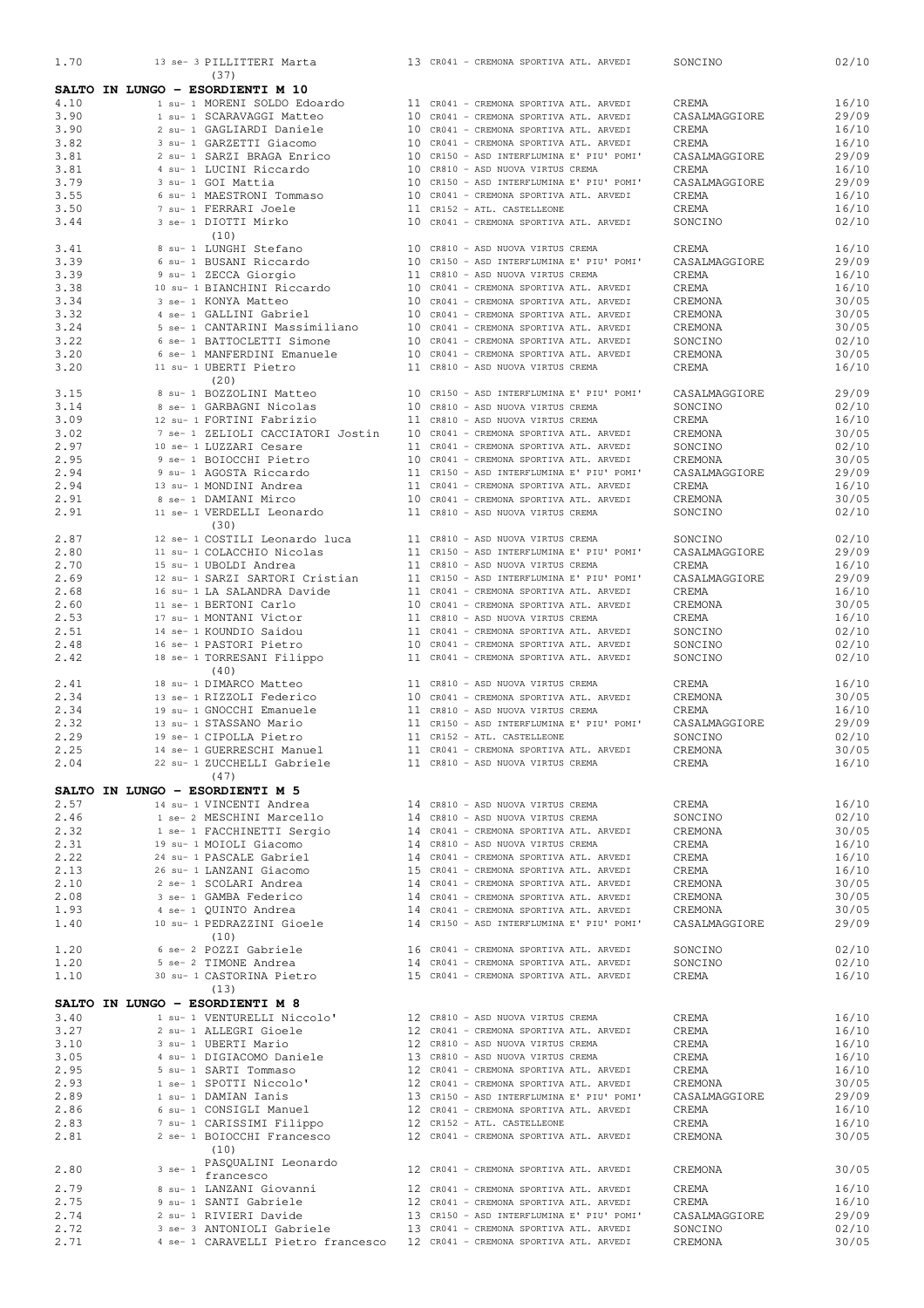| 1.70         |  |             | 13 se- 3 PILLITTERI Marta                                                  |  | 13 CR041 - CREMONA SPORTIVA ATL. ARVEDI                                            | SONCINO                | 02/10          |
|--------------|--|-------------|----------------------------------------------------------------------------|--|------------------------------------------------------------------------------------|------------------------|----------------|
|              |  |             | (37)                                                                       |  |                                                                                    |                        |                |
|              |  |             | SALTO IN LUNGO - ESORDIENTI M 10                                           |  |                                                                                    |                        |                |
| 4.10         |  |             | 1 su- 1 MORENI SOLDO Edoardo                                               |  | 11 CR041 - CREMONA SPORTIVA ATL. ARVEDI                                            | CREMA                  | 16/10          |
| 3.90         |  |             | 1 su- 1 SCARAVAGGI Matteo                                                  |  | 10 CR041 - CREMONA SPORTIVA ATL. ARVEDI                                            | CASALMAGGIORE          | 29/09          |
| 3.90<br>3.82 |  |             | 2 su- 1 GAGLIARDI Daniele                                                  |  | 10 CR041 - CREMONA SPORTIVA ATL. ARVEDI<br>10 CR041 - CREMONA SPORTIVA ATL. ARVEDI | CREMA<br>CREMA         | 16/10          |
| 3.81         |  |             | 3 su- 1 GARZETTI Giacomo<br>2 su- 1 SARZI BRAGA Enrico                     |  | 10 CR150 - ASD INTERFLUMINA E' PIU' POMI'                                          | CASALMAGGIORE          | 16/10<br>29/09 |
| 3.81         |  |             | 4 su- 1 LUCINI Riccardo                                                    |  | 10 CR810 - ASD NUOVA VIRTUS CREMA                                                  | CREMA                  | 16/10          |
| 3.79         |  |             | 3 su- 1 GOI Mattia                                                         |  | 10 CR150 - ASD INTERFLUMINA E' PIU' POMI'                                          | CASALMAGGIORE          | 29/09          |
| 3.55         |  |             | 6 su- 1 MAESTRONI Tommaso                                                  |  | 10 CR041 - CREMONA SPORTIVA ATL. ARVEDI                                            | CREMA                  | 16/10          |
| 3.50         |  |             | 7 su- 1 FERRARI Joele                                                      |  | 11 CR152 - ATL. CASTELLEONE                                                        | CREMA                  | 16/10          |
| 3.44         |  |             | 3 se- 1 DIOTTI Mirko                                                       |  | 10 CR041 - CREMONA SPORTIVA ATL. ARVEDI                                            | SONCINO                | 02/10          |
|              |  |             | (10)                                                                       |  |                                                                                    |                        |                |
| 3.41         |  |             | 8 su- 1 LUNGHI Stefano                                                     |  | 10 CR810 - ASD NUOVA VIRTUS CREMA                                                  | CREMA                  | 16/10          |
| 3.39         |  |             | 6 su- 1 BUSANI Riccardo                                                    |  | 10 CR150 - ASD INTERFLUMINA E' PIU' POMI'                                          | CASALMAGGIORE          | 29/09          |
| 3.39         |  |             | 9 su- 1 ZECCA Giorgio                                                      |  | 11 CR810 - ASD NUOVA VIRTUS CREMA                                                  | CREMA                  | 16/10          |
| 3.38         |  |             | 10 su- 1 BIANCHINI Riccardo                                                |  | 10 CR041 - CREMONA SPORTIVA ATL. ARVEDI                                            | CREMA                  | 16/10          |
| 3.34         |  |             | 3 se- 1 KONYA Matteo                                                       |  | 10 CR041 - CREMONA SPORTIVA ATL. ARVEDI                                            | CREMONA                | 30/05          |
| 3.32         |  |             | 4 se- 1 GALLINI Gabriel                                                    |  | 10 CR041 - CREMONA SPORTIVA ATL. ARVEDI                                            | CREMONA                | 30/05          |
| 3.24         |  |             | 5 se- 1 CANTARINI Massimiliano                                             |  | 10 CR041 - CREMONA SPORTIVA ATL. ARVEDI                                            | CREMONA                | 30/05          |
| 3.22         |  |             | 6 se- 1 BATTOCLETTI Simone                                                 |  | 10 CR041 - CREMONA SPORTIVA ATL. ARVEDI                                            | SONCINO                | 02/10          |
| 3.20         |  |             | 6 se- 1 MANFERDINI Emanuele                                                |  | 10 CR041 - CREMONA SPORTIVA ATL. ARVEDI                                            | CREMONA                | 30/05          |
| 3.20         |  |             | 11 su- 1 UBERTI Pietro                                                     |  | 11 CR810 - ASD NUOVA VIRTUS CREMA                                                  | CREMA                  | 16/10          |
|              |  |             | (20)                                                                       |  |                                                                                    |                        |                |
| 3.15         |  |             | 8 su- 1 BOZZOLINI Matteo                                                   |  | 10 CR150 - ASD INTERFLUMINA E' PIU' POMI'                                          | CASALMAGGIORE          | 29/09          |
| 3.14         |  |             | 8 se- 1 GARBAGNI Nicolas                                                   |  | 10 CR810 - ASD NUOVA VIRTUS CREMA                                                  | SONCINO                | 02/10          |
| 3.09         |  |             | 12 su- 1 FORTINI Fabrizio                                                  |  | 11 CR810 - ASD NUOVA VIRTUS CREMA<br>10 CR041 - CREMONA SPORTIVA ATL. ARVEDI       | CREMA                  | 16/10          |
| 3.02         |  |             | 7 se- 1 ZELIOLI CACCIATORI Jostin                                          |  |                                                                                    | CREMONA                | 30/05          |
| 2.97<br>2.95 |  |             | 10 se- 1 LUZZARI Cesare<br>9 se- 1 BOIOCCHI Pietro                         |  | 11 CR041 - CREMONA SPORTIVA ATL. ARVEDI<br>10 CR041 - CREMONA SPORTIVA ATL. ARVEDI | SONCINO<br>CREMONA     | 02/10<br>30/05 |
| 2.94         |  |             | 9 su- 1 AGOSTA Riccardo                                                    |  | 11 CR150 - ASD INTERFLUMINA E' PIU' POMI'                                          | CASALMAGGIORE          | 29/09          |
| 2.94         |  |             | 13 su- 1 MONDINI Andrea                                                    |  | 11 CR041 - CREMONA SPORTIVA ATL. ARVEDI                                            | CREMA                  | 16/10          |
| 2.91         |  |             | 8 se- 1 DAMIANI Mirco                                                      |  | 10 CR041 - CREMONA SPORTIVA ATL. ARVEDI                                            | CREMONA                | 30/05          |
| 2.91         |  |             | 11 se- 1 VERDELLI Leonardo                                                 |  | 11 CR810 - ASD NUOVA VIRTUS CREMA                                                  | SONCINO                | 02/10          |
|              |  |             | (30)                                                                       |  |                                                                                    |                        |                |
| 2.87         |  |             | 12 se- 1 COSTILI Leonardo luca                                             |  | 11 CR810 - ASD NUOVA VIRTUS CREMA                                                  | SONCINO                | 02/10          |
| 2.80         |  |             | 11 su- 1 COLACCHIO Nicolas                                                 |  | 11 CR150 - ASD INTERFLUMINA E' PIU' POMI'                                          | CASALMAGGIORE          | 29/09          |
| 2.70         |  |             | 15 su- 1 UBOLDI Andrea                                                     |  | 11 CR810 - ASD NUOVA VIRTUS CREMA                                                  | CREMA                  | 16/10          |
| 2.69         |  |             | 12 su- 1 SARZI SARTORI Cristian                                            |  | 11 CR150 - ASD INTERFLUMINA E' PIU' POMI'                                          | CASALMAGGIORE          | 29/09          |
| 2.68         |  |             | 16 su- 1 LA SALANDRA Davide                                                |  | 11 CR041 - CREMONA SPORTIVA ATL. ARVEDI                                            | CREMA                  | 16/10          |
| 2.60         |  |             | 11 se- 1 BERTONI Carlo                                                     |  | 10 CR041 - CREMONA SPORTIVA ATL. ARVEDI                                            | CREMONA                | 30/05          |
| 2.53         |  |             | 17 su- 1 MONTANI Victor                                                    |  | 11 CR810 - ASD NUOVA VIRTUS CREMA                                                  | CREMA                  | 16/10          |
| 2.51         |  |             | 14 se- 1 KOUNDIO Saidou                                                    |  | 11 CR041 - CREMONA SPORTIVA ATL. ARVEDI                                            | SONCINO                | 02/10          |
| 2.48         |  |             | 16 se- 1 PASTORI Pietro                                                    |  | 10 CR041 - CREMONA SPORTIVA ATL. ARVEDI                                            | SONCINO                | 02/10          |
| 2.42         |  |             | 18 se- 1 TORRESANI Filippo                                                 |  | 11 CR041 - CREMONA SPORTIVA ATL. ARVEDI                                            | SONCINO                | 02/10          |
|              |  |             | (40)                                                                       |  |                                                                                    |                        |                |
| 2.41         |  |             | 18 su- 1 DIMARCO Matteo                                                    |  | 11 CR810 - ASD NUOVA VIRTUS CREMA                                                  | CREMA                  | 16/10          |
| 2.34         |  |             | 13 se- 1 RIZZOLI Federico                                                  |  | 10 CR041 - CREMONA SPORTIVA ATL. ARVEDI                                            | CREMONA                | 30/05          |
| 2.34<br>2.32 |  |             | 19 su- 1 GNOCCHI Emanuele<br>13 su- 1 STASSANO Mario                       |  | 11 CR810 - ASD NUOVA VIRTUS CREMA<br>11 CR150 - ASD INTERFLUMINA E' PIU' POMI'     | CREMA<br>CASALMAGGIORE | 16/10<br>29/09 |
| 2.29         |  |             | 19 se- 1 CIPOLLA Pietro                                                    |  | 11 CR152 - ATL. CASTELLEONE                                                        | SONCINO                | 02/10          |
| 2.25         |  |             | 14 se- 1 GUERRESCHI Manuel                                                 |  | 11 CR041 - CREMONA SPORTIVA ATL. ARVEDI                                            | CREMONA                | 30/05          |
| 2.04         |  |             | 22 su- 1 ZUCCHELLI Gabriele                                                |  | 11 CR810 - ASD NUOVA VIRTUS CREMA                                                  | CREMA                  | 16/10          |
|              |  |             | (47)                                                                       |  |                                                                                    |                        |                |
|              |  |             | SALTO IN LUNGO - ESORDIENTI M 5                                            |  |                                                                                    |                        |                |
| 2.57         |  |             | 14 su- 1 VINCENTI Andrea                                                   |  | 14 CR810 - ASD NUOVA VIRTUS CREMA                                                  | CREMA                  | 16/10          |
| 2.46         |  |             | 1 se- 2 MESCHINI Marcello                                                  |  | 14 CR810 - ASD NUOVA VIRTUS CREMA                                                  | SONCINO                | 02/10          |
| 2.32         |  |             | 1 se- 1 FACCHINETTI Sergio                                                 |  | 14 CR041 - CREMONA SPORTIVA ATL. ARVEDI                                            | CREMONA                | 30/05          |
| 2.31         |  |             | 19 su- 1 MOIOLI Giacomo                                                    |  | 14 CR810 - ASD NUOVA VIRTUS CREMA                                                  | CREMA                  | 16/10          |
| 2.22         |  |             | 24 su- 1 PASCALE Gabriel                                                   |  | 14 CR041 - CREMONA SPORTIVA ATL. ARVEDI                                            | CREMA                  | 16/10          |
| 2.13         |  |             | 26 su- 1 LANZANI Giacomo                                                   |  | 15 CR041 - CREMONA SPORTIVA ATL. ARVEDI                                            | CREMA                  | 16/10          |
| 2.10         |  |             | 2 se- 1 SCOLARI Andrea                                                     |  | 14 CR041 - CREMONA SPORTIVA ATL. ARVEDI                                            | CREMONA                | 30/05          |
| 2.08         |  |             | 3 se- 1 GAMBA Federico                                                     |  | 14 CR041 - CREMONA SPORTIVA ATL. ARVEDI                                            | CREMONA                | 30/05          |
| 1.93         |  |             | 4 se- 1 QUINTO Andrea                                                      |  | 14 CR041 - CREMONA SPORTIVA ATL. ARVEDI                                            | CREMONA                | 30/05          |
| 1.40         |  |             | 10 su- 1 PEDRAZZINI Gioele                                                 |  | 14 CR150 - ASD INTERFLUMINA E' PIU' POMI'                                          | CASALMAGGIORE          | 29/09          |
|              |  |             | (10)                                                                       |  |                                                                                    |                        |                |
| 1.20         |  |             | 6 se- 2 POZZI Gabriele                                                     |  | 16 CR041 - CREMONA SPORTIVA ATL. ARVEDI<br>14 CR041 - CREMONA SPORTIVA ATL. ARVEDI | SONCINO                | 02/10          |
| 1.20         |  |             | 5 se- 2 TIMONE Andrea                                                      |  |                                                                                    | SONCINO                | 02/10          |
| 1.10         |  |             | 30 su- 1 CASTORINA Pietro                                                  |  | 15 CR041 - CREMONA SPORTIVA ATL. ARVEDI                                            | CREMA                  | 16/10          |
|              |  |             | (13)                                                                       |  |                                                                                    |                        |                |
|              |  |             | SALTO IN LUNGO - ESORDIENTI M 8                                            |  |                                                                                    |                        |                |
| 3.40         |  |             | 1 su- 1 VENTURELLI Niccolo' 12 CR810 - ASD NUOVA VIRTUS CREMA              |  | 12 CR041 - CREMONA SPORTIVA ATL. ARVEDI                                            | CREMA                  | 16/10          |
| 3.27<br>3.10 |  |             | 2 su- 1 ALLEGRI Gioele<br>3 su- 1 UBERTI Mario                             |  | 12 CR810 - ASD NUOVA VIRTUS CREMA                                                  | CREMA<br>CREMA         | 16/10          |
| 3.05         |  |             | 4 su- 1 DIGIACOMO Daniele                                                  |  | 13 CR810 - ASD NUOVA VIRTUS CREMA                                                  | CREMA                  | 16/10<br>16/10 |
| 2.95         |  |             | 5 su- 1 SARTI Tommaso                                                      |  | 12 CR041 - CREMONA SPORTIVA ATL. ARVEDI                                            | CREMA                  | 16/10          |
| 2.93         |  |             | 1 se- 1 SPOTTI Niccolo'                                                    |  | 12 CR041 - CREMONA SPORTIVA ATL. ARVEDI                                            | CREMONA                | 30/05          |
| 2.89         |  |             | 1 su- 1 DAMIAN Ianis                                                       |  | 13 CR150 - ASD INTERFLUMINA E' PIU' POMI'                                          | CASALMAGGIORE          | 29/09          |
| 2.86         |  |             | 6 su- 1 CONSIGLI Manuel                                                    |  | 12 CR041 - CREMONA SPORTIVA ATL. ARVEDI                                            | CREMA                  | 16/10          |
| 2.83         |  |             | 7 su- 1 CARISSIMI Filippo                                                  |  | 12 CR152 - ATL. CASTELLEONE                                                        | CREMA                  | 16/10          |
| 2.81         |  |             | 2 se- 1 BOIOCCHI Francesco                                                 |  | 12 CR041 - CREMONA SPORTIVA ATL. ARVEDI                                            | CREMONA                | 30/05          |
|              |  |             | (10)                                                                       |  |                                                                                    |                        |                |
|              |  | $3$ se- $1$ | PASQUALINI Leonardo                                                        |  | 12 CR041 - CREMONA SPORTIVA ATL. ARVEDI                                            |                        | 30/05          |
| 2.80         |  |             | francesco                                                                  |  |                                                                                    | CREMONA                |                |
| 2.79         |  |             | 8 su- 1 LANZANI Giovanni                                                   |  | 12 CR041 - CREMONA SPORTIVA ATL. ARVEDI                                            | CREMA                  | 16/10          |
| 2.75         |  |             | 9 su- 1 SANTI Gabriele                                                     |  | 12 CR041 - CREMONA SPORTIVA ATL. ARVEDI                                            | CREMA                  | 16/10          |
| 2.74         |  |             | 2 su- 1 RIVIERI Davide                                                     |  | 13 CR150 - ASD INTERFLUMINA E' PIU' POMI'                                          | CASALMAGGIORE          | 29/09          |
| 2.72         |  |             | 3 se- 3 ANTONIOLI Gabriele                                                 |  | 13 CR041 - CREMONA SPORTIVA ATL. ARVEDI                                            | SONCINO                | 02/10          |
| 2.71         |  |             | 4 se- 1 CARAVELLI Pietro francesco 12 CR041 - CREMONA SPORTIVA ATL. ARVEDI |  |                                                                                    | CREMONA                | 30/05          |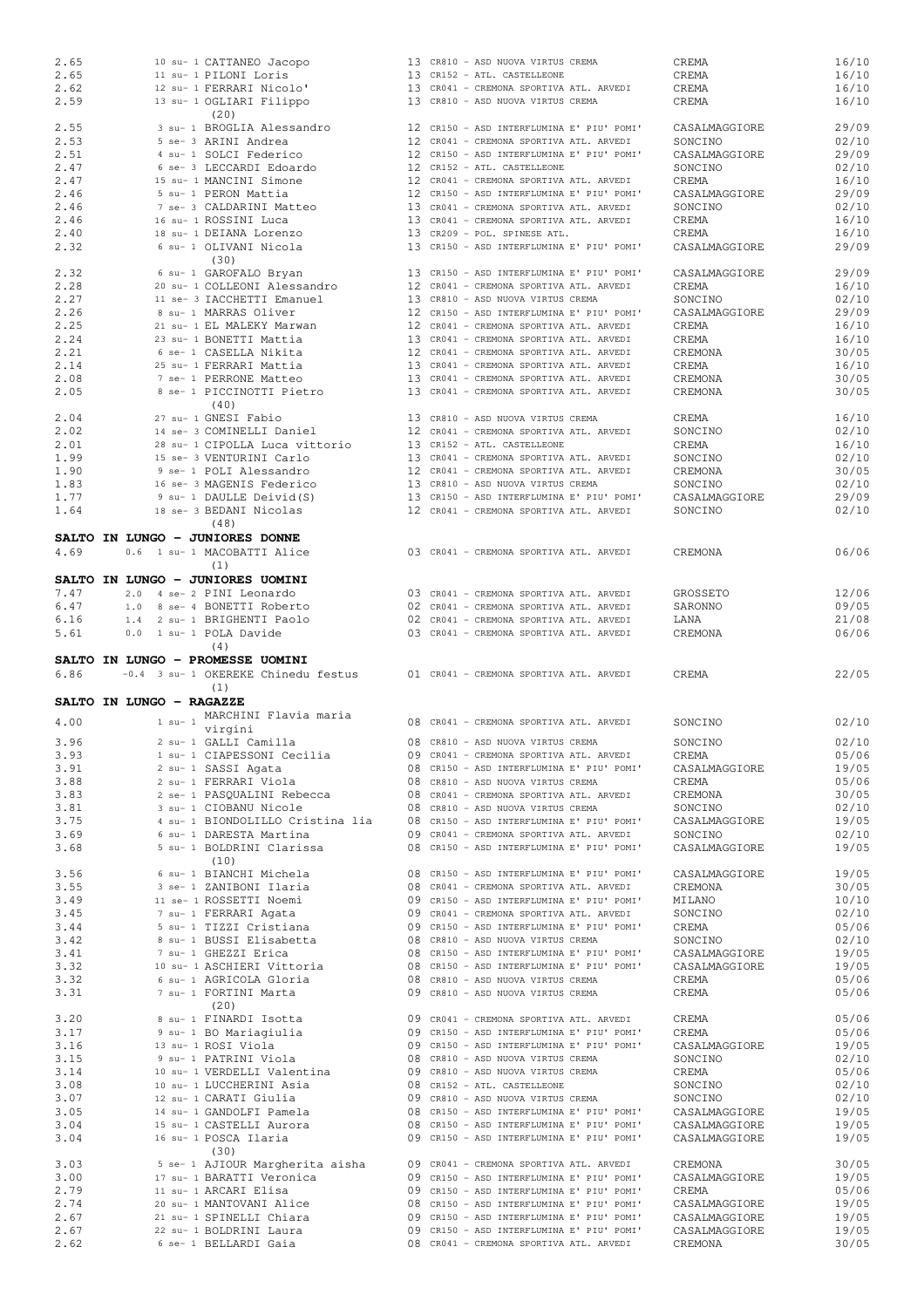| 2.65                     |  |             | 10 su- 1 CATTANEO Jacopo            |  | 13 CR810 - ASD NUOVA VIRTUS CREMA         | CREMA         | 16/10                   |
|--------------------------|--|-------------|-------------------------------------|--|-------------------------------------------|---------------|-------------------------|
| 2.65                     |  |             | 11 su- 1 PILONI Loris               |  | 13 CR152 - ATL. CASTELLEONE               | CREMA         | 16/10                   |
| 2.62                     |  |             | 12 su- 1 FERRARI Nicolo'            |  | 13 CR041 - CREMONA SPORTIVA ATL. ARVEDI   | CREMA         | 16/10                   |
| 2.59                     |  |             | 13 su- 1 OGLIARI Filippo            |  | 13 CR810 - ASD NUOVA VIRTUS CREMA         | CREMA         | 16/10                   |
|                          |  |             | (20)                                |  |                                           |               |                         |
|                          |  |             |                                     |  |                                           |               |                         |
| 2.55                     |  |             | 3 su- 1 BROGLIA Alessandro          |  | 12 CR150 - ASD INTERFLUMINA E' PIU' POMI' | CASALMAGGIORE | 29/09                   |
| 2.53                     |  |             | 5 se- 3 ARINI Andrea                |  | 12 CR041 - CREMONA SPORTIVA ATL. ARVEDI   | SONCINO       | 02/10                   |
| 2.51                     |  |             | 4 su- 1 SOLCI Federico              |  | 12 CR150 - ASD INTERFLUMINA E' PIU' POMI' | CASALMAGGIORE | 29/09                   |
| 2.47                     |  |             | 6 se- 3 LECCARDI Edoardo            |  | 12 CR152 - ATL. CASTELLEONE               | SONCINO       | 02/10                   |
| 2.47                     |  |             | 15 su- 1 MANCINI Simone             |  | 12 CR041 - CREMONA SPORTIVA ATL. ARVEDI   | CREMA         | 16/10                   |
| 2.46                     |  |             | 5 su- 1 PERON Mattia                |  | 12 CR150 - ASD INTERFLUMINA E' PIU' POMI' | CASALMAGGIORE | 29/09                   |
| 2.46                     |  |             | 7 se- 3 CALDARINI Matteo            |  | 13 CR041 - CREMONA SPORTIVA ATL. ARVEDI   | SONCINO       | 02/10                   |
|                          |  |             |                                     |  |                                           |               |                         |
| 2.46                     |  |             | 16 su- 1 ROSSINI Luca               |  | 13 CR041 - CREMONA SPORTIVA ATL. ARVEDI   | CREMA         | 16/10                   |
| 2.40                     |  |             | 18 su- 1 DEIANA Lorenzo             |  | 13 CR209 - POL. SPINESE ATL.              | CREMA         | 16/10                   |
| 2.32                     |  |             | 6 su- 1 OLIVANI Nicola              |  | 13 CR150 - ASD INTERFLUMINA E' PIU' POMI' | CASALMAGGIORE | 29/09                   |
|                          |  |             | (30)                                |  |                                           |               |                         |
| 2.32                     |  |             | 6 su- 1 GAROFALO Bryan              |  | 13 CR150 - ASD INTERFLUMINA E' PIU' POMI' | CASALMAGGIORE | 29/09                   |
| 2.28                     |  |             | 20 su- 1 COLLEONI Alessandro        |  | 12 CR041 - CREMONA SPORTIVA ATL. ARVEDI   | CREMA         | 16/10                   |
| 2.27                     |  |             | 11 se- 3 IACCHETTI Emanuel          |  | 13 CR810 - ASD NUOVA VIRTUS CREMA         | SONCINO       | 02/10                   |
| 2.26                     |  |             | 8 su- 1 MARRAS Oliver               |  | 12 CR150 - ASD INTERFLUMINA E' PIU' POMI' | CASALMAGGIORE | 29/09                   |
|                          |  |             |                                     |  |                                           |               |                         |
| 2.25                     |  |             | 21 su- 1 EL MALEKY Marwan           |  | 12 CR041 - CREMONA SPORTIVA ATL. ARVEDI   | CREMA         | 16/10                   |
| 2.24                     |  |             | 23 su- 1 BONETTI Mattia             |  | 13 CR041 - CREMONA SPORTIVA ATL. ARVEDI   | CREMA         | 16/10                   |
| 2.21                     |  |             | 6 se- 1 CASELLA Nikita              |  | 12 CR041 - CREMONA SPORTIVA ATL. ARVEDI   | CREMONA       | 30/05                   |
| 2.14                     |  |             | 25 su- 1 FERRARI Mattia             |  | 13 CR041 - CREMONA SPORTIVA ATL. ARVEDI   | CREMA         | 16/10                   |
| 2.08                     |  |             | 7 se- 1 PERRONE Matteo              |  | 13 CR041 - CREMONA SPORTIVA ATL. ARVEDI   | CREMONA       | 30/05                   |
| 2.05                     |  |             | 8 se- 1 PICCINOTTI Pietro           |  | 13 CR041 - CREMONA SPORTIVA ATL. ARVEDI   | CREMONA       | 30/05                   |
|                          |  |             | (40)                                |  |                                           |               |                         |
|                          |  |             |                                     |  |                                           |               |                         |
| 2.04                     |  |             | 27 su- 1 GNESI Fabio                |  | 13 CR810 - ASD NUOVA VIRTUS CREMA         | CREMA         | 16/10                   |
| 2.02                     |  |             | 14 se- 3 COMINELLI Daniel           |  | 12 CR041 - CREMONA SPORTIVA ATL. ARVEDI   | SONCINO       | 02/10                   |
| 2.01                     |  |             | 28 su- 1 CIPOLLA Luca vittorio      |  | 13 CR152 - ATL. CASTELLEONE               | CREMA         | 16/10                   |
| 1.99                     |  |             | 15 se- 3 VENTURINI Carlo            |  | 13 CR041 - CREMONA SPORTIVA ATL. ARVEDI   | SONCINO       | 02/10                   |
| 1.90                     |  |             | 9 se- 1 POLI Alessandro             |  | 12 CR041 - CREMONA SPORTIVA ATL. ARVEDI   | CREMONA       | 30/05                   |
| 1.83                     |  |             | 16 se- 3 MAGENIS Federico           |  | 13 CR810 - ASD NUOVA VIRTUS CREMA         | SONCINO       | 02/10                   |
| 1.77                     |  |             | 9 su- 1 DAULLE Deivid(S)            |  | 13 CR150 - ASD INTERFLUMINA E' PIU' POMI' | CASALMAGGIORE | 29/09                   |
|                          |  |             |                                     |  |                                           |               |                         |
| 1.64                     |  |             | 18 se- 3 BEDANI Nicolas             |  | 12 CR041 - CREMONA SPORTIVA ATL. ARVEDI   | SONCINO       | 02/10                   |
|                          |  |             | (48)                                |  |                                           |               |                         |
|                          |  |             | SALTO IN LUNGO - JUNIORES DONNE     |  |                                           |               |                         |
| 4.69                     |  |             | 0.6 1 su- 1 MACOBATTI Alice         |  | 03 CR041 - CREMONA SPORTIVA ATL. ARVEDI   | CREMONA       | 06/06                   |
|                          |  |             | (1)                                 |  |                                           |               |                         |
|                          |  |             | SALTO IN LUNGO - JUNIORES UOMINI    |  |                                           |               |                         |
| 7.47                     |  |             | 2.0 4 se- 2 PINI Leonardo           |  |                                           |               | 12/06                   |
|                          |  |             |                                     |  | 03 CR041 - CREMONA SPORTIVA ATL. ARVEDI   | GROSSETO      |                         |
| 6.47                     |  |             | 1.0 8 se- 4 BONETTI Roberto         |  | 02 CR041 - CREMONA SPORTIVA ATL. ARVEDI   | SARONNO       | 09/05                   |
| 6.16                     |  |             | 1.4 2 su- 1 BRIGHENTI Paolo         |  | 02 CR041 - CREMONA SPORTIVA ATL. ARVEDI   | LANA          | 21/08                   |
| 5.61                     |  |             | 0.0 1 su- 1 POLA Davide             |  | 03 CR041 - CREMONA SPORTIVA ATL. ARVEDI   | CREMONA       | 06/06                   |
|                          |  |             | (4)                                 |  |                                           |               |                         |
|                          |  |             |                                     |  |                                           |               |                         |
|                          |  |             |                                     |  |                                           |               |                         |
|                          |  |             | SALTO IN LUNGO - PROMESSE UOMINI    |  |                                           |               |                         |
| 6.86                     |  |             | -0.4 3 su- 1 OKEREKE Chinedu festus |  | 01 CR041 - CREMONA SPORTIVA ATL. ARVEDI   | CREMA         | 22/05                   |
|                          |  |             | (1)                                 |  |                                           |               |                         |
| SALTO IN LUNGO - RAGAZZE |  |             |                                     |  |                                           |               |                         |
|                          |  |             | MARCHINI Flavia maria               |  |                                           |               |                         |
| 4.00                     |  | $1$ su- $1$ | virgini                             |  | 08 CR041 - CREMONA SPORTIVA ATL. ARVEDI   | SONCINO       | 02/10                   |
| 3.96                     |  |             |                                     |  | 08 CR810 - ASD NUOVA VIRTUS CREMA         | SONCINO       | 02/10                   |
|                          |  |             | 2 su- 1 GALLI Camilla               |  |                                           |               |                         |
| 3.93                     |  |             | 1 su- 1 CIAPESSONI Cecilia          |  | 09 CR041 - CREMONA SPORTIVA ATL. ARVEDI   | CREMA         | 05/06                   |
| 3.91                     |  |             | 2 su- 1 SASSI Agata                 |  | 08 CR150 - ASD INTERFLUMINA E' PIU' POMI' | CASALMAGGIORE | 19/05                   |
| 3.88                     |  |             | 2 su- 1 FERRARI Viola               |  | 08 CR810 - ASD NUOVA VIRTUS CREMA         | CREMA         |                         |
| 3.83                     |  |             | 2 se- 1 PASQUALINI Rebecca          |  | 08 CR041 - CREMONA SPORTIVA ATL. ARVEDI   | CREMONA       | 30/05                   |
| 3.81                     |  |             | 3 su- 1 CIOBANU Nicole              |  | 08 CR810 - ASD NUOVA VIRTUS CREMA         | SONCINO       | 02/10                   |
| 3.75                     |  |             | 4 su- 1 BIONDOLILLO Cristina lia    |  | 08 CR150 - ASD INTERFLUMINA E' PIU' POMI' | CASALMAGGIORE |                         |
| 3.69                     |  |             | 6 su- 1 DARESTA Martina             |  | 09 CR041 - CREMONA SPORTIVA ATL. ARVEDI   | SONCINO       | 02/10                   |
|                          |  |             |                                     |  |                                           |               |                         |
| 3.68                     |  |             | 5 su- 1 BOLDRINI Clarissa           |  | 08 CR150 - ASD INTERFLUMINA E' PIU' POMI' | CASALMAGGIORE | 19/05                   |
|                          |  |             | (10)                                |  |                                           |               |                         |
| 3.56                     |  |             | 6 su- 1 BIANCHI Michela             |  | 08 CR150 - ASD INTERFLUMINA E' PIU' POMI' | CASALMAGGIORE | 19/05                   |
| 3.55                     |  |             | 3 se- 1 ZANIBONI Ilaria             |  | 08 CR041 - CREMONA SPORTIVA ATL. ARVEDI   | CREMONA       | 05/06<br>19/05<br>30/05 |
| 3.49                     |  |             | 11 se- 1 ROSSETTI Noemi             |  | 09 CR150 - ASD INTERFLUMINA E' PIU' POMI' | MILANO        | 10/10                   |
| 3.45                     |  |             | 7 su- 1 FERRARI Agata               |  | 09 CR041 - CREMONA SPORTIVA ATL. ARVEDI   | SONCINO       | 02/10                   |
| 3.44                     |  |             | 5 su- 1 TIZZI Cristiana             |  | 09 CR150 - ASD INTERFLUMINA E' PIU' POMI' | CREMA         | 05/06                   |
| 3.42                     |  |             | 8 su- 1 BUSSI Elisabetta            |  | 08 CR810 - ASD NUOVA VIRTUS CREMA         | SONCINO       | 02/10                   |
|                          |  |             |                                     |  |                                           |               |                         |
| 3.41                     |  |             | 7 su- 1 GHEZZI Erica                |  | 08 CR150 - ASD INTERFLUMINA E' PIU' POMI' | CASALMAGGIORE | 19/05                   |
| 3.32                     |  |             | 10 su- 1 ASCHIERI Vittoria          |  | 08 CR150 - ASD INTERFLUMINA E' PIU' POMI' | CASALMAGGIORE | 19/05                   |
| 3.32                     |  |             | 6 su- 1 AGRICOLA Gloria             |  | 08 CR810 - ASD NUOVA VIRTUS CREMA         | CREMA         | 05/06                   |
| 3.31                     |  |             | 7 su- 1 FORTINI Marta               |  | 09 CR810 - ASD NUOVA VIRTUS CREMA         | CREMA         | 05/06                   |
|                          |  |             | (20)                                |  |                                           |               |                         |
| 3.20                     |  |             | 8 su- 1 FINARDI Isotta              |  | 09 CR041 - CREMONA SPORTIVA ATL. ARVEDI   | CREMA         | 05/06                   |
| 3.17                     |  |             | 9 su- 1 BO Mariagiulia              |  | 09 CR150 - ASD INTERFLUMINA E' PIU' POMI' | CREMA         | 05/06                   |
| 3.16                     |  |             | 13 su- 1 ROSI Viola                 |  | 09 CR150 - ASD INTERFLUMINA E' PIU' POMI' | CASALMAGGIORE | 19/05                   |
|                          |  |             |                                     |  |                                           |               |                         |
| 3.15                     |  |             | 9 su- 1 PATRINI Viola               |  | 08 CR810 - ASD NUOVA VIRTUS CREMA         | SONCINO       | 02/10                   |
| 3.14                     |  |             | 10 su- 1 VERDELLI Valentina         |  | 09 CR810 - ASD NUOVA VIRTUS CREMA         | CREMA         | 05/06                   |
| 3.08                     |  |             | 10 su- 1 LUCCHERINI Asia            |  | 08 CR152 - ATL. CASTELLEONE               | SONCINO       | 02/10                   |
| 3.07                     |  |             | 12 su- 1 CARATI Giulia              |  | 09 CR810 - ASD NUOVA VIRTUS CREMA         | SONCINO       | 02/10                   |
| 3.05                     |  |             | 14 su- 1 GANDOLFI Pamela            |  | 08 CR150 - ASD INTERFLUMINA E' PIU' POMI' | CASALMAGGIORE | 19/05                   |
| 3.04                     |  |             | 15 su- 1 CASTELLI Aurora            |  | 08 CR150 - ASD INTERFLUMINA E' PIU' POMI' | CASALMAGGIORE | 19/05                   |
| 3.04                     |  |             | 16 su- 1 POSCA Ilaria               |  | 09 CR150 - ASD INTERFLUMINA E' PIU' POMI' | CASALMAGGIORE | 19/05                   |
|                          |  |             |                                     |  |                                           |               |                         |
|                          |  |             | (30)                                |  |                                           |               |                         |
| 3.03                     |  |             | 5 se- 1 AJIOUR Margherita aisha     |  | 09 CR041 - CREMONA SPORTIVA ATL. ARVEDI   | CREMONA       | 30/05                   |
| 3.00                     |  |             | 17 su- 1 BARATTI Veronica           |  | 09 CR150 - ASD INTERFLUMINA E' PIU' POMI' | CASALMAGGIORE | 19/05                   |
| 2.79                     |  |             | 11 su- 1 ARCARI Elisa               |  | 09 CR150 - ASD INTERFLUMINA E' PIU' POMI' | CREMA         | 05/06                   |
| 2.74                     |  |             | 20 su- 1 MANTOVANI Alice            |  | 08 CR150 - ASD INTERFLUMINA E' PIU' POMI' | CASALMAGGIORE | 19/05                   |
| 2.67                     |  |             | 21 su- 1 SPINELLI Chiara            |  | 09 CR150 - ASD INTERFLUMINA E' PIU' POMI' | CASALMAGGIORE | 19/05                   |
| 2.67                     |  |             | 22 su- 1 BOLDRINI Laura             |  | 09 CR150 - ASD INTERFLUMINA E' PIU' POMI' | CASALMAGGIORE | 19/05                   |
| 2.62                     |  |             | 6 se- 1 BELLARDI Gaia               |  | 08 CR041 - CREMONA SPORTIVA ATL. ARVEDI   | CREMONA       | 30/05                   |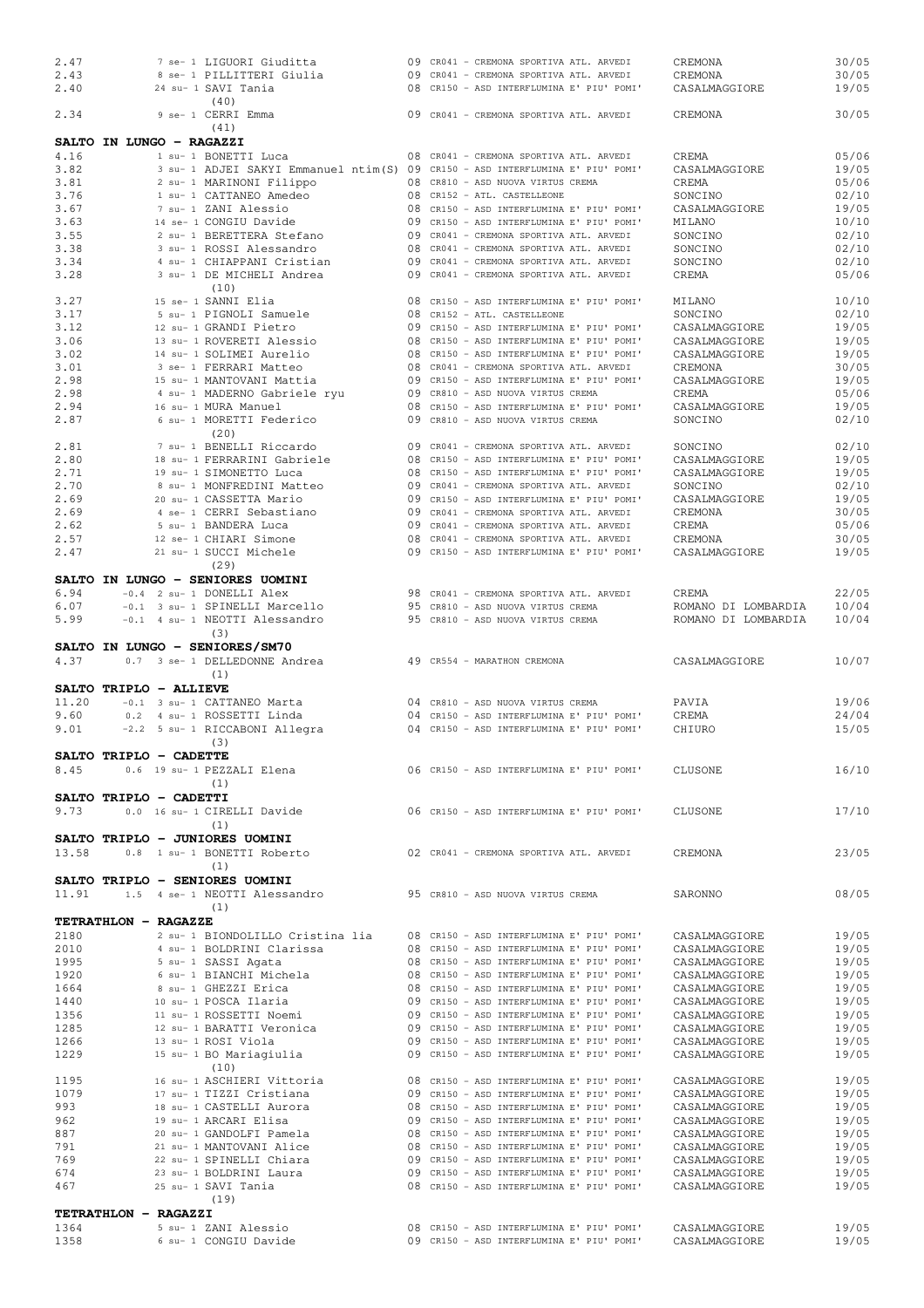| 2.47                     |     |  | 7 se- 1 LIGUORI Giuditta                                                       |  | 09 CR041 - CREMONA SPORTIVA ATL. ARVEDI   | CREMONA             | 30/05 |
|--------------------------|-----|--|--------------------------------------------------------------------------------|--|-------------------------------------------|---------------------|-------|
| 2.43                     |     |  | 8 se- 1 PILLITTERI Giulia                                                      |  | 09 CR041 - CREMONA SPORTIVA ATL. ARVEDI   | CREMONA             | 30/05 |
| 2.40                     |     |  | 24 su- 1 SAVI Tania                                                            |  | 08 CR150 - ASD INTERFLUMINA E' PIU' POMI' | CASALMAGGIORE       | 19/05 |
|                          |     |  | (40)                                                                           |  |                                           |                     |       |
| 2.34                     |     |  | 9 se- 1 CERRI Emma                                                             |  | 09 CR041 - CREMONA SPORTIVA ATL. ARVEDI   | CREMONA             | 30/05 |
|                          |     |  | (41)                                                                           |  |                                           |                     |       |
| SALTO IN LUNGO - RAGAZZI |     |  |                                                                                |  |                                           |                     |       |
| 4.16                     |     |  | 1 su- 1 BONETTI Luca                                                           |  | 08 CR041 - CREMONA SPORTIVA ATL. ARVEDI   | CREMA               | 05/06 |
| 3.82                     |     |  | 3 su- 1 ADJEI SAKYI Emmanuel ntim(S) 09 CR150 - ASD INTERFLUMINA E' PIU' POMI' |  |                                           | CASALMAGGIORE       | 19/05 |
| 3.81                     |     |  | 2 su- 1 MARINONI Filippo                                                       |  | 08 CR810 - ASD NUOVA VIRTUS CREMA         | CREMA               | 05/06 |
| 3.76                     |     |  | 1 su- 1 CATTANEO Amedeo                                                        |  | 08 CR152 - ATL. CASTELLEONE               | SONCINO             | 02/10 |
|                          |     |  |                                                                                |  |                                           |                     |       |
| 3.67                     |     |  | 7 su- 1 ZANI Alessio                                                           |  | 08 CR150 - ASD INTERFLUMINA E' PIU' POMI' | CASALMAGGIORE       | 19/05 |
| 3.63                     |     |  | 14 se- 1 CONGIU Davide                                                         |  | 09 CR150 - ASD INTERFLUMINA E' PIU' POMI' | MILANO              | 10/10 |
| 3.55                     |     |  | 2 su- 1 BERETTERA Stefano                                                      |  | 09 CR041 - CREMONA SPORTIVA ATL. ARVEDI   | SONCINO             | 02/10 |
| 3.38                     |     |  | 3 su- 1 ROSSI Alessandro                                                       |  | 08 CR041 - CREMONA SPORTIVA ATL. ARVEDI   | SONCINO             | 02/10 |
| 3.34                     |     |  | 4 su- 1 CHIAPPANI Cristian                                                     |  | 09 CR041 - CREMONA SPORTIVA ATL. ARVEDI   | SONCINO             | 02/10 |
| 3.28                     |     |  | 3 su- 1 DE MICHELI Andrea                                                      |  | 09 CR041 - CREMONA SPORTIVA ATL. ARVEDI   | CREMA               | 05/06 |
|                          |     |  | (10)                                                                           |  |                                           |                     |       |
| 3.27                     |     |  | 15 se- 1 SANNI Elia                                                            |  | 08 CR150 - ASD INTERFLUMINA E' PIU' POMI' | MILANO              | 10/10 |
| 3.17                     |     |  | 5 su- 1 PIGNOLI Samuele                                                        |  | 08 CR152 - ATL. CASTELLEONE               |                     |       |
|                          |     |  |                                                                                |  |                                           | SONCINO             | 02/10 |
| 3.12                     |     |  | 12 su- 1 GRANDI Pietro                                                         |  | 09 CR150 - ASD INTERFLUMINA E' PIU' POMI' | CASALMAGGIORE       | 19/05 |
| 3.06                     |     |  | 13 su- 1 ROVERETI Alessio                                                      |  | 08 CR150 - ASD INTERFLUMINA E' PIU' POMI' | CASALMAGGIORE       | 19/05 |
| 3.02                     |     |  | 14 su- 1 SOLIMEI Aurelio                                                       |  | 08 CR150 - ASD INTERFLUMINA E' PIU' POMI' | CASALMAGGIORE       | 19/05 |
| 3.01                     |     |  | 3 se- 1 FERRARI Matteo                                                         |  | 08 CR041 - CREMONA SPORTIVA ATL. ARVEDI   | CREMONA             | 30/05 |
| 2.98                     |     |  | 15 su- 1 MANTOVANI Mattia                                                      |  | 09 CR150 - ASD INTERFLUMINA E' PIU' POMI' | CASALMAGGIORE       | 19/05 |
| 2.98                     |     |  | 4 su- 1 MADERNO Gabriele ryu                                                   |  | 09 CR810 - ASD NUOVA VIRTUS CREMA         | CREMA               | 05/06 |
| 2.94                     |     |  | 16 su- 1 MURA Manuel                                                           |  | 08 CR150 - ASD INTERFLUMINA E' PIU' POMI' | CASALMAGGIORE       | 19/05 |
| 2.87                     |     |  | 6 su- 1 MORETTI Federico                                                       |  | 09 CR810 - ASD NUOVA VIRTUS CREMA         | SONCINO             | 02/10 |
|                          |     |  | (20)                                                                           |  |                                           |                     |       |
|                          |     |  |                                                                                |  |                                           |                     |       |
| 2.81                     |     |  | 7 su- 1 BENELLI Riccardo                                                       |  | 09 CR041 - CREMONA SPORTIVA ATL. ARVEDI   | SONCINO             | 02/10 |
| 2.80                     |     |  | 18 su- 1 FERRARINI Gabriele                                                    |  | 08 CR150 - ASD INTERFLUMINA E' PIU' POMI' | CASALMAGGIORE       | 19/05 |
| 2.71                     |     |  | 19 su- 1 SIMONETTO Luca                                                        |  | 08 CR150 - ASD INTERFLUMINA E' PIU' POMI' | CASALMAGGIORE       | 19/05 |
| 2.70                     |     |  | 8 su- 1 MONFREDINI Matteo                                                      |  | 09 CR041 - CREMONA SPORTIVA ATL. ARVEDI   | SONCINO             | 02/10 |
| 2.69                     |     |  | 20 su- 1 CASSETTA Mario                                                        |  | 09 CR150 - ASD INTERFLUMINA E' PIU' POMI' | CASALMAGGIORE       | 19/05 |
| 2.69                     |     |  | 4 se- 1 CERRI Sebastiano                                                       |  | 09 CR041 - CREMONA SPORTIVA ATL. ARVEDI   | CREMONA             | 30/05 |
| 2.62                     |     |  | 5 su- 1 BANDERA Luca                                                           |  | 09 CR041 - CREMONA SPORTIVA ATL. ARVEDI   | CREMA               | 05/06 |
| 2.57                     |     |  | 12 se- 1 CHIARI Simone                                                         |  | 08 CR041 - CREMONA SPORTIVA ATL. ARVEDI   | CREMONA             | 30/05 |
| 2.47                     |     |  | 21 su- 1 SUCCI Michele                                                         |  | 09 CR150 - ASD INTERFLUMINA E' PIU' POMI' | CASALMAGGIORE       | 19/05 |
|                          |     |  |                                                                                |  |                                           |                     |       |
|                          |     |  | (29)                                                                           |  |                                           |                     |       |
|                          |     |  | SALTO IN LUNGO - SENIORES UOMINI                                               |  |                                           |                     |       |
| 6.94                     |     |  | -0.4 2 su- 1 DONELLI Alex                                                      |  | 98 CR041 - CREMONA SPORTIVA ATL. ARVEDI   | CREMA               | 22/05 |
| 6.07                     |     |  | -0.1 3 su- 1 SPINELLI Marcello                                                 |  | 95 CR810 - ASD NUOVA VIRTUS CREMA         | ROMANO DI LOMBARDIA | 10/04 |
| 5.99                     |     |  | -0.1 4 su- 1 NEOTTI Alessandro                                                 |  | 95 CR810 - ASD NUOVA VIRTUS CREMA         | ROMANO DI LOMBARDIA | 10/04 |
|                          |     |  | (3)                                                                            |  |                                           |                     |       |
|                          |     |  |                                                                                |  |                                           |                     |       |
|                          |     |  |                                                                                |  |                                           |                     |       |
|                          |     |  | SALTO IN LUNGO - SENIORES/SM70                                                 |  |                                           |                     |       |
| 4.37                     |     |  | 0.7 3 se- 1 DELLEDONNE Andrea                                                  |  | 49 CR554 - MARATHON CREMONA               | CASALMAGGIORE       | 10/07 |
|                          |     |  | (1)                                                                            |  |                                           |                     |       |
| SALTO TRIPLO - ALLIEVE   |     |  |                                                                                |  |                                           |                     |       |
| 11.20                    |     |  | -0.1 3 su- 1 CATTANEO Marta                                                    |  | 04 CR810 - ASD NUOVA VIRTUS CREMA         | PAVIA               | 19/06 |
|                          |     |  |                                                                                |  |                                           |                     |       |
| 9.60                     |     |  | 0.2 4 su- 1 ROSSETTI Linda                                                     |  | 04 CR150 - ASD INTERFLUMINA E' PIU' POMI' | CREMA               | 24/04 |
| 9.01                     |     |  | -2.2 5 su- 1 RICCABONI Allegra                                                 |  | 04 CR150 - ASD INTERFLUMINA E' PIU' POMI' | CHIURO              | 15/05 |
|                          |     |  | (3)                                                                            |  |                                           |                     |       |
| SALTO TRIPLO - CADETTE   |     |  |                                                                                |  |                                           |                     |       |
| 8.45                     |     |  | 0.6 19 su- 1 PEZZALI Elena                                                     |  | 06 CR150 - ASD INTERFLUMINA E' PIU' POMI' | CLUSONE             | 16/10 |
|                          |     |  | (1)                                                                            |  |                                           |                     |       |
| SALTO TRIPLO - CADETTI   |     |  |                                                                                |  |                                           |                     |       |
| 9.73                     |     |  | 0.0 16 su- 1 CIRELLI Davide                                                    |  | 06 CR150 - ASD INTERFLUMINA E' PIU' POMI' | CLUSONE             | 17/10 |
|                          |     |  |                                                                                |  |                                           |                     |       |
|                          |     |  | (1)                                                                            |  |                                           |                     |       |
|                          |     |  | SALTO TRIPLO - JUNIORES UOMINI                                                 |  |                                           |                     |       |
| 13.58                    | 0.8 |  | 1 su- 1 BONETTI Roberto                                                        |  | 02 CR041 - CREMONA SPORTIVA ATL. ARVEDI   | CREMONA             | 23/05 |
|                          |     |  | (1)                                                                            |  |                                           |                     |       |
|                          |     |  | SALTO TRIPLO - SENIORES UOMINI                                                 |  |                                           |                     |       |
| 11.91                    |     |  | 1.5 4 se- 1 NEOTTI Alessandro                                                  |  | 95 CR810 - ASD NUOVA VIRTUS CREMA         | SARONNO             | 08/05 |
|                          |     |  | (1)                                                                            |  |                                           |                     |       |
| TETRATHLON - RAGAZZE     |     |  |                                                                                |  |                                           |                     |       |
|                          |     |  |                                                                                |  |                                           |                     |       |
| 2180                     |     |  | 2 su- 1 BIONDOLILLO Cristina lia                                               |  | 08 CR150 - ASD INTERFLUMINA E' PIU' POMI' | CASALMAGGIORE       | 19/05 |
| 2010                     |     |  | 4 su- 1 BOLDRINI Clarissa                                                      |  | 08 CR150 - ASD INTERFLUMINA E' PIU' POMI' | CASALMAGGIORE       | 19/05 |
| 1995                     |     |  | 5 su- 1 SASSI Agata                                                            |  | 08 CR150 - ASD INTERFLUMINA E' PIU' POMI' | CASALMAGGIORE       | 19/05 |
| 1920                     |     |  | 6 su- 1 BIANCHI Michela                                                        |  | 08 CR150 - ASD INTERFLUMINA E' PIU' POMI' | CASALMAGGIORE       | 19/05 |
| 1664                     |     |  | 8 su- 1 GHEZZI Erica                                                           |  | 08 CR150 - ASD INTERFLUMINA E' PIU' POMI' | CASALMAGGIORE       | 19/05 |
| 1440                     |     |  | 10 su- 1 POSCA Ilaria                                                          |  | 09 CR150 - ASD INTERFLUMINA E' PIU' POMI' | CASALMAGGIORE       | 19/05 |
| 1356                     |     |  | 11 su- 1 ROSSETTI Noemi                                                        |  | 09 CR150 - ASD INTERFLUMINA E' PIU' POMI' | CASALMAGGIORE       | 19/05 |
| 1285                     |     |  | 12 su- 1 BARATTI Veronica                                                      |  | 09 CR150 - ASD INTERFLUMINA E' PIU' POMI' | CASALMAGGIORE       | 19/05 |
| 1266                     |     |  | 13 su- 1 ROSI Viola                                                            |  | 09 CR150 - ASD INTERFLUMINA E' PIU' POMI' | CASALMAGGIORE       | 19/05 |
|                          |     |  |                                                                                |  |                                           |                     |       |
| 1229                     |     |  | 15 su- 1 BO Mariagiulia                                                        |  | 09 CR150 - ASD INTERFLUMINA E' PIU' POMI' | CASALMAGGIORE       | 19/05 |
|                          |     |  | (10)                                                                           |  |                                           |                     |       |
| 1195                     |     |  | 16 su- 1 ASCHIERI Vittoria                                                     |  | 08 CR150 - ASD INTERFLUMINA E' PIU' POMI' | CASALMAGGIORE       | 19/05 |
| 1079                     |     |  | 17 su- 1 TIZZI Cristiana                                                       |  | 09 CR150 - ASD INTERFLUMINA E' PIU' POMI' | CASALMAGGIORE       | 19/05 |
| 993                      |     |  | 18 su- 1 CASTELLI Aurora                                                       |  | 08 CR150 - ASD INTERFLUMINA E' PIU' POMI' | CASALMAGGIORE       | 19/05 |
| 962                      |     |  | 19 su- 1 ARCARI Elisa                                                          |  | 09 CR150 - ASD INTERFLUMINA E' PIU' POMI' | CASALMAGGIORE       | 19/05 |
| 887                      |     |  | 20 su- 1 GANDOLFI Pamela                                                       |  | 08 CR150 - ASD INTERFLUMINA E' PIU' POMI' | CASALMAGGIORE       | 19/05 |
| 791                      |     |  | 21 su- 1 MANTOVANI Alice                                                       |  | 08 CR150 - ASD INTERFLUMINA E' PIU' POMI' | CASALMAGGIORE       | 19/05 |
| 769                      |     |  | 22 su- 1 SPINELLI Chiara                                                       |  | 09 CR150 - ASD INTERFLUMINA E' PIU' POMI' | CASALMAGGIORE       | 19/05 |
| 674                      |     |  | 23 su- 1 BOLDRINI Laura                                                        |  | 09 CR150 - ASD INTERFLUMINA E' PIU' POMI' | CASALMAGGIORE       | 19/05 |
| 467                      |     |  | 25 su- 1 SAVI Tania                                                            |  |                                           |                     | 19/05 |
|                          |     |  |                                                                                |  | 08 CR150 - ASD INTERFLUMINA E' PIU' POMI' | CASALMAGGIORE       |       |
|                          |     |  | (19)                                                                           |  |                                           |                     |       |
| TETRATHLON - RAGAZZI     |     |  |                                                                                |  |                                           |                     |       |
| 1364                     |     |  | 5 su- 1 ZANI Alessio                                                           |  | 08 CR150 - ASD INTERFLUMINA E' PIU' POMI' | CASALMAGGIORE       | 19/05 |
| 1358                     |     |  | 6 su- 1 CONGIU Davide                                                          |  | 09 CR150 - ASD INTERFLUMINA E' PIU' POMI' | CASALMAGGIORE       | 19/05 |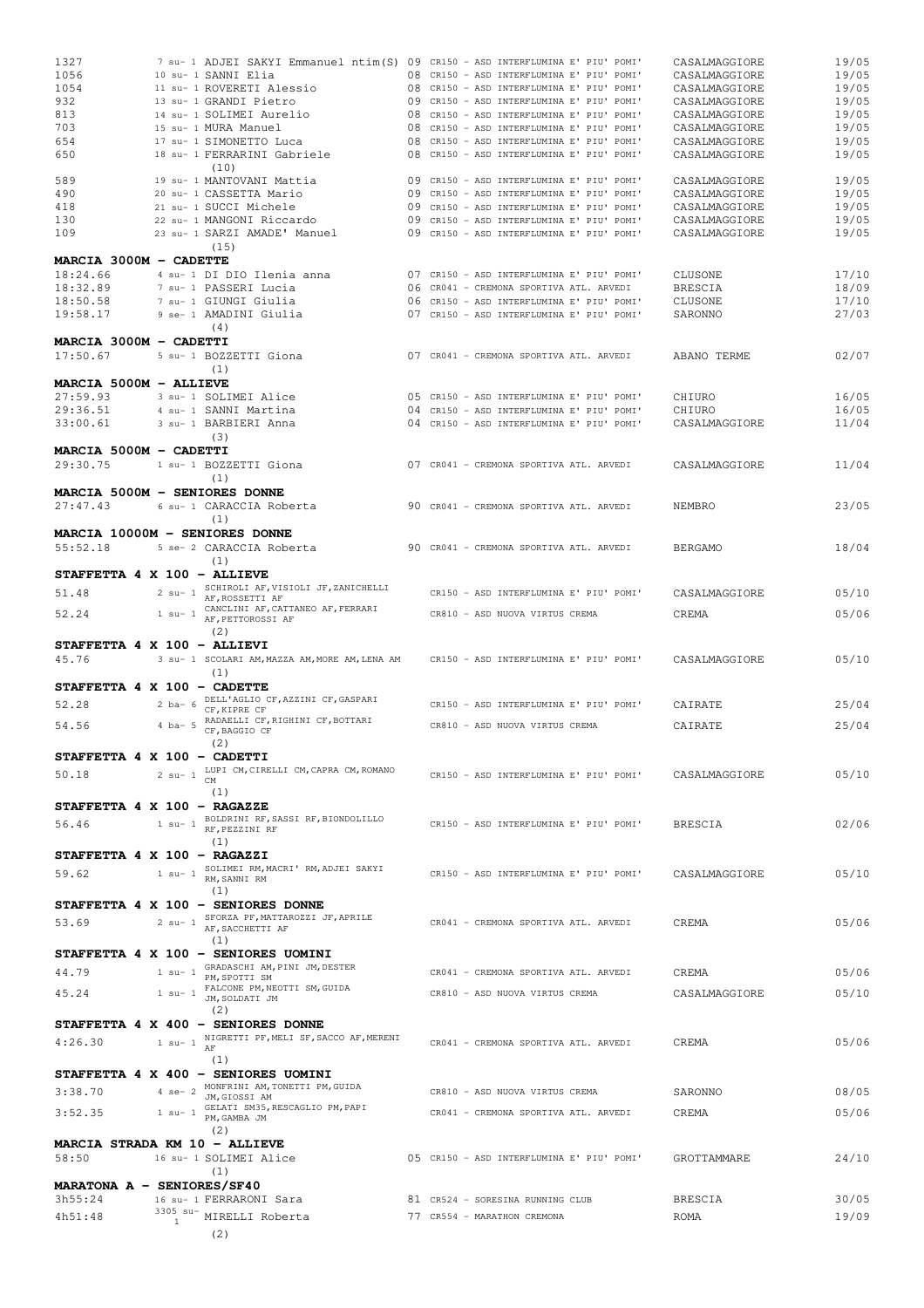| 1327                                 |                            | 7 su- 1 ADJEI SAKYI Emmanuel ntim(S) 09 CR150 - ASD INTERFLUMINA E' PIU' POMI' |  |                                                                                        | CASALMAGGIORE                  | 19/05          |
|--------------------------------------|----------------------------|--------------------------------------------------------------------------------|--|----------------------------------------------------------------------------------------|--------------------------------|----------------|
| 1056                                 |                            | 10 su- 1 SANNI Elia                                                            |  | 08 CR150 - ASD INTERFLUMINA E' PIU' POMI'                                              | CASALMAGGIORE                  | 19/05          |
| 1054                                 |                            | 11 su- 1 ROVERETI Alessio                                                      |  | 08 CR150 - ASD INTERFLUMINA E' PIU' POMI'                                              | CASALMAGGIORE                  | 19/05          |
| 932                                  |                            | 13 su- 1 GRANDI Pietro                                                         |  | 09 CR150 - ASD INTERFLUMINA E' PIU' POMI'                                              | CASALMAGGIORE                  | 19/05          |
| 813                                  |                            | 14 su- 1 SOLIMEI Aurelio                                                       |  | 08 CR150 - ASD INTERFLUMINA E' PIU' POMI'                                              | CASALMAGGIORE                  | 19/05          |
| 703                                  |                            | 15 su- 1 MURA Manuel                                                           |  | 08 CR150 - ASD INTERFLUMINA E' PIU' POMI'                                              | CASALMAGGIORE                  | 19/05          |
| 654                                  |                            | 17 su- 1 SIMONETTO Luca                                                        |  | 08 CR150 - ASD INTERFLUMINA E' PIU' POMI'                                              | CASALMAGGIORE                  | 19/05          |
| 650                                  |                            | 18 su- 1 FERRARINI Gabriele                                                    |  | 08 CR150 - ASD INTERFLUMINA E' PIU' POMI'                                              | CASALMAGGIORE                  | 19/05          |
|                                      |                            | (10)                                                                           |  |                                                                                        |                                |                |
| 589                                  |                            | 19 su- 1 MANTOVANI Mattia                                                      |  | 09 CR150 - ASD INTERFLUMINA E' PIU' POMI'                                              | CASALMAGGIORE                  | 19/05          |
| 490                                  |                            | 20 su- 1 CASSETTA Mario<br>21 su- 1 SUCCI Michele                              |  | 09 CR150 - ASD INTERFLUMINA E' PIU' POMI'<br>09 CR150 - ASD INTERFLUMINA E' PIU' POMI' | CASALMAGGIORE                  | 19/05<br>19/05 |
| 418<br>130                           |                            | 22 su- 1 MANGONI Riccardo                                                      |  | 09 CR150 - ASD INTERFLUMINA E' PIU' POMI'                                              | CASALMAGGIORE<br>CASALMAGGIORE | 19/05          |
| 109                                  |                            | 23 su- 1 SARZI AMADE' Manuel                                                   |  | 09 CR150 - ASD INTERFLUMINA E' PIU' POMI'                                              | CASALMAGGIORE                  | 19/05          |
|                                      |                            | (15)                                                                           |  |                                                                                        |                                |                |
| MARCIA 3000M - CADETTE               |                            |                                                                                |  |                                                                                        |                                |                |
| 18:24.66                             |                            | 4 su- 1 DI DIO Ilenia anna                                                     |  | 07 CR150 - ASD INTERFLUMINA E' PIU' POMI'                                              | CLUSONE                        | 17/10          |
| 18:32.89                             |                            | 7 su- 1 PASSERI Lucia                                                          |  | 06 CR041 - CREMONA SPORTIVA ATL. ARVEDI                                                | <b>BRESCIA</b>                 | 18/09          |
| 18:50.58                             |                            | 7 su- 1 GIUNGI Giulia                                                          |  | 06 CR150 - ASD INTERFLUMINA E' PIU' POMI'                                              | CLUSONE                        | 17/10          |
| 19:58.17                             |                            | 9 se- 1 AMADINI Giulia                                                         |  | 07 CR150 - ASD INTERFLUMINA E' PIU' POMI'                                              | SARONNO                        | 27/03          |
|                                      |                            | (4)                                                                            |  |                                                                                        |                                |                |
| MARCIA 3000M - CADETTI               |                            |                                                                                |  |                                                                                        |                                |                |
| 17:50.67                             |                            | 5 su- 1 BOZZETTI Giona                                                         |  | 07 CR041 - CREMONA SPORTIVA ATL. ARVEDI                                                | ABANO TERME                    | 02/07          |
|                                      |                            | (1)                                                                            |  |                                                                                        |                                |                |
| MARCIA 5000M - ALLIEVE               |                            |                                                                                |  |                                                                                        |                                |                |
| 27:59.93                             |                            | 3 su- 1 SOLIMEI Alice                                                          |  | 05 CR150 - ASD INTERFLUMINA E' PIU' POMI'                                              | CHIURO                         | 16/05          |
| 29:36.51                             |                            | 4 su- 1 SANNI Martina                                                          |  | 04 CR150 - ASD INTERFLUMINA E' PIU' POMI'                                              | CHIURO                         | 16/05          |
| 33:00.61                             |                            | 3 su- 1 BARBIERI Anna                                                          |  | 04 CR150 - ASD INTERFLUMINA E' PIU' POMI'                                              | CASALMAGGIORE                  | 11/04          |
|                                      |                            | (3)                                                                            |  |                                                                                        |                                |                |
| MARCIA 5000M - CADETTI               |                            |                                                                                |  |                                                                                        |                                |                |
| 29:30.75                             |                            | 1 su- 1 BOZZETTI Giona                                                         |  | 07 CR041 - CREMONA SPORTIVA ATL. ARVEDI                                                | CASALMAGGIORE                  | 11/04          |
|                                      |                            | (1)                                                                            |  |                                                                                        |                                |                |
| MARCIA 5000M - SENIORES DONNE        |                            |                                                                                |  |                                                                                        |                                |                |
| 27:47.43                             |                            | 6 su- 1 CARACCIA Roberta                                                       |  | 90 CR041 - CREMONA SPORTIVA ATL. ARVEDI                                                | NEMBRO                         | 23/05          |
|                                      |                            | (1)                                                                            |  |                                                                                        |                                |                |
| MARCIA 10000M - SENIORES DONNE       |                            |                                                                                |  |                                                                                        |                                |                |
| 55:52.18                             |                            | 5 se- 2 CARACCIA Roberta                                                       |  | 90 CR041 - CREMONA SPORTIVA ATL. ARVEDI                                                | <b>BERGAMO</b>                 | 18/04          |
|                                      |                            | (1)                                                                            |  |                                                                                        |                                |                |
| STAFFETTA 4 X 100 - ALLIEVE          |                            |                                                                                |  |                                                                                        |                                |                |
| 51.48                                | $2$ su- $1$                | SCHIROLI AF, VISIOLI JF, ZANICHELLI<br>AF, ROSSETTI AF                         |  | CR150 - ASD INTERFLUMINA E' PIU' POMI'                                                 | CASALMAGGIORE                  | 05/10          |
|                                      |                            | CANCLINI AF, CATTANEO AF, FERRARI                                              |  |                                                                                        |                                |                |
| 52.24                                | $1$ su- $1$                | AF, PETTOROSSI AF                                                              |  | CR810 - ASD NUOVA VIRTUS CREMA                                                         | CREMA                          | 05/06          |
|                                      |                            | (2)                                                                            |  |                                                                                        |                                |                |
| STAFFETTA 4 X 100 - ALLIEVI          |                            |                                                                                |  |                                                                                        |                                |                |
| 45.76                                |                            | 3 su- 1 SCOLARI AM, MAZZA AM, MORE AM, LENA AM                                 |  | CR150 - ASD INTERFLUMINA E' PIU' POMI'                                                 | CASALMAGGIORE                  | 05/10          |
|                                      |                            | (1)                                                                            |  |                                                                                        |                                |                |
| STAFFETTA 4 X 100 - CADETTE          |                            |                                                                                |  |                                                                                        |                                |                |
| 52.28                                | $2$ ba- $6$                | DELL'AGLIO CF, AZZINI CF, GASPARI<br>CF, KIPRE CF                              |  | CR150 - ASD INTERFLUMINA E' PIU' POMI'                                                 | CAIRATE                        | 25/04          |
|                                      |                            | RADAELLI CF, RIGHINI CF, BOTTARI                                               |  |                                                                                        |                                |                |
| 54.56                                | $4$ ba- $5$                | CF, BAGGIO CF                                                                  |  | CR810 - ASD NUOVA VIRTUS CREMA                                                         | CAIRATE                        | 25/04          |
|                                      |                            | (2)                                                                            |  |                                                                                        |                                |                |
|                                      |                            |                                                                                |  |                                                                                        |                                |                |
| STAFFETTA 4 X 100 - CADETTI          |                            |                                                                                |  |                                                                                        |                                |                |
| 50.18                                | $2$ su- $1$                | LUPI CM, CIRELLI CM, CAPRA CM, ROMANO                                          |  | CR150 - ASD INTERFLUMINA E' PIU' POMI'                                                 | CASALMAGGIORE                  | 05/10          |
|                                      |                            | CM.                                                                            |  |                                                                                        |                                |                |
|                                      |                            | (1)                                                                            |  |                                                                                        |                                |                |
| STAFFETTA 4 X 100 - RAGAZZE          |                            |                                                                                |  |                                                                                        |                                |                |
| 56.46                                | $1$ su- $1$                | BOLDRINI RF, SASSI RF, BIONDOLILLO<br>RF, PEZZINI RF                           |  | CR150 - ASD INTERFLUMINA E' PIU' POMI'                                                 | <b>BRESCIA</b>                 | 02/06          |
|                                      |                            | (1)                                                                            |  |                                                                                        |                                |                |
| STAFFETTA 4 X 100 - RAGAZZI          |                            |                                                                                |  |                                                                                        |                                |                |
| 59.62                                | $1$ su- $1$                | SOLIMEI RM, MACRI' RM, ADJEI SAKYI                                             |  | CR150 - ASD INTERFLUMINA E' PIU' POMI'                                                 | CASALMAGGIORE                  | 05/10          |
|                                      |                            | RM. SANNI RM                                                                   |  |                                                                                        |                                |                |
|                                      |                            | (1)                                                                            |  |                                                                                        |                                |                |
|                                      |                            | STAFFETTA 4 X 100 - SENIORES DONNE                                             |  |                                                                                        |                                |                |
| 53.69                                | $2$ su- $1$                | SFORZA PF, MATTAROZZI JF, APRILE<br>AF, SACCHETTI AF                           |  | CR041 - CREMONA SPORTIVA ATL. ARVEDI                                                   | CREMA                          | 05/06          |
|                                      |                            | (1)                                                                            |  |                                                                                        |                                |                |
|                                      |                            | STAFFETTA 4 X 100 - SENIORES UOMINI                                            |  |                                                                                        |                                |                |
|                                      | $1$ su- $1$                | GRADASCHI AM, PINI JM, DESTER                                                  |  |                                                                                        |                                |                |
| 44.79                                |                            | PM, SPOTTI SM                                                                  |  | CR041 - CREMONA SPORTIVA ATL. ARVEDI                                                   | CREMA                          | 05/06          |
| 45.24                                | $1$ su- $1$                | FALCONE PM, NEOTTI SM, GUIDA<br>JM, SOLDATI JM                                 |  | CR810 - ASD NUOVA VIRTUS CREMA                                                         | CASALMAGGIORE                  | 05/10          |
|                                      |                            | (2)                                                                            |  |                                                                                        |                                |                |
|                                      |                            | STAFFETTA 4 X 400 - SENIORES DONNE                                             |  |                                                                                        |                                |                |
| 4:26.30                              | $1$ su- $1$                | NIGRETTI PF, MELI SF, SACCO AF, MERENI                                         |  | CR041 - CREMONA SPORTIVA ATL. ARVEDI                                                   | CREMA                          | 05/06          |
|                                      |                            | AF                                                                             |  |                                                                                        |                                |                |
|                                      |                            | (1)                                                                            |  |                                                                                        |                                |                |
|                                      |                            | STAFFETTA 4 X 400 - SENIORES UOMINI                                            |  |                                                                                        |                                |                |
| 3:38.70                              | $4$ se- $2$                | MONFRINI AM, TONETTI PM, GUIDA<br>JM, GIOSSI AM                                |  | CR810 - ASD NUOVA VIRTUS CREMA                                                         | SARONNO                        | 08/05          |
| 3:52.35                              | $1$ su- $1$                | GELATI SM35, RESCAGLIO PM, PAPI                                                |  | CR041 - CREMONA SPORTIVA ATL. ARVEDI                                                   | CREMA                          | 05/06          |
|                                      |                            | PM, GAMBA JM                                                                   |  |                                                                                        |                                |                |
|                                      |                            | (2)                                                                            |  |                                                                                        |                                |                |
| <b>MARCIA STRADA KM 10 - ALLIEVE</b> |                            |                                                                                |  |                                                                                        |                                |                |
| 58:50                                |                            | 16 su- 1 SOLIMEI Alice                                                         |  | 05 CR150 - ASD INTERFLUMINA E' PIU' POMI'                                              | GROTTAMMARE                    | 24/10          |
|                                      |                            | (1)                                                                            |  |                                                                                        |                                |                |
| MARATONA A - SENIORES/SF40           |                            |                                                                                |  |                                                                                        |                                |                |
| 3h55:24                              |                            | 16 su- 1 FERRARONI Sara                                                        |  | 81 CR524 - SORESINA RUNNING CLUB                                                       | <b>BRESCIA</b>                 | 30/05          |
| 4h51:48                              | $3305$ su-<br>$\mathbf{1}$ | MIRELLI Roberta<br>(2)                                                         |  | 77 CR554 - MARATHON CREMONA                                                            | ROMA                           | 19/09          |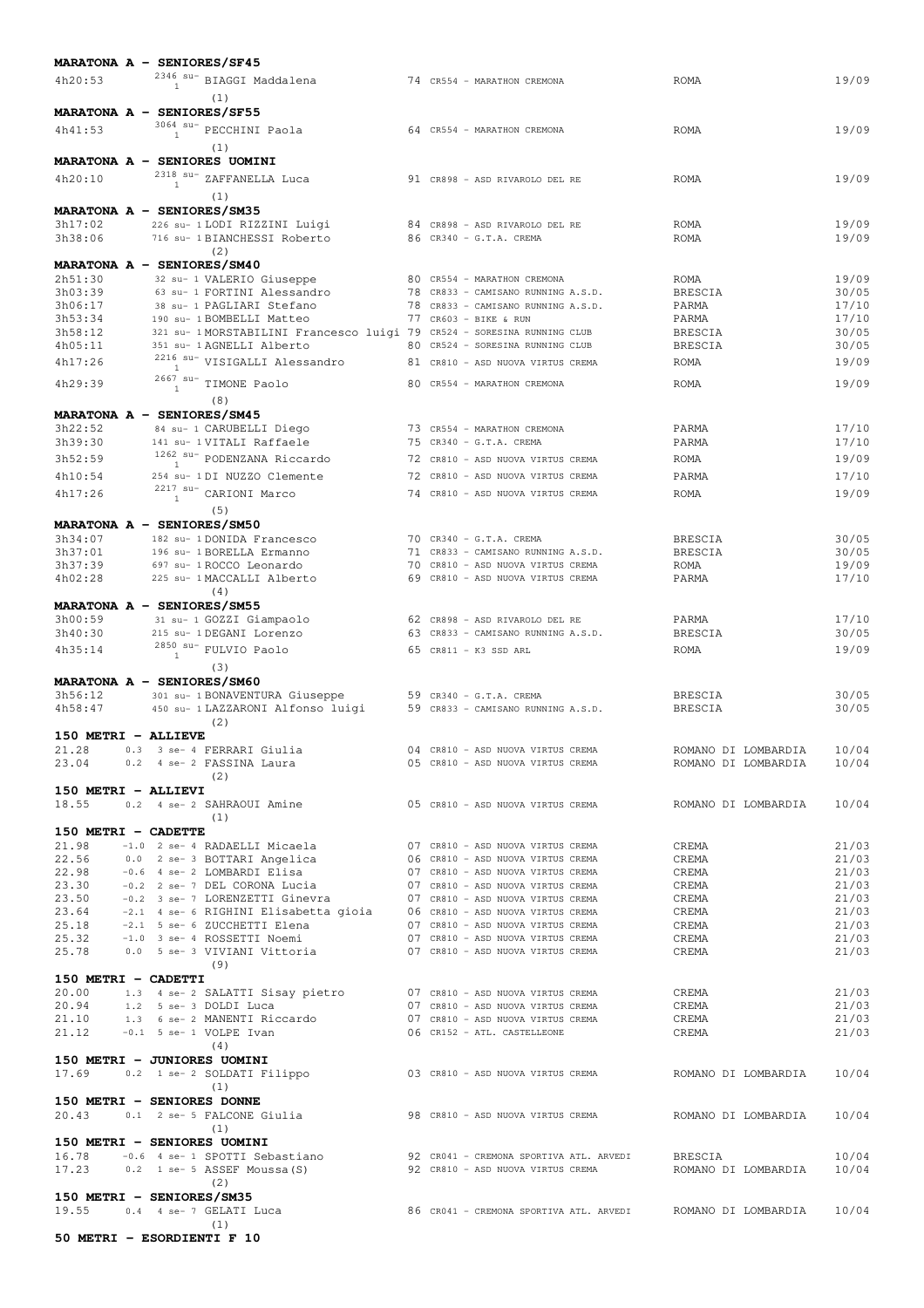| MARATONA A - SENIORES/SF45                                                                                                                                                                                                          |                                                                         |                                                                                                       |                        |                     |                |
|-------------------------------------------------------------------------------------------------------------------------------------------------------------------------------------------------------------------------------------|-------------------------------------------------------------------------|-------------------------------------------------------------------------------------------------------|------------------------|---------------------|----------------|
| $^{2346}$ su- BIAGGI Maddalena<br>4h20:53                                                                                                                                                                                           |                                                                         | 74 CR554 - MARATHON CREMONA                                                                           | <b>ROMA</b>            |                     | 19/09          |
| $\mathbf{1}$                                                                                                                                                                                                                        |                                                                         |                                                                                                       |                        |                     |                |
| (1)<br>MARATONA A - SENIORES/SF55                                                                                                                                                                                                   |                                                                         |                                                                                                       |                        |                     |                |
|                                                                                                                                                                                                                                     |                                                                         |                                                                                                       |                        |                     |                |
| $3064$ su- PECCHINI Paola<br>4h41:53                                                                                                                                                                                                |                                                                         | 64 CR554 - MARATHON CREMONA                                                                           | ROMA                   |                     | 19/09          |
| (1)                                                                                                                                                                                                                                 |                                                                         |                                                                                                       |                        |                     |                |
| MARATONA A - SENIORES UOMINI                                                                                                                                                                                                        |                                                                         |                                                                                                       |                        |                     |                |
| $^{2318}$ $^{\mathrm{su-}}$ ZAFFANELLA Luca<br>4h20:10<br>$\mathbf{1}$                                                                                                                                                              |                                                                         | 91 CR898 - ASD RIVAROLO DEL RE                                                                        | ROMA                   |                     | 19/09          |
| (1)                                                                                                                                                                                                                                 |                                                                         |                                                                                                       |                        |                     |                |
| MARATONA A - SENIORES/SM35                                                                                                                                                                                                          |                                                                         |                                                                                                       |                        |                     |                |
| 3h17:02<br>226 su- 1 LODI RIZZINI Luigi                                                                                                                                                                                             |                                                                         | 84 CR898 - ASD RIVAROLO DEL RE                                                                        | <b>ROMA</b>            |                     | 19/09          |
| 3h38:06<br>716 su- 1 BIANCHESSI Roberto                                                                                                                                                                                             |                                                                         | 86 CR340 - G.T.A. CREMA                                                                               | <b>ROMA</b>            |                     | 19/09          |
| (2)                                                                                                                                                                                                                                 |                                                                         |                                                                                                       |                        |                     |                |
| MARATONA A - SENIORES/SM40                                                                                                                                                                                                          |                                                                         |                                                                                                       |                        |                     |                |
| 2h51:30<br>32 su- 1 VALERIO Giuseppe<br>3h03:39<br>63 su- 1 FORTINI Alessandro                                                                                                                                                      |                                                                         | 80 CR554 - MARATHON CREMONA<br>78 CR833 - CAMISANO RUNNING A.S.D.                                     | ROMA<br><b>BRESCIA</b> |                     | 19/09<br>30/05 |
| 3h06:17<br>38 su- 1 PAGLIARI Stefano                                                                                                                                                                                                |                                                                         | 78 CR833 - CAMISANO RUNNING A.S.D.                                                                    | PARMA                  |                     | 17/10          |
| 3h53:34<br>190 su- 1 BOMBELLI Matteo                                                                                                                                                                                                |                                                                         | 77 CR603 - BIKE & RUN                                                                                 | PARMA                  |                     | 17/10          |
| 3h58:12                                                                                                                                                                                                                             | 321 su- 1 MORSTABILINI Francesco luigi 79 CR524 - SORESINA RUNNING CLUB |                                                                                                       | BRESCIA                |                     | 30/05          |
| 4h05:11<br>351 su- 1 AGNELLI Alberto                                                                                                                                                                                                |                                                                         | 80 CR524 - SORESINA RUNNING CLUB                                                                      | <b>BRESCIA</b>         |                     | 30/05          |
| $^{2216}$ $^{\mathrm{su-}}$ VISIGALLI Alessandro<br>4h17:26                                                                                                                                                                         |                                                                         | 81 CR810 - ASD NUOVA VIRTUS CREMA                                                                     | ROMA                   |                     | 19/09          |
| <sup>1</sup>                                                                                                                                                                                                                        |                                                                         |                                                                                                       |                        |                     |                |
| $2667$ su- TIMONE Paolo<br>4h29:39                                                                                                                                                                                                  |                                                                         | 80 CR554 - MARATHON CREMONA                                                                           | <b>ROMA</b>            |                     | 19/09          |
| (8)                                                                                                                                                                                                                                 |                                                                         |                                                                                                       |                        |                     |                |
| MARATONA A - SENIORES/SM45                                                                                                                                                                                                          |                                                                         |                                                                                                       |                        |                     |                |
| 3h22:52<br>84 su- 1 CARUBELLI Diego                                                                                                                                                                                                 |                                                                         | 73 CR554 - MARATHON CREMONA                                                                           | PARMA                  |                     | 17/10          |
| 3h39:30<br>141 su- 1 VITALI Raffaele                                                                                                                                                                                                |                                                                         | 75 CR340 - G.T.A. CREMA                                                                               | PARMA                  |                     | 17/10          |
| $1262$ su- PODENZANA Riccardo<br>3h52:59<br>$\mathbf{1}$                                                                                                                                                                            |                                                                         | 72 CR810 - ASD NUOVA VIRTUS CREMA                                                                     | ROMA                   |                     | 19/09          |
| 4h10:54<br>254 su- 1DI NUZZO Clemente                                                                                                                                                                                               |                                                                         | 72 CR810 - ASD NUOVA VIRTUS CREMA                                                                     | PARMA                  |                     | 17/10          |
| $2217$ su- CARIONI Marco<br>4h17:26                                                                                                                                                                                                 |                                                                         | 74 CR810 - ASD NUOVA VIRTUS CREMA                                                                     | ROMA                   |                     | 19/09          |
| (5)                                                                                                                                                                                                                                 |                                                                         |                                                                                                       |                        |                     |                |
| MARATONA A - SENIORES/SM50                                                                                                                                                                                                          |                                                                         |                                                                                                       |                        |                     |                |
| 3h34:07<br>182 su- 1 DONIDA Francesco                                                                                                                                                                                               |                                                                         | 70 CR340 - G.T.A. CREMA                                                                               | <b>BRESCIA</b>         |                     | 30/05          |
| 3h37:01<br>196 su- 1 BORELLA Ermanno                                                                                                                                                                                                |                                                                         | 71 CR833 - CAMISANO RUNNING A.S.D.                                                                    | <b>BRESCIA</b>         |                     | 30/05          |
| 3h37:39<br>697 su- 1 ROCCO Leonardo                                                                                                                                                                                                 |                                                                         | 70 CR810 - ASD NUOVA VIRTUS CREMA                                                                     | <b>ROMA</b>            |                     | 19/09          |
| 4h02:28<br>225 su- 1 MACCALLI Alberto                                                                                                                                                                                               |                                                                         | 69 CR810 - ASD NUOVA VIRTUS CREMA                                                                     | PARMA                  |                     | 17/10          |
| (4)                                                                                                                                                                                                                                 |                                                                         |                                                                                                       |                        |                     |                |
| MARATONA A - SENIORES/SM55                                                                                                                                                                                                          |                                                                         |                                                                                                       |                        |                     |                |
| 3h00:59<br>31 su- 1 GOZZI Giampaolo                                                                                                                                                                                                 |                                                                         | 62 CR898 - ASD RIVAROLO DEL RE                                                                        | PARMA                  |                     | 17/10          |
| 3h40:30<br>215 su- 1 DEGANI Lorenzo                                                                                                                                                                                                 |                                                                         | 63 CR833 - CAMISANO RUNNING A.S.D.                                                                    | <b>BRESCIA</b>         |                     | 30/05          |
| $^{2850}$ $^{\mathrm{su-}}$ FULVIO Paolo<br>4h35:14<br>$\overline{1}$                                                                                                                                                               |                                                                         | 65 CR811 - K3 SSD ARL                                                                                 | <b>ROMA</b>            |                     | 19/09          |
| (3)                                                                                                                                                                                                                                 |                                                                         |                                                                                                       |                        |                     |                |
| MARATONA A - SENIORES/SM60                                                                                                                                                                                                          |                                                                         |                                                                                                       |                        |                     |                |
| 3h56:12<br>301 su- 1 BONAVENTURA Giuseppe                                                                                                                                                                                           |                                                                         | 59 CR340 - G.T.A. CREMA                                                                               | <b>BRESCIA</b>         |                     | 30/05          |
| 4h58:47<br>450 su- 1 LAZZARONI Alfonso luigi                                                                                                                                                                                        |                                                                         | 59 CR833 - CAMISANO RUNNING A.S.D.                                                                    | <b>BRESCIA</b>         |                     | 30/05          |
| (2)                                                                                                                                                                                                                                 |                                                                         |                                                                                                       |                        |                     |                |
| 150 METRI - ALLIEVE                                                                                                                                                                                                                 |                                                                         |                                                                                                       |                        |                     |                |
| . - ADDIETE<br>0.3 3 se- 4 FERRARI Giulia<br>- Costualisma<br>21.28                                                                                                                                                                 |                                                                         | 04 CR810 - ASD NUOVA VIRTUS CREMA                                                                     | ROMANO DI LOMBARDIA    |                     | 10/04          |
| 23.04                                                                                                                                                                                                                               |                                                                         | 05 CR810 - ASD NUOVA VIRTUS CREMA                                                                     | ROMANO DI LOMBARDIA    |                     | 10/04          |
| (2)                                                                                                                                                                                                                                 |                                                                         |                                                                                                       |                        |                     |                |
| 150 METRI - ALLIEVI                                                                                                                                                                                                                 |                                                                         |                                                                                                       |                        |                     |                |
| 18.55<br>0.2 4 se- 2 SAHRAOUI Amine                                                                                                                                                                                                 |                                                                         | 05 CR810 - ASD NUOVA VIRTUS CREMA                                                                     |                        | ROMANO DI LOMBARDIA | 10/04          |
| (1)                                                                                                                                                                                                                                 |                                                                         |                                                                                                       |                        |                     |                |
| 150 METRI - CADETTE                                                                                                                                                                                                                 |                                                                         |                                                                                                       |                        |                     |                |
| 21.98<br>-1.0 2 se- 4 RADAELLI Micaela 67 CR810 - ASD NUOVA VIRTUS CREMA                                                                                                                                                            |                                                                         |                                                                                                       | CREMA                  |                     | 21/03          |
|                                                                                                                                                                                                                                     |                                                                         |                                                                                                       | CREMA<br>CREMA         |                     | 21/03<br>21/03 |
|                                                                                                                                                                                                                                     |                                                                         |                                                                                                       | CREMA                  |                     | 21/03          |
|                                                                                                                                                                                                                                     |                                                                         |                                                                                                       | CREMA                  |                     | 21/03          |
|                                                                                                                                                                                                                                     |                                                                         |                                                                                                       | CREMA                  |                     | 21/03          |
|                                                                                                                                                                                                                                     |                                                                         |                                                                                                       | CREMA                  |                     | 21/03          |
|                                                                                                                                                                                                                                     |                                                                         |                                                                                                       | CREMA                  |                     | 21/03          |
| 21.98 -1.0 2 se- 4 KADAELLI MICAELA<br>22.98 -0.6 4 se- 3 BOTTARI Elisa 06 CR810 - ASD NUOVA VIRTUS CREMA<br>23.30 -0.2 2 se- 7 DEL CORONA Lucia 07 CR810 - ASD NUOVA VIRTUS CREMA<br>23.50 -0.2 3 se- 7 LORENZETTI Ginevra 07 CR81 |                                                                         |                                                                                                       | CREMA                  |                     | 21/03          |
| (9)                                                                                                                                                                                                                                 |                                                                         |                                                                                                       |                        |                     |                |
| 150 METRI - CADETTI                                                                                                                                                                                                                 |                                                                         |                                                                                                       |                        |                     |                |
| 20.00 1.3 4 se- 2 SALATTI Sisay pietro 07 CR810 - ASD NUOVA VIRTUS CREMA                                                                                                                                                            |                                                                         |                                                                                                       | CREMA                  |                     | 21/03          |
| 20.94 1.2 5 se- 3 DOLDI Luca                                                                                                                                                                                                        |                                                                         | 07 CR810 - ASD NUOVA VIRTUS CREMA                                                                     | CREMA                  |                     | 21/03          |
| 21.10 1.3 6 se- 2 MANENTI Riccardo<br>21.12 -0.1 5 se- 1 VOLPE Ivan                                                                                                                                                                 |                                                                         | 07 CR810 - ASD NUOVA VIRTUS CREMA<br>07 CR810 - ASD NUOVA VIRTUS CREMA<br>06 CR152 - ATL. CASTELLEONE | CREMA<br>CREMA         |                     | 21/03<br>21/03 |
| (4)                                                                                                                                                                                                                                 |                                                                         |                                                                                                       |                        |                     |                |
| 150 METRI - JUNIORES UOMINI                                                                                                                                                                                                         |                                                                         |                                                                                                       |                        |                     |                |
| 17.69 0.2 1 se- 2 SOLDATI Filippo 603 CR810 - ASD NUOVA VIRTUS CREMA 60 ROMANO DI LOMBARDIA                                                                                                                                         |                                                                         |                                                                                                       |                        |                     | 10/04          |
| (1)                                                                                                                                                                                                                                 |                                                                         |                                                                                                       |                        |                     |                |
| 150 METRI - SENIORES DONNE                                                                                                                                                                                                          |                                                                         |                                                                                                       |                        |                     |                |
| 0.1 2 se- 5 FALCONE Giulia 498 CR810 - ASD NUOVA VIRTUS CREMA AND DI LOMBARDIA<br>20.43                                                                                                                                             |                                                                         |                                                                                                       |                        |                     | 10/04          |
| (1)                                                                                                                                                                                                                                 |                                                                         |                                                                                                       |                        |                     |                |
| 150 METRI - SENIORES UOMINI                                                                                                                                                                                                         |                                                                         |                                                                                                       |                        |                     |                |
| 16.78 -0.6 4 se- 1 SPOTTI Sebastiano 92 CR041 - CREMONA SPORTIVA ATL. ARVEDI BRESCIA                                                                                                                                                |                                                                         |                                                                                                       |                        |                     | 10/04          |
| 17.23 0.2 1 se- 5 ASSEF Moussa (S) 92 CR810 - ASD NUOVA VIRTUS CREMA ROMANO DI LOMBARDIA                                                                                                                                            |                                                                         |                                                                                                       |                        |                     | 10/04          |
| (2)                                                                                                                                                                                                                                 |                                                                         |                                                                                                       |                        |                     |                |
|                                                                                                                                                                                                                                     |                                                                         |                                                                                                       |                        |                     |                |
| 150 METRI - SENIORES/SM35                                                                                                                                                                                                           |                                                                         |                                                                                                       |                        |                     |                |
| 19.55<br>0.4 4 se- 7 GELATI Luca                                                                                                                                                                                                    | 86 CR041 - CREMONA SPORTIVA ATL. ARVEDI       ROMANO DI LOMBARDIA       |                                                                                                       |                        |                     | 10/04          |
| (1)<br>50 METRI - ESORDIENTI F 10                                                                                                                                                                                                   |                                                                         |                                                                                                       |                        |                     |                |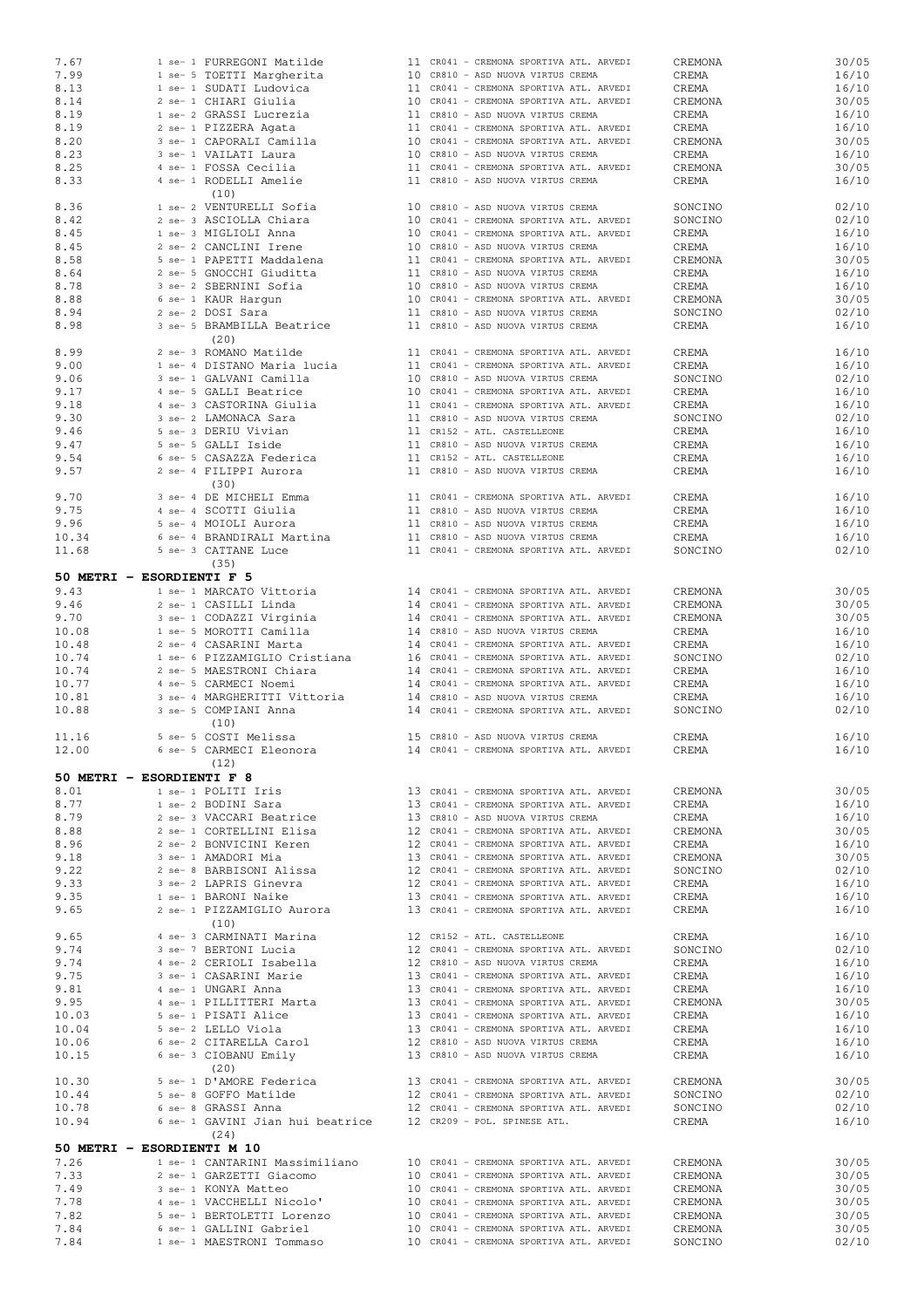| 7.67                       |                                                               |  |                                         |         |       |
|----------------------------|---------------------------------------------------------------|--|-----------------------------------------|---------|-------|
|                            | 1 se- 1 FURREGONI Matilde                                     |  | 11 CR041 - CREMONA SPORTIVA ATL. ARVEDI | CREMONA | 30/05 |
| 7.99                       | 1 se- 5 TOETTI Margherita                                     |  | 10 CR810 - ASD NUOVA VIRTUS CREMA       | CREMA   | 16/10 |
| 8.13                       | 1 se- 1 SUDATI Ludovica                                       |  | 11 CR041 - CREMONA SPORTIVA ATL. ARVEDI | CREMA   | 16/10 |
|                            | 2 se- 1 CHIARI Giulia                                         |  | 10 CR041 - CREMONA SPORTIVA ATL. ARVEDI |         |       |
| 8.14                       |                                                               |  |                                         | CREMONA | 30/05 |
| 8.19                       | 1 se- 2 GRASSI Lucrezia                                       |  | 11 CR810 - ASD NUOVA VIRTUS CREMA       | CREMA   | 16/10 |
| 8.19                       | 2 se- 1 PIZZERA Agata                                         |  | 11 CR041 - CREMONA SPORTIVA ATL. ARVEDI | CREMA   | 16/10 |
|                            |                                                               |  | 10 CR041 - CREMONA SPORTIVA ATL. ARVEDI |         |       |
| 8.20                       | 3 se- 1 CAPORALI Camilla                                      |  |                                         | CREMONA | 30/05 |
| 8.23                       | 3 se- 1 VAILATI Laura                                         |  | 10 CR810 - ASD NUOVA VIRTUS CREMA       | CREMA   | 16/10 |
| 8.25                       | 4 se- 1 FOSSA Cecilia                                         |  | 11 CR041 - CREMONA SPORTIVA ATL. ARVEDI | CREMONA | 30/05 |
|                            |                                                               |  |                                         |         |       |
| 8.33                       | 4 se- 1 RODELLI Amelie                                        |  | 11 CR810 - ASD NUOVA VIRTUS CREMA       | CREMA   | 16/10 |
|                            | (10)                                                          |  |                                         |         |       |
| 8.36                       | 1 se- 2 VENTURELLI Sofia                                      |  | 10 CR810 - ASD NUOVA VIRTUS CREMA       | SONCINO | 02/10 |
|                            |                                                               |  |                                         |         |       |
| 8.42                       | 2 se- 3 ASCIOLLA Chiara                                       |  | 10 CR041 - CREMONA SPORTIVA ATL. ARVEDI | SONCINO | 02/10 |
| 8.45                       | 1 se- 3 MIGLIOLI Anna                                         |  | 10 CR041 - CREMONA SPORTIVA ATL. ARVEDI | CREMA   | 16/10 |
| 8.45                       | 2 se- 2 CANCLINI Irene                                        |  | 10 CR810 - ASD NUOVA VIRTUS CREMA       | CREMA   | 16/10 |
|                            |                                                               |  |                                         |         |       |
| 8.58                       | 5 se- 1 PAPETTI Maddalena                                     |  | 11 CR041 - CREMONA SPORTIVA ATL. ARVEDI | CREMONA | 30/05 |
| 8.64                       | 2 se- 5 GNOCCHI Giuditta                                      |  | 11 CR810 - ASD NUOVA VIRTUS CREMA       | CREMA   | 16/10 |
|                            |                                                               |  |                                         |         |       |
| 8.78                       | 3 se- 2 SBERNINI Sofia                                        |  | 10 CR810 - ASD NUOVA VIRTUS CREMA       | CREMA   | 16/10 |
| 8.88                       | 6 se- 1 KAUR Hargun                                           |  | 10 CR041 - CREMONA SPORTIVA ATL. ARVEDI | CREMONA | 30/05 |
| 8.94                       | 2 se- 2 DOSI Sara                                             |  | 11 CR810 - ASD NUOVA VIRTUS CREMA       | SONCINO | 02/10 |
|                            |                                                               |  |                                         |         |       |
| 8.98                       | 3 se- 5 BRAMBILLA Beatrice                                    |  | 11 CR810 - ASD NUOVA VIRTUS CREMA       | CREMA   | 16/10 |
|                            | (20)                                                          |  |                                         |         |       |
| 8.99                       | 2 se- 3 ROMANO Matilde                                        |  |                                         |         | 16/10 |
|                            |                                                               |  | 11 CR041 - CREMONA SPORTIVA ATL. ARVEDI | CREMA   |       |
| 9.00                       | 1 se- 4 DISTANO Maria lucia                                   |  | 11 CR041 - CREMONA SPORTIVA ATL. ARVEDI | CREMA   | 16/10 |
| 9.06                       | 3 se- 1 GALVANI Camilla                                       |  | 10 CR810 - ASD NUOVA VIRTUS CREMA       | SONCINO | 02/10 |
|                            |                                                               |  |                                         |         |       |
| 9.17                       | 4 se- 5 GALLI Beatrice                                        |  | 10 CR041 - CREMONA SPORTIVA ATL. ARVEDI | CREMA   | 16/10 |
| 9.18                       | 4 se- 3 CASTORINA Giulia                                      |  | 11 CR041 - CREMONA SPORTIVA ATL. ARVEDI | CREMA   | 16/10 |
| 9.30                       | 3 se- 2 LAMONACA Sara                                         |  | 11 CR810 - ASD NUOVA VIRTUS CREMA       | SONCINO | 02/10 |
|                            |                                                               |  |                                         |         |       |
| 9.46                       | 5 se- 3 DERIU Vivian                                          |  | 11 CR152 - ATL. CASTELLEONE             | CREMA   | 16/10 |
| 9.47                       | 5 se- 5 GALLI Iside                                           |  | 11 CR810 - ASD NUOVA VIRTUS CREMA       | CREMA   | 16/10 |
| 9.54                       | 6 se- 5 CASAZZA Federica                                      |  | 11 CR152 - ATL. CASTELLEONE             | CREMA   | 16/10 |
|                            |                                                               |  |                                         |         |       |
| 9.57                       | 2 se- 4 FILIPPI Aurora                                        |  | 11 CR810 - ASD NUOVA VIRTUS CREMA       | CREMA   | 16/10 |
|                            | (30)                                                          |  |                                         |         |       |
| 9.70                       | 3 se- 4 DE MICHELI Emma                                       |  |                                         |         | 16/10 |
|                            |                                                               |  | 11 CR041 - CREMONA SPORTIVA ATL. ARVEDI | CREMA   |       |
| 9.75                       | 4 se- 4 SCOTTI Giulia                                         |  | 11 CR810 - ASD NUOVA VIRTUS CREMA       | CREMA   | 16/10 |
| 9.96                       | 5 se- 4 MOIOLI Aurora                                         |  | 11 CR810 - ASD NUOVA VIRTUS CREMA       | CREMA   | 16/10 |
|                            |                                                               |  |                                         |         |       |
| 10.34                      | 6 se- 4 BRANDIRALI Martina                                    |  | 11 CR810 - ASD NUOVA VIRTUS CREMA       | CREMA   | 16/10 |
| 11.68                      | 5 se- 3 CATTANE Luce                                          |  | 11 CR041 - CREMONA SPORTIVA ATL. ARVEDI | SONCINO | 02/10 |
|                            | (35)                                                          |  |                                         |         |       |
|                            |                                                               |  |                                         |         |       |
| 50 METRI - ESORDIENTI F 5  |                                                               |  |                                         |         |       |
| 9.43                       | 1 se- 1 MARCATO Vittoria                                      |  | 14 CR041 - CREMONA SPORTIVA ATL. ARVEDI | CREMONA | 30/05 |
|                            |                                                               |  |                                         |         |       |
| 9.46                       | 2 se- 1 CASILLI Linda                                         |  | 14 CR041 - CREMONA SPORTIVA ATL. ARVEDI | CREMONA | 30/05 |
| 9.70                       | 3 se- 1 CODAZZI Virginia                                      |  | 14 CR041 - CREMONA SPORTIVA ATL. ARVEDI | CREMONA | 30/05 |
| 10.08                      | 1 se- 5 MOROTTI Camilla                                       |  | 14 CR810 - ASD NUOVA VIRTUS CREMA       | CREMA   | 16/10 |
|                            |                                                               |  |                                         |         |       |
| 10.48                      | 2 se- 4 CASARINI Marta                                        |  | 14 CR041 - CREMONA SPORTIVA ATL. ARVEDI | CREMA   | 16/10 |
| 10.74                      | 1 se- 6 PIZZAMIGLIO Cristiana                                 |  | 16 CR041 - CREMONA SPORTIVA ATL. ARVEDI | SONCINO | 02/10 |
|                            |                                                               |  |                                         |         | 16/10 |
|                            |                                                               |  |                                         |         |       |
| 10.74                      | 2 se- 5 MAESTRONI Chiara                                      |  | 14 CR041 - CREMONA SPORTIVA ATL. ARVEDI | CREMA   |       |
| 10.77                      | 4 se- 5 CARMECI Noemi                                         |  | 14 CR041 - CREMONA SPORTIVA ATL. ARVEDI | CREMA   | 16/10 |
| 10.81                      | 3 se- 4 MARGHERITTI Vittoria                                  |  | 14 CR810 - ASD NUOVA VIRTUS CREMA       | CREMA   | 16/10 |
|                            |                                                               |  |                                         |         |       |
| 10.88                      | 3 se- 5 COMPIANI Anna                                         |  | 14 CR041 - CREMONA SPORTIVA ATL. ARVEDI | SONCINO | 02/10 |
|                            | (10)                                                          |  |                                         |         |       |
| 11.16                      | 5 se- 5 COSTI Melissa                                         |  | 15 CR810 - ASD NUOVA VIRTUS CREMA       | CREMA   | 16/10 |
|                            |                                                               |  |                                         |         |       |
| 12.00                      | 6 se- 5 CARMECI Eleonora                                      |  | 14 CR041 - CREMONA SPORTIVA ATL. ARVEDI | CREMA   | 16/10 |
|                            | (12)                                                          |  |                                         |         |       |
|                            |                                                               |  |                                         |         |       |
| 50 METRI - ESORDIENTI F 8  |                                                               |  |                                         |         |       |
| 8.01                       | 1 se- 1 POLITI Iris                                           |  | 13 CR041 - CREMONA SPORTIVA ATL. ARVEDI | CREMONA | 30/05 |
| 8.77                       |                                                               |  | 13 CR041 - CREMONA SPORTIVA ATL. ARVEDI | CREMA   | 16/10 |
|                            | 1 se- 2 BODINI Sara                                           |  |                                         |         |       |
| 8.79                       | 2 se- 3 VACCARI Beatrice                                      |  | 13 CR810 - ASD NUOVA VIRTUS CREMA       | CREMA   | 16/10 |
| 8.88                       | 2 se- 1 CORTELLINI Elisa                                      |  | 12 CR041 - CREMONA SPORTIVA ATL. ARVEDI | CREMONA | 30/05 |
| 8.96                       | 2 se- 2 BONVICINI Keren                                       |  | 12 CR041 - CREMONA SPORTIVA ATL. ARVEDI | CREMA   | 16/10 |
|                            |                                                               |  |                                         |         |       |
| 9.18                       | 3 se- 1 AMADORI Mia                                           |  | 13 CR041 - CREMONA SPORTIVA ATL. ARVEDI | CREMONA | 30/05 |
| 9.22                       | 2 se- 8 BARBISONI Alissa                                      |  | 12 CR041 - CREMONA SPORTIVA ATL. ARVEDI | SONCINO | 02/10 |
| 9.33                       | 3 se- 2 LAPRIS Ginevra                                        |  | 12 CR041 - CREMONA SPORTIVA ATL. ARVEDI | CREMA   | 16/10 |
|                            |                                                               |  |                                         |         |       |
| 9.35                       | 1 se- 1 BARONI Naike                                          |  | 13 CR041 - CREMONA SPORTIVA ATL. ARVEDI | CREMA   | 16/10 |
| 9.65                       | 2 se- 1 PIZZAMIGLIO Aurora                                    |  | 13 CR041 - CREMONA SPORTIVA ATL. ARVEDI | CREMA   | 16/10 |
|                            | (10)                                                          |  |                                         |         |       |
|                            |                                                               |  |                                         |         |       |
| 9.65                       | 4 se- 3 CARMINATI Marina                                      |  | 12 CR152 - ATL. CASTELLEONE             | CREMA   | 16/10 |
| 9.74                       | 3 se- 7 BERTONI Lucia                                         |  | 12 CR041 - CREMONA SPORTIVA ATL. ARVEDI | SONCINO | 02/10 |
| 9.74                       | 4 se- 2 CERIOLI Isabella                                      |  | 12 CR810 - ASD NUOVA VIRTUS CREMA       | CREMA   | 16/10 |
|                            |                                                               |  |                                         |         |       |
| 9.75                       | 3 se- 1 CASARINI Marie                                        |  | 13 CR041 - CREMONA SPORTIVA ATL. ARVEDI | CREMA   | 16/10 |
| 9.81                       | 4 se- 1 UNGARI Anna                                           |  | 13 CR041 - CREMONA SPORTIVA ATL. ARVEDI | CREMA   | 16/10 |
| 9.95                       | 4 se- 1 PILLITTERI Marta                                      |  | 13 CR041 - CREMONA SPORTIVA ATL. ARVEDI | CREMONA | 30/05 |
|                            |                                                               |  |                                         |         |       |
| 10.03                      | 5 se- 1 PISATI Alice                                          |  | 13 CR041 - CREMONA SPORTIVA ATL. ARVEDI | CREMA   | 16/10 |
| 10.04                      | 5 se- 2 LELLO Viola                                           |  | 13 CR041 - CREMONA SPORTIVA ATL. ARVEDI | CREMA   | 16/10 |
| 10.06                      | 6 se- 2 CITARELLA Carol                                       |  | 12 CR810 - ASD NUOVA VIRTUS CREMA       | CREMA   | 16/10 |
|                            |                                                               |  |                                         |         |       |
| 10.15                      | 6 se- 3 CIOBANU Emily                                         |  | 13 CR810 - ASD NUOVA VIRTUS CREMA       | CREMA   | 16/10 |
|                            | (20)                                                          |  |                                         |         |       |
| 10.30                      | 5 se- 1 D'AMORE Federica                                      |  |                                         | CREMONA | 30/05 |
|                            |                                                               |  | 13 CR041 - CREMONA SPORTIVA ATL. ARVEDI |         |       |
| 10.44                      | 5 se- 8 GOFFO Matilde                                         |  | 12 CR041 - CREMONA SPORTIVA ATL. ARVEDI | SONCINO | 02/10 |
| 10.78                      | 6 se- 8 GRASSI Anna                                           |  | 12 CR041 - CREMONA SPORTIVA ATL. ARVEDI | SONCINO | 02/10 |
| 10.94                      |                                                               |  |                                         | CREMA   | 16/10 |
|                            | 6 se- 1 GAVINI Jian hui beatrice 12 CR209 - POL. SPINESE ATL. |  |                                         |         |       |
|                            | (24)                                                          |  |                                         |         |       |
| 50 METRI - ESORDIENTI M 10 |                                                               |  |                                         |         |       |
|                            |                                                               |  |                                         |         |       |
| 7.26                       | 1 se- 1 CANTARINI Massimiliano                                |  | 10 CR041 - CREMONA SPORTIVA ATL. ARVEDI | CREMONA | 30/05 |
| 7.33                       | 2 se- 1 GARZETTI Giacomo                                      |  | 10 CR041 - CREMONA SPORTIVA ATL. ARVEDI | CREMONA | 30/05 |
| 7.49                       | 3 se- 1 KONYA Matteo                                          |  | 10 CR041 - CREMONA SPORTIVA ATL. ARVEDI | CREMONA | 30/05 |
|                            |                                                               |  |                                         |         |       |
| 7.78                       | 4 se- 1 VACCHELLI Nicolo'                                     |  | 10 CR041 - CREMONA SPORTIVA ATL. ARVEDI | CREMONA | 30/05 |
| 7.82                       | 5 se- 1 BERTOLETTI Lorenzo                                    |  | 10 CR041 - CREMONA SPORTIVA ATL. ARVEDI | CREMONA | 30/05 |
| 7.84                       | 6 se- 1 GALLINI Gabriel                                       |  | 10 CR041 - CREMONA SPORTIVA ATL. ARVEDI | CREMONA | 30/05 |
| 7.84                       | 1 se- 1 MAESTRONI Tommaso                                     |  | 10 CR041 - CREMONA SPORTIVA ATL. ARVEDI | SONCINO | 02/10 |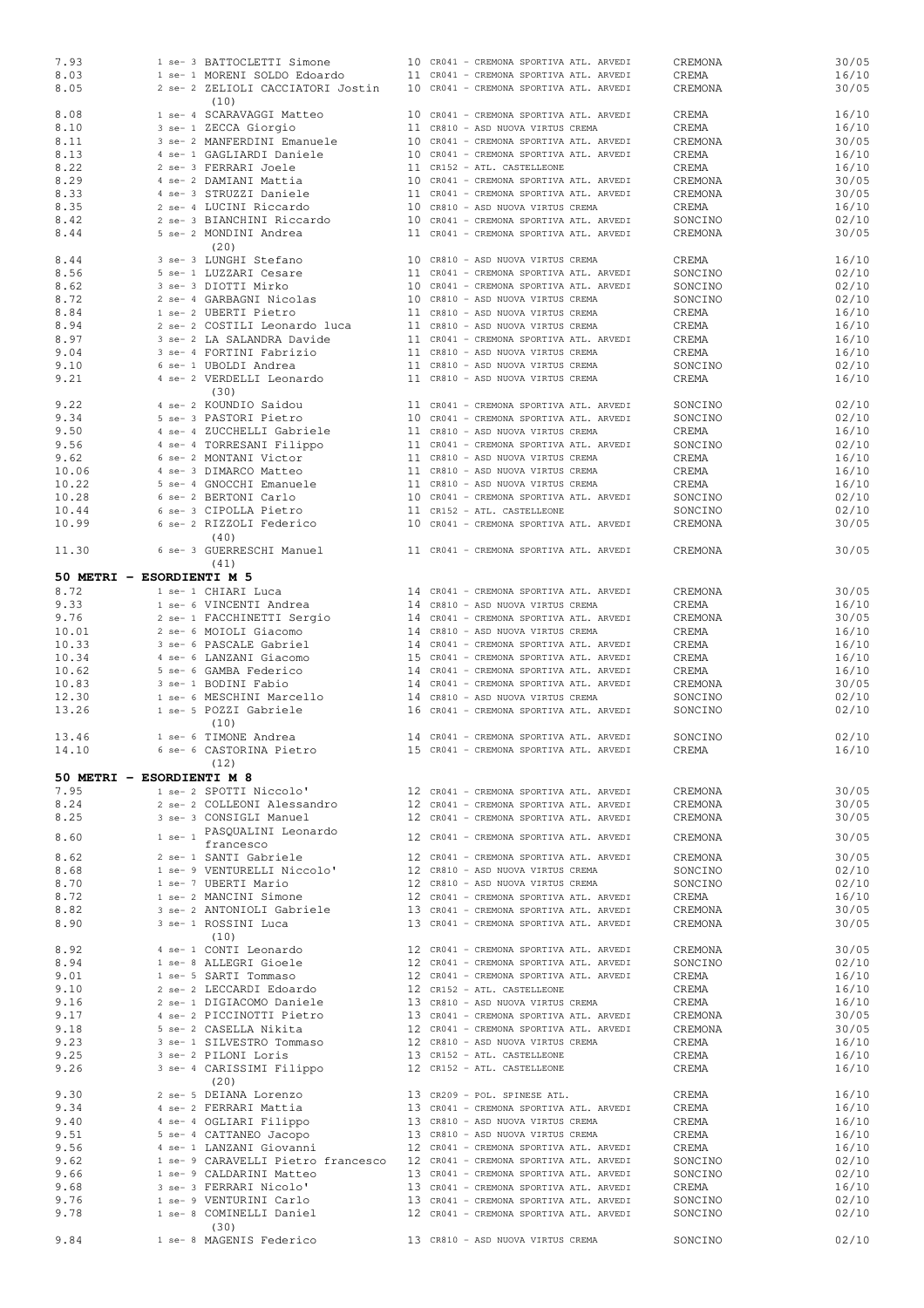| 7.93                      |             | 1 se- 3 BATTOCLETTI Simone                                                 |  | 10 CR041 - CREMONA SPORTIVA ATL. ARVEDI | CREMONA | 30/05 |
|---------------------------|-------------|----------------------------------------------------------------------------|--|-----------------------------------------|---------|-------|
| 8.03                      |             | 1 se- 1 MORENI SOLDO Edoardo                                               |  | 11 CR041 - CREMONA SPORTIVA ATL. ARVEDI | CREMA   | 16/10 |
| 8.05                      |             | 2 se- 2 ZELIOLI CACCIATORI Jostin                                          |  | 10 CR041 - CREMONA SPORTIVA ATL. ARVEDI | CREMONA | 30/05 |
|                           |             | (10)                                                                       |  |                                         |         |       |
| 8.08                      |             | 1 se- 4 SCARAVAGGI Matteo                                                  |  | 10 CR041 - CREMONA SPORTIVA ATL. ARVEDI | CREMA   | 16/10 |
| 8.10                      |             | 3 se- 1 ZECCA Giorgio                                                      |  | 11 CR810 - ASD NUOVA VIRTUS CREMA       | CREMA   | 16/10 |
| 8.11                      |             | 3 se- 2 MANFERDINI Emanuele                                                |  | 10 CR041 - CREMONA SPORTIVA ATL. ARVEDI | CREMONA | 30/05 |
| 8.13                      |             | 4 se- 1 GAGLIARDI Daniele                                                  |  | 10 CR041 - CREMONA SPORTIVA ATL. ARVEDI | CREMA   | 16/10 |
| 8.22                      |             | 2 se- 3 FERRARI Joele                                                      |  | 11 CR152 - ATL. CASTELLEONE             | CREMA   | 16/10 |
| 8.29                      |             | 4 se- 2 DAMIANI Mattia                                                     |  | 10 CR041 - CREMONA SPORTIVA ATL. ARVEDI | CREMONA | 30/05 |
| 8.33                      |             | 4 se- 3 STRUZZI Daniele                                                    |  | 11 CR041 - CREMONA SPORTIVA ATL. ARVEDI | CREMONA | 30/05 |
| 8.35                      |             | 2 se- 4 LUCINI Riccardo                                                    |  | 10 CR810 - ASD NUOVA VIRTUS CREMA       | CREMA   | 16/10 |
| 8.42                      |             | 2 se- 3 BIANCHINI Riccardo                                                 |  | 10 CR041 - CREMONA SPORTIVA ATL. ARVEDI | SONCINO | 02/10 |
| 8.44                      |             | 5 se- 2 MONDINI Andrea                                                     |  | 11 CR041 - CREMONA SPORTIVA ATL. ARVEDI | CREMONA | 30/05 |
|                           |             | (20)                                                                       |  |                                         |         |       |
| 8.44                      |             | 3 se- 3 LUNGHI Stefano                                                     |  | 10 CR810 - ASD NUOVA VIRTUS CREMA       | CREMA   | 16/10 |
| 8.56                      |             | 5 se- 1 LUZZARI Cesare                                                     |  | 11 CR041 - CREMONA SPORTIVA ATL. ARVEDI | SONCINO | 02/10 |
| 8.62                      |             | 3 se- 3 DIOTTI Mirko                                                       |  | 10 CR041 - CREMONA SPORTIVA ATL. ARVEDI | SONCINO | 02/10 |
| 8.72                      |             | 2 se- 4 GARBAGNI Nicolas                                                   |  | 10 CR810 - ASD NUOVA VIRTUS CREMA       | SONCINO | 02/10 |
| 8.84                      |             | 1 se- 2 UBERTI Pietro                                                      |  | 11 CR810 - ASD NUOVA VIRTUS CREMA       | CREMA   | 16/10 |
| 8.94                      |             | 2 se- 2 COSTILI Leonardo luca                                              |  | 11 CR810 - ASD NUOVA VIRTUS CREMA       | CREMA   | 16/10 |
| 8.97                      |             | 3 se- 2 LA SALANDRA Davide                                                 |  | 11 CR041 - CREMONA SPORTIVA ATL. ARVEDI | CREMA   | 16/10 |
| 9.04                      |             | 3 se- 4 FORTINI Fabrizio                                                   |  | 11 CR810 - ASD NUOVA VIRTUS CREMA       | CREMA   | 16/10 |
| 9.10                      |             | 6 se- 1 UBOLDI Andrea                                                      |  | 11 CR810 - ASD NUOVA VIRTUS CREMA       | SONCINO | 02/10 |
| 9.21                      |             | 4 se- 2 VERDELLI Leonardo                                                  |  | 11 CR810 - ASD NUOVA VIRTUS CREMA       | CREMA   | 16/10 |
|                           |             | (30)                                                                       |  |                                         |         |       |
|                           |             |                                                                            |  |                                         |         |       |
| 9.22                      |             | 4 se- 2 KOUNDIO Saidou<br>5 se- 3 PASTORI Pietro                           |  | 11 CR041 - CREMONA SPORTIVA ATL. ARVEDI | SONCINO | 02/10 |
| 9.34                      |             |                                                                            |  | 10 CR041 - CREMONA SPORTIVA ATL. ARVEDI | SONCINO | 02/10 |
| 9.50                      |             | 4 se- 4 ZUCCHELLI Gabriele                                                 |  | 11 CR810 - ASD NUOVA VIRTUS CREMA       | CREMA   | 16/10 |
| 9.56                      |             | 4 se- 4 TORRESANI Filippo                                                  |  | 11 CR041 - CREMONA SPORTIVA ATL. ARVEDI | SONCINO | 02/10 |
| 9.62                      |             | 6 se- 2 MONTANI Victor                                                     |  | 11 CR810 - ASD NUOVA VIRTUS CREMA       | CREMA   | 16/10 |
| 10.06                     |             | 4 se- 3 DIMARCO Matteo                                                     |  | 11 CR810 - ASD NUOVA VIRTUS CREMA       | CREMA   | 16/10 |
| 10.22                     |             | 5 se- 4 GNOCCHI Emanuele                                                   |  | 11 CR810 - ASD NUOVA VIRTUS CREMA       | CREMA   | 16/10 |
| 10.28                     |             | 6 se- 2 BERTONI Carlo                                                      |  | 10 CR041 - CREMONA SPORTIVA ATL. ARVEDI | SONCINO | 02/10 |
| 10.44                     |             | 6 se- 3 CIPOLLA Pietro                                                     |  | 11 CR152 - ATL. CASTELLEONE             | SONCINO | 02/10 |
| 10.99                     |             | 6 se- 2 RIZZOLI Federico                                                   |  | 10 CR041 - CREMONA SPORTIVA ATL. ARVEDI | CREMONA | 30/05 |
|                           |             | (40)                                                                       |  |                                         |         |       |
| 11.30                     |             | 6 se- 3 GUERRESCHI Manuel                                                  |  | 11 CR041 - CREMONA SPORTIVA ATL. ARVEDI | CREMONA | 30/05 |
|                           |             | (41)                                                                       |  |                                         |         |       |
| 50 METRI - ESORDIENTI M 5 |             |                                                                            |  |                                         |         |       |
| 8.72                      |             | 1 se- 1 CHIARI Luca                                                        |  | 14 CR041 - CREMONA SPORTIVA ATL. ARVEDI | CREMONA | 30/05 |
| 9.33                      |             | 1 se- 6 VINCENTI Andrea                                                    |  | 14 CR810 - ASD NUOVA VIRTUS CREMA       | CREMA   | 16/10 |
| 9.76                      |             | 2 se- 1 FACCHINETTI Sergio                                                 |  | 14 CR041 - CREMONA SPORTIVA ATL. ARVEDI | CREMONA | 30/05 |
| 10.01                     |             | 2 se- 6 MOIOLI Giacomo                                                     |  | 14 CR810 - ASD NUOVA VIRTUS CREMA       | CREMA   | 16/10 |
| 10.33                     |             | 3 se- 6 PASCALE Gabriel                                                    |  | 14 CR041 - CREMONA SPORTIVA ATL. ARVEDI | CREMA   | 16/10 |
| 10.34                     |             | 4 se- 6 LANZANI Giacomo                                                    |  | 15 CR041 - CREMONA SPORTIVA ATL. ARVEDI | CREMA   | 16/10 |
| 10.62                     |             | 5 se- 6 GAMBA Federico                                                     |  | 14 CR041 - CREMONA SPORTIVA ATL. ARVEDI | CREMA   | 16/10 |
| 10.83                     |             | 3 se- 1 BODINI Fabio                                                       |  | 14 CR041 - CREMONA SPORTIVA ATL. ARVEDI |         | 30/05 |
|                           |             |                                                                            |  |                                         | CREMONA |       |
| 12.30                     |             | 1 se- 6 MESCHINI Marcello                                                  |  | 14 CR810 - ASD NUOVA VIRTUS CREMA       | SONCINO | 02/10 |
| 13.26                     |             | 1 se- 5 POZZI Gabriele                                                     |  | 16 CR041 - CREMONA SPORTIVA ATL. ARVEDI | SONCINO | 02/10 |
| 13.46                     |             | (10)<br>1 se- 6 TIMONE Andrea                                              |  | 14 CR041 - CREMONA SPORTIVA ATL. ARVEDI | SONCINO | 02/10 |
| 14.10                     |             | 6 se- 6 CASTORINA Pietro                                                   |  | 15 CR041 - CREMONA SPORTIVA ATL. ARVEDI | CREMA   | 16/10 |
|                           |             | (12)                                                                       |  |                                         |         |       |
| 50 METRI - ESORDIENTI M 8 |             |                                                                            |  |                                         |         |       |
|                           |             |                                                                            |  |                                         |         |       |
| 7.95                      |             | 1 se- 2 SPOTTI Niccolo'<br>2 se- 2 COLLEONI Alessandro                     |  | 12 CR041 - CREMONA SPORTIVA ATL. ARVEDI | CREMONA | 30/05 |
| 8.24                      |             |                                                                            |  | 12 CR041 - CREMONA SPORTIVA ATL. ARVEDI | CREMONA | 30/05 |
| 8.25                      |             | 3 se- 3 CONSIGLI Manuel                                                    |  | 12 CR041 - CREMONA SPORTIVA ATL. ARVEDI | CREMONA | 30/05 |
| 8.60                      | $1$ se- $1$ | PASQUALINI Leonardo                                                        |  | 12 CR041 - CREMONA SPORTIVA ATL. ARVEDI | CREMONA | 30/05 |
|                           |             | francesco                                                                  |  |                                         |         |       |
| 8.62                      |             | 2 se- 1 SANTI Gabriele                                                     |  | 12 CR041 - CREMONA SPORTIVA ATL. ARVEDI | CREMONA | 30/05 |
| 8.68                      |             | 1 se- 9 VENTURELLI Niccolo'                                                |  | 12 CR810 - ASD NUOVA VIRTUS CREMA       | SONCINO | 02/10 |
| 8.70                      |             | 1 se- 7 UBERTI Mario                                                       |  | 12 CR810 - ASD NUOVA VIRTUS CREMA       | SONCINO | 02/10 |
| 8.72                      |             | 1 se- 2 MANCINI Simone                                                     |  | 12 CR041 - CREMONA SPORTIVA ATL. ARVEDI | CREMA   | 16/10 |
| 8.82                      |             | 3 se- 2 ANTONIOLI Gabriele                                                 |  | 13 CR041 - CREMONA SPORTIVA ATL. ARVEDI | CREMONA | 30/05 |
| 8.90                      |             | 3 se- 1 ROSSINI Luca                                                       |  | 13 CR041 - CREMONA SPORTIVA ATL. ARVEDI | CREMONA | 30/05 |
|                           |             | (10)                                                                       |  |                                         |         |       |
| 8.92                      |             | 4 se- 1 CONTI Leonardo                                                     |  | 12 CR041 - CREMONA SPORTIVA ATL. ARVEDI | CREMONA | 30/05 |
| 8.94                      |             | 1 se- 8 ALLEGRI Gioele                                                     |  | 12 CR041 - CREMONA SPORTIVA ATL. ARVEDI | SONCINO | 02/10 |
| 9.01                      |             | 1 se- 5 SARTI Tommaso                                                      |  | 12 CR041 - CREMONA SPORTIVA ATL. ARVEDI | CREMA   | 16/10 |
| 9.10                      |             | 2 se- 2 LECCARDI Edoardo                                                   |  | 12 CR152 - ATL. CASTELLEONE             | CREMA   | 16/10 |
| 9.16                      |             | 2 se- 1 DIGIACOMO Daniele                                                  |  | 13 CR810 - ASD NUOVA VIRTUS CREMA       | CREMA   | 16/10 |
| 9.17                      |             | 4 se- 2 PICCINOTTI Pietro                                                  |  | 13 CR041 - CREMONA SPORTIVA ATL. ARVEDI | CREMONA | 30/05 |
| 9.18                      |             | 5 se- 2 CASELLA Nikita                                                     |  | 12 CR041 - CREMONA SPORTIVA ATL. ARVEDI | CREMONA | 30/05 |
| 9.23                      |             | 3 se- 1 SILVESTRO Tommaso                                                  |  | 12 CR810 - ASD NUOVA VIRTUS CREMA       | CREMA   | 16/10 |
| 9.25                      |             | 3 se- 2 PILONI Loris                                                       |  | 13 CR152 - ATL. CASTELLEONE             | CREMA   | 16/10 |
| 9.26                      |             | 3 se- 4 CARISSIMI Filippo                                                  |  | 12 CR152 - ATL. CASTELLEONE             | CREMA   | 16/10 |
|                           |             |                                                                            |  |                                         |         |       |
|                           |             |                                                                            |  | 13 CR209 - POL. SPINESE ATL.            |         |       |
|                           |             | (20)                                                                       |  |                                         |         |       |
| 9.30                      |             | 2 se- 5 DEIANA Lorenzo                                                     |  |                                         | CREMA   | 16/10 |
| 9.34                      |             | 4 se- 2 FERRARI Mattia                                                     |  | 13 CR041 - CREMONA SPORTIVA ATL. ARVEDI | CREMA   | 16/10 |
| 9.40                      |             | 4 se- 4 OGLIARI Filippo                                                    |  | 13 CR810 - ASD NUOVA VIRTUS CREMA       | CREMA   | 16/10 |
| 9.51                      |             | 5 se- 4 CATTANEO Jacopo                                                    |  | 13 CR810 - ASD NUOVA VIRTUS CREMA       | CREMA   | 16/10 |
| 9.56                      |             | 4 se- 1 LANZANI Giovanni                                                   |  | 12 CR041 - CREMONA SPORTIVA ATL. ARVEDI | CREMA   | 16/10 |
| 9.62                      |             | 1 se- 9 CARAVELLI Pietro francesco 12 CR041 - CREMONA SPORTIVA ATL. ARVEDI |  |                                         | SONCINO | 02/10 |
| 9.66                      |             | 1 se- 9 CALDARINI Matteo                                                   |  | 13 CR041 - CREMONA SPORTIVA ATL. ARVEDI | SONCINO | 02/10 |
| 9.68                      |             | 3 se- 3 FERRARI Nicolo'                                                    |  | 13 CR041 - CREMONA SPORTIVA ATL. ARVEDI | CREMA   | 16/10 |
| 9.76                      |             | 1 se- 9 VENTURINI Carlo                                                    |  | 13 CR041 - CREMONA SPORTIVA ATL. ARVEDI | SONCINO | 02/10 |
| 9.78                      |             | 1 se- 8 COMINELLI Daniel                                                   |  | 12 CR041 - CREMONA SPORTIVA ATL. ARVEDI | SONCINO | 02/10 |
|                           |             | (30)                                                                       |  |                                         |         |       |
| 9.84                      |             | 1 se- 8 MAGENIS Federico                                                   |  | 13 CR810 - ASD NUOVA VIRTUS CREMA       | SONCINO | 02/10 |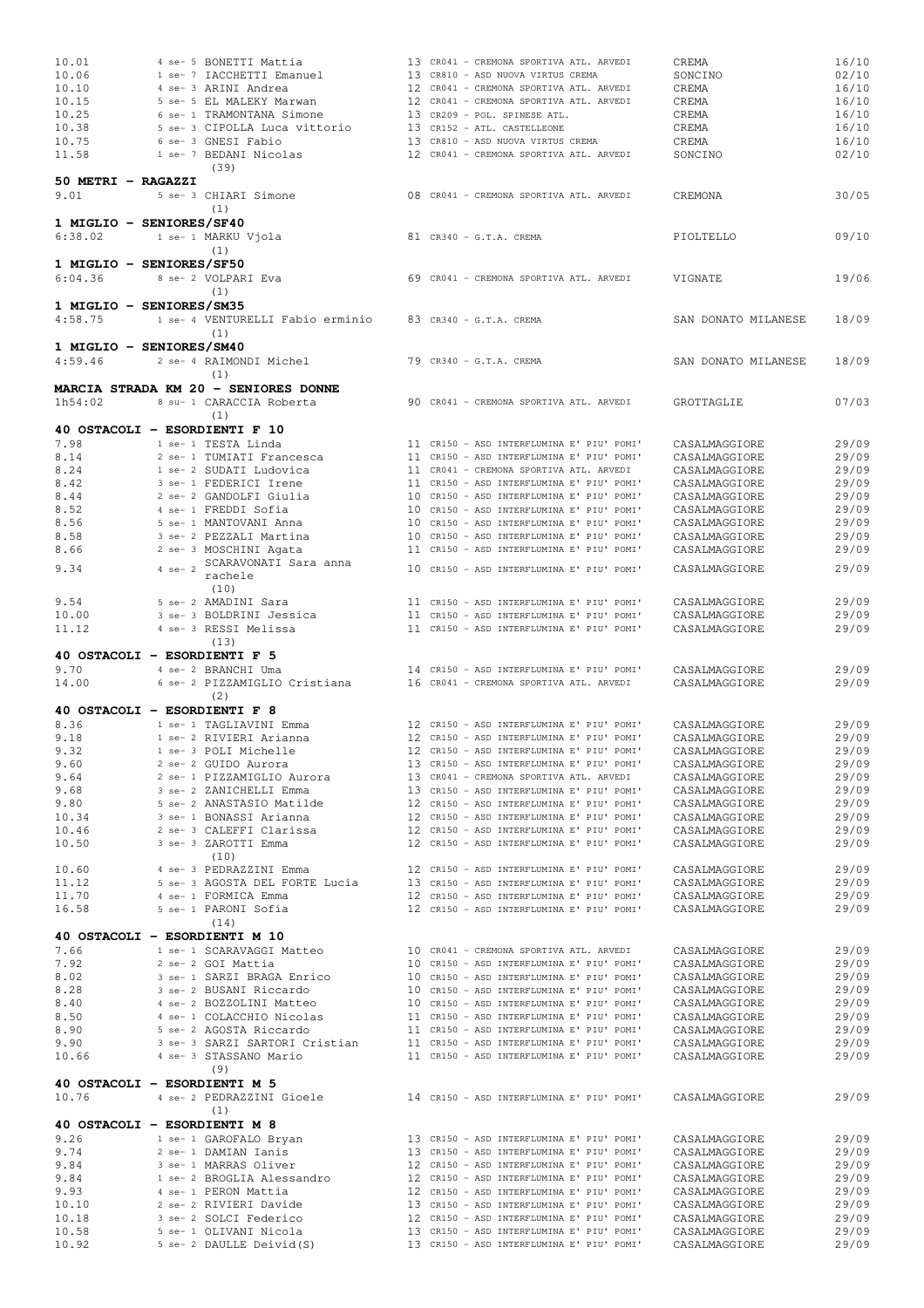| 10.01                        |             | 4 se- 5 BONETTI Mattia                                                   |  | 13 CR041 - CREMONA SPORTIVA ATL. ARVEDI                                                     | CREMA               | 16/10 |
|------------------------------|-------------|--------------------------------------------------------------------------|--|---------------------------------------------------------------------------------------------|---------------------|-------|
| 10.06                        |             | 1 se- 7 IACCHETTI Emanuel                                                |  | 13 CR810 - ASD NUOVA VIRTUS CREMA                                                           | SONCINO             | 02/10 |
| 10.10                        |             | 4 se- 3 ARINI Andrea                                                     |  | 12 CR041 - CREMONA SPORTIVA ATL. ARVEDI                                                     | CREMA               | 16/10 |
| 10.15                        |             | 5 se- 5 EL MALEKY Marwan                                                 |  | 12 CR041 - CREMONA SPORTIVA ATL. ARVEDI                                                     | CREMA               | 16/10 |
| 10.25                        |             | 6 se- 1 TRAMONTANA Simone                                                |  | 13 CR209 - POL. SPINESE ATL.                                                                | CREMA               | 16/10 |
| 10.38                        |             | 5 se- 3 CIPOLLA Luca vittorio                                            |  | 13 CR152 - ATL. CASTELLEONE                                                                 | CREMA               | 16/10 |
| 10.75                        |             | 6 se- 3 GNESI Fabio                                                      |  | 13 CR810 - ASD NUOVA VIRTUS CREMA                                                           | CREMA               | 16/10 |
| 11.58                        |             | 1 se- 7 BEDANI Nicolas                                                   |  | 12 CR041 - CREMONA SPORTIVA ATL. ARVEDI                                                     | SONCINO             | 02/10 |
|                              |             |                                                                          |  |                                                                                             |                     |       |
|                              |             | (39)                                                                     |  |                                                                                             |                     |       |
| 50 METRI - RAGAZZI           |             |                                                                          |  |                                                                                             |                     |       |
| 9.01                         |             | 5 se- 3 CHIARI Simone                                                    |  | 08 CR041 - CREMONA SPORTIVA ATL. ARVEDI                                                     | CREMONA             | 30/05 |
|                              |             | (1)                                                                      |  |                                                                                             |                     |       |
| 1 MIGLIO - SENIORES/SF40     |             |                                                                          |  |                                                                                             |                     |       |
| 6:38.02                      |             | 1 se- 1 MARKU Vjola                                                      |  | 81 CR340 - G.T.A. CREMA                                                                     | PIOLTELLO           | 09/10 |
|                              |             | (1)                                                                      |  |                                                                                             |                     |       |
| 1 MIGLIO - SENIORES/SF50     |             |                                                                          |  |                                                                                             |                     |       |
| 6:04.36                      |             | 8 se- 2 VOLPARI Eva                                                      |  | 69 CR041 - CREMONA SPORTIVA ATL. ARVEDI                                                     | VIGNATE             | 19/06 |
|                              |             | (1)                                                                      |  |                                                                                             |                     |       |
| 1 MIGLIO - SENIORES/SM35     |             |                                                                          |  |                                                                                             |                     |       |
| 4:58.75                      |             | 1 se- 4 VENTURELLI Fabio erminio 83 CR340 - G.T.A. CREMA                 |  |                                                                                             | SAN DONATO MILANESE | 18/09 |
|                              |             | (1)                                                                      |  |                                                                                             |                     |       |
|                              |             |                                                                          |  |                                                                                             |                     |       |
| 1 MIGLIO - SENIORES/SM40     |             |                                                                          |  |                                                                                             |                     |       |
| 4:59.46                      |             | 2 se- 4 RAIMONDI Michel                                                  |  | 79 CR340 - G.T.A. CREMA                                                                     | SAN DONATO MILANESE | 18/09 |
|                              |             | (1)                                                                      |  |                                                                                             |                     |       |
|                              |             | MARCIA STRADA KM 20 - SENIORES DONNE                                     |  |                                                                                             |                     |       |
| 1h54:02                      |             | 8 su- 1 CARACCIA Roberta                                                 |  | 90 CR041 - CREMONA SPORTIVA ATL. ARVEDI                                                     | GROTTAGLIE          | 07/03 |
|                              |             | (1)                                                                      |  |                                                                                             |                     |       |
|                              |             | 40 OSTACOLI - ESORDIENTI F 10                                            |  |                                                                                             |                     |       |
| 7.98                         |             | 1 se- 1 TESTA Linda                                                      |  | 11 CR150 - ASD INTERFLUMINA E' PIU' POMI'                                                   | CASALMAGGIORE       | 29/09 |
| 8.14                         |             | 2 se- 1 TUMIATI Francesca                                                |  | 11 CR150 - ASD INTERFLUMINA E' PIU' POMI'                                                   | CASALMAGGIORE       | 29/09 |
| 8.24                         |             | 1 se- 2 SUDATI Ludovica                                                  |  | 11 CR041 - CREMONA SPORTIVA ATL. ARVEDI                                                     | CASALMAGGIORE       | 29/09 |
| 8.42                         |             | 3 se- 1 FEDERICI Irene                                                   |  | 11 CR150 - ASD INTERFLUMINA E' PIU' POMI'                                                   | CASALMAGGIORE       | 29/09 |
| 8.44                         |             | 2 se- 2 GANDOLFI Giulia                                                  |  | 10 CR150 - ASD INTERFLUMINA E' PIU' POMI'                                                   | CASALMAGGIORE       | 29/09 |
| 8.52                         |             | 4 se- 1 FREDDI Sofia                                                     |  | 10 CR150 - ASD INTERFLUMINA E' PIU' POMI'                                                   | CASALMAGGIORE       | 29/09 |
| 8.56                         |             | 5 se- 1 MANTOVANI Anna                                                   |  | 10 CR150 - ASD INTERFLUMINA E' PIU' POMI'                                                   | CASALMAGGIORE       | 29/09 |
| 8.58                         |             | 3 se- 2 PEZZALI Martina                                                  |  | 10 CR150 - ASD INTERFLUMINA E' PIU' POMI'                                                   | CASALMAGGIORE       | 29/09 |
| 8.66                         |             | 2 se- 3 MOSCHINI Agata                                                   |  | 11 CR150 - ASD INTERFLUMINA E' PIU' POMI'                                                   | CASALMAGGIORE       | 29/09 |
|                              |             | SCARAVONATI Sara anna                                                    |  |                                                                                             |                     |       |
| 9.34                         | $4$ se- $2$ | rachele                                                                  |  | 10 CR150 - ASD INTERFLUMINA E' PIU' POMI'                                                   | CASALMAGGIORE       | 29/09 |
|                              |             | (10)                                                                     |  |                                                                                             |                     |       |
| 9.54                         |             | 5 se- 2 AMADINI Sara                                                     |  | 11 CR150 - ASD INTERFLUMINA E' PIU' POMI'                                                   | CASALMAGGIORE       | 29/09 |
| 10.00                        |             | 3 se- 3 BOLDRINI Jessica                                                 |  | 11 CR150 - ASD INTERFLUMINA E' PIU' POMI'                                                   | CASALMAGGIORE       | 29/09 |
| 11.12                        |             | 4 se- 3 RESSI Melissa                                                    |  | 11 CR150 - ASD INTERFLUMINA E' PIU' POMI'                                                   | CASALMAGGIORE       | 29/09 |
|                              |             | (13)                                                                     |  |                                                                                             |                     |       |
| 40 OSTACOLI - ESORDIENTI F 5 |             |                                                                          |  |                                                                                             |                     |       |
| 9.70                         |             | 4 se- 2 BRANCHI Uma                                                      |  | 14 CR150 - ASD INTERFLUMINA E' PIU' POMI'                                                   | CASALMAGGIORE       | 29/09 |
| 14.00                        |             | 6 se- 2 PIZZAMIGLIO Cristiana                                            |  | 16 CR041 - CREMONA SPORTIVA ATL. ARVEDI                                                     |                     | 29/09 |
|                              |             |                                                                          |  |                                                                                             | CASALMAGGIORE       |       |
|                              |             | (2)                                                                      |  |                                                                                             |                     |       |
| 40 OSTACOLI - ESORDIENTI F 8 |             |                                                                          |  |                                                                                             |                     |       |
| 8.36                         |             | 1 se- 1 TAGLIAVINI Emma                                                  |  | 12 CR150 - ASD INTERFLUMINA E' PIU' POMI'                                                   | CASALMAGGIORE       | 29/09 |
| 9.18                         |             | 1 se- 2 RIVIERI Arianna                                                  |  | 12 CR150 - ASD INTERFLUMINA E' PIU' POMI'                                                   | CASALMAGGIORE       | 29/09 |
| 9.32                         |             | 1 se- 3 POLI Michelle                                                    |  | 12 CR150 - ASD INTERFLUMINA E' PIU' POMI'                                                   | CASALMAGGIORE       | 29/09 |
| 9.60                         |             | 2 se- 2 GUIDO Aurora                                                     |  | 13 CR150 - ASD INTERFLUMINA E' PIU' POMI'                                                   | CASALMAGGIORE       | 29/09 |
| 9.64                         |             | 2 se- 1 PIZZAMIGLIO Aurora                                               |  | 13 CR041 - CREMONA SPORTIVA ATL. ARVEDI                                                     | CASALMAGGIORE       | 29/09 |
| 9.68                         |             | 3 se- 2 ZANICHELLI Emma                                                  |  | 13 CR150 - ASD INTERFLUMINA E' PIU' POMI'                                                   | CASALMAGGIORE       | 29/09 |
| 9.80                         |             | 5 se- 2 ANASTASIO Matilde                                                |  | -<br>12 CR150 - ASD INTERFLUMINA E' PIU' POMI'<br>12 CR150 - ASD INTERFLUMINA E' PIU' POMI' | CASALMAGGIORE       | 29/09 |
| 10.34                        |             | 3 se- 1 BONASSI Arianna                                                  |  |                                                                                             | CASALMAGGIORE       | 29/09 |
| 10.46                        |             | 2 se- 3 CALEFFI Clarissa                                                 |  | 12 CR150 - ASD INTERFLUMINA E' PIU' POMI'                                                   | CASALMAGGIORE       | 29/09 |
| 10.50                        |             | 3 se- 3 ZAROTTI Emma                                                     |  | 12 CR150 - ASD INTERFLUMINA E' PIU' POMI'                                                   | CASALMAGGIORE       | 29/09 |
|                              |             | (10)                                                                     |  |                                                                                             |                     |       |
| 10.60                        |             | 4 se- 3 PEDRAZZINI Emma                                                  |  | 12 CR150 - ASD INTERFLUMINA E' PIU' POMI'                                                   | CASALMAGGIORE       | 29/09 |
| 11.12                        |             | 5 se- 3 AGOSTA DEL FORTE Lucia                                           |  | 13 CR150 - ASD INTERFLUMINA E' PIU' POMI'                                                   | CASALMAGGIORE       | 29/09 |
| 11.70                        |             | 4 se- 1 FORMICA Emma                                                     |  | 12 CR150 - ASD INTERFLUMINA E' PIU' POMI'                                                   | CASALMAGGIORE       | 29/09 |
| 16.58                        |             | 5 se- 1 PARONI Sofia                                                     |  | 12 CR150 - ASD INTERFLUMINA E' PIU' POMI'                                                   | CASALMAGGIORE       | 29/09 |
|                              |             | (14)                                                                     |  |                                                                                             |                     |       |
|                              |             | 40 OSTACOLI - ESORDIENTI M 10                                            |  |                                                                                             |                     |       |
| 7.66                         |             | 1 se- 1 SCARAVAGGI Matteo                                                |  | 10 CR041 - CREMONA SPORTIVA ATL. ARVEDI                                                     | CASALMAGGIORE       | 29/09 |
| 7.92                         |             | 2 se- 2 GOI Mattia                                                       |  | 10 CR150 - ASD INTERFLUMINA E' PIU' POMI'                                                   | CASALMAGGIORE       | 29/09 |
| 8.02                         |             | 3 se- 1 SARZI BRAGA Enrico                                               |  | 10 CR150 - ASD INTERFLUMINA E' PIU' POMI'                                                   | CASALMAGGIORE       | 29/09 |
| 8.28                         |             | 3 se- 2 BUSANI Riccardo                                                  |  | 10 CR150 - ASD INTERFLUMINA E' PIU' POMI'                                                   | CASALMAGGIORE       | 29/09 |
| 8.40                         |             | 4 se- 2 BOZZOLINI Matteo                                                 |  | 10 CR150 - ASD INTERFLUMINA E' PIU' POMI'                                                   | CASALMAGGIORE       | 29/09 |
| 8.50                         |             | 4 se- 1 COLACCHIO Nicolas                                                |  |                                                                                             | CASALMAGGIORE       | 29/09 |
| 8.90                         |             | 5 se- 2 AGOSTA Riccardo                                                  |  | 11 CR150 - ASD INTERFLUMINA E' PIU' POMI'<br>11 CR150 - ASD INTERFLUMINA E' PIU' POMI'      | CASALMAGGIORE       | 29/09 |
| 9.90                         |             | 3 se- 3 SARZI SARTORI Cristian 11 CR150 - ASD INTERFLUMINA E' PIU' POMI' |  |                                                                                             | CASALMAGGIORE       | 29/09 |
| 10.66                        |             | 4 se- 3 STASSANO Mario                                                   |  | 11 CR150 - ASD INTERFLUMINA E' PIU' POMI'                                                   | CASALMAGGIORE       | 29/09 |
|                              |             | (9)                                                                      |  |                                                                                             |                     |       |
| 40 OSTACOLI - ESORDIENTI M 5 |             |                                                                          |  |                                                                                             |                     |       |
| 10.76                        |             | 4 se- 2 PEDRAZZINI Gioele                                                |  | 14 CR150 - ASD INTERFLUMINA E' PIU' POMI'                                                   | CASALMAGGIORE       | 29/09 |
|                              |             | (1)                                                                      |  |                                                                                             |                     |       |
| 40 OSTACOLI - ESORDIENTI M 8 |             |                                                                          |  |                                                                                             |                     |       |
| 9.26                         |             | 1 se- 1 GAROFALO Bryan                                                   |  |                                                                                             | CASALMAGGIORE       | 29/09 |
| 9.74                         |             | 2 se- 1 DAMIAN Ianis                                                     |  | 13 CR150 - ASD INTERFLUMINA E' PIU' POMI'<br>13 CR150 - ASD INTERFLUMINA E' PIU' POMI'      | CASALMAGGIORE       | 29/09 |
| 9.84                         |             | 3 se- 1 MARRAS Oliver                                                    |  | 12 CR150 - ASD INTERFLUMINA E' PIU' POMI'                                                   | CASALMAGGIORE       | 29/09 |
| 9.84                         |             | 1 se- 2 BROGLIA Alessandro                                               |  | 12 CR150 - ASD INTERFLUMINA E' PIU' POMI'                                                   | CASALMAGGIORE       | 29/09 |
| 9.93                         |             | 4 se- 1 PERON Mattia                                                     |  | 12 CR150 - ASD INTERFLUMINA E' PIU' POMI'                                                   | CASALMAGGIORE       | 29/09 |
| 10.10                        |             | 2 se- 2 RIVIERI Davide                                                   |  | 13 CR150 - ASD INTERFLUMINA E' PIU' POMI'                                                   | CASALMAGGIORE       | 29/09 |
| 10.18                        |             | 3 se- 2 SOLCI Federico                                                   |  | 12 CR150 - ASD INTERFLUMINA E' PIU' POMI'                                                   | CASALMAGGIORE       | 29/09 |
| 10.58                        |             | 5 se- 1 OLIVANI Nicola                                                   |  | 13 CR150 - ASD INTERFLUMINA E' PIU' POMI'                                                   | CASALMAGGIORE       | 29/09 |
|                              |             | 5 se- 2 DAULLE Deivid(S)                                                 |  | 13 CR150 - ASD INTERFLUMINA E' PIU' POMI'                                                   | CASALMAGGIORE       | 29/09 |
|                              |             |                                                                          |  |                                                                                             |                     |       |
| 10.92                        |             |                                                                          |  |                                                                                             |                     |       |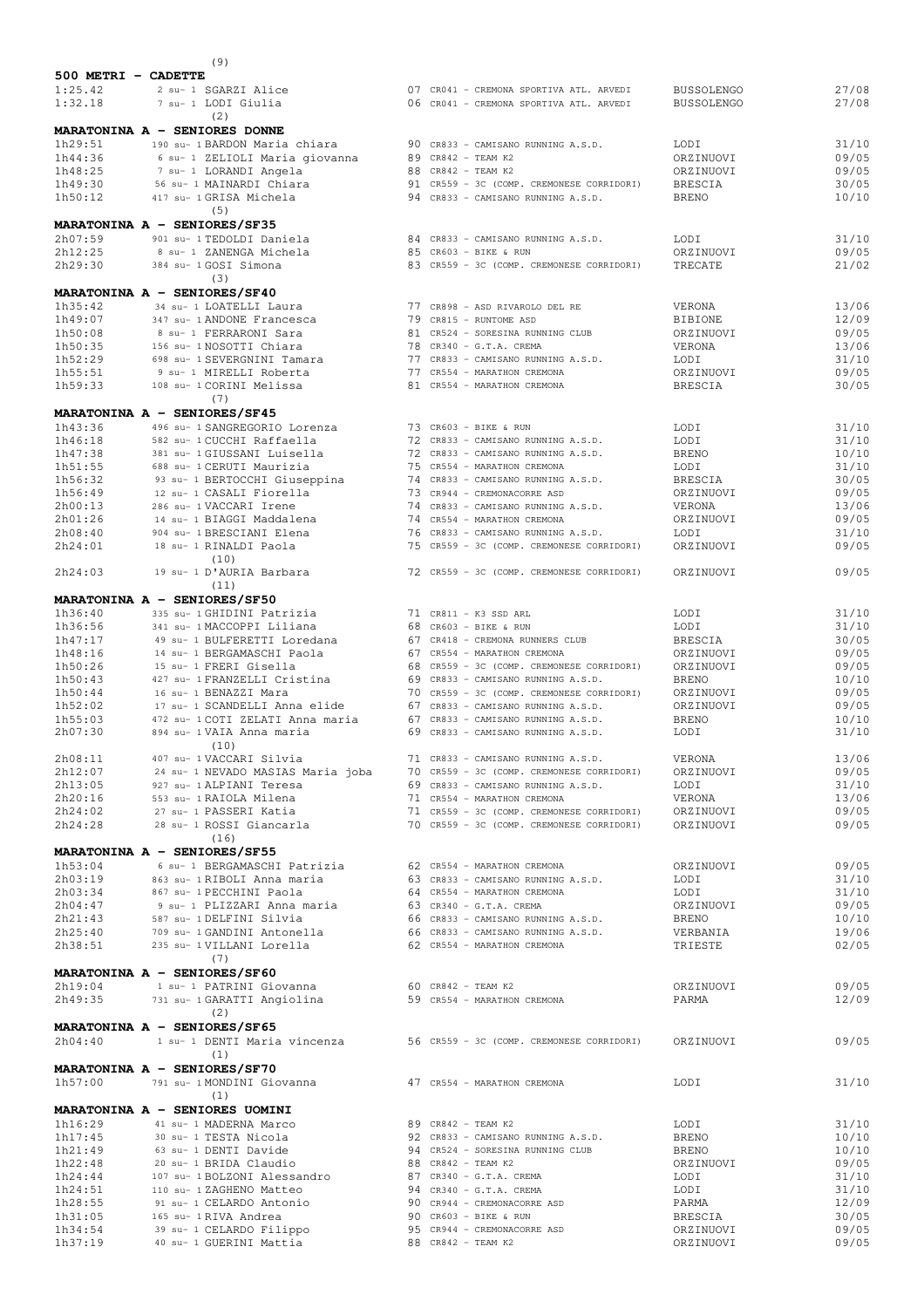| 500 METRI - CADETTE |                                                                                         |                                                                        |                             |                |
|---------------------|-----------------------------------------------------------------------------------------|------------------------------------------------------------------------|-----------------------------|----------------|
| 1:25.42             | 2 su- 1 SGARZI Alice                                                                    | 07 CR041 - CREMONA SPORTIVA ATL. ARVEDI                                | <b>BUSSOLENGO</b>           | 27/08          |
| 1:32.18             | 7 su- 1 LODI Giulia                                                                     | 06 CR041 - CREMONA SPORTIVA ATL. ARVEDI                                | <b>BUSSOLENGO</b>           | 27/08          |
|                     | (2)<br>MARATONINA A - SENIORES DONNE                                                    |                                                                        |                             |                |
| 1h29:51             |                                                                                         |                                                                        | LODI                        | 31/10          |
| 1h44:36             | 190 su- 1 BARDON Maria chiara<br>6 su- 1 ZELIOLI Maria giovanna                         | 90 CR833 - CAMISANO RUNNING A.S.D.<br>89 CR842 - TEAM K2               | ORZINUOVI                   | 09/05          |
| 1h48:25             | 7 su- 1 LORANDI Angela                                                                  | 88 CR842 - TEAM K2                                                     | ORZINUOVI                   | 09/05          |
| 1h49:30             | 56 su- 1 MAINARDI Chiara                                                                | 91 CR559 - 3C (COMP. CREMONESE CORRIDORI)                              | <b>BRESCIA</b>              | 30/05          |
| 1h50:12             | 417 su- 1 GRISA Michela                                                                 | 94 CR833 - CAMISANO RUNNING A.S.D.                                     | <b>BRENO</b>                | 10/10          |
|                     | (5)                                                                                     |                                                                        |                             |                |
|                     | MARATONINA A - SENIORES/SF35                                                            |                                                                        |                             |                |
| 2h07:59             | 901 su- 1 TEDOLDI Daniela                                                               | 84 CR833 - CAMISANO RUNNING A.S.D.                                     | LODI                        | 31/10          |
| 2h12:25             | 8 su- 1 ZANENGA Michela                                                                 | 85 CR603 - BIKE & RUN                                                  | ORZINUOVI                   | 09/05          |
| 2h29:30             | 384 su- 1 GOSI Simona                                                                   | 83 CR559 - 3C (COMP. CREMONESE CORRIDORI)                              | TRECATE                     | 21/02          |
|                     | (3)                                                                                     |                                                                        |                             |                |
|                     | MARATONINA A - SENIORES/SF40                                                            |                                                                        |                             |                |
| 1h35:42             | 34 su- 1 LOATELLI Laura                                                                 | 77 CR898 - ASD RIVAROLO DEL RE                                         | VERONA                      | 13/06          |
| 1h49:07             | 347 su- 1 ANDONE Francesca                                                              | 79 CR815 - RUNTOME ASD                                                 | <b>BIBIONE</b>              | 12/09          |
| 1h50:08             | 8 su- 1 FERRARONI Sara                                                                  | 81 CR524 - SORESINA RUNNING CLUB                                       | ORZINUOVI                   | 09/05          |
| 1h50:35             | 156 su- 1 NOSOTTI Chiara                                                                | 78 CR340 - G.T.A. CREMA                                                | VERONA                      | 13/06          |
| 1h52:29             | 698 su- 1 SEVERGNINI Tamara                                                             | 77 CR833 - CAMISANO RUNNING A.S.D.                                     | LODI                        | 31/10          |
| 1h55:51             | 9 su- 1 MIRELLI Roberta<br>108 su- 1 CORINI Melissa                                     | 77 CR554 - MARATHON CREMONA                                            | ORZINUOVI                   | 09/05<br>30/05 |
| 1h59:33             | (7)                                                                                     | 81 CR554 - MARATHON CREMONA                                            | <b>BRESCIA</b>              |                |
|                     | MARATONINA A - SENIORES/SF45                                                            |                                                                        |                             |                |
| 1h43:36             | 496 su- 1 SANGREGORIO Lorenza                                                           | 73 CR603 - BIKE & RUN                                                  | LODI                        | 31/10          |
| 1h46:18             | 582 su- 1 CUCCHI Raffaella                                                              | 72 CR833 - CAMISANO RUNNING A.S.D.                                     | LODI                        | 31/10          |
| 1h47:38             | 381 su- 1 GIUSSANI Luisella                                                             | 72 CR833 - CAMISANO RUNNING A.S.D.                                     | <b>BRENO</b>                | 10/10          |
| 1h51:55             | 688 su- 1 CERUTI Maurizia                                                               | 75 CR554 - MARATHON CREMONA                                            | LODI                        | 31/10          |
| 1h56:32             | 93 su- 1 BERTOCCHI Giuseppina                                                           | 74 CR833 - CAMISANO RUNNING A.S.D.                                     | <b>BRESCIA</b>              | 30/05          |
| 1h56:49             | 12 su- 1 CASALI Fiorella                                                                | 73 CR944 - CREMONACORRE ASD                                            | ORZINUOVI                   | 09/05          |
| 2h00:13             | 286 su- 1 VACCARI Irene                                                                 | 74 CR833 - CAMISANO RUNNING A.S.D.                                     | VERONA                      | 13/06          |
| 2h01:26             | 14 su- 1 BIAGGI Maddalena                                                               | 74 CR554 - MARATHON CREMONA                                            | ORZINUOVI                   | 09/05          |
| 2h08:40             | 904 su- 1 BRESCIANI Elena                                                               | 76 CR833 - CAMISANO RUNNING A.S.D.                                     | LODI                        | 31/10          |
| 2h24:01             | 18 su- 1 RINALDI Paola                                                                  | 75 CR559 - 3C (COMP. CREMONESE CORRIDORI)                              | ORZINUOVI                   | 09/05          |
|                     | (10)                                                                                    |                                                                        |                             |                |
| 2h24:03             | 19 su- 1 D'AURIA Barbara                                                                | 72 CR559 - 3C (COMP. CREMONESE CORRIDORI)                              | ORZINUOVI                   | 09/05          |
|                     | (11)                                                                                    |                                                                        |                             |                |
|                     | MARATONINA A - SENIORES/SF50                                                            |                                                                        |                             |                |
| 1h36:40             | 335 su- 1 GHIDINI Patrizia                                                              | 71 CR811 - K3 SSD ARL                                                  | LODI                        | 31/10          |
| 1h36:56             | 341 su- 1 MACCOPPI Liliana                                                              | 68 CR603 - BIKE & RUN                                                  | LODI                        | 31/10          |
| 1h47:17<br>1h48:16  | 49 su- 1 BULFERETTI Loredana<br>14 su- 1 BERGAMASCHI Paola                              | 67 CR418 - CREMONA RUNNERS CLUB<br>67 CR554 - MARATHON CREMONA         | <b>BRESCIA</b><br>ORZINUOVI | 30/05<br>09/05 |
| 1h50:26             | 15 su- 1 FRERI Gisella                                                                  | 68 CR559 - 3C (COMP. CREMONESE CORRIDORI)                              | ORZINUOVI                   | 09/05          |
| 1h50:43             | 427 su- 1 FRANZELLI Cristina                                                            | 69 CR833 - CAMISANO RUNNING A.S.D.                                     | <b>BRENO</b>                | 10/10          |
| 1h50:44             | 16 su- 1 BENAZZI Mara                                                                   | 70 CR559 - 3C (COMP. CREMONESE CORRIDORI)                              | ORZINUOVI                   | 09/05          |
| 1h52:02             | 17 su- 1 SCANDELLI Anna elide                                                           | 67 CR833 - CAMISANO RUNNING A.S.D.                                     | ORZINUOVI                   | 09/05          |
| 1h55:03             | 472 su- 1 COTI ZELATI Anna maria                                                        | 67 CR833 - CAMISANO RUNNING A.S.D.                                     | <b>BRENO</b>                | 10/10          |
| 2h07:30             | 894 su- 1 VAIA Anna maria                                                               | 69 CR833 - CAMISANO RUNNING A.S.D.                                     | LODI                        | 31/10          |
|                     | (10)                                                                                    |                                                                        |                             |                |
| 2h08:11             | 407 su- 1 VACCARI Silvia                                                                | 71 CR833 - CAMISANO RUNNING A.S.D.                                     | VERONA                      | 13/06          |
| 2h12:07             | 24 su- 1 NEVADO MASIAS Maria joba                                                       | 70 CR559 - 3C (COMP. CREMONESE CORRIDORI)                              | ORZINUOVI                   | 09/05          |
| 2h13:05             | 927 su- 1 ALPIANI Teresa                                                                | 69 CR833 - CAMISANO RUNNING A.S.D.                                     | LODI                        | 31/10          |
| 2h20:16             | 553 su- 1 RAIOLA Milena                                                                 | 71 CR554 - MARATHON CREMONA                                            | VERONA                      | 13/06          |
| 2h24:02             | 27 su- 1 PASSERI Katia                                                                  | 71 CR559 - 3C (COMP. CREMONESE CORRIDORI)                              | ORZINUOVI                   | 09/05          |
| 2h24:28             | 28 su- 1 ROSSI Giancarla                                                                | 70 CR559 - 3C (COMP. CREMONESE CORRIDORI)                              | ORZINUOVI                   | 09/05          |
|                     | (16)                                                                                    |                                                                        |                             |                |
| 1h53:04             | MARATONINA A - SENIORES/SF55                                                            |                                                                        | ORZINUOVI                   | 09/05          |
| 2h03:19             | 6 su- 1 BERGAMASCHI Patrizia 62 CR554 - MARATHON CREMONA<br>863 su- 1 RIBOLI Anna maria | 63 CR833 - CAMISANO RUNNING A.S.D.                                     | LODI                        | 31/10          |
| 2h03:34             | 867 su- 1 PECCHINI Paola                                                                | 64 CR554 - MARATHON CREMONA                                            | LODI                        | 31/10          |
| 2h04:47             | 9 su- 1 PLIZZARI Anna maria                                                             | 63 CR340 - G.T.A. CREMA                                                | ORZINUOVI                   | 09/05          |
| 2h21:43             | 587 su- 1 DELFINI Silvia                                                                | 66 CR833 - CAMISANO RUNNING A.S.D.                                     | BRENO                       | 10/10          |
| 2h25:40             | 709 su- 1 GANDINI Antonella                                                             | 66 CR833 - CAMISANO RUNNING A.S.D.                                     | VERBANIA                    | 19/06          |
| 2h38:51             | 235 su- 1 VILLANI Lorella                                                               | 62 CR554 - MARATHON CREMONA                                            | TRIESTE                     | 02/05          |
|                     | (7)                                                                                     |                                                                        |                             |                |
|                     | MARATONINA A - SENIORES/SF60                                                            |                                                                        |                             |                |
| 2h19:04             | 1 su- 1 PATRINI Giovanna                                                                | 60 CR842 - TEAM K2                                                     | ORZINUOVI                   | 09/05          |
| 2h49:35             | 731 su- 1 GARATTI Angiolina                                                             | 59 CR554 - MARATHON CREMONA                                            | PARMA                       | 12/09          |
|                     | (2)                                                                                     |                                                                        |                             |                |
|                     | MARATONINA A - SENIORES/SF65                                                            |                                                                        |                             |                |
| 2h04:40             |                                                                                         | 1 su- 1 DENTI Maria vincenza 56 CR559 - 3C (COMP. CREMONESE CORRIDORI) | ORZINUOVI                   | 09/05          |
|                     | (1)                                                                                     |                                                                        |                             |                |
|                     | MARATONINA A - SENIORES/SF70                                                            |                                                                        |                             |                |
| 1h57:00             | 791 su- 1 MONDINI Giovanna (47 CR554 - MARATHON CREMONA                                 |                                                                        | LODI                        | 31/10          |
|                     | (1)                                                                                     |                                                                        |                             |                |
|                     | MARATONINA A - SENIORES UOMINI                                                          |                                                                        |                             |                |
| 1h16:29             | 41 su- 1 MADERNA Marco                                                                  | 89 CR842 - TEAM K2                                                     | LODI                        | 31/10          |
| 1h17:45             | 30 su- 1 TESTA Nicola                                                                   | 92 CR833 - CAMISANO RUNNING A.S.D.                                     | BRENO                       | 10/10          |
| 1h21:49<br>1h22:48  | 63 su- 1 DENTI Davide<br>20 su- 1 BRIDA Claudio                                         | 94 CR524 - SORESINA RUNNING CLUB<br>88 CR842 - TEAM K2                 | <b>BRENO</b><br>ORZINUOVI   | 10/10<br>09/05 |
| 1h24:44             | 107 su- 1 BOLZONI Alessandro                                                            | 87 CR340 - G.T.A. CREMA                                                | LODI                        | 31/10          |
| 1h24:51             | 110 su- 1 ZAGHENO Matteo                                                                | 94 CR340 - G.T.A. CREMA                                                | LODI                        | 31/10          |
| 1h28:55             | 91 su- 1 CELARDO Antonio                                                                | 90 CR944 - CREMONACORRE ASD                                            | PARMA                       | 12/09          |
| 1h31:05             | 165 su- 1 RIVA Andrea                                                                   | 90 CR603 - BIKE & RUN                                                  | BRESCIA                     | 30/05          |
| 1h34:54             | 39 su- 1 CELARDO Filippo                                                                | 95 CR944 - CREMONACORRE ASD                                            | ORZINUOVI                   | 09/05          |
| 1h37:19             | 40 su- 1 GUERINI Mattia                                                                 | 88 CR842 - TEAM K2                                                     | ORZINUOVI                   | 09/05          |

(9)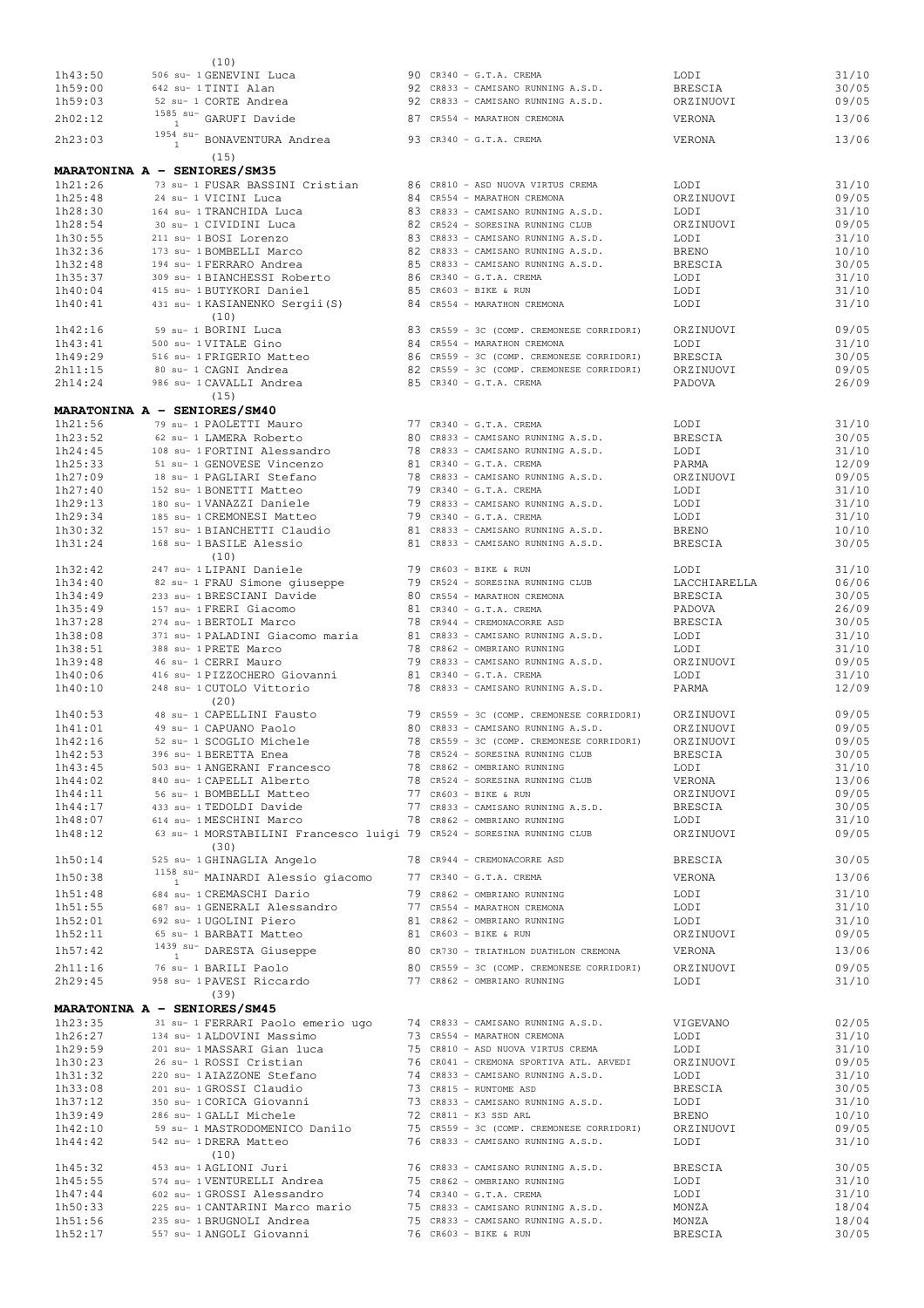| 1h43:50            | (10)<br>506 su- 1 GENEVINI Luca                                                                    | $90$ CR340 - G.T.A. CREMA                                                       | LODI                   | 31/10          |
|--------------------|----------------------------------------------------------------------------------------------------|---------------------------------------------------------------------------------|------------------------|----------------|
| 1h59:00            | 642 su- 1 TINTI Alan                                                                               | 92 CR833 - CAMISANO RUNNING A.S.D.                                              | <b>BRESCIA</b>         | 30/05          |
| 1h59:03            | 52 su- 1 CORTE Andrea                                                                              | 92 CR833 - CAMISANO RUNNING A.S.D.                                              | ORZINUOVI              | 09/05          |
| 2h02:12            | $1585$ su- GARUFI Davide                                                                           | 87 CR554 - MARATHON CREMONA                                                     | VERONA                 | 13/06          |
|                    | 1954 su- BONAVENTURA Andrea                                                                        |                                                                                 |                        |                |
| 2h23:03            | $\mathbf{1}$                                                                                       | 93 CR340 - G.T.A. CREMA                                                         | VERONA                 | 13/06          |
|                    | (15)                                                                                               |                                                                                 |                        |                |
| 1h21:26            | MARATONINA A - SENIORES/SM35<br>73 su- 1 FUSAR BASSINI Cristian                                    | 86 CR810 - ASD NUOVA VIRTUS CREMA                                               | LODI                   | 31/10          |
| 1h25:48            | 24 su- 1 VICINI Luca                                                                               | 84 CR554 - MARATHON CREMONA                                                     | ORZINUOVI              | 09/05          |
| 1h28:30            | 164 su- 1 TRANCHIDA Luca                                                                           | 83 CR833 - CAMISANO RUNNING A.S.D.                                              | LODI                   | 31/10          |
| 1h28:54            | 30 su- 1 CIVIDINI Luca                                                                             | 82 CR524 - SORESINA RUNNING CLUB                                                | ORZINUOVI              | 09/05          |
| 1h30:55            | 211 su- 1 BOSI Lorenzo                                                                             | 83 CR833 - CAMISANO RUNNING A.S.D.                                              | LODI                   | 31/10          |
| 1h32:36            | 173 su- 1 BOMBELLI Marco                                                                           | 82 CR833 - CAMISANO RUNNING A.S.D.                                              | <b>BRENO</b>           | 10/10          |
| 1h32:48            | 194 su- 1 FERRARO Andrea                                                                           | 85 CR833 - CAMISANO RUNNING A.S.D.                                              | BRESCIA                | 30/05          |
| 1h35:37            | 309 su- 1 BIANCHESSI Roberto<br>415 su- 1 BUTYKORI Daniel                                          | 86 CR340 - G.T.A. CREMA<br>85 CR603 - BIKE & RUN                                | LODI                   | 31/10          |
| 1h40:04<br>1h40:41 | 431 su- 1 KASIANENKO Sergii(S)                                                                     | 84 CR554 - MARATHON CREMONA                                                     | LODI<br>LODI           | 31/10<br>31/10 |
|                    | (10)                                                                                               |                                                                                 |                        |                |
| 1h42:16            | 59 su- 1 BORINI Luca                                                                               | 83 CR559 - 3C (COMP. CREMONESE CORRIDORI)                                       | ORZINUOVI              | 09/05          |
| 1h43:41            | 500 su- 1 VITALE Gino                                                                              | 84 CR554 - MARATHON CREMONA                                                     | LODI                   | 31/10          |
| 1h49:29            | 516 su- 1 FRIGERIO Matteo                                                                          | 86 CR559 - 3C (COMP. CREMONESE CORRIDORI)                                       | BRESCIA                | 30/05          |
| 2h11:15            | 80 su- 1 CAGNI Andrea                                                                              | 82 CR559 - 3C (COMP. CREMONESE CORRIDORI)                                       | ORZINUOVI              | 09/05          |
| 2h14:24            | 986 su- 1 CAVALLI Andrea<br>(15)                                                                   | 85 CR340 - G.T.A. CREMA                                                         | PADOVA                 | 26/09          |
|                    | MARATONINA A - SENIORES/SM40                                                                       |                                                                                 |                        |                |
| 1h21:56            | 79 su- 1 PAOLETTI Mauro                                                                            | 77 CR340 - G.T.A. CREMA                                                         | LODI                   | 31/10          |
| 1h23:52            | 62 su- 1 LAMERA Roberto                                                                            | 80 CR833 - CAMISANO RUNNING A.S.D.                                              | BRESCIA                | 30/05          |
| 1h24:45            | 108 su- 1 FORTINI Alessandro                                                                       | 78 CR833 - CAMISANO RUNNING A.S.D.                                              | LODI                   | 31/10          |
| 1h25:33            | 51 su- 1 GENOVESE Vincenzo                                                                         | 81 CR340 - G.T.A. CREMA                                                         | PARMA                  | 12/09          |
| 1h27:09            | 18 su- 1 PAGLIARI Stefano                                                                          | 78 CR833 - CAMISANO RUNNING A.S.D.                                              | ORZINUOVI              | 09/05          |
| 1h27:40            | 152 su- 1 BONETTI Matteo                                                                           | 79 CR340 - G.T.A. CREMA                                                         | LODI                   | 31/10          |
| 1h29:13<br>1h29:34 | 180 su- 1 VANAZZI Daniele<br>185 su- 1 CREMONESI Matteo                                            | 79 CR833 - CAMISANO RUNNING A.S.D.<br>79 CR340 - G.T.A. CREMA                   | LODI<br>LODI           | 31/10<br>31/10 |
| 1h30:32            | 157 su- 1 BIANCHETTI Claudio                                                                       | 81 CR833 - CAMISANO RUNNING A.S.D.                                              | BRENO                  | 10/10          |
| 1h31:24            | 168 su- 1 BASILE Alessio                                                                           | 81 CR833 - CAMISANO RUNNING A.S.D.                                              | BRESCIA                | 30/05          |
|                    | (10)                                                                                               |                                                                                 |                        |                |
| 1h32:42            | 247 su- 1 LIPANI Daniele                                                                           | 79 CR603 - BIKE & RUN                                                           | LODI                   | 31/10          |
| 1h34:40            | 82 su- 1 FRAU Simone giuseppe                                                                      | 79 CR524 - SORESINA RUNNING CLUB                                                | LACCHIARELLA           | 06/06          |
| 1h34:49            | 233 su- 1 BRESCIANI Davide                                                                         | 80 CR554 - MARATHON CREMONA                                                     | <b>BRESCIA</b>         | 30/05          |
| 1h35:49<br>1h37:28 | 157 su- 1 FRERI Giacomo<br>274 su- 1 BERTOLI Marco                                                 | 81 CR340 - G.T.A. CREMA<br>78 CR944 - CREMONACORRE ASD                          | PADOVA<br>BRESCIA      | 26/09<br>30/05 |
| 1h38:08            | 371 su- 1 PALADINI Giacomo maria                                                                   | 81 CR833 - CAMISANO RUNNING A.S.D.                                              | LODI                   | 31/10          |
| 1h38:51            | 388 su- 1 PRETE Marco                                                                              | 78 CR862 - OMBRIANO RUNNING                                                     | LODI                   | 31/10          |
| 1h39:48            | 46 su- 1 CERRI Mauro                                                                               | 79 CR833 - CAMISANO RUNNING A.S.D.                                              | ORZINUOVI              | 09/05          |
| 1h40:06            | 416 su- 1 PIZZOCHERO Giovanni                                                                      | 81 CR340 - G.T.A. CREMA                                                         | LODI                   | 31/10          |
| 1h40:10            | 248 su- 1 CUTOLO Vittorio                                                                          | 78 CR833 - CAMISANO RUNNING A.S.D.                                              | PARMA                  | 12/09          |
| 1h40:53            | (20)<br>48 su- 1 CAPELLINI Fausto                                                                  | 79 CR559 - 3C (COMP. CREMONESE CORRIDORI)                                       |                        | 09/05          |
| 1h41:01            | 49 su- 1 CAPUANO Paolo                                                                             | 80 CR833 - CAMISANO RUNNING A.S.D.                                              | ORZINUOVI<br>ORZINUOVI | 09/05          |
| 1h42:16            | 52 su- 1 SCOGLIO Michele                                                                           | 78 CR559 - 3C (COMP. CREMONESE CORRIDORI)                                       | ORZINUOVI              | 09/05          |
| 1h42:53            | 396 su- 1 BERETTA Enea                                                                             | 78 CR524 - SORESINA RUNNING CLUB                                                | BRESCIA                | 30/05          |
| 1h43:45            | 503 su- 1 ANGERANI Francesco                                                                       | 78 CR862 - OMBRIANO RUNNING                                                     | LODI                   | 31/10          |
| 1h44:02            | 840 su- 1 CAPELLI Alberto                                                                          | 78 CR524 - SORESINA RUNNING CLUB                                                | VERONA                 | 13/06          |
| 1h44:11            | 56 su- 1 BOMBELLI Matteo                                                                           | 77 CR603 - BIKE & RUN                                                           | ORZINUOVI              | 09/05          |
| 1h44:17<br>1h48:07 | 433 su- 1 TEDOLDI Davide<br>614 su- 1 MESCHINI Marco                                               | 77 CR833 - CAMISANO RUNNING A.S.D.<br>78 CR862 - OMBRIANO RUNNING               | BRESCIA<br>LODI        | 30/05<br>31/10 |
| 1h48:12            | 63 su- 1 MORSTABILINI Francesco luigi 79 CR524 - SORESINA RUNNING CLUB                             |                                                                                 | ORZINUOVI              | 09/05          |
|                    | (30)                                                                                               |                                                                                 |                        |                |
| 1h50:14            | 525 su- 1 GHINAGLIA Angelo                                                                         | 78 CR944 - CREMONACORRE ASD                                                     | BRESCIA                | 30/05          |
| 1h50:38            | $^{1158}_{1}$ su- MAINARDI Alessio giacomo 77 CR340 - G.T.A. CREMA                                 |                                                                                 | VERONA                 | 13/06          |
| 1h51:48            | 684 su- 1 CREMASCHI Dario                                                                          | 79 CR862 - OMBRIANO RUNNING                                                     | LODI                   | 31/10          |
| 1h51:55            | 687 su- 1 GENERALI Alessandro                                                                      | 77 CR554 - MARATHON CREMONA                                                     | LODI                   | 31/10          |
| 1h52:01            | 692 su- 1 UGOLINI Piero                                                                            | 81 CR862 - OMBRIANO RUNNING                                                     | LODI                   | 31/10          |
| 1h52:11            | 65 su- 1 BARBATI Matteo                                                                            | 81 CR603 - BIKE & RUN                                                           | ORZINUOVI              | 09/05          |
| 1h57:42            | $1439$ su- DARESTA Giuseppe                                                                        | 80 CR730 - TRIATHLON DUATHLON CREMONA                                           | VERONA                 | 13/06          |
| 2h11:16            | 76 su- 1 BARILI Paolo                                                                              |                                                                                 | ORZINUOVI              | 09/05          |
| 2h29:45            | 958 su- 1 PAVESI Riccardo                                                                          | 80 CR559 - 3C (COMP. CREMONESE CORRIDORI)<br>77 CR862 - OMBRIANO RUNNING        | LODI                   | 31/10          |
|                    | (39)                                                                                               |                                                                                 |                        |                |
|                    | MARATONINA A - SENIORES/SM45                                                                       |                                                                                 |                        |                |
| 1h23:35<br>1h26:27 | 31 su- 1 FERRARI Paolo emerio ugo 74 CR833 - CAMISANO RUNNING A.S.D.<br>134 su- 1 ALDOVINI Massimo | 73 CR554 - MARATHON CREMONA                                                     | VIGEVANO<br>LODI       | 02/05<br>31/10 |
| 1h29:59            | 201 su- 1 MASSARI Gian luca                                                                        | 75 CR810 - ASD NUOVA VIRTUS CREMA                                               | LODI                   | 31/10          |
| 1h30:23            | 26 su- 1 ROSSI Cristian                                                                            | 76 CR041 - CREMONA SPORTIVA ATL. ARVEDI                                         | ORZINUOVI              | 09/05          |
| 1h31:32            | 220 su- 1 AIAZZONE Stefano                                                                         | 74 CR833 - CAMISANO RUNNING A.S.D.                                              | LODI                   | 31/10          |
| 1h33:08            | 201 su- 1 GROSSI Claudio                                                                           | 73 CR815 - RUNTOME ASD                                                          | BRESCIA                | 30/05          |
| 1h37:12            | 350 su- 1 CORICA Giovanni                                                                          | 73 CR833 - CAMISANO RUNNING A.S.D.                                              | LODI                   | 31/10          |
| 1h39:49            | 286 su- 1 GALLI Michele<br>59 su- 1 MASTRODOMENICO Danilo                                          | 72 CR811 - K3 SSD ARL                                                           | <b>BRENO</b>           | 10/10          |
| 1h42:10<br>1h44:42 | 542 su- 1 DRERA Matteo                                                                             | 75 CR559 - 3C (COMP. CREMONESE CORRIDORI)<br>76 CR833 - CAMISANO RUNNING A.S.D. | ORZINUOVI<br>LODI      | 09/05<br>31/10 |
|                    | (10)                                                                                               |                                                                                 |                        |                |
| 1h45:32            | 453 su- 1 AGLIONI Juri                                                                             | 76 CR833 - CAMISANO RUNNING A.S.D.                                              | BRESCIA                | 30/05          |
| 1h45:55            | 574 su- 1 VENTURELLI Andrea                                                                        | 75 CR862 - OMBRIANO RUNNING                                                     | LODI                   | 31/10          |
| 1h47:44            | 602 su- 1 GROSSI Alessandro                                                                        | 74 CR340 - G.T.A. CREMA                                                         | LODI                   | 31/10          |
| 1h50:33            | 225 su- 1 CANTARINI Marco mario                                                                    | 75 CR833 - CAMISANO RUNNING A.S.D.                                              | MONZA                  | 18/04          |
| 1h51:56            | 235 su- 1 BRUGNOLI Andrea                                                                          | 75 CR833 - CAMISANO RUNNING A.S.D.<br>76 CR603 - BIKE & RUN                     | MONZA                  | 18/04          |
| 1h52:17            | 557 su- 1 ANGOLI Giovanni                                                                          |                                                                                 | BRESCIA                | 30/05          |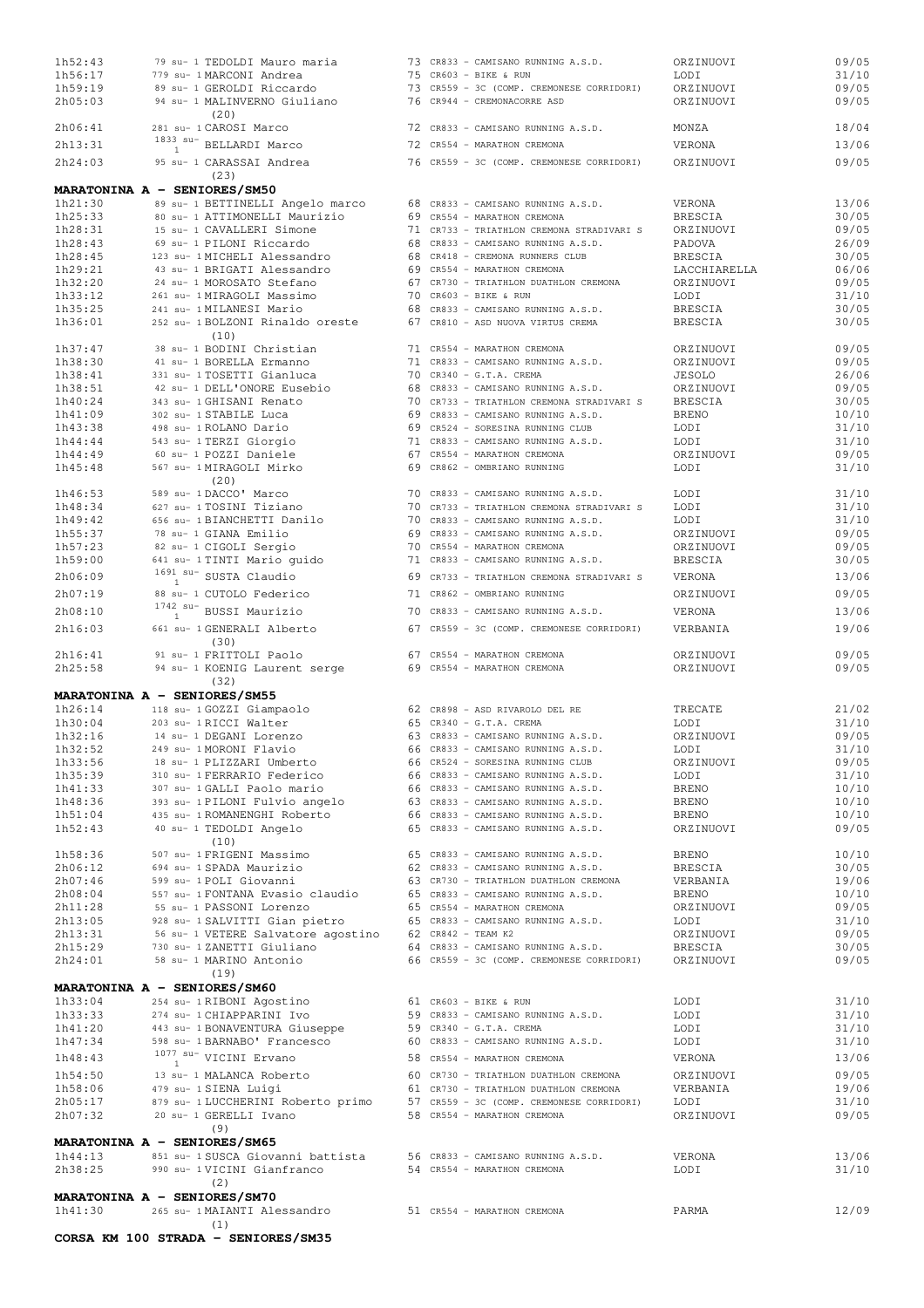| 1h52:43            |                | 79 su- 1 TEDOLDI Mauro maria                            |  | 73 CR833 - CAMISANO RUNNING A.S.D.                                       | ORZINUOVI          | 09/05          |
|--------------------|----------------|---------------------------------------------------------|--|--------------------------------------------------------------------------|--------------------|----------------|
| 1h56:17            |                | 779 su- 1 MARCONI Andrea                                |  | 75 CR603 - BIKE & RUN                                                    | LODI               | 31/10          |
| 1h59:19            |                | 89 su- 1 GEROLDI Riccardo                               |  | 73 CR559 - 3C (COMP. CREMONESE CORRIDORI)                                | ORZINUOVI          | 09/05          |
| 2h05:03            |                | 94 su- 1 MALINVERNO Giuliano<br>(20)                    |  | 76 CR944 - CREMONACORRE ASD                                              | ORZINUOVI          | 09/05          |
| 2h06:41            |                | 281 su- 1 CAROSI Marco                                  |  | 72 CR833 - CAMISANO RUNNING A.S.D.                                       | MONZA              | 18/04          |
| 2h13:31            | $\overline{1}$ | $^{1833}$ $^{\mathrm{su-}}$ BELLARDI Marco              |  | 72 CR554 - MARATHON CREMONA                                              | VERONA             | 13/06          |
| 2h24:03            |                | 95 su- 1 CARASSAI Andrea                                |  | 76 CR559 - 3C (COMP. CREMONESE CORRIDORI)                                | ORZINUOVI          | 09/05          |
|                    |                | (23)<br>MARATONINA A - SENIORES/SM50                    |  |                                                                          |                    |                |
| 1h21:30            |                | 89 su- 1 BETTINELLI Angelo marco                        |  | 68 CR833 - CAMISANO RUNNING A.S.D.                                       | VERONA             | 13/06          |
| 1h25:33            |                | 80 su- 1 ATTIMONELLI Maurizio                           |  | 69 CR554 - MARATHON CREMONA                                              | <b>BRESCIA</b>     | 30/05          |
| 1h28:31            |                | 15 su- 1 CAVALLERI Simone                               |  | 71 CR733 - TRIATHLON CREMONA STRADIVARI S                                | ORZINUOVI          | 09/05          |
| 1h28:43            |                | 69 su- 1 PILONI Riccardo                                |  | 68 CR833 - CAMISANO RUNNING A.S.D.                                       | PADOVA             | 26/09          |
| 1h28:45            |                | 123 su- 1 MICHELI Alessandro                            |  | 68 CR418 - CREMONA RUNNERS CLUB                                          | <b>BRESCIA</b>     | 30/05          |
| 1h29:21            |                | 43 su- 1 BRIGATI Alessandro                             |  | 69 CR554 - MARATHON CREMONA                                              | LACCHIARELLA       | 06/06          |
| 1h32:20            |                | 24 su- 1 MOROSATO Stefano                               |  | 67 CR730 - TRIATHLON DUATHLON CREMONA                                    | ORZINUOVI          | 09/05          |
| 1h33:12            |                | 261 su- 1 MIRAGOLI Massimo                              |  | 70 CR603 - BIKE & RUN                                                    | LODI               | 31/10          |
| 1h35:25            |                | 241 su- 1 MILANESI Mario                                |  | 68 CR833 - CAMISANO RUNNING A.S.D.                                       | BRESCIA            | 30/05          |
| 1h36:01            |                | 252 su- 1 BOLZONI Rinaldo oreste<br>(10)                |  | 67 CR810 - ASD NUOVA VIRTUS CREMA                                        | <b>BRESCIA</b>     | 30/05          |
| 1h37:47            |                | 38 su- 1 BODINI Christian                               |  | 71 CR554 - MARATHON CREMONA                                              | ORZINUOVI          | 09/05          |
| 1h38:30            |                | 41 su- 1 BORELLA Ermanno                                |  | 71 CR833 - CAMISANO RUNNING A.S.D.                                       | ORZINUOVI          | 09/05          |
| 1h38:41            |                | 331 su- 1 TOSETTI Gianluca                              |  | 70 CR340 - G.T.A. CREMA                                                  | <b>JESOLO</b>      | 26/06          |
| 1h38:51            |                | 42 su- 1 DELL'ONORE Eusebio                             |  | 68 CR833 - CAMISANO RUNNING A.S.D.                                       | ORZINUOVI          | 09/05          |
| 1h40:24            |                | 343 su- 1 GHISANI Renato                                |  | 70 CR733 - TRIATHLON CREMONA STRADIVARI S                                | <b>BRESCIA</b>     | 30/05          |
| 1h41:09            |                | 302 su- 1 STABILE Luca                                  |  | 69 CR833 - CAMISANO RUNNING A.S.D.                                       | <b>BRENO</b>       | 10/10          |
| 1h43:38            |                | 498 su- 1 ROLANO Dario                                  |  | 69 CR524 - SORESINA RUNNING CLUB                                         | LODI               | 31/10          |
| 1h44:44            |                | 543 su- 1 TERZI Giorgio                                 |  | 71 CR833 - CAMISANO RUNNING A.S.D.                                       | LODI               | 31/10          |
| 1h44:49            |                | 60 su- 1 POZZI Daniele                                  |  | 67 CR554 - MARATHON CREMONA                                              | ORZINUOVI          | 09/05          |
| 1h45:48            |                | 567 su- 1 MIRAGOLI Mirko                                |  | 69 CR862 - OMBRIANO RUNNING                                              | LODI               | 31/10          |
|                    |                | (20)                                                    |  |                                                                          |                    |                |
| 1h46:53            |                | 589 su- 1DACCO' Marco                                   |  | 70 CR833 - CAMISANO RUNNING A.S.D.                                       | LODI               | 31/10          |
| 1h48:34            |                | 627 su- 1 TOSINI Tiziano                                |  | 70 CR733 - TRIATHLON CREMONA STRADIVARI S                                | LODI               | 31/10          |
| 1h49:42            |                | 656 su- 1 BIANCHETTI Danilo                             |  | 70 CR833 - CAMISANO RUNNING A.S.D.                                       | LODI               | 31/10          |
| 1h55:37            |                | 78 su- 1 GIANA Emilio                                   |  | 69 CR833 - CAMISANO RUNNING A.S.D.                                       | ORZINUOVI          | 09/05          |
| 1h57:23            |                | 82 su- 1 CIGOLI Sergio                                  |  | 70 CR554 - MARATHON CREMONA                                              | ORZINUOVI          | 09/05          |
| 1h59:00            |                | 641 su- 1 TINTI Mario quido                             |  | 71 CR833 - CAMISANO RUNNING A.S.D.                                       | <b>BRESCIA</b>     | 30/05          |
| 2h06:09            |                | $1691$ su- SUSTA Claudio                                |  | 69 CR733 - TRIATHLON CREMONA STRADIVARI S                                | VERONA             | 13/06          |
| 2h07:19            |                | 88 su- 1 CUTOLO Federico                                |  | 71 CR862 - OMBRIANO RUNNING                                              | ORZINUOVI          | 09/05          |
| 2h08:10            |                | $1742$ su- BUSSI Maurizio                               |  | 70 CR833 - CAMISANO RUNNING A.S.D.                                       | VERONA             | 13/06          |
| 2h16:03            |                | 661 su- 1 GENERALI Alberto<br>(30)                      |  | 67 CR559 - 3C (COMP. CREMONESE CORRIDORI)                                | VERBANIA           | 19/06          |
| 2h16:41            |                | 91 su- 1 FRITTOLI Paolo                                 |  | 67 CR554 - MARATHON CREMONA                                              | ORZINUOVI          | 09/05          |
| 2h25:58            |                | 94 su- 1 KOENIG Laurent serge                           |  | 69 CR554 - MARATHON CREMONA                                              | ORZINUOVI          | 09/05          |
|                    |                | (32)                                                    |  |                                                                          |                    |                |
|                    |                | MARATONINA A - SENIORES/SM55                            |  |                                                                          |                    |                |
| 1h26:14            |                | 118 su- 1 GOZZI Giampaolo                               |  | 62 CR898 - ASD RIVAROLO DEL RE                                           | TRECATE            | 21/02          |
| 1h30:04            |                | 203 su- 1 RICCI Walter                                  |  | 65 CR340 - G.T.A. CREMA                                                  | LODI               | 31/10          |
| 1h32:16            |                | 14 su- 1 DEGANI Lorenzo                                 |  | 63 CR833 - CAMISANO RUNNING A.S.D.                                       | ORZINUOVI          | 09/05          |
| 1h32:52            |                | 249 su- 1 MORONI Flavio                                 |  | 66 CR833 - CAMISANO RUNNING A.S.D.                                       | LODI               | 31/10          |
| 1h33:56            |                | 18 su- 1 PLIZZARI Umberto                               |  | 66 CR524 - SORESINA RUNNING CLUB                                         | ORZINUOVI          | 09/05          |
| 1h35:39            |                | 310 su- 1 FERRARIO Federico                             |  | 66 CR833 - CAMISANO RUNNING A.S.D.                                       | LODI               | 31/10          |
| 1h41:33            |                | 307 su- 1 GALLI Paolo mario                             |  | 66 CR833 - CAMISANO RUNNING A.S.D.                                       | BRENO              | 10/10          |
| 1h48:36<br>1h51:04 |                | 393 su- 1 PILONI Fulvio angelo                          |  | 63 CR833 - CAMISANO RUNNING A.S.D.<br>66 CR833 - CAMISANO RUNNING A.S.D. | <b>BRENO</b>       | 10/10          |
| 1h52:43            |                | 435 su- 1 ROMANENGHI Roberto<br>40 su- 1 TEDOLDI Angelo |  | 65 CR833 - CAMISANO RUNNING A.S.D.                                       | BRENO<br>ORZINUOVI | 10/10<br>09/05 |
| 1h58:36            |                | (10)<br>507 su- 1 FRIGENI Massimo                       |  | 65 CR833 - CAMISANO RUNNING A.S.D.                                       | BRENO              | 10/10          |
|                    |                | 694 su- 1 SPADA Maurizio                                |  | 62 CR833 - CAMISANO RUNNING A.S.D.                                       | BRESCIA            |                |
| 2h06:12<br>2h07:46 |                | 599 su- 1 POLI Giovanni                                 |  | 63 CR730 - TRIATHLON DUATHLON CREMONA                                    | VERBANIA           | 30/05<br>19/06 |
| 2h08:04            |                | 557 su- 1 FONTANA Evasio claudio                        |  | 65 CR833 - CAMISANO RUNNING A.S.D.                                       | <b>BRENO</b>       | 10/10          |
| 2h11:28            |                | 55 su- 1 PASSONI Lorenzo                                |  | 65 CR554 - MARATHON CREMONA                                              | ORZINUOVI          | 09/05          |
| 2h13:05            |                | 928 su- 1 SALVITTI Gian pietro                          |  | 65 CR833 - CAMISANO RUNNING A.S.D.                                       | LODI               | 31/10          |
| 2h13:31            |                | 56 su- 1 VETERE Salvatore agostino 62 CR842 - TEAM K2   |  |                                                                          | ORZINUOVI          | 09/05          |
| 2h15:29            |                | 730 su- 1 ZANETTI Giuliano                              |  | 64 CR833 - CAMISANO RUNNING A.S.D.                                       | BRESCIA            | 30/05          |
| 2h24:01            |                | 58 su- 1 MARINO Antonio                                 |  | 66 CR559 - 3C (COMP. CREMONESE CORRIDORI)                                | ORZINUOVI          | 09/05          |
|                    |                | (19)                                                    |  |                                                                          |                    |                |
|                    |                | MARATONINA A - SENIORES/SM60                            |  |                                                                          |                    |                |
| 1h33:04            |                | 254 su- 1 RIBONI Agostino                               |  | $61$ CR603 - BIKE & RUN                                                  | LODI               | 31/10          |
| 1h33:33            |                | 274 su- 1 CHIAPPARINI Ivo                               |  | 59 CR833 - CAMISANO RUNNING A.S.D.                                       | LODI               | 31/10          |
| 1h41:20            |                | 443 su- 1 BONAVENTURA Giuseppe                          |  | 59 CR340 - G.T.A. CREMA                                                  | LODI               | 31/10          |
| 1h47:34            |                | 598 su- 1 BARNABO' Francesco                            |  | 60 CR833 - CAMISANO RUNNING A.S.D.                                       | LODI               | 31/10          |
| 1h48:43            |                | $1077$ su- VICINI Ervano                                |  | 58 CR554 - MARATHON CREMONA                                              | VERONA             | 13/06          |
| 1h54:50            |                | 13 su- 1 MALANCA Roberto                                |  | 60 CR730 - TRIATHLON DUATHLON CREMONA                                    | ORZINUOVI          | 09/05          |
| 1h58:06            |                | 479 su- 1 SIENA Luigi                                   |  | 61 CR730 - TRIATHLON DUATHLON CREMONA                                    | VERBANIA           | 19/06          |
| 2h05:17            |                | 879 su- 1 LUCCHERINI Roberto primo                      |  | 57 CR559 - 3C (COMP. CREMONESE CORRIDORI)                                | LODI               | 31/10          |
| 2h07:32            |                | 20 su- 1 GERELLI Ivano                                  |  | 58 CR554 - MARATHON CREMONA                                              | ORZINUOVI          | 09/05          |
|                    |                | (9)                                                     |  |                                                                          |                    |                |
|                    |                | MARATONINA A - SENIORES/SM65                            |  |                                                                          |                    |                |
| 1h44:13            |                | 851 su- 1 SUSCA Giovanni battista                       |  | 56 CR833 - CAMISANO RUNNING A.S.D.                                       | VERONA             | 13/06          |
| 2h38:25            |                | 990 su- 1 VICINI Gianfranco<br>(2)                      |  | 54 CR554 - MARATHON CREMONA                                              | LODI               | 31/10          |
|                    |                | MARATONINA A - SENIORES/SM70                            |  |                                                                          |                    |                |
| 1h41:30            |                | 265 su- 1 MAIANTI Alessandro                            |  | 51 CR554 - MARATHON CREMONA                                              | PARMA              | 12/09          |
|                    |                | (1)                                                     |  |                                                                          |                    |                |
|                    |                | CORSA KM 100 STRADA - SENIORES/SM35                     |  |                                                                          |                    |                |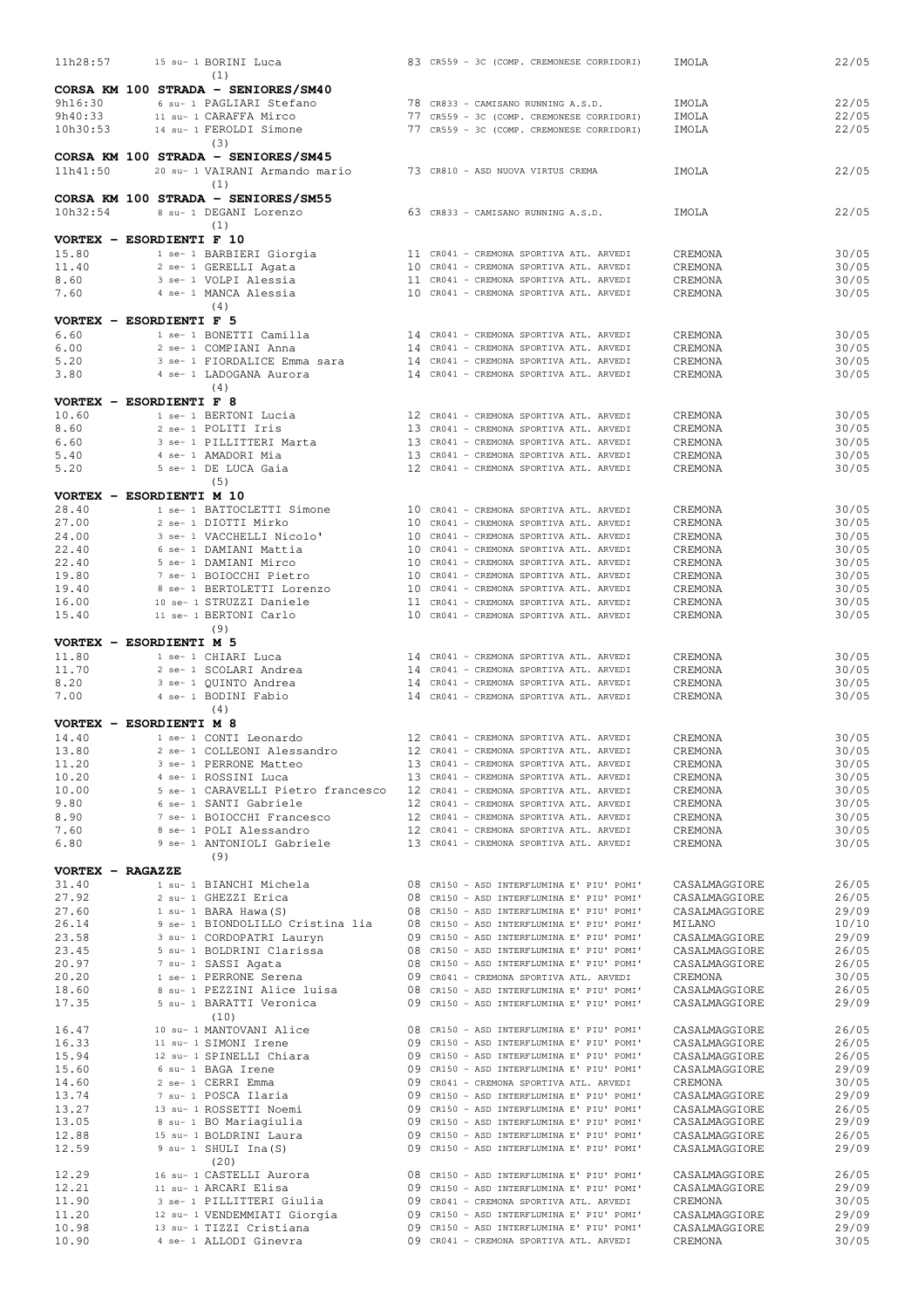| 11h28:57                 |  | 15 su- 1 BORINI Luca                                                       |  | 83 CR559 - 3C (COMP. CREMONESE CORRIDORI)                                              | IMOLA                          | 22/05          |
|--------------------------|--|----------------------------------------------------------------------------|--|----------------------------------------------------------------------------------------|--------------------------------|----------------|
|                          |  | (1)                                                                        |  |                                                                                        |                                |                |
| 9h16:30                  |  | CORSA KM 100 STRADA - SENIORES/SM40<br>6 su- 1 PAGLIARI Stefano            |  | 78 CR833 - CAMISANO RUNNING A.S.D.                                                     | IMOLA                          | 22/05          |
| 9h40:33                  |  | 11 su- 1 CARAFFA Mirco                                                     |  | 77 CR559 - 3C (COMP. CREMONESE CORRIDORI)                                              | IMOLA                          | 22/05          |
| 10h30:53                 |  | 14 su- 1 FEROLDI Simone                                                    |  | 77 CR559 - 3C (COMP. CREMONESE CORRIDORI)                                              | IMOLA                          | 22/05          |
|                          |  | (3)                                                                        |  |                                                                                        |                                |                |
|                          |  | CORSA KM 100 STRADA - SENIORES/SM45                                        |  |                                                                                        |                                |                |
| 11h41:50                 |  | 20 su- 1 VAIRANI Armando mario                                             |  | 73 CR810 - ASD NUOVA VIRTUS CREMA                                                      | IMOLA                          | 22/05          |
|                          |  | (1)                                                                        |  |                                                                                        |                                |                |
| 10h32:54                 |  | CORSA KM 100 STRADA - SENIORES/SM55<br>8 su- 1 DEGANI Lorenzo              |  | 63 CR833 - CAMISANO RUNNING A.S.D.                                                     | IMOLA                          | 22/05          |
|                          |  | (1)                                                                        |  |                                                                                        |                                |                |
| VORTEX - ESORDIENTI F 10 |  |                                                                            |  |                                                                                        |                                |                |
| 15.80                    |  | 1 se- 1 BARBIERI Giorgia                                                   |  | 11 CR041 - CREMONA SPORTIVA ATL. ARVEDI                                                | CREMONA                        | 30/05          |
| 11.40                    |  | 2 se- 1 GERELLI Agata                                                      |  | 10 CR041 - CREMONA SPORTIVA ATL. ARVEDI                                                | CREMONA                        | 30/05          |
| 8.60                     |  | 3 se- 1 VOLPI Alessia                                                      |  | 11 CR041 - CREMONA SPORTIVA ATL. ARVEDI                                                | CREMONA                        | 30/05          |
| 7.60                     |  | 4 se- 1 MANCA Alessia<br>(4)                                               |  | 10 CR041 - CREMONA SPORTIVA ATL. ARVEDI                                                | CREMONA                        | 30/05          |
| VORTEX - ESORDIENTI F 5  |  |                                                                            |  |                                                                                        |                                |                |
| 6.60                     |  | 1 se- 1 BONETTI Camilla                                                    |  | 14 CR041 - CREMONA SPORTIVA ATL. ARVEDI                                                | CREMONA                        | 30/05          |
| 6.00                     |  | 2 se- 1 COMPIANI Anna                                                      |  | 14 CR041 - CREMONA SPORTIVA ATL. ARVEDI                                                | CREMONA                        | 30/05          |
| 5.20                     |  | 3 se- 1 FIORDALICE Emma sara                                               |  | 14 CR041 - CREMONA SPORTIVA ATL. ARVEDI                                                | CREMONA                        | 30/05          |
| 3.80                     |  | 4 se- 1 LADOGANA Aurora                                                    |  | 14 CR041 - CREMONA SPORTIVA ATL. ARVEDI                                                | CREMONA                        | 30/05          |
| VORTEX - ESORDIENTI F 8  |  | (4)                                                                        |  |                                                                                        |                                |                |
| 10.60                    |  | 1 se- 1 BERTONI Lucia                                                      |  | 12 CR041 - CREMONA SPORTIVA ATL. ARVEDI                                                | CREMONA                        | 30/05          |
| 8.60                     |  | 2 se- 1 POLITI Iris                                                        |  | 13 CR041 - CREMONA SPORTIVA ATL. ARVEDI                                                | CREMONA                        | 30/05          |
| 6.60                     |  | 3 se- 1 PILLITTERI Marta                                                   |  | 13 CR041 - CREMONA SPORTIVA ATL. ARVEDI                                                | CREMONA                        | 30/05          |
| 5.40                     |  | 4 se- 1 AMADORI Mia                                                        |  | 13 CR041 - CREMONA SPORTIVA ATL. ARVEDI                                                | CREMONA                        | 30/05          |
| 5.20                     |  | 5 se- 1 DE LUCA Gaia                                                       |  | 12 CR041 - CREMONA SPORTIVA ATL. ARVEDI                                                | CREMONA                        | 30/05          |
| VORTEX - ESORDIENTI M 10 |  | (5)                                                                        |  |                                                                                        |                                |                |
| 28.40                    |  | 1 se- 1 BATTOCLETTI Simone                                                 |  | 10 CR041 - CREMONA SPORTIVA ATL. ARVEDI                                                | CREMONA                        | 30/05          |
| 27.00                    |  | 2 se- 1 DIOTTI Mirko                                                       |  | 10 CR041 - CREMONA SPORTIVA ATL. ARVEDI                                                | CREMONA                        | 30/05          |
| 24.00                    |  | 3 se- 1 VACCHELLI Nicolo'                                                  |  | 10 CR041 - CREMONA SPORTIVA ATL. ARVEDI                                                | CREMONA                        | 30/05          |
| 22.40                    |  | 6 se- 1 DAMIANI Mattia                                                     |  | 10 CR041 - CREMONA SPORTIVA ATL. ARVEDI                                                | CREMONA                        | 30/05          |
| 22.40<br>19.80           |  | 5 se- 1 DAMIANI Mirco                                                      |  | 10 CR041 - CREMONA SPORTIVA ATL. ARVEDI<br>10 CR041 - CREMONA SPORTIVA ATL. ARVEDI     | CREMONA                        | 30/05          |
| 19.40                    |  | 7 se- 1 BOIOCCHI Pietro<br>8 se- 1 BERTOLETTI Lorenzo                      |  | 10 CR041 - CREMONA SPORTIVA ATL. ARVEDI                                                | CREMONA<br>CREMONA             | 30/05<br>30/05 |
| 16.00                    |  | 10 se- 1 STRUZZI Daniele                                                   |  | 11 CR041 - CREMONA SPORTIVA ATL. ARVEDI                                                | CREMONA                        | 30/05          |
| 15.40                    |  | 11 se- 1 BERTONI Carlo                                                     |  | 10 CR041 - CREMONA SPORTIVA ATL. ARVEDI                                                | CREMONA                        | 30/05          |
|                          |  | (9)                                                                        |  |                                                                                        |                                |                |
| VORTEX - ESORDIENTI M 5  |  |                                                                            |  |                                                                                        |                                |                |
| 11.80<br>11.70           |  | 1 se- 1 CHIARI Luca<br>2 se- 1 SCOLARI Andrea                              |  | 14 CR041 - CREMONA SPORTIVA ATL. ARVEDI<br>14 CR041 - CREMONA SPORTIVA ATL. ARVEDI     | CREMONA<br>CREMONA             | 30/05<br>30/05 |
| 8.20                     |  | 3 se- 1 QUINTO Andrea                                                      |  | 14 CR041 - CREMONA SPORTIVA ATL. ARVEDI                                                | CREMONA                        | 30/05          |
| 7.00                     |  | 4 se- 1 BODINI Fabio                                                       |  | 14 CR041 - CREMONA SPORTIVA ATL. ARVEDI                                                | CREMONA                        | 30/05          |
|                          |  | (4)                                                                        |  |                                                                                        |                                |                |
| VORTEX - ESORDIENTI M 8  |  |                                                                            |  |                                                                                        |                                |                |
| 14.40                    |  | 1 se- 1 CONTI Leonardo                                                     |  | 12 CR041 - CREMONA SPORTIVA ATL. ARVEDI                                                | CREMONA                        | 30/05          |
| 13.80<br>11.20           |  | 2 se- 1 COLLEONI Alessandro<br>3 se- 1 PERRONE Matteo                      |  | 12 CR041 - CREMONA SPORTIVA ATL. ARVEDI<br>13 CR041 - CREMONA SPORTIVA ATL. ARVEDI     | CREMONA<br>CREMONA             | 30/05<br>30/05 |
| 10.20                    |  | 4 se- 1 ROSSINI Luca                                                       |  | 13 CR041 - CREMONA SPORTIVA ATL. ARVEDI                                                | CREMONA                        | 30/05          |
| 10.00                    |  | 5 se- 1 CARAVELLI Pietro francesco 12 CR041 - CREMONA SPORTIVA ATL. ARVEDI |  |                                                                                        | CREMONA                        | 30/05          |
| 9.80                     |  | 6 se- 1 SANTI Gabriele                                                     |  | 12 CR041 - CREMONA SPORTIVA ATL. ARVEDI                                                | CREMONA                        | 30/05          |
| 8.90                     |  | 7 se- 1 BOIOCCHI Francesco                                                 |  | 12 CR041 - CREMONA SPORTIVA ATL. ARVEDI                                                | CREMONA                        | 30/05          |
| 7.60<br>6.80             |  | 8 se- 1 POLI Alessandro<br>9 se- 1 ANTONIOLI Gabriele                      |  | 12 CR041 - CREMONA SPORTIVA ATL. ARVEDI<br>13 CR041 - CREMONA SPORTIVA ATL. ARVEDI     | CREMONA<br>CREMONA             | 30/05<br>30/05 |
|                          |  | (9)                                                                        |  |                                                                                        |                                |                |
| VORTEX - RAGAZZE         |  |                                                                            |  |                                                                                        |                                |                |
| 31.40                    |  | 1 su- 1 BIANCHI Michela                                                    |  | 08 CR150 - ASD INTERFLUMINA E' PIU' POMI'                                              | CASALMAGGIORE                  | 26/05          |
| 27.92                    |  | 2 su- 1 GHEZZI Erica                                                       |  | 08 CR150 - ASD INTERFLUMINA E' PIU' POMI'                                              | CASALMAGGIORE                  | 26/05          |
| 27.60                    |  | $1$ su- $1$ BARA Hawa (S)                                                  |  | 08 CR150 - ASD INTERFLUMINA E' PIU' POMI'                                              | CASALMAGGIORE                  | 29/09          |
| 26.14<br>23.58           |  | 9 se- 1 BIONDOLILLO Cristina lia<br>3 su- 1 CORDOPATRI Lauryn              |  | 08 CR150 - ASD INTERFLUMINA E' PIU' POMI'<br>09 CR150 - ASD INTERFLUMINA E' PIU' POMI' | MILANO<br>CASALMAGGIORE        | 10/10<br>29/09 |
| 23.45                    |  | 5 su- 1 BOLDRINI Clarissa                                                  |  | 08 CR150 - ASD INTERFLUMINA E' PIU' POMI'                                              | CASALMAGGIORE                  | 26/05          |
| 20.97                    |  | 7 su- 1 SASSI Agata                                                        |  | 08 CR150 - ASD INTERFLUMINA E' PIU' POMI'                                              | CASALMAGGIORE                  | 26/05          |
| 20.20                    |  | 1 se- 1 PERRONE Serena                                                     |  | 09 CR041 - CREMONA SPORTIVA ATL. ARVEDI                                                | CREMONA                        | 30/05          |
| 18.60                    |  | 8 su- 1 PEZZINI Alice luisa                                                |  | 08 CR150 - ASD INTERFLUMINA E' PIU' POMI'                                              | CASALMAGGIORE                  | 26/05          |
| 17.35                    |  | 5 su- 1 BARATTI Veronica<br>(10)                                           |  | 09 CR150 - ASD INTERFLUMINA E' PIU' POMI'                                              | CASALMAGGIORE                  | 29/09          |
| 16.47                    |  | 10 su- 1 MANTOVANI Alice                                                   |  | 08 CR150 - ASD INTERFLUMINA E' PIU' POMI'                                              | CASALMAGGIORE                  | 26/05          |
| 16.33                    |  | 11 su- 1 SIMONI Irene                                                      |  | 09 CR150 - ASD INTERFLUMINA E' PIU' POMI'                                              | CASALMAGGIORE                  | 26/05          |
| 15.94                    |  | 12 su- 1 SPINELLI Chiara                                                   |  | 09 CR150 - ASD INTERFLUMINA E' PIU' POMI'                                              | CASALMAGGIORE                  | 26/05          |
| 15.60                    |  | 6 su- 1 BAGA Irene                                                         |  | 09 CR150 - ASD INTERFLUMINA E' PIU' POMI'                                              | CASALMAGGIORE                  | 29/09          |
| 14.60<br>13.74           |  | 2 se- 1 CERRI Emma<br>7 su- 1 POSCA Ilaria                                 |  | 09 CR041 - CREMONA SPORTIVA ATL. ARVEDI<br>09 CR150 - ASD INTERFLUMINA E' PIU' POMI'   | CREMONA<br>CASALMAGGIORE       | 30/05<br>29/09 |
| 13.27                    |  | 13 su- 1 ROSSETTI Noemi                                                    |  | 09 CR150 - ASD INTERFLUMINA E' PIU' POMI'                                              | CASALMAGGIORE                  | 26/05          |
| 13.05                    |  | 8 su- 1 BO Mariagiulia                                                     |  | 09 CR150 - ASD INTERFLUMINA E' PIU' POMI'                                              | CASALMAGGIORE                  | 29/09          |
| 12.88                    |  | 15 su- 1 BOLDRINI Laura                                                    |  | 09 CR150 - ASD INTERFLUMINA E' PIU' POMI'                                              | CASALMAGGIORE                  | 26/05          |
| 12.59                    |  | 9 su- 1 SHULI Ina (S)                                                      |  | 09 CR150 - ASD INTERFLUMINA E' PIU' POMI'                                              | CASALMAGGIORE                  | 29/09          |
|                          |  | (20)                                                                       |  |                                                                                        |                                |                |
| 12.29<br>12.21           |  | 16 su- 1 CASTELLI Aurora<br>11 su- 1 ARCARI Elisa                          |  | 08 CR150 - ASD INTERFLUMINA E' PIU' POMI'<br>09 CR150 - ASD INTERFLUMINA E' PIU' POMI' | CASALMAGGIORE<br>CASALMAGGIORE | 26/05<br>29/09 |
| 11.90                    |  | 3 se- 1 PILLITTERI Giulia                                                  |  | 09 CR041 - CREMONA SPORTIVA ATL. ARVEDI                                                | CREMONA                        | 30/05          |
| 11.20                    |  | 12 su- 1 VENDEMMIATI Giorgia                                               |  | 09 CR150 - ASD INTERFLUMINA E' PIU' POMI'                                              | CASALMAGGIORE                  | 29/09          |
| 10.98                    |  | 13 su- 1 TIZZI Cristiana                                                   |  | 09 CR150 - ASD INTERFLUMINA E' PIU' POMI'                                              | CASALMAGGIORE                  | 29/09          |
| 10.90                    |  | 4 se- 1 ALLODI Ginevra                                                     |  | 09 CR041 - CREMONA SPORTIVA ATL. ARVEDI                                                | CREMONA                        | 30/05          |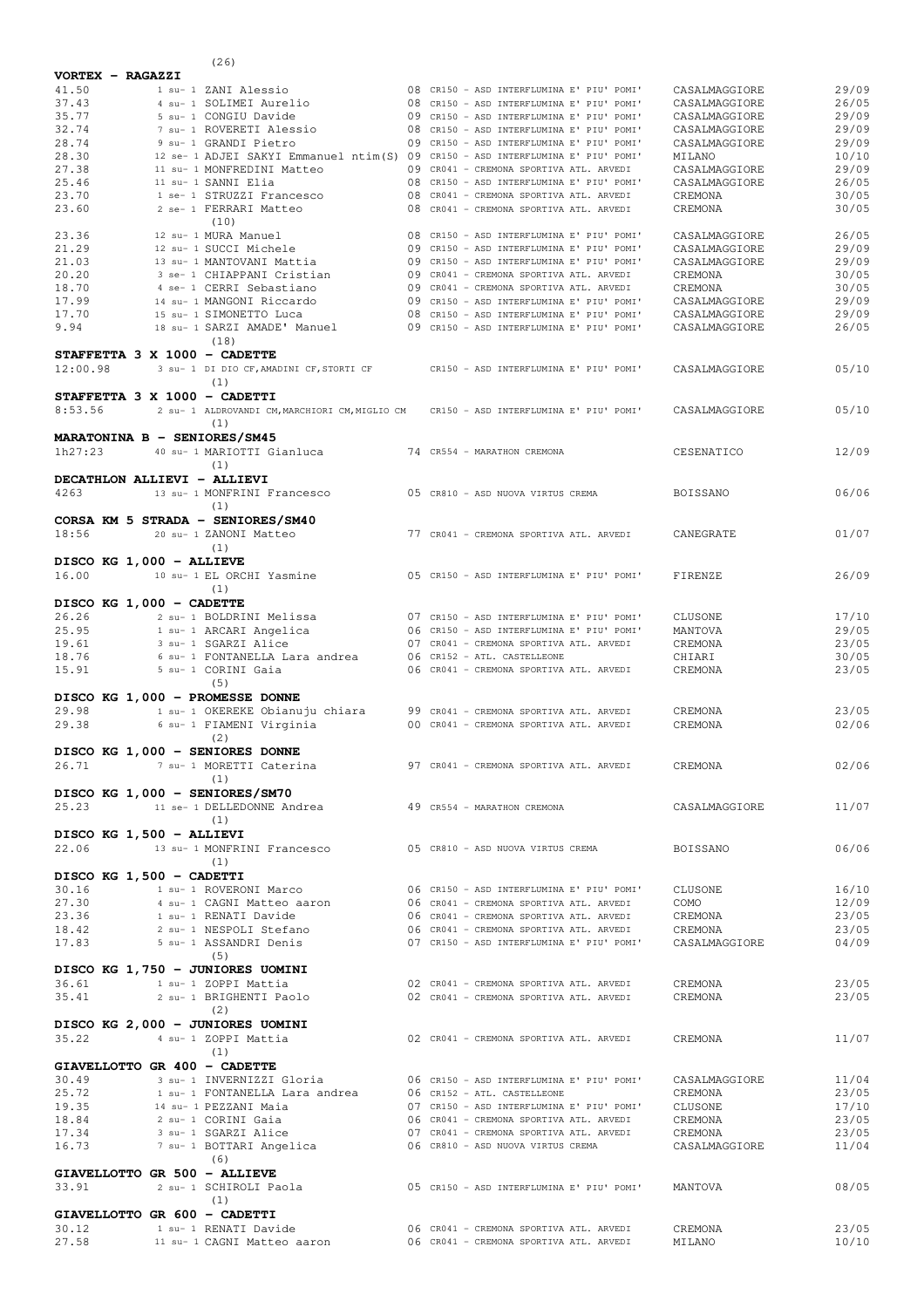|                          |  | (26)                                                                                                            |  |                                           |                                |                |
|--------------------------|--|-----------------------------------------------------------------------------------------------------------------|--|-------------------------------------------|--------------------------------|----------------|
| VORTEX - RAGAZZI         |  |                                                                                                                 |  |                                           |                                |                |
| 41.50                    |  | 1 su- 1 ZANI Alessio                                                                                            |  | 08 CR150 - ASD INTERFLUMINA E' PIU' POMI' | CASALMAGGIORE                  | 29/09          |
| 37.43                    |  | 4 su- 1 SOLIMEI Aurelio                                                                                         |  | 08 CR150 - ASD INTERFLUMINA E' PIU' POMI' | CASALMAGGIORE                  | 26/05          |
| 35.77                    |  | 5 su- 1 CONGIU Davide                                                                                           |  | 09 CR150 - ASD INTERFLUMINA E' PIU' POMI' | CASALMAGGIORE                  | 29/09          |
| 32.74                    |  | 7 su- 1 ROVERETI Alessio                                                                                        |  | 08 CR150 - ASD INTERFLUMINA E' PIU' POMI' | CASALMAGGIORE                  | 29/09          |
| 28.74                    |  | 9 su- 1 GRANDI Pietro                                                                                           |  | 09 CR150 - ASD INTERFLUMINA E' PIU' POMI' | CASALMAGGIORE                  | 29/09          |
| 28.30<br>27.38           |  | 12 se- 1 ADJEI SAKYI Emmanuel ntim(S) 09 CR150 - ASD INTERFLUMINA E' PIU' POMI'                                 |  | 09 CR041 - CREMONA SPORTIVA ATL. ARVEDI   | MILANO                         | 10/10          |
| 25.46                    |  | 11 su- 1 MONFREDINI Matteo<br>11 su- 1 SANNI Elia                                                               |  | 08 CR150 - ASD INTERFLUMINA E' PIU' POMI' | CASALMAGGIORE<br>CASALMAGGIORE | 29/09<br>26/05 |
| 23.70                    |  | 1 se- 1 STRUZZI Francesco                                                                                       |  | 08 CR041 - CREMONA SPORTIVA ATL. ARVEDI   | CREMONA                        | 30/05          |
| 23.60                    |  | 2 se- 1 FERRARI Matteo                                                                                          |  | 08 CR041 - CREMONA SPORTIVA ATL. ARVEDI   | CREMONA                        | 30/05          |
|                          |  | (10)                                                                                                            |  |                                           |                                |                |
| 23.36                    |  | 12 su- 1 MURA Manuel                                                                                            |  | 08 CR150 - ASD INTERFLUMINA E' PIU' POMI' | CASALMAGGIORE                  | 26/05          |
| 21.29                    |  | 12 su- 1 SUCCI Michele                                                                                          |  | 09 CR150 - ASD INTERFLUMINA E' PIU' POMI' | CASALMAGGIORE                  | 29/09          |
| 21.03                    |  | 13 su- 1 MANTOVANI Mattia                                                                                       |  | 09 CR150 - ASD INTERFLUMINA E' PIU' POMI' | CASALMAGGIORE                  | 29/09          |
| 20.20                    |  | 3 se- 1 CHIAPPANI Cristian                                                                                      |  | 09 CR041 - CREMONA SPORTIVA ATL. ARVEDI   | CREMONA                        | 30/05          |
| 18.70                    |  | 4 se- 1 CERRI Sebastiano                                                                                        |  | 09 CR041 - CREMONA SPORTIVA ATL. ARVEDI   | CREMONA                        | 30/05          |
| 17.99                    |  | 14 su- 1 MANGONI Riccardo                                                                                       |  | 09 CR150 - ASD INTERFLUMINA E' PIU' POMI' | CASALMAGGIORE                  | 29/09          |
| 17.70                    |  | 15 su- 1 SIMONETTO Luca                                                                                         |  | 08 CR150 - ASD INTERFLUMINA E' PIU' POMI' | CASALMAGGIORE                  | 29/09          |
| 9.94                     |  | 18 su- 1 SARZI AMADE' Manuel                                                                                    |  | 09 CR150 - ASD INTERFLUMINA E' PIU' POMI' | CASALMAGGIORE                  | 26/05          |
|                          |  | (18)                                                                                                            |  |                                           |                                |                |
| 12:00.98                 |  | STAFFETTA 3 X 1000 - CADETTE<br>3 su- 1 DI DIO CF, AMADINI CF, STORTI CF CR150 - ASD INTERFLUMINA E' PIU' POMI' |  |                                           |                                | 05/10          |
|                          |  | (1)                                                                                                             |  |                                           | CASALMAGGIORE                  |                |
|                          |  | STAFFETTA 3 X 1000 - CADETTI                                                                                    |  |                                           |                                |                |
| 8:53.56                  |  | 2 su- 1 ALDROVANDI CM, MARCHIORI CM, MIGLIO CM                                                                  |  | CR150 - ASD INTERFLUMINA E' PIU' POMI'    | CASALMAGGIORE                  | 05/10          |
|                          |  | (1)                                                                                                             |  |                                           |                                |                |
|                          |  | MARATONINA B - SENIORES/SM45                                                                                    |  |                                           |                                |                |
| 1h27:23                  |  | 40 su- 1 MARIOTTI Gianluca                                                                                      |  | 74 CR554 - MARATHON CREMONA               | CESENATICO                     | 12/09          |
|                          |  | (1)                                                                                                             |  |                                           |                                |                |
|                          |  | DECATHLON ALLIEVI - ALLIEVI                                                                                     |  |                                           |                                |                |
| 4263                     |  | 13 su- 1 MONFRINI Francesco                                                                                     |  | 05 CR810 - ASD NUOVA VIRTUS CREMA         | BOISSANO                       | 06/06          |
|                          |  | (1)                                                                                                             |  |                                           |                                |                |
|                          |  | CORSA KM 5 STRADA - SENIORES/SM40                                                                               |  |                                           |                                |                |
| 18:56                    |  | 20 su- 1 ZANONI Matteo                                                                                          |  | 77 CR041 - CREMONA SPORTIVA ATL. ARVEDI   | CANEGRATE                      | 01/07          |
|                          |  | (1)                                                                                                             |  |                                           |                                |                |
| DISCO KG 1,000 - ALLIEVE |  |                                                                                                                 |  |                                           |                                |                |
| 16.00                    |  | 10 su- 1 EL ORCHI Yasmine                                                                                       |  | 05 CR150 - ASD INTERFLUMINA E' PIU' POMI' | FIRENZE                        | 26/09          |
|                          |  | (1)                                                                                                             |  |                                           |                                |                |
| DISCO KG 1,000 - CADETTE |  |                                                                                                                 |  |                                           |                                |                |
| 26.26                    |  | 2 su- 1 BOLDRINI Melissa                                                                                        |  | 07 CR150 - ASD INTERFLUMINA E' PIU' POMI' | CLUSONE                        | 17/10          |
| 25.95                    |  | 1 su- 1 ARCARI Angelica                                                                                         |  | 06 CR150 - ASD INTERFLUMINA E' PIU' POMI' | MANTOVA                        | 29/05          |
| 19.61                    |  | 3 su- 1 SGARZI Alice                                                                                            |  | 07 CR041 - CREMONA SPORTIVA ATL. ARVEDI   | CREMONA                        | 23/05          |
| 18.76                    |  | 6 su- 1 FONTANELLA Lara andrea                                                                                  |  | 06 CR152 - ATL. CASTELLEONE               | CHIARI                         | 30/05          |
| 15.91                    |  | 5 su- 1 CORINI Gaia                                                                                             |  | 06 CR041 - CREMONA SPORTIVA ATL. ARVEDI   | CREMONA                        | 23/05          |
|                          |  | (5)                                                                                                             |  |                                           |                                |                |
|                          |  | DISCO KG 1,000 - PROMESSE DONNE                                                                                 |  |                                           |                                |                |
| 29.98                    |  | 1 su- 1 OKEREKE Obianuju chiara                                                                                 |  | 99 CR041 - CREMONA SPORTIVA ATL. ARVEDI   | CREMONA                        | 23/05          |
| 29.38                    |  | 6 su- 1 FIAMENI Virginia                                                                                        |  | 00 CR041 - CREMONA SPORTIVA ATL. ARVEDI   | CREMONA                        | 02/06          |
|                          |  | (2)                                                                                                             |  |                                           |                                |                |
|                          |  | DISCO KG 1,000 - SENIORES DONNE                                                                                 |  |                                           |                                |                |
| 26.71                    |  | 7 su- 1 MORETTI Caterina                   97 CR041 - CREMONA SPORTIVA ATL. ARVEDI                              |  |                                           | CREMONA                        | 02/06          |
|                          |  | (1)                                                                                                             |  |                                           |                                |                |
| 25.23                    |  | DISCO KG 1,000 - SENIORES/SM70                                                                                  |  |                                           | CASALMAGGIORE                  |                |
|                          |  | 11 se- 1 DELLEDONNE Andrea                                                                                      |  | 49 CR554 - MARATHON CREMONA               |                                | 11/07          |
| DISCO KG 1,500 - ALLIEVI |  | (1)                                                                                                             |  |                                           |                                |                |
| 22.06                    |  | 13 su- 1 MONFRINI Francesco                                                                                     |  | 05 CR810 - ASD NUOVA VIRTUS CREMA         | BOISSANO                       | 06/06          |
|                          |  | (1)                                                                                                             |  |                                           |                                |                |
| DISCO KG 1,500 - CADETTI |  |                                                                                                                 |  |                                           |                                |                |
| 30.16                    |  | 1 su- 1 ROVERONI Marco                                                                                          |  | 06 CR150 - ASD INTERFLUMINA E' PIU' POMI' | CLUSONE                        | 16/10          |
| 27.30                    |  | 4 su- 1 CAGNI Matteo aaron 606 CR041 - CREMONA SPORTIVA ATL. ARVEDI                                             |  |                                           | COMO                           | 12/09          |
| 23.36                    |  | 1 su- 1 RENATI Davide                                                                                           |  | 06 CR041 - CREMONA SPORTIVA ATL. ARVEDI   | CREMONA                        | 23/05          |
| 18.42                    |  | 2 su- 1 NESPOLI Stefano                                                                                         |  | 06 CR041 - CREMONA SPORTIVA ATL. ARVEDI   | CREMONA                        | 23/05          |
| 17.83                    |  | 5 su- 1 ASSANDRI Denis                                                                                          |  | 07 CR150 - ASD INTERFLUMINA E' PIU' POMI' | CASALMAGGIORE                  | 04/09          |
|                          |  | (5)                                                                                                             |  |                                           |                                |                |
|                          |  | DISCO KG 1,750 - JUNIORES UOMINI                                                                                |  |                                           |                                |                |
| 36.61                    |  | 1 su- 1 ZOPPI Mattia                                                                                            |  | 02 CR041 - CREMONA SPORTIVA ATL. ARVEDI   | CREMONA                        | 23/05          |
| 35.41                    |  | 2 su- 1 BRIGHENTI Paolo                                                                                         |  | 02 CR041 - CREMONA SPORTIVA ATL. ARVEDI   | CREMONA                        | 23/05          |
|                          |  | (2)                                                                                                             |  |                                           |                                |                |
|                          |  | DISCO KG 2,000 - JUNIORES UOMINI                                                                                |  |                                           |                                |                |
| 35.22                    |  | 4 su- 1 ZOPPI Mattia                                                                                            |  | 02 CR041 - CREMONA SPORTIVA ATL. ARVEDI   | CREMONA                        | 11/07          |
|                          |  | (1)                                                                                                             |  |                                           |                                |                |
|                          |  | GIAVELLOTTO GR 400 - CADETTE                                                                                    |  |                                           |                                |                |
| 30.49                    |  | 3 su- 1 INVERNIZZI Gloria 600 06 CR150 - ASD INTERFLUMINA E' PIU' POMI'                                         |  |                                           | CASALMAGGIORE                  | 11/04          |
| 25.72                    |  | 1 su- 1 FONTANELLA Lara andrea                                                                                  |  | 06 CR152 - ATL. CASTELLEONE               | CREMONA                        | 23/05          |
| 19.35                    |  | 14 su- 1 PEZZANI Maia                                                                                           |  | 07 CR150 - ASD INTERFLUMINA E' PIU' POMI' | CLUSONE                        | 17/10          |
| 18.84                    |  | 2 su- 1 CORINI Gaia                                                                                             |  | 06 CR041 - CREMONA SPORTIVA ATL. ARVEDI   | CREMONA                        | 23/05          |
| 17.34                    |  | 3 su- 1 SGARZI Alice                                                                                            |  | 07 CR041 - CREMONA SPORTIVA ATL. ARVEDI   | CREMONA                        | 23/05          |
| 16.73                    |  | 7 su- 1 BOTTARI Angelica                                                                                        |  | 06 CR810 - ASD NUOVA VIRTUS CREMA         | CASALMAGGIORE                  | 11/04          |
|                          |  | (6)                                                                                                             |  |                                           |                                |                |
|                          |  | GIAVELLOTTO GR 500 - ALLIEVE                                                                                    |  |                                           |                                | 08/05          |
| 33.91                    |  | 2 su- 1 SCHIROLI Paola<br>(1)                                                                                   |  | 05 CR150 - ASD INTERFLUMINA E' PIU' POMI' | MANTOVA                        |                |
|                          |  | GIAVELLOTTO GR 600 - CADETTI                                                                                    |  |                                           |                                |                |
| 30.12                    |  | 1 su- 1 RENATI Davide                                                                                           |  | 06 CR041 - CREMONA SPORTIVA ATL. ARVEDI   | CREMONA                        | 23/05          |
| 27.58                    |  | 11 su- 1 CAGNI Matteo aaron                                                                                     |  | 06 CR041 - CREMONA SPORTIVA ATL. ARVEDI   | MILANO                         | 10/10          |
|                          |  |                                                                                                                 |  |                                           |                                |                |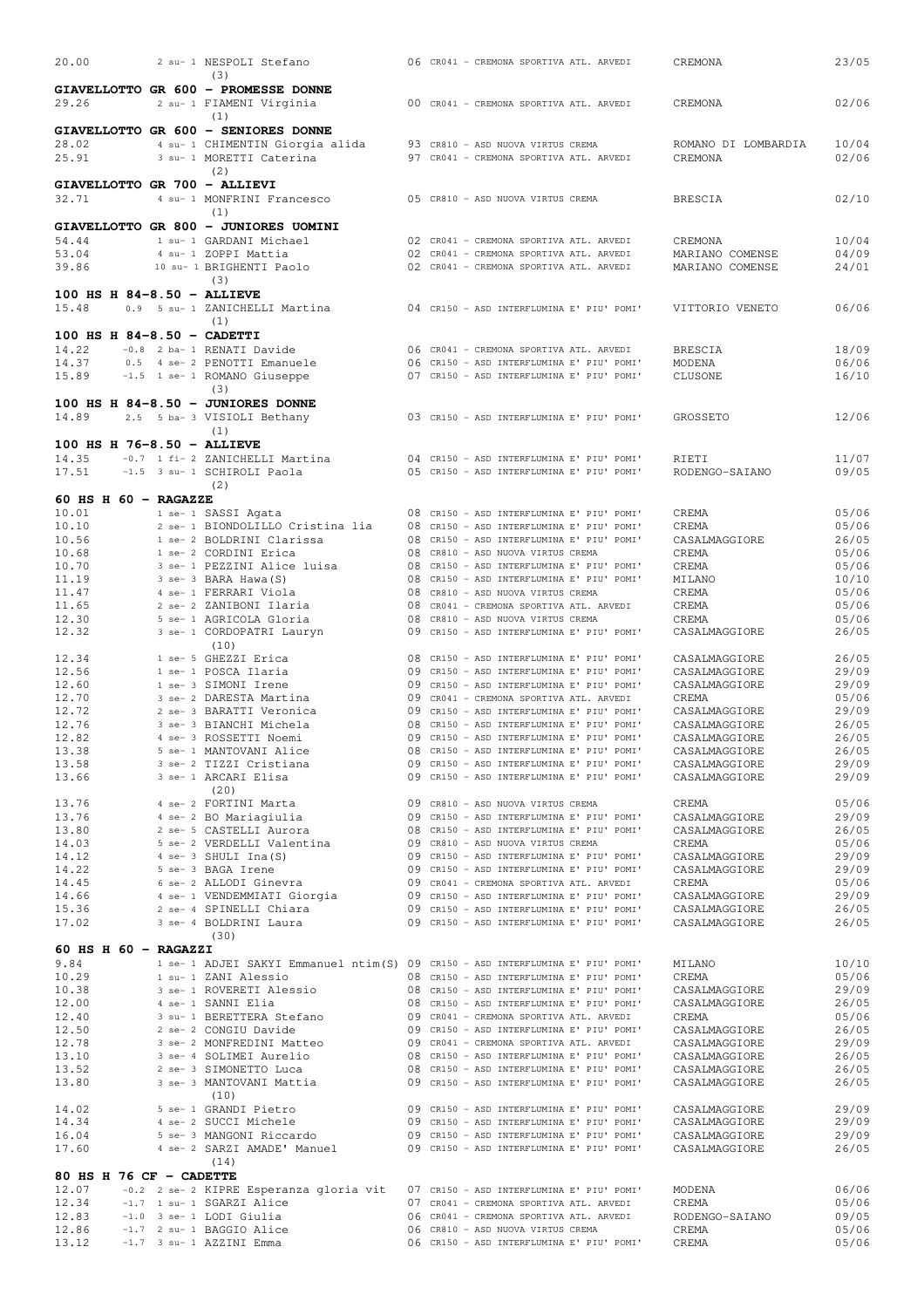| 20.00                                 | 2 su- 1 NESPOLI Stefano<br>(3)                                       |    | 06 CR041 - CREMONA SPORTIVA ATL. ARVEDI                                                | CREMONA                        | 23/05          |
|---------------------------------------|----------------------------------------------------------------------|----|----------------------------------------------------------------------------------------|--------------------------------|----------------|
|                                       | GIAVELLOTTO GR 600 - PROMESSE DONNE                                  |    |                                                                                        |                                |                |
| 29.26                                 | 2 su- 1 FIAMENI Virginia                                             |    | 00 CR041 - CREMONA SPORTIVA ATL. ARVEDI                                                | CREMONA                        | 02/06          |
|                                       | (1)<br>GIAVELLOTTO GR 600 - SENIORES DONNE                           |    |                                                                                        |                                |                |
| 28.02                                 | 4 su- 1 CHIMENTIN Giorgia alida                                      |    | 93 CR810 - ASD NUOVA VIRTUS CREMA                                                      | ROMANO DI LOMBARDIA            | 10/04          |
| 25.91                                 | 3 su- 1 MORETTI Caterina                                             |    | 97 CR041 - CREMONA SPORTIVA ATL. ARVEDI                                                | CREMONA                        | 02/06          |
| GIAVELLOTTO GR 700 - ALLIEVI          | (2)                                                                  |    |                                                                                        |                                |                |
| 32.71                                 | 4 su- 1 MONFRINI Francesco                                           |    | 05 CR810 - ASD NUOVA VIRTUS CREMA                                                      | <b>BRESCIA</b>                 | 02/10          |
|                                       | (1)                                                                  |    |                                                                                        |                                |                |
| 54.44                                 | GIAVELLOTTO GR 800 - JUNIORES UOMINI<br>1 su- 1 GARDANI Michael      |    | 02 CR041 - CREMONA SPORTIVA ATL. ARVEDI                                                | CREMONA                        | 10/04          |
| 53.04                                 | 4 su- 1 ZOPPI Mattia                                                 |    | 02 CR041 - CREMONA SPORTIVA ATL. ARVEDI                                                | MARIANO COMENSE                | 04/09          |
| 39.86                                 | 10 su- 1 BRIGHENTI Paolo                                             |    | 02 CR041 - CREMONA SPORTIVA ATL. ARVEDI                                                | MARIANO COMENSE                | 24/01          |
| 100 HS H 84-8.50 - ALLIEVE            | (3)                                                                  |    |                                                                                        |                                |                |
| 15.48                                 | 0.9 5 su- 1 ZANICHELLI Martina                                       |    | 04 CR150 - ASD INTERFLUMINA E' PIU' POMI'                                              | VITTORIO VENETO                | 06/06          |
|                                       | (1)                                                                  |    |                                                                                        |                                |                |
| 100 HS H $84-8.50$ - CADETTI<br>14.22 | -0.8 2 ba- 1 RENATI Davide                                           |    | 06 CR041 - CREMONA SPORTIVA ATL. ARVEDI                                                | <b>BRESCIA</b>                 | 18/09          |
| 14.37                                 | 0.5 4 se- 2 PENOTTI Emanuele                                         |    | 06 CR150 - ASD INTERFLUMINA E' PIU' POMI'                                              | MODENA                         | 06/06          |
| 15.89                                 | -1.5 1 se- 1 ROMANO Giuseppe                                         |    | 07 CR150 - ASD INTERFLUMINA E' PIU' POMI'                                              | CLUSONE                        | 16/10          |
|                                       | (3)<br>100 HS H 84-8.50 - JUNIORES DONNE                             |    |                                                                                        |                                |                |
| 14.89                                 | 2.5 5 ba- 3 VISIOLI Bethany                                          |    | 03 CR150 - ASD INTERFLUMINA E' PIU' POMI'                                              | GROSSETO                       | 12/06          |
|                                       | (1)                                                                  |    |                                                                                        |                                |                |
| 100 HS H 76-8.50 - ALLIEVE<br>14.35   | -0.7 1 fi- 2 ZANICHELLI Martina                                      |    | 04 CR150 - ASD INTERFLUMINA E' PIU' POMI'                                              | RIETI                          | 11/07          |
| 17.51                                 | -1.5 3 su- 1 SCHIROLI Paola                                          |    | 05 CR150 - ASD INTERFLUMINA E' PIU' POMI'                                              | RODENGO-SAIANO                 | 09/05          |
|                                       | (2)                                                                  |    |                                                                                        |                                |                |
| 60 HS H $60$ - RAGAZZE<br>10.01       | 1 se- 1 SASSI Agata                                                  |    | 08 CR150 - ASD INTERFLUMINA E' PIU' POMI'                                              | CREMA                          | 05/06          |
| 10.10                                 | 2 se- 1 BIONDOLILLO Cristina lia                                     |    | 08 CR150 - ASD INTERFLUMINA E' PIU' POMI'                                              | CREMA                          | 05/06          |
| 10.56                                 | 1 se- 2 BOLDRINI Clarissa                                            |    | 08 CR150 - ASD INTERFLUMINA E' PIU' POMI'                                              | CASALMAGGIORE                  | 26/05          |
| 10.68<br>10.70                        | 1 se- 2 CORDINI Erica<br>3 se- 1 PEZZINI Alice luisa                 |    | 08 CR810 - ASD NUOVA VIRTUS CREMA<br>08 CR150 - ASD INTERFLUMINA E' PIU' POMI'         | CREMA<br>CREMA                 | 05/06<br>05/06 |
| 11.19                                 | 3 se- 3 BARA Hawa (S)                                                |    | 08 CR150 - ASD INTERFLUMINA E' PIU' POMI'                                              | MILANO                         | 10/10          |
| 11.47                                 | 4 se- 1 FERRARI Viola                                                |    | 08 CR810 - ASD NUOVA VIRTUS CREMA                                                      | CREMA                          | 05/06          |
| 11.65<br>12.30                        | 2 se- 2 ZANIBONI Ilaria<br>5 se- 1 AGRICOLA Gloria                   |    | 08 CR041 - CREMONA SPORTIVA ATL. ARVEDI<br>08 CR810 - ASD NUOVA VIRTUS CREMA           | CREMA<br>CREMA                 | 05/06<br>05/06 |
| 12.32                                 | 3 se- 1 CORDOPATRI Lauryn                                            | 09 | CR150 - ASD INTERFLUMINA E' PIU' POMI'                                                 | CASALMAGGIORE                  | 26/05          |
| 12.34                                 | (10)<br>1 se- 5 GHEZZI Erica                                         |    | 08 CR150 - ASD INTERFLUMINA E' PIU' POMI'                                              | CASALMAGGIORE                  | 26/05          |
| 12.56                                 | 1 se- 1 POSCA Ilaria                                                 |    | 09 CR150 - ASD INTERFLUMINA E' PIU' POMI'                                              | CASALMAGGIORE                  | 29/09          |
| 12.60                                 | 1 se- 3 SIMONI Irene                                                 |    | 09 CR150 - ASD INTERFLUMINA E' PIU' POMI'                                              | CASALMAGGIORE                  | 29/09          |
| 12.70<br>12.72                        | 3 se- 2 DARESTA Martina<br>2 se- 3 BARATTI Veronica                  |    | 09 CR041 - CREMONA SPORTIVA ATL. ARVEDI<br>09 CR150 - ASD INTERFLUMINA E' PIU' POMI'   | CREMA<br>CASALMAGGIORE         | 05/06<br>29/09 |
| 12.76                                 | 3 se- 3 BIANCHI Michela                                              |    | 08 CR150 - ASD INTERFLUMINA E' PIU' POMI'                                              | CASALMAGGIORE                  | 26/05          |
| 12.82                                 | 4 se- 3 ROSSETTI Noemi                                               |    | 09 CR150 - ASD INTERFLUMINA E' PIU' POMI'                                              | CASALMAGGIORE                  | 26/05          |
| 13.38<br>13.58                        | 5 se- 1 MANTOVANI Alice<br>3 se- 2 TIZZI Cristiana                   | 08 | CR150 - ASD INTERFLUMINA E' PIU' POMI'<br>09 CR150 - ASD INTERFLUMINA E' PIU' POMI'    | CASALMAGGIORE<br>CASALMAGGIORE | 26/05<br>29/09 |
| 13.66                                 | 3 se- 1 ARCARI Elisa                                                 |    | 09 CR150 - ASD INTERFLUMINA E' PIU' POMI'                                              | CASALMAGGIORE                  | 29/09          |
| 13.76                                 | (20)<br>4 se- 2 FORTINI Marta                                        |    | 09 CR810 - ASD NUOVA VIRTUS CREMA                                                      | CREMA                          | 05/06          |
| 13.76                                 | 4 se- 2 BO Mariagiulia                                               |    | 09 CR150 - ASD INTERFLUMINA E' PIU' POMI'                                              | CASALMAGGIORE                  | 29/09          |
| 13.80                                 | 2 se- 5 CASTELLI Aurora                                              |    | 08 CR150 - ASD INTERFLUMINA E' PIU' POMI'                                              | CASALMAGGIORE                  | 26/05          |
| 14.03<br>14.12                        | 5 se- 2 VERDELLI Valentina<br>4 se- 3 SHULI Ina(S)                   |    | 09 CR810 - ASD NUOVA VIRTUS CREMA<br>09 CR150 - ASD INTERFLUMINA E' PIU' POMI'         | CREMA<br>CASALMAGGIORE         | 05/06<br>29/09 |
| 14.22                                 | 5 se- 3 BAGA Irene                                                   |    | 09 CR150 - ASD INTERFLUMINA E' PIU' POMI'                                              | CASALMAGGIORE                  | 29/09          |
| 14.45                                 | 6 se- 2 ALLODI Ginevra                                               |    | 09 CR041 - CREMONA SPORTIVA ATL. ARVEDI                                                | CREMA                          | 05/06          |
| 14.66<br>15.36                        | 4 se- 1 VENDEMMIATI Giorgia<br>2 se- 4 SPINELLI Chiara               |    | 09 CR150 - ASD INTERFLUMINA E' PIU' POMI'<br>09 CR150 - ASD INTERFLUMINA E' PIU' POMI' | CASALMAGGIORE<br>CASALMAGGIORE | 29/09<br>26/05 |
| 17.02                                 | 3 se- 4 BOLDRINI Laura                                               |    | 09 CR150 - ASD INTERFLUMINA E' PIU' POMI'                                              | CASALMAGGIORE                  | 26/05          |
| 60 HS H $60$ - RAGAZZI                | (30)                                                                 |    |                                                                                        |                                |                |
| 9.84                                  |                                                                      |    | 1 se- 1 ADJEI SAKYI Emmanuel ntim(S) 09 CR150 - ASD INTERFLUMINA E' PIU' POMI'         | MILANO                         | 10/10          |
| 10.29                                 | 1 su- 1 ZANI Alessio                                                 |    | 08 CR150 - ASD INTERFLUMINA E' PIU' POMI'                                              | CREMA                          | 05/06          |
| 10.38<br>12.00                        | 3 se- 1 ROVERETI Alessio<br>4 se- 1 SANNI Elia                       |    | 08 CR150 - ASD INTERFLUMINA E' PIU' POMI'<br>08 CR150 - ASD INTERFLUMINA E' PIU' POMI' | CASALMAGGIORE<br>CASALMAGGIORE | 29/09<br>26/05 |
| 12.40                                 | 3 su- 1 BERETTERA Stefano                                            |    | 09 CR041 - CREMONA SPORTIVA ATL. ARVEDI                                                | CREMA                          | 05/06          |
| 12.50                                 | 2 se- 2 CONGIU Davide                                                |    | 09 CR150 - ASD INTERFLUMINA E' PIU' POMI'                                              | CASALMAGGIORE                  | 26/05          |
| 12.78<br>13.10                        | 3 se- 2 MONFREDINI Matteo<br>3 se- 4 SOLIMEI Aurelio                 |    | 09 CR041 - CREMONA SPORTIVA ATL. ARVEDI<br>08 CR150 - ASD INTERFLUMINA E' PIU' POMI'   | CASALMAGGIORE<br>CASALMAGGIORE | 29/09<br>26/05 |
| 13.52                                 | 2 se- 3 SIMONETTO Luca                                               |    | 08 CR150 - ASD INTERFLUMINA E' PIU' POMI'                                              | CASALMAGGIORE                  | 26/05          |
| 13.80                                 | 3 se- 3 MANTOVANI Mattia                                             |    | 09 CR150 - ASD INTERFLUMINA E' PIU' POMI'                                              | CASALMAGGIORE                  | 26/05          |
| 14.02                                 | (10)<br>5 se- 1 GRANDI Pietro                                        |    | 09 CR150 - ASD INTERFLUMINA E' PIU' POMI'                                              | CASALMAGGIORE                  | 29/09          |
| 14.34                                 | 4 se- 2 SUCCI Michele                                                |    | 09 CR150 - ASD INTERFLUMINA E' PIU' POMI'                                              | CASALMAGGIORE                  | 29/09          |
| 16.04                                 | 5 se- 3 MANGONI Riccardo                                             |    | 09 CR150 - ASD INTERFLUMINA E' PIU' POMI'<br>09 CR150 - ASD INTERFLUMINA E' PIU' POMI' | CASALMAGGIORE                  | 29/09          |
| 17.60                                 | 4 se- 2 SARZI AMADE' Manuel<br>(14)                                  |    |                                                                                        | CASALMAGGIORE                  | 26/05          |
| 80 HS H 76 CF - CADETTE               |                                                                      |    |                                                                                        |                                |                |
| 12.07                                 | -0.2 2 se- 2 KIPRE Esperanza gloria vit<br>-1.7 1 su- 1 SGARZI Alice |    | 07 CR150 - ASD INTERFLUMINA E' PIU' POMI'<br>07 CR041 - CREMONA SPORTIVA ATL. ARVEDI   | MODENA                         | 06/06          |
| 12.34<br>12.83                        | $-1.0$ 3 se- 1 LODI Giulia                                           |    | 06 CR041 - CREMONA SPORTIVA ATL. ARVEDI                                                | CREMA<br>RODENGO-SAIANO        | 05/06<br>09/05 |
| 12.86                                 | $-1.7$ 2 su- 1 BAGGIO Alice                                          |    | 06 CR810 - ASD NUOVA VIRTUS CREMA                                                      | CREMA                          | 05/06          |
| 13.12                                 | $-1.7$ 3 su- 1 AZZINI Emma                                           |    | 06 CR150 - ASD INTERFLUMINA E' PIU' POMI'                                              | CREMA                          | 05/06          |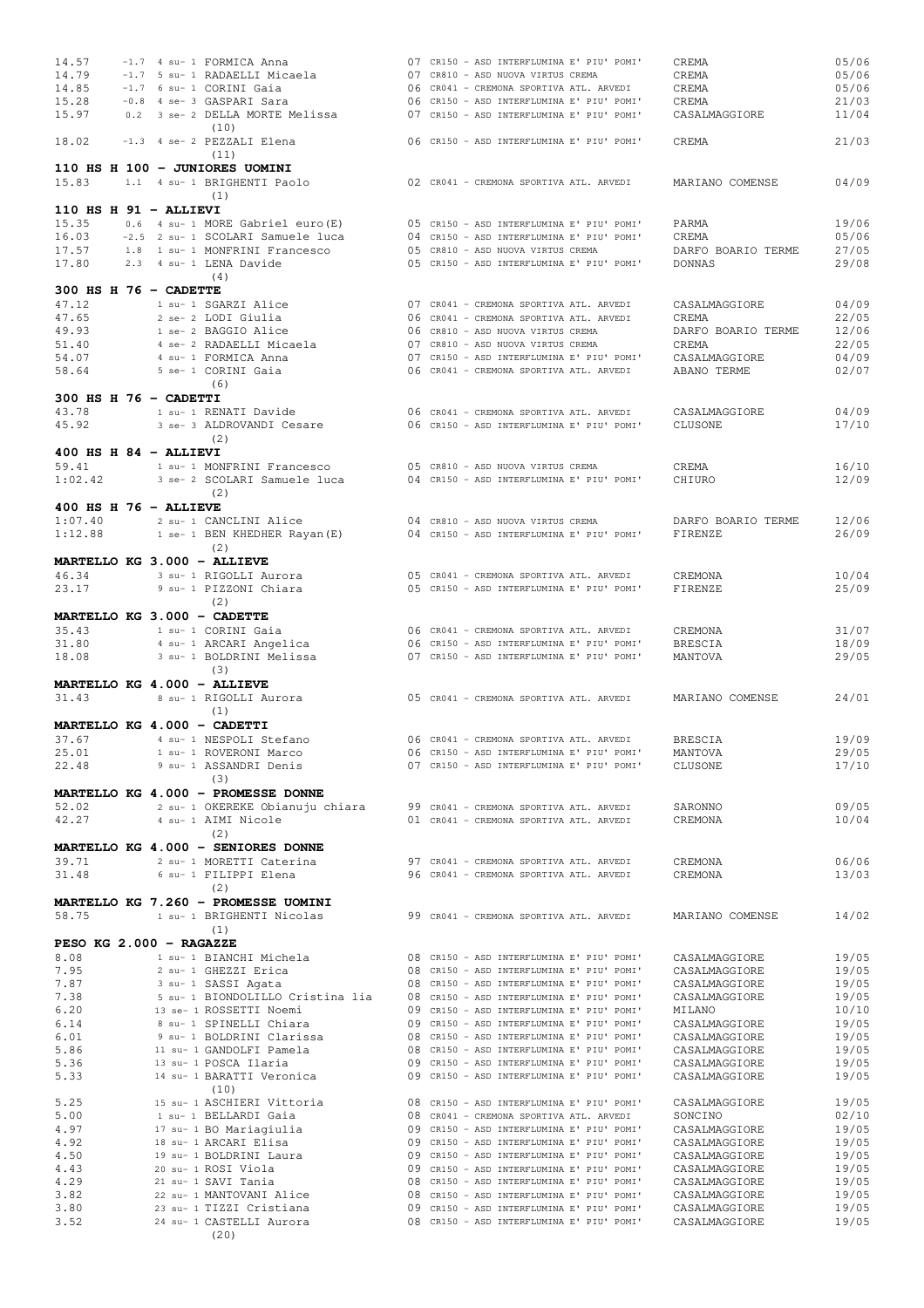| 14.57                       | -1.7 4 su- 1 FORMICA Anna                                                  |                                         | 07 CR150 - ASD INTERFLUMINA E' PIU' POMI' | CREMA              | 05/06          |
|-----------------------------|----------------------------------------------------------------------------|-----------------------------------------|-------------------------------------------|--------------------|----------------|
| 14.79                       | -1.7 5 su- 1 RADAELLI Micaela                                              | 07 CR810 - ASD NUOVA VIRTUS CREMA       |                                           | CREMA              | 05/06          |
| 14.85                       | -1.7 6 su- 1 CORINI Gaia                                                   | 06 CR041 - CREMONA SPORTIVA ATL. ARVEDI |                                           | CREMA              | 05/06          |
|                             |                                                                            |                                         |                                           |                    |                |
| 15.28                       | -0.8 4 se- 3 GASPARI Sara                                                  |                                         | 06 CR150 - ASD INTERFLUMINA E' PIU' POMI' | CREMA              | 21/03          |
| 15.97                       | 0.2 3 se- 2 DELLA MORTE Melissa                                            |                                         | 07 CR150 - ASD INTERFLUMINA E' PIU' POMI' | CASALMAGGIORE      | 11/04          |
|                             | (10)                                                                       |                                         |                                           |                    |                |
| 18.02                       | -1.3 4 se- 2 PEZZALI Elena                                                 |                                         | 06 CR150 - ASD INTERFLUMINA E' PIU' POMI' | CREMA              | 21/03          |
|                             | (11)                                                                       |                                         |                                           |                    |                |
|                             | 110 HS H 100 - JUNIORES UOMINI                                             |                                         |                                           |                    |                |
| 15.83                       | 1.1 4 su- 1 BRIGHENTI Paolo                                                | 02 CR041 - CREMONA SPORTIVA ATL. ARVEDI |                                           | MARIANO COMENSE    | 04/09          |
|                             | (1)                                                                        |                                         |                                           |                    |                |
| $110$ HS H $91$ - ALLIEVI   |                                                                            |                                         |                                           |                    |                |
| 15.35                       | 0.6 4 su- 1 MORE Gabriel euro (E)                                          |                                         | 05 CR150 - ASD INTERFLUMINA E' PIU' POMI' | PARMA              | 19/06          |
| 16.03                       | -2.5 2 su- 1 SCOLARI Samuele luca                                          |                                         | 04 CR150 - ASD INTERFLUMINA E' PIU' POMI' | CREMA              | 05/06          |
| 17.57                       | 1.8 1 su- 1 MONFRINI Francesco                                             | 05 CR810 - ASD NUOVA VIRTUS CREMA       |                                           | DARFO BOARIO TERME | 27/05          |
| 17.80                       | 2.3 4 su- 1 LENA Davide                                                    |                                         | 05 CR150 - ASD INTERFLUMINA E' PIU' POMI' | <b>DONNAS</b>      | 29/08          |
|                             | (4)                                                                        |                                         |                                           |                    |                |
| $300$ HS H $76$ - CADETTE   |                                                                            |                                         |                                           |                    |                |
|                             |                                                                            |                                         |                                           |                    |                |
| 47.12                       | 1 su- 1 SGARZI Alice                                                       | 07 CR041 - CREMONA SPORTIVA ATL. ARVEDI |                                           | CASALMAGGIORE      | 04/09          |
| 47.65                       | 2 se- 2 LODI Giulia                                                        | 06 CR041 - CREMONA SPORTIVA ATL. ARVEDI |                                           | CREMA              | 22/05          |
| 49.93                       | 1 se- 2 BAGGIO Alice                                                       | 06 CR810 - ASD NUOVA VIRTUS CREMA       |                                           | DARFO BOARIO TERME | 12/06          |
| 51.40                       | 4 se- 2 RADAELLI Micaela                                                   | 07 CR810 - ASD NUOVA VIRTUS CREMA       |                                           | CREMA              | 22/05          |
| 54.07                       | 4 su- 1 FORMICA Anna                                                       |                                         | 07 CR150 - ASD INTERFLUMINA E' PIU' POMI' | CASALMAGGIORE      | 04/09          |
| 58.64                       | 5 se- 1 CORINI Gaia                                                        | 06 CR041 - CREMONA SPORTIVA ATL. ARVEDI |                                           | ABANO TERME        | 02/07          |
|                             | (6)                                                                        |                                         |                                           |                    |                |
| 300 HS H 76 - CADETTI       |                                                                            |                                         |                                           |                    |                |
| 43.78                       | 1 su- 1 RENATI Davide                                                      | 06 CR041 - CREMONA SPORTIVA ATL. ARVEDI |                                           | CASALMAGGIORE      | 04/09          |
| 45.92                       | 3 se- 3 ALDROVANDI Cesare                                                  |                                         | 06 CR150 - ASD INTERFLUMINA E' PIU' POMI' | CLUSONE            | 17/10          |
|                             | (2)                                                                        |                                         |                                           |                    |                |
| $400$ HS H $84$ - ALLIEVI   |                                                                            |                                         |                                           |                    |                |
| 59.41                       | 1 su- 1 MONFRINI Francesco                                                 | 05 CR810 - ASD NUOVA VIRTUS CREMA       |                                           | CREMA              | 16/10          |
| 1:02.42                     | 3 se- 2 SCOLARI Samuele luca                                               |                                         | 04 CR150 - ASD INTERFLUMINA E' PIU' POMI' | CHIURO             | 12/09          |
|                             | (2)                                                                        |                                         |                                           |                    |                |
| $400$ HS H $76$ - ALLIEVE   |                                                                            |                                         |                                           |                    |                |
| 1:07.40                     | 2 su- 1 CANCLINI Alice                                                     | 04 CR810 - ASD NUOVA VIRTUS CREMA       |                                           | DARFO BOARIO TERME | 12/06          |
| 1:12.88                     | 1 se- 1 BEN KHEDHER Rayan (E)                                              |                                         | 04 CR150 - ASD INTERFLUMINA E' PIU' POMI' | FIRENZE            | 26/09          |
|                             | (2)                                                                        |                                         |                                           |                    |                |
| MARTELLO KG 3.000 - ALLIEVE |                                                                            |                                         |                                           |                    |                |
|                             |                                                                            |                                         |                                           |                    |                |
| 46.34<br>23.17              | 3 su- 1 RIGOLLI Aurora                                                     | 05 CR041 - CREMONA SPORTIVA ATL. ARVEDI |                                           | CREMONA            | 10/04<br>25/09 |
|                             | 9 su- 1 PIZZONI Chiara<br>(2)                                              |                                         | 05 CR150 - ASD INTERFLUMINA E' PIU' POMI' | FIRENZE            |                |
|                             |                                                                            |                                         |                                           |                    |                |
| MARTELLO KG 3.000 - CADETTE |                                                                            |                                         |                                           |                    |                |
|                             |                                                                            |                                         |                                           |                    |                |
| 35.43                       | 1 su- 1 CORINI Gaia                                                        | 06 CR041 - CREMONA SPORTIVA ATL. ARVEDI |                                           | CREMONA            | 31/07          |
| 31.80                       | 4 su- 1 ARCARI Angelica                                                    |                                         | 06 CR150 - ASD INTERFLUMINA E' PIU' POMI' | <b>BRESCIA</b>     | 18/09          |
| 18.08                       | 3 su- 1 BOLDRINI Melissa                                                   |                                         | 07 CR150 - ASD INTERFLUMINA E' PIU' POMI' | MANTOVA            | 29/05          |
|                             | (3)                                                                        |                                         |                                           |                    |                |
| MARTELLO KG 4.000 - ALLIEVE |                                                                            |                                         |                                           |                    |                |
| 31.43                       | 8 su- 1 RIGOLLI Aurora                                                     | 05 CR041 - CREMONA SPORTIVA ATL. ARVEDI |                                           | MARIANO COMENSE    | 24/01          |
|                             | (1)                                                                        |                                         |                                           |                    |                |
| MARTELLO KG 4.000 - CADETTI |                                                                            |                                         |                                           |                    |                |
| 37.67                       | 4 su- 1 NESPOLI Stefano                                                    | 06 CR041 - CREMONA SPORTIVA ATL. ARVEDI |                                           | <b>BRESCIA</b>     | 19/09          |
|                             |                                                                            |                                         |                                           | MANTOVA            |                |
| 25.01                       | 1 su- 1 ROVERONI Marco                                                     |                                         | 06 CR150 - ASD INTERFLUMINA E' PIU' POMI' |                    | 29/05          |
| 22.48                       | 9 su- 1 ASSANDRI Denis                                                     |                                         | 07 CR150 - ASD INTERFLUMINA E' PIU' POMI' | CLUSONE            | 17/10          |
|                             | (3)                                                                        |                                         |                                           |                    |                |
|                             | MARTELLO KG 4.000 - PROMESSE DONNE                                         |                                         |                                           |                    |                |
| 52.02                       | 2 su- 1 OKEREKE Obianuju chiara                                            | 99 CR041 - CREMONA SPORTIVA ATL. ARVEDI |                                           | SARONNO            | 09/05          |
| 42.27                       | 4 su- 1 AIMI Nicole                                                        | 01 CR041 - CREMONA SPORTIVA ATL. ARVEDI |                                           | CREMONA            | 10/04          |
|                             | (2)                                                                        |                                         |                                           |                    |                |
|                             | MARTELLO KG 4.000 - SENIORES DONNE                                         |                                         |                                           |                    |                |
| 39.71                       | 2 su- 1 MORETTI Caterina                                                   | 97 CR041 - CREMONA SPORTIVA ATL. ARVEDI |                                           | CREMONA            | 06/06          |
| 31.48                       | 6 su- 1 FILIPPI Elena                                                      | 96 CR041 - CREMONA SPORTIVA ATL. ARVEDI |                                           | CREMONA            | 13/03          |
|                             | (2)                                                                        |                                         |                                           |                    |                |
|                             | MARTELLO KG 7.260 - PROMESSE UOMINI                                        |                                         |                                           |                    |                |
| 58.75                       | 1 su- 1 BRIGHENTI Nicolas                                                  | 99 CR041 - CREMONA SPORTIVA ATL. ARVEDI |                                           | MARIANO COMENSE    | 14/02          |
|                             | (1)                                                                        |                                         |                                           |                    |                |
| PESO KG 2.000 - RAGAZZE     |                                                                            |                                         |                                           |                    |                |
| 8.08                        | 1 su- 1 BIANCHI Michela                                                    |                                         | 08 CR150 - ASD INTERFLUMINA E' PIU' POMI' | CASALMAGGIORE      | 19/05          |
| 7.95                        | 2 su- 1 GHEZZI Erica                                                       |                                         | 08 CR150 - ASD INTERFLUMINA E' PIU' POMI' | CASALMAGGIORE      | 19/05          |
| 7.87                        | 3 su- 1 SASSI Agata                                                        |                                         | 08 CR150 - ASD INTERFLUMINA E' PIU' POMI' | CASALMAGGIORE      | 19/05          |
| 7.38                        | 5 su- 1 BIONDOLILLO Cristina lia 08 CR150 - ASD INTERFLUMINA E' PIU' POMI' |                                         |                                           | CASALMAGGIORE      | 19/05          |
| 6.20                        | 13 se- 1 ROSSETTI Noemi                                                    |                                         | 09 CR150 - ASD INTERFLUMINA E' PIU' POMI' | MILANO             | 10/10          |
| 6.14                        | 8 su- 1 SPINELLI Chiara                                                    |                                         | 09 CR150 - ASD INTERFLUMINA E' PIU' POMI' | CASALMAGGIORE      | 19/05          |
| 6.01                        | 9 su- 1 BOLDRINI Clarissa                                                  |                                         | 08 CR150 - ASD INTERFLUMINA E' PIU' POMI' | CASALMAGGIORE      | 19/05          |
| 5.86                        | 11 su- 1 GANDOLFI Pamela                                                   |                                         | 08 CR150 - ASD INTERFLUMINA E' PIU' POMI' | CASALMAGGIORE      | 19/05          |
| 5.36                        | 13 su- 1 POSCA Ilaria                                                      |                                         | 09 CR150 - ASD INTERFLUMINA E' PIU' POMI' | CASALMAGGIORE      | 19/05          |
| 5.33                        | 14 su- 1 BARATTI Veronica                                                  |                                         | 09 CR150 - ASD INTERFLUMINA E' PIU' POMI' | CASALMAGGIORE      | 19/05          |
|                             | (10)                                                                       |                                         |                                           |                    |                |
| 5.25                        | 15 su- 1 ASCHIERI Vittoria                                                 |                                         | 08 CR150 - ASD INTERFLUMINA E' PIU' POMI' | CASALMAGGIORE      | 19/05          |
| 5.00                        | 1 su- 1 BELLARDI Gaia                                                      | 08 CR041 - CREMONA SPORTIVA ATL. ARVEDI |                                           | SONCINO            | 02/10          |
| 4.97                        | 17 su- 1 BO Mariagiulia                                                    |                                         | 09 CR150 - ASD INTERFLUMINA E' PIU' POMI' | CASALMAGGIORE      | 19/05          |
| 4.92                        |                                                                            |                                         | 09 CR150 - ASD INTERFLUMINA E' PIU' POMI' |                    |                |
|                             | 18 su- 1 ARCARI Elisa                                                      |                                         |                                           | CASALMAGGIORE      | 19/05          |
| 4.50                        | 19 su- 1 BOLDRINI Laura                                                    |                                         | 09 CR150 - ASD INTERFLUMINA E' PIU' POMI' | CASALMAGGIORE      | 19/05          |
| 4.43                        | 20 su- 1 ROSI Viola                                                        |                                         | 09 CR150 - ASD INTERFLUMINA E' PIU' POMI' | CASALMAGGIORE      | 19/05          |
| 4.29                        | 21 su- 1 SAVI Tania                                                        |                                         | 08 CR150 - ASD INTERFLUMINA E' PIU' POMI' | CASALMAGGIORE      | 19/05          |
| 3.82                        | 22 su- 1 MANTOVANI Alice                                                   |                                         | 08 CR150 - ASD INTERFLUMINA E' PIU' POMI' | CASALMAGGIORE      | 19/05          |
| 3.80                        | 23 su- 1 TIZZI Cristiana                                                   |                                         | 09 CR150 - ASD INTERFLUMINA E' PIU' POMI' | CASALMAGGIORE      | 19/05          |
| 3.52                        | 24 su- 1 CASTELLI Aurora<br>(20)                                           |                                         | 08 CR150 - ASD INTERFLUMINA E' PIU' POMI' | CASALMAGGIORE      | 19/05          |